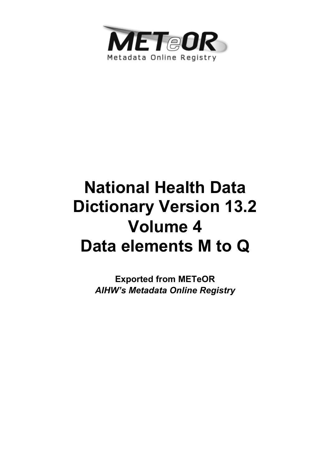

# **National Health Data Dictionary Version 13.2 Volume 4 Data elements M to Q**

**Exported from METeOR**  *AIHW's Metadata Online Registry*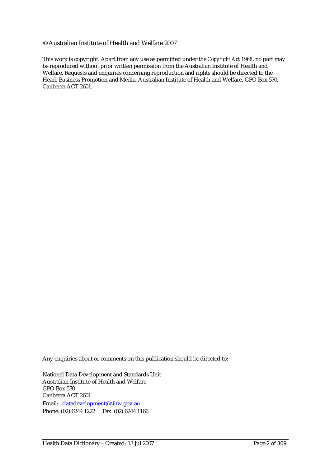#### © Australian Institute of Health and Welfare 2007

This work is copyright. Apart from any use as permitted under the *Copyright Act 1968*, no part may be reproduced without prior written permission from the Australian Institute of Health and Welfare. Requests and enquiries concerning reproduction and rights should be directed to the Head, Business Promotion and Media, Australian Institute of Health and Welfare, GPO Box 570, Canberra ACT 2601.

Any enquiries about or comments on this publication should be directed to:

National Data Development and Standards Unit Australian Institute of Health and Welfare GPO Box 570 Canberra ACT 2601 Email: datadevelopment@aihw.gov.au Phone: (02) 6244 1222 Fax: (02) 6244 1166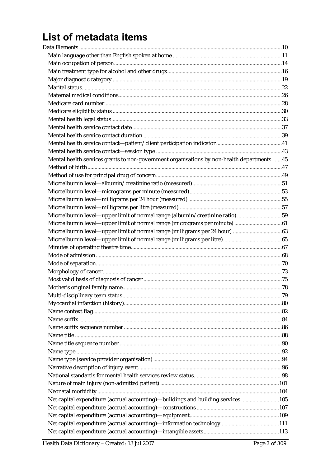## List of metadata items

| Mental health services grants to non-government organisations by non-health departments  45 |  |
|---------------------------------------------------------------------------------------------|--|
|                                                                                             |  |
|                                                                                             |  |
| $\label{thm:main} \mbox{Microalbumin level—albumin/creationine ratio (measured)}$           |  |
|                                                                                             |  |
|                                                                                             |  |
|                                                                                             |  |
| Microalbumin level—upper limit of normal range (albumin/creatinine ratio) 59                |  |
|                                                                                             |  |
|                                                                                             |  |
|                                                                                             |  |
|                                                                                             |  |
|                                                                                             |  |
|                                                                                             |  |
|                                                                                             |  |
|                                                                                             |  |
|                                                                                             |  |
|                                                                                             |  |
|                                                                                             |  |
|                                                                                             |  |
|                                                                                             |  |
|                                                                                             |  |
|                                                                                             |  |
|                                                                                             |  |
|                                                                                             |  |
|                                                                                             |  |
|                                                                                             |  |
|                                                                                             |  |
|                                                                                             |  |
|                                                                                             |  |
| Net capital expenditure (accrual accounting)-buildings and building services 105            |  |
|                                                                                             |  |
|                                                                                             |  |
|                                                                                             |  |
|                                                                                             |  |
|                                                                                             |  |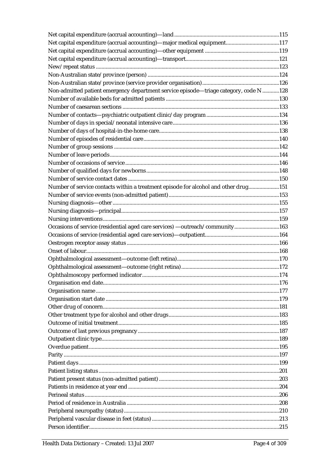| $\label{thm:non-Australian state} Non-Australian state/province \mbox{ (service provider organisation)} \mbox{.} \mbox{.} \mbox{.} \mbox{.} \mbox{.} \mbox{.} \mbox{.} \mbox{.} \mbox{.} \mbox{.} \mbox{.} \mbox{.} \mbox{.} \mbox{.} \mbox{.} \mbox{.} \mbox{.} \mbox{.} \mbox{.} \mbox{.} \mbox{.} \mbox{.} \mbox{.} \mbox{.} \mbox{.} \mbox{.} \mbox{.} \mbox{.} \mbox{.} \mbox{.} \mbox{.} \mbox{.} \m$ |  |
|-------------------------------------------------------------------------------------------------------------------------------------------------------------------------------------------------------------------------------------------------------------------------------------------------------------------------------------------------------------------------------------------------------------|--|
| Non-admitted patient emergency department service episode-triage category, code N 128                                                                                                                                                                                                                                                                                                                       |  |
|                                                                                                                                                                                                                                                                                                                                                                                                             |  |
|                                                                                                                                                                                                                                                                                                                                                                                                             |  |
|                                                                                                                                                                                                                                                                                                                                                                                                             |  |
|                                                                                                                                                                                                                                                                                                                                                                                                             |  |
|                                                                                                                                                                                                                                                                                                                                                                                                             |  |
|                                                                                                                                                                                                                                                                                                                                                                                                             |  |
|                                                                                                                                                                                                                                                                                                                                                                                                             |  |
|                                                                                                                                                                                                                                                                                                                                                                                                             |  |
|                                                                                                                                                                                                                                                                                                                                                                                                             |  |
|                                                                                                                                                                                                                                                                                                                                                                                                             |  |
|                                                                                                                                                                                                                                                                                                                                                                                                             |  |
| Number of service contacts within a treatment episode for alcohol and other drug151                                                                                                                                                                                                                                                                                                                         |  |
|                                                                                                                                                                                                                                                                                                                                                                                                             |  |
|                                                                                                                                                                                                                                                                                                                                                                                                             |  |
|                                                                                                                                                                                                                                                                                                                                                                                                             |  |
|                                                                                                                                                                                                                                                                                                                                                                                                             |  |
| Occasions of service (residential aged care services) - outreach/community163                                                                                                                                                                                                                                                                                                                               |  |
|                                                                                                                                                                                                                                                                                                                                                                                                             |  |
|                                                                                                                                                                                                                                                                                                                                                                                                             |  |
|                                                                                                                                                                                                                                                                                                                                                                                                             |  |
|                                                                                                                                                                                                                                                                                                                                                                                                             |  |
|                                                                                                                                                                                                                                                                                                                                                                                                             |  |
|                                                                                                                                                                                                                                                                                                                                                                                                             |  |
|                                                                                                                                                                                                                                                                                                                                                                                                             |  |
|                                                                                                                                                                                                                                                                                                                                                                                                             |  |
|                                                                                                                                                                                                                                                                                                                                                                                                             |  |
|                                                                                                                                                                                                                                                                                                                                                                                                             |  |
|                                                                                                                                                                                                                                                                                                                                                                                                             |  |
|                                                                                                                                                                                                                                                                                                                                                                                                             |  |
|                                                                                                                                                                                                                                                                                                                                                                                                             |  |
|                                                                                                                                                                                                                                                                                                                                                                                                             |  |
|                                                                                                                                                                                                                                                                                                                                                                                                             |  |
|                                                                                                                                                                                                                                                                                                                                                                                                             |  |
|                                                                                                                                                                                                                                                                                                                                                                                                             |  |
|                                                                                                                                                                                                                                                                                                                                                                                                             |  |
|                                                                                                                                                                                                                                                                                                                                                                                                             |  |
|                                                                                                                                                                                                                                                                                                                                                                                                             |  |
|                                                                                                                                                                                                                                                                                                                                                                                                             |  |
|                                                                                                                                                                                                                                                                                                                                                                                                             |  |
|                                                                                                                                                                                                                                                                                                                                                                                                             |  |
|                                                                                                                                                                                                                                                                                                                                                                                                             |  |
|                                                                                                                                                                                                                                                                                                                                                                                                             |  |
|                                                                                                                                                                                                                                                                                                                                                                                                             |  |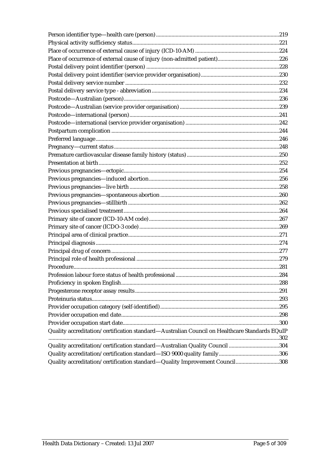| Quality accreditation/certification standard-Australian Council on Healthcare Standards EQuIP |  |
|-----------------------------------------------------------------------------------------------|--|
|                                                                                               |  |
| Quality accreditation/certification standard-Australian Quality Council 304                   |  |
|                                                                                               |  |
| Quality accreditation/certification standard-Quality Improvement Council308                   |  |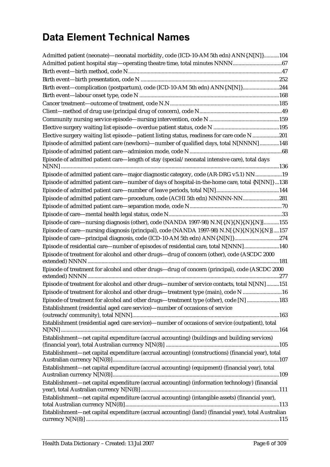## **Data Element Technical Names**

| Admitted patient (neonate)—neonatal morbidity, code (ICD-10-AM 5th edn) ANN{.N[N]}104                |  |
|------------------------------------------------------------------------------------------------------|--|
|                                                                                                      |  |
|                                                                                                      |  |
|                                                                                                      |  |
| Birth event-complication (postpartum), code (ICD-10-AM 5th edn) ANN{.N[N]}244                        |  |
|                                                                                                      |  |
|                                                                                                      |  |
|                                                                                                      |  |
|                                                                                                      |  |
|                                                                                                      |  |
| Elective surgery waiting list episode—patient listing status, readiness for care code N 201          |  |
| Episode of admitted patient care (newborn)-number of qualified days, total N[NNNN]148                |  |
|                                                                                                      |  |
| Episode of admitted patient care-length of stay (special/neonatal intensive care), total days        |  |
| Episode of admitted patient care—major diagnostic category, code (AR-DRG v5.1) NN19                  |  |
| Episode of admitted patient care—number of days of hospital-in-the-home care, total {N[NN]} 138      |  |
|                                                                                                      |  |
| Episode of admitted patient care-procedure, code (ACHI 5th edn) NNNNN-NN281                          |  |
|                                                                                                      |  |
|                                                                                                      |  |
| Episode of care—nursing diagnosis (other), code (NANDA 1997-98) N.N[{.N}{.N}{.N}{.N}]155             |  |
| Episode of care—nursing diagnosis (principal), code (NANDA 1997-98) N.N[{.N}{.N}{.N}{.N}]157         |  |
| Episode of care-principal diagnosis, code (ICD-10-AM 5th edn) ANN{.N[N]}274                          |  |
| Episode of residential care—number of episodes of residential care, total N[NNN]140                  |  |
| Episode of treatment for alcohol and other drugs-drug of concern (other), code (ASCDC 2000           |  |
| Episode of treatment for alcohol and other drugs-drug of concern (principal), code (ASCDC 2000       |  |
|                                                                                                      |  |
| Episode of treatment for alcohol and other drugs-number of service contacts, total N[NN]151          |  |
| Episode of treatment for alcohol and other drugs-treatment type (main), code N 16                    |  |
| Episode of treatment for alcohol and other drugs-treatment type (other), code [N] 183                |  |
| Establishment (residential aged care service)—number of occasions of service                         |  |
| Establishment (residential aged care service)-number of occasions of service (outpatient), total     |  |
|                                                                                                      |  |
| Establishment-net capital expenditure (accrual accounting) (buildings and building services)         |  |
| Establishment—net capital expenditure (accrual accounting) (constructions) (financial year), total   |  |
|                                                                                                      |  |
| Establishment-net capital expenditure (accrual accounting) (equipment) (financial year), total       |  |
| Establishment-net capital expenditure (accrual accounting) (information technology) (financial       |  |
| Establishment—net capital expenditure (accrual accounting) (intangible assets) (financial year),     |  |
| Establishment—net capital expenditure (accrual accounting) (land) (financial year), total Australian |  |
|                                                                                                      |  |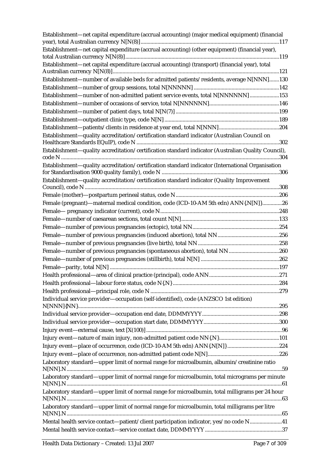| Establishment-net capital expenditure (accrual accounting) (major medical equipment) (financial    |  |
|----------------------------------------------------------------------------------------------------|--|
| Establishment-net capital expenditure (accrual accounting) (other equipment) (financial year),     |  |
| Establishment-net capital expenditure (accrual accounting) (transport) (financial year), total     |  |
|                                                                                                    |  |
| Establishment-number of available beds for admitted patients/residents, average N[NNN]130          |  |
|                                                                                                    |  |
| Establishment-number of non-admitted patient service events, total N[NNNNNN]153                    |  |
|                                                                                                    |  |
|                                                                                                    |  |
|                                                                                                    |  |
|                                                                                                    |  |
| Establishment-quality accreditation/certification standard indicator (Australian Council on        |  |
| Establishment—quality accreditation/certification standard indicator (Australian Quality Council), |  |
|                                                                                                    |  |
| Establishment—quality accreditation/certification standard indicator (International Organisation   |  |
|                                                                                                    |  |
| Establishment—quality accreditation/certification standard indicator (Quality Improvement          |  |
|                                                                                                    |  |
|                                                                                                    |  |
| Female (pregnant)-maternal medical condition, code (ICD-10-AM 5th edn) ANN{.N[N]}26                |  |
|                                                                                                    |  |
|                                                                                                    |  |
|                                                                                                    |  |
|                                                                                                    |  |
|                                                                                                    |  |
|                                                                                                    |  |
|                                                                                                    |  |
|                                                                                                    |  |
|                                                                                                    |  |
|                                                                                                    |  |
|                                                                                                    |  |
| Individual service provider-occupation (self-identified), code (ANZSCO 1st edition)                |  |
|                                                                                                    |  |
|                                                                                                    |  |
|                                                                                                    |  |
|                                                                                                    |  |
|                                                                                                    |  |
|                                                                                                    |  |
|                                                                                                    |  |
| Laboratory standard—upper limit of normal range for microalbumin, albumin/creatinine ratio         |  |
| Laboratory standard—upper limit of normal range for microalbumin, total micrograms per minute      |  |
| Laboratory standard—upper limit of normal range for microalbumin, total milligrams per 24 hour     |  |
| Laboratory standard—upper limit of normal range for microalbumin, total milligrams per litre       |  |
| Mental health service contact—patient/client participation indicator, yes/no code N41              |  |
|                                                                                                    |  |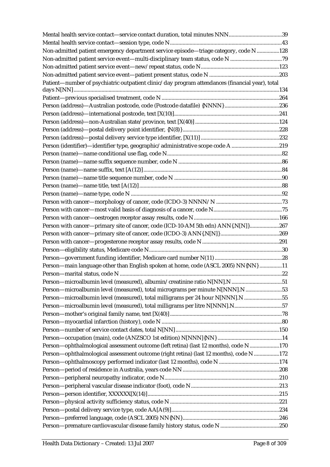| Non-admitted patient emergency department service episode-triage category, code N 128           |  |
|-------------------------------------------------------------------------------------------------|--|
|                                                                                                 |  |
|                                                                                                 |  |
|                                                                                                 |  |
| Patient-number of psychiatric outpatient clinic/day program attendances (financial year), total |  |
|                                                                                                 |  |
|                                                                                                 |  |
|                                                                                                 |  |
|                                                                                                 |  |
|                                                                                                 |  |
|                                                                                                 |  |
| Person (identifier)-identifier type, geographic/administrative scope code A 219                 |  |
|                                                                                                 |  |
|                                                                                                 |  |
|                                                                                                 |  |
|                                                                                                 |  |
|                                                                                                 |  |
|                                                                                                 |  |
|                                                                                                 |  |
|                                                                                                 |  |
|                                                                                                 |  |
| Person with cancer--primary site of cancer, code (ICD-10-AM 5th edn) ANN{.N[N]}267              |  |
|                                                                                                 |  |
|                                                                                                 |  |
|                                                                                                 |  |
|                                                                                                 |  |
| Person-main language other than English spoken at home, code (ASCL 2005) NN{NN} 11              |  |
|                                                                                                 |  |
|                                                                                                 |  |
| Person—microalbumin level (measured), total micrograms per minute N[NNN].N53                    |  |
| Person-microalbumin level (measured), total milligrams per 24 hour N[NNN].N 55                  |  |
|                                                                                                 |  |
|                                                                                                 |  |
|                                                                                                 |  |
|                                                                                                 |  |
|                                                                                                 |  |
| Person-ophthalmological assessment outcome (left retina) (last 12 months), code N170            |  |
| Person—ophthalmological assessment outcome (right retina) (last 12 months), code N 172          |  |
|                                                                                                 |  |
|                                                                                                 |  |
|                                                                                                 |  |
|                                                                                                 |  |
|                                                                                                 |  |
|                                                                                                 |  |
|                                                                                                 |  |
|                                                                                                 |  |
|                                                                                                 |  |
|                                                                                                 |  |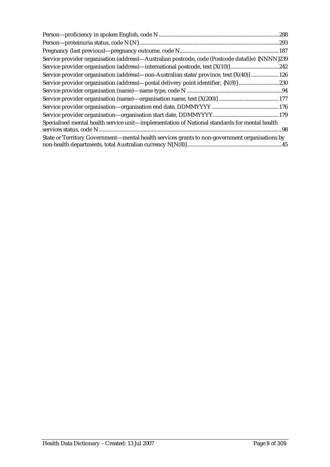| Service provider organisation (address)—Australian postcode, code (Postcode datafile) {NNNN}239 |
|-------------------------------------------------------------------------------------------------|
| Service provider organisation (address)—international postcode, text [X(10)]242                 |
| Service provider organisation (address)—non-Australian state/province, text [X(40)] 126         |
|                                                                                                 |
|                                                                                                 |
|                                                                                                 |
|                                                                                                 |
|                                                                                                 |
| Specialised mental health service unit—implementation of National standards for mental health   |
|                                                                                                 |
| State or Territory Government—mental health services grants to non-government organisations by  |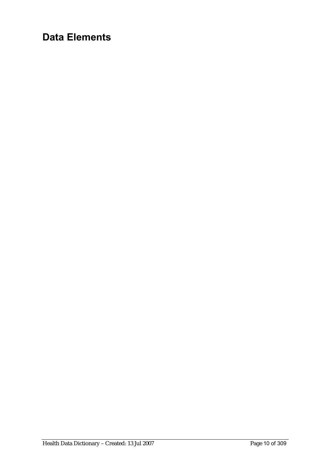## **Data Elements**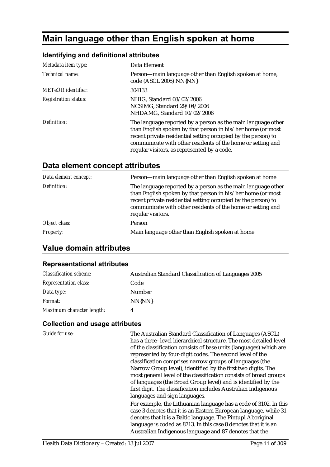## **Main language other than English spoken at home**

## **Identifying and definitional attributes**

| Metadata item type:         | Data Element                                                                                                                                                                                                                                                                                               |
|-----------------------------|------------------------------------------------------------------------------------------------------------------------------------------------------------------------------------------------------------------------------------------------------------------------------------------------------------|
| Technical name:             | Person-main language other than English spoken at home,<br>code (ASCL 2005) NN{NN}                                                                                                                                                                                                                         |
| <b>METeOR</b> identifier:   | 304133                                                                                                                                                                                                                                                                                                     |
| <b>Registration status:</b> | NHIG, Standard 08/02/2006<br>NCSIMG, Standard 29/04/2006<br>NHDAMG, Standard 10/02/2006                                                                                                                                                                                                                    |
| Definition:                 | The language reported by a person as the main language other<br>than English spoken by that person in his/her home (or most<br>recent private residential setting occupied by the person) to<br>communicate with other residents of the home or setting and<br>regular visitors, as represented by a code. |

## **Data element concept attributes**

| Data element concept: | Person-main language other than English spoken at home                                                                                                                                                                                                                           |
|-----------------------|----------------------------------------------------------------------------------------------------------------------------------------------------------------------------------------------------------------------------------------------------------------------------------|
| Definition:           | The language reported by a person as the main language other<br>than English spoken by that person in his/her home (or most<br>recent private residential setting occupied by the person) to<br>communicate with other residents of the home or setting and<br>regular visitors. |
| Object class:         | Person                                                                                                                                                                                                                                                                           |
| <b>Property:</b>      | Main language other than English spoken at home                                                                                                                                                                                                                                  |

## **Value domain attributes**

#### **Representational attributes**

| <b>Classification scheme:</b> | <b>Australian Standard Classification of Languages 2005</b> |
|-------------------------------|-------------------------------------------------------------|
| <b>Representation class:</b>  | Code                                                        |
| Data type:                    | Number                                                      |
| <i>Format:</i>                | NN{NN}                                                      |
| Maximum character length:     | 4                                                           |

| <b>Guide for use:</b> | The Australian Standard Classification of Languages (ASCL)         |
|-----------------------|--------------------------------------------------------------------|
|                       | has a three- level hierarchical structure. The most detailed level |
|                       | of the classification consists of base units (languages) which are |
|                       | represented by four-digit codes. The second level of the           |
|                       | classification comprises narrow groups of languages (the           |
|                       | Narrow Group level), identified by the first two digits. The       |
|                       | most general level of the classification consists of broad groups  |
|                       | of languages (the Broad Group level) and is identified by the      |
|                       | first digit. The classification includes Australian Indigenous     |
|                       | languages and sign languages.                                      |
|                       | For example, the Lithuanian language has a code of 3102. In this   |
|                       | case 3 denotes that it is an Eastern European language, while 31   |
|                       | denotes that it is a Baltic language. The Pintupi Aboriginal       |
|                       | language is coded as 8713. In this case 8 denotes that it is an    |
|                       | Australian Indigenous language and 87 denotes that the             |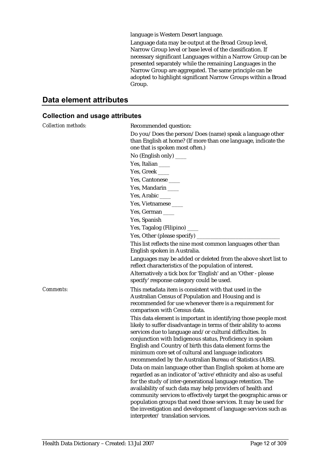language is Western Desert language.

Language data may be output at the Broad Group level, Narrow Group level or base level of the classification. If necessary significant Languages within a Narrow Group can be presented separately while the remaining Languages in the Narrow Group are aggregated. The same principle can be adopted to highlight significant Narrow Groups within a Broad Group.

#### **Data element attributes**

| <b>Collection methods:</b> | Recommended question:                                                                                                                                                                                                                                                                                                                                                                                                                                                                                      |
|----------------------------|------------------------------------------------------------------------------------------------------------------------------------------------------------------------------------------------------------------------------------------------------------------------------------------------------------------------------------------------------------------------------------------------------------------------------------------------------------------------------------------------------------|
|                            | Do you/Does the person/Does (name) speak a language other<br>than English at home? (If more than one language, indicate the<br>one that is spoken most often.)                                                                                                                                                                                                                                                                                                                                             |
|                            | No (English only) ____                                                                                                                                                                                                                                                                                                                                                                                                                                                                                     |
|                            | Yes, Italian                                                                                                                                                                                                                                                                                                                                                                                                                                                                                               |
|                            | Yes, Greek                                                                                                                                                                                                                                                                                                                                                                                                                                                                                                 |
|                            | Yes, Cantonese                                                                                                                                                                                                                                                                                                                                                                                                                                                                                             |
|                            | Yes, Mandarin ____                                                                                                                                                                                                                                                                                                                                                                                                                                                                                         |
|                            | Yes, Arabic $\_\_$                                                                                                                                                                                                                                                                                                                                                                                                                                                                                         |
|                            | Yes, Vietnamese                                                                                                                                                                                                                                                                                                                                                                                                                                                                                            |
|                            | Yes, German                                                                                                                                                                                                                                                                                                                                                                                                                                                                                                |
|                            | Yes, Spanish                                                                                                                                                                                                                                                                                                                                                                                                                                                                                               |
|                            | Yes, Tagalog (Filipino) ____                                                                                                                                                                                                                                                                                                                                                                                                                                                                               |
|                            | Yes, Other (please specify)                                                                                                                                                                                                                                                                                                                                                                                                                                                                                |
|                            | This list reflects the nine most common languages other than                                                                                                                                                                                                                                                                                                                                                                                                                                               |
|                            | English spoken in Australia.                                                                                                                                                                                                                                                                                                                                                                                                                                                                               |
|                            | Languages may be added or deleted from the above short list to<br>reflect characteristics of the population of interest.                                                                                                                                                                                                                                                                                                                                                                                   |
|                            | Alternatively a tick box for 'English' and an 'Other - please<br>specify' response category could be used.                                                                                                                                                                                                                                                                                                                                                                                                 |
| Comments:                  | This metadata item is consistent with that used in the<br>Australian Census of Population and Housing and is<br>recommended for use whenever there is a requirement for<br>comparison with Census data.                                                                                                                                                                                                                                                                                                    |
|                            | This data element is important in identifying those people most<br>likely to suffer disadvantage in terms of their ability to access<br>services due to language and/or cultural difficulties. In<br>conjunction with Indigenous status, Proficiency in spoken<br>English and Country of birth this data element forms the<br>minimum core set of cultural and language indicators<br>recommended by the Australian Bureau of Statistics (ABS).                                                            |
|                            | Data on main language other than English spoken at home are<br>regarded as an indicator of 'active' ethnicity and also as useful<br>for the study of inter-generational language retention. The<br>availability of such data may help providers of health and<br>community services to effectively target the geographic areas or<br>population groups that need those services. It may be used for<br>the investigation and development of language services such as<br>interpreter/translation services. |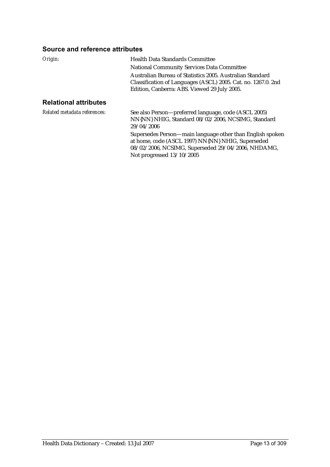#### **Source and reference attributes**

| Origin:                      | <b>Health Data Standards Committee</b><br><b>National Community Services Data Committee</b>                                                                                |
|------------------------------|----------------------------------------------------------------------------------------------------------------------------------------------------------------------------|
|                              | Australian Bureau of Statistics 2005. Australian Standard<br>Classification of Languages (ASCL) 2005. Cat. no. 1267.0. 2nd<br>Edition, Canberra: ABS. Viewed 29 July 2005. |
| <b>Relational attributes</b> |                                                                                                                                                                            |
| Related metadata references: | See also Person—preferred language, code (ASCL 2005)<br>NN{NN} NHIG, Standard 08/02/2006, NCSIMG, Standard<br>29/04/2006                                                   |
|                              | Supersedes Person—main language other than English spoken<br>at home, code (ASCL 1997) NN{NN} NHIG, Superseded<br>08/02/2006, NCSIMG, Superseded 29/04/2006, NHDAMG,       |

Not progressed 13/10/2005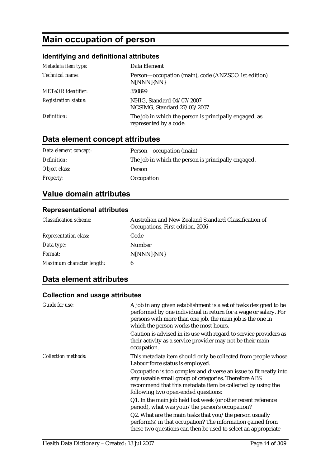## **Main occupation of person**

## **Identifying and definitional attributes**

| Metadata item type:         | Data Element                                                                     |
|-----------------------------|----------------------------------------------------------------------------------|
| Technical name:             | Person-occupation (main), code (ANZSCO 1st edition)<br>N[NNN]{NN}                |
| <b>METeOR</b> identifier:   | 350899                                                                           |
| <b>Registration status:</b> | NHIG, Standard 04/07/2007<br>NCSIMG, Standard 27/03/2007                         |
| Definition:                 | The job in which the person is principally engaged, as<br>represented by a code. |

## **Data element concept attributes**

| Data element concept: | Person-occupation (main)                            |
|-----------------------|-----------------------------------------------------|
| Definition:           | The job in which the person is principally engaged. |
| Object class:         | Person                                              |
| <b>Property:</b>      | Occupation                                          |

## **Value domain attributes**

#### **Representational attributes**

| <b>Classification scheme:</b> | Australian and New Zealand Standard Classification of<br>Occupations, First edition, 2006 |
|-------------------------------|-------------------------------------------------------------------------------------------|
| <b>Representation class:</b>  | Code                                                                                      |
| Data type:                    | Number                                                                                    |
| Format:                       | N[NNN]{NN}                                                                                |
| Maximum character length:     |                                                                                           |

## **Data element attributes**

| <b>Guide for use:</b>      | A job in any given establishment is a set of tasks designed to be<br>performed by one individual in return for a wage or salary. For<br>persons with more than one job, the main job is the one in<br>which the person works the most hours.<br>Caution is advised in its use with regard to service providers as<br>their activity as a service provider may not be their main<br>occupation. |
|----------------------------|------------------------------------------------------------------------------------------------------------------------------------------------------------------------------------------------------------------------------------------------------------------------------------------------------------------------------------------------------------------------------------------------|
| <b>Collection methods:</b> | This metadata item should only be collected from people whose<br>Labour force status is employed.                                                                                                                                                                                                                                                                                              |
|                            | Occupation is too complex and diverse an issue to fit neatly into<br>any useable small group of categories. Therefore ABS<br>recommend that this metadata item be collected by using the<br>following two open-ended questions:                                                                                                                                                                |
|                            | Q1. In the main job held last week (or other recent reference<br>period), what was your/the person's occupation?                                                                                                                                                                                                                                                                               |
|                            | Q2. What are the main tasks that you/the person usually<br>perform(s) in that occupation? The information gained from<br>these two questions can then be used to select an appropriate                                                                                                                                                                                                         |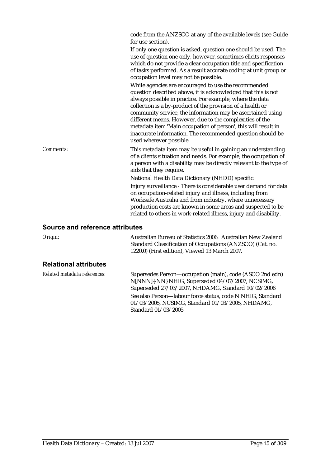|                                 | code from the ANZSCO at any of the available levels (see Guide<br>for use section).<br>If only one question is asked, question one should be used. The<br>use of question one only, however, sometimes elicits responses<br>which do not provide a clear occupation title and specification<br>of tasks performed. As a result accurate coding at unit group or<br>occupation level may not be possible.<br>While agencies are encouraged to use the recommended<br>question described above, it is acknowledged that this is not<br>always possible in practice. For example, where the data<br>collection is a by-product of the provision of a health or<br>community service, the information may be ascertained using<br>different means. However, due to the complexities of the<br>metadata item 'Main occupation of person', this will result in |
|---------------------------------|----------------------------------------------------------------------------------------------------------------------------------------------------------------------------------------------------------------------------------------------------------------------------------------------------------------------------------------------------------------------------------------------------------------------------------------------------------------------------------------------------------------------------------------------------------------------------------------------------------------------------------------------------------------------------------------------------------------------------------------------------------------------------------------------------------------------------------------------------------|
|                                 | inaccurate information. The recommended question should be<br>used wherever possible.                                                                                                                                                                                                                                                                                                                                                                                                                                                                                                                                                                                                                                                                                                                                                                    |
| Comments:                       | This metadata item may be useful in gaining an understanding<br>of a clients situation and needs. For example, the occupation of<br>a person with a disability may be directly relevant to the type of<br>aids that they require.                                                                                                                                                                                                                                                                                                                                                                                                                                                                                                                                                                                                                        |
|                                 | National Health Data Dictionary (NHDD) specific:                                                                                                                                                                                                                                                                                                                                                                                                                                                                                                                                                                                                                                                                                                                                                                                                         |
|                                 | Injury surveillance - There is considerable user demand for data<br>on occupation-related injury and illness, including from<br>Worksafe Australia and from industry, where unnecessary<br>production costs are known in some areas and suspected to be<br>related to others in work-related illness, injury and disability.                                                                                                                                                                                                                                                                                                                                                                                                                                                                                                                             |
| Source and reference attributes |                                                                                                                                                                                                                                                                                                                                                                                                                                                                                                                                                                                                                                                                                                                                                                                                                                                          |
| Origin:                         | Australian Bureau of Statistics 2006. Australian New Zealand<br>Standard Classification of Occupations (ANZSCO) (Cat. no.<br>1220.0) (First edition), Viewed 13 March 2007.                                                                                                                                                                                                                                                                                                                                                                                                                                                                                                                                                                                                                                                                              |

### **Relational attributes**

| Related metadata references: | Supersedes Person—occupation (main), code (ASCO 2nd edn)   |
|------------------------------|------------------------------------------------------------|
|                              | N[NNN]{-NN} NHIG, Superseded 04/07/2007, NCSIMG,           |
|                              | Superseded 27/03/2007, NHDAMG, Standard 10/02/2006         |
|                              | See also Person—labour force status, code N NHIG, Standard |
|                              | $01/03/2005$ , NCSIMG, Standard $01/03/2005$ , NHDAMG,     |
|                              | Standard 01/03/2005                                        |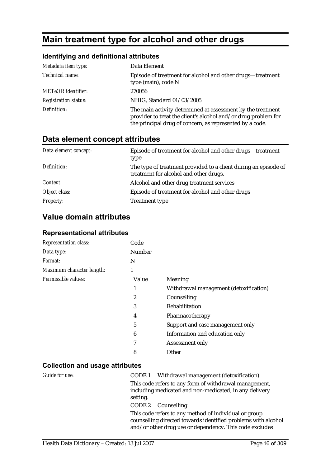## **Main treatment type for alcohol and other drugs**

#### **Identifying and definitional attributes**

| Metadata item type:         | Data Element                                                                                                                                                                              |
|-----------------------------|-------------------------------------------------------------------------------------------------------------------------------------------------------------------------------------------|
| Technical name:             | Episode of treatment for alcohol and other drugs-treatment<br>type (main), code N                                                                                                         |
| <b>METeOR</b> identifier:   | 270056                                                                                                                                                                                    |
| <b>Registration status:</b> | NHIG, Standard 01/03/2005                                                                                                                                                                 |
| Definition:                 | The main activity determined at assessment by the treatment<br>provider to treat the client's alcohol and/or drug problem for<br>the principal drug of concern, as represented by a code. |

| Data element concept attributes |  |  |
|---------------------------------|--|--|
|---------------------------------|--|--|

| Data element concept: | Episode of treatment for alcohol and other drugs—treatment<br>type                                        |
|-----------------------|-----------------------------------------------------------------------------------------------------------|
| Definition:           | The type of treatment provided to a client during an episode of<br>treatment for alcohol and other drugs. |
| Context:              | Alcohol and other drug treatment services                                                                 |
| Object class:         | Episode of treatment for alcohol and other drugs                                                          |
| <i>Property:</i>      | <b>Treatment type</b>                                                                                     |

## **Value domain attributes**

#### **Representational attributes**

| <b>Representation class:</b> | Code          |                                        |
|------------------------------|---------------|----------------------------------------|
| Data type:                   | <b>Number</b> |                                        |
| <i>Format:</i>               | N             |                                        |
| Maximum character length:    |               |                                        |
| Permissible values:          | Value         | <b>Meaning</b>                         |
|                              | 1             | Withdrawal management (detoxification) |
|                              | 2             | Counselling                            |
|                              | 3             | Rehabilitation                         |
|                              | 4             | Pharmacotherapy                        |
|                              | 5             | Support and case management only       |
|                              | 6             | Information and education only         |
|                              | 7             | Assessment only                        |
|                              | 8             | Other                                  |

#### **Collection and usage attributes**

*Guide for use:* CODE 1 Withdrawal management (detoxification) This code refers to any form of withdrawal management, including medicated and non-medicated, in any delivery setting. CODE 2 Counselling This code refers to any method of individual or group counselling directed towards identified problems with alcohol and/or other drug use or dependency. This code excludes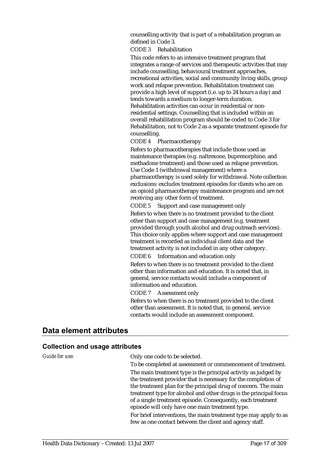counselling activity that is part of a rehabilitation program as defined in Code 3.

CODE 3 Rehabilitation

This code refers to an intensive treatment program that integrates a range of services and therapeutic activities that may include counselling, behavioural treatment approaches, recreational activities, social and community living skills, group work and relapse prevention. Rehabilitation treatment can provide a high level of support (i.e. up to 24 hours a day) and tends towards a medium to longer-term duration. Rehabilitation activities can occur in residential or nonresidential settings. Counselling that is included within an overall rehabilitation program should be coded to Code 3 for Rehabilitation, not to Code 2 as a separate treatment episode for counselling.

CODE 4 Pharmacotherapy

Refers to pharmacotherapies that include those used as maintenance therapies (e.g. naltrexone, buprenorphine, and methadone treatment) and those used as relapse prevention. Use Code 1 (withdrawal management) where a pharmacotherapy is used solely for withdrawal. Note collection exclusions: excludes treatment episodes for clients who are on an opioid pharmacotherapy maintenance program and are not receiving any other form of treatment.

CODE 5 Support and case management only

Refers to when there is no treatment provided to the client other than support and case management (e.g. treatment provided through youth alcohol and drug outreach services). This choice only applies where support and case management treatment is recorded as individual client data and the treatment activity is not included in any other category.

CODE 6 Information and education only

Refers to when there is no treatment provided to the client other than information and education. It is noted that, in general, service contacts would include a component of information and education.

CODE 7 Assessment only

Refers to when there is no treatment provided to the client other than assessment. It is noted that, in general, service contacts would include an assessment component.

### **Data element attributes**

| Guide for use: | Only one code to be selected.                                                                                                       |
|----------------|-------------------------------------------------------------------------------------------------------------------------------------|
|                | To be completed at assessment or commencement of treatment.                                                                         |
|                | The main treatment type is the principal activity as judged by<br>the treatment provider that is necessary for the completion of    |
|                | the treatment plan for the principal drug of concern. The main<br>treatment type for alcohol and other drugs is the principal focus |
|                | of a single treatment episode. Consequently, each treatment<br>episode will only have one main treatment type.                      |
|                | For brief interventions, the main treatment type may apply to as<br>few as one contact between the client and agency staff.         |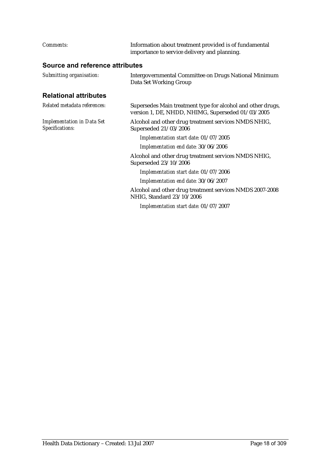| Comments:                                            | Information about treatment provided is of fundamental<br>importance to service delivery and planning.           |
|------------------------------------------------------|------------------------------------------------------------------------------------------------------------------|
| Source and reference attributes                      |                                                                                                                  |
| Submitting organisation:                             | Intergovernmental Committee on Drugs National Minimum<br>Data Set Working Group                                  |
| <b>Relational attributes</b>                         |                                                                                                                  |
| Related metadata references:                         | Supersedes Main treatment type for alcohol and other drugs,<br>version 1, DE, NHDD, NHIMG, Superseded 01/03/2005 |
| <b>Implementation in Data Set</b><br>Specifications: | Alcohol and other drug treatment services NMDS NHIG,<br>Superseded 21/03/2006                                    |
|                                                      | Implementation start date: 01/07/2005                                                                            |
|                                                      | Implementation end date: 30/06/2006                                                                              |
|                                                      | Alcohol and other drug treatment services NMDS NHIG,<br>Superseded 23/10/2006                                    |
|                                                      | Implementation start date: 01/07/2006                                                                            |
|                                                      | Implementation end date: 30/06/2007                                                                              |
|                                                      | Alcohol and other drug treatment services NMDS 2007-2008<br>NHIG, Standard 23/10/2006                            |
|                                                      | Implementation start date: 01/07/2007                                                                            |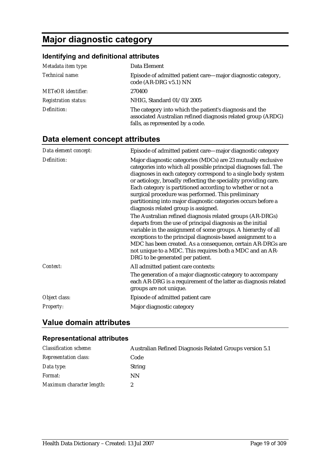## **Major diagnostic category**

## **Identifying and definitional attributes**

| Metadata item type:         | Data Element                                                                                                                                                |
|-----------------------------|-------------------------------------------------------------------------------------------------------------------------------------------------------------|
| Technical name:             | Episode of admitted patient care—major diagnostic category,<br>code (AR-DRG v5.1) NN                                                                        |
| <b>METeOR</b> identifier:   | 270400                                                                                                                                                      |
| <b>Registration status:</b> | NHIG, Standard 01/03/2005                                                                                                                                   |
| Definition:                 | The category into which the patient's diagnosis and the<br>associated Australian refined diagnosis related group (ARDG)<br>falls, as represented by a code. |

## **Data element concept attributes**

| Data element concept: | Episode of admitted patient care-major diagnostic category                                                                                                                                                                                                                                                                                                                                                                                                                                        |
|-----------------------|---------------------------------------------------------------------------------------------------------------------------------------------------------------------------------------------------------------------------------------------------------------------------------------------------------------------------------------------------------------------------------------------------------------------------------------------------------------------------------------------------|
| Definition:           | Major diagnostic categories (MDCs) are 23 mutually exclusive<br>categories into which all possible principal diagnoses fall. The<br>diagnoses in each category correspond to a single body system<br>or aetiology, broadly reflecting the speciality providing care.<br>Each category is partitioned according to whether or not a<br>surgical procedure was performed. This preliminary<br>partitioning into major diagnostic categories occurs before a<br>diagnosis related group is assigned. |
|                       | The Australian refined diagnosis related groups (AR-DRGs)<br>departs from the use of principal diagnosis as the initial<br>variable in the assignment of some groups. A hierarchy of all<br>exceptions to the principal diagnosis-based assignment to a<br>MDC has been created. As a consequence, certain AR-DRGs are<br>not unique to a MDC. This requires both a MDC and an AR-<br>DRG to be generated per patient.                                                                            |
| Context:              | All admitted patient care contexts:<br>The generation of a major diagnostic category to accompany<br>each AR-DRG is a requirement of the latter as diagnosis related<br>groups are not unique.                                                                                                                                                                                                                                                                                                    |
| Object class:         | Episode of admitted patient care                                                                                                                                                                                                                                                                                                                                                                                                                                                                  |
| <b>Property:</b>      | Major diagnostic category                                                                                                                                                                                                                                                                                                                                                                                                                                                                         |

## **Value domain attributes**

#### **Representational attributes**

| <b>Classification scheme:</b> | Australian Refined Diagnosis Related Groups version 5.1 |
|-------------------------------|---------------------------------------------------------|
| <b>Representation class:</b>  | Code                                                    |
| Data type:                    | <b>String</b>                                           |
| <i>Format:</i>                | ΝN                                                      |
| Maximum character length:     |                                                         |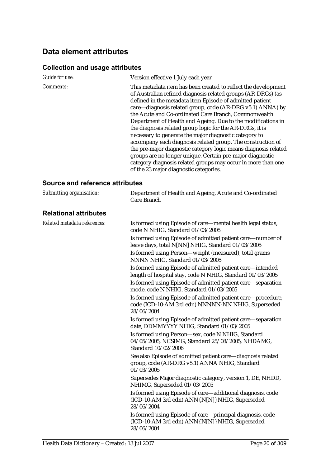## **Collection and usage attributes**

| Guide for use:   | Version effective 1 July each year                                                                                                                                                                                                                                                                                                                                                                                                                                                                                                                                                                                                                                                                                                                                                                             |
|------------------|----------------------------------------------------------------------------------------------------------------------------------------------------------------------------------------------------------------------------------------------------------------------------------------------------------------------------------------------------------------------------------------------------------------------------------------------------------------------------------------------------------------------------------------------------------------------------------------------------------------------------------------------------------------------------------------------------------------------------------------------------------------------------------------------------------------|
| <i>Comments:</i> | This metadata item has been created to reflect the development<br>of Australian refined diagnosis related groups (AR-DRGs) (as<br>defined in the metadata item Episode of admitted patient<br>care—diagnosis related group, code (AR-DRG v5.1) ANNA) by<br>the Acute and Co-ordinated Care Branch, Commonwealth<br>Department of Health and Ageing. Due to the modifications in<br>the diagnosis related group logic for the AR-DRGs, it is<br>necessary to generate the major diagnostic category to<br>accompany each diagnosis related group. The construction of<br>the pre-major diagnostic category logic means diagnosis related<br>groups are no longer unique. Certain pre-major diagnostic<br>category diagnosis related groups may occur in more than one<br>of the 23 major diagnostic categories. |

#### **Source and reference attributes**

| Submitting organisation:     | Department of Health and Ageing, Acute and Co-ordinated<br>Care Branch                                                          |
|------------------------------|---------------------------------------------------------------------------------------------------------------------------------|
| <b>Relational attributes</b> |                                                                                                                                 |
| Related metadata references: | Is formed using Episode of care-mental health legal status,<br>code N NHIG, Standard 01/03/2005                                 |
|                              | Is formed using Episode of admitted patient care-number of<br>leave days, total N[NN] NHIG, Standard 01/03/2005                 |
|                              | Is formed using Person-weight (measured), total grams<br>NNNN NHIG, Standard 01/03/2005                                         |
|                              | Is formed using Episode of admitted patient care-intended<br>length of hospital stay, code N NHIG, Standard 01/03/2005          |
|                              | Is formed using Episode of admitted patient care-separation<br>mode, code N NHIG, Standard 01/03/2005                           |
|                              | Is formed using Episode of admitted patient care-procedure,<br>code (ICD-10-AM 3rd edn) NNNNN-NN NHIG, Superseded<br>28/06/2004 |
|                              | Is formed using Episode of admitted patient care-separation<br>date, DDMMYYYY NHIG, Standard 01/03/2005                         |
|                              | Is formed using Person-sex, code N NHIG, Standard<br>04/05/2005, NCSIMG, Standard 25/08/2005, NHDAMG,<br>Standard 10/02/2006    |
|                              | See also Episode of admitted patient care-diagnosis related<br>group, code (AR-DRG v5.1) ANNA NHIG, Standard<br>01/03/2005      |
|                              | Supersedes Major diagnostic category, version 1, DE, NHDD,<br>NHIMG, Superseded 01/03/2005                                      |
|                              | Is formed using Episode of care-additional diagnosis, code<br>(ICD-10-AM 3rd edn) ANN{.N[N]} NHIG, Superseded<br>28/06/2004     |
|                              | Is formed using Episode of care—principal diagnosis, code<br>(ICD-10-AM 3rd edn) ANN{.N[N]} NHIG, Superseded<br>28/06/2004      |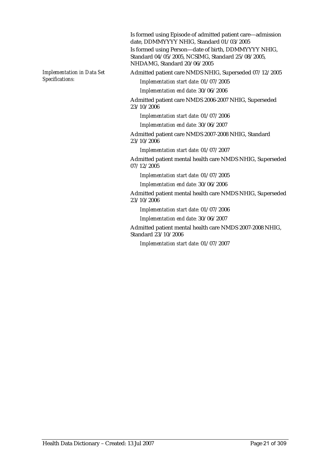Is formed using Episode of admitted patient care—admission date, DDMMYYYY NHIG, Standard 01/03/2005 Is formed using Person—date of birth, DDMMYYYY NHIG, Standard 04/05/2005, NCSIMG, Standard 25/08/2005, NHDAMG, Standard 20/06/2005

*Implementation in Data Set Specifications:*

Admitted patient care NMDS NHIG, Superseded 07/12/2005

*Implementation start date:* 01/07/2005

*Implementation end date:* 30/06/2006

Admitted patient care NMDS 2006-2007 NHIG, Superseded 23/10/2006

*Implementation start date:* 01/07/2006

*Implementation end date:* 30/06/2007

Admitted patient care NMDS 2007-2008 NHIG, Standard 23/10/2006

*Implementation start date:* 01/07/2007

Admitted patient mental health care NMDS NHIG, Superseded 07/12/2005

*Implementation start date:* 01/07/2005

*Implementation end date:* 30/06/2006

Admitted patient mental health care NMDS NHIG, Superseded 23/10/2006

*Implementation start date:* 01/07/2006

*Implementation end date:* 30/06/2007

Admitted patient mental health care NMDS 2007-2008 NHIG, Standard 23/10/2006

*Implementation start date:* 01/07/2007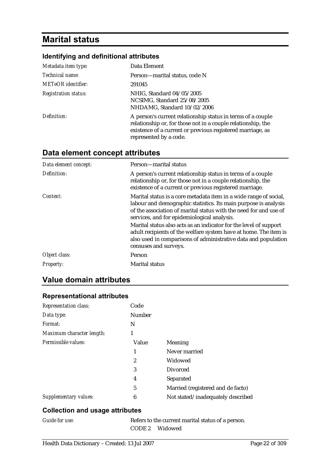## **Marital status**

## **Identifying and definitional attributes**

| Metadata item type:         | Data Element                                                                                                                                                                                                        |
|-----------------------------|---------------------------------------------------------------------------------------------------------------------------------------------------------------------------------------------------------------------|
| Technical name:             | Person—marital status, code N                                                                                                                                                                                       |
| <b>METeOR</b> identifier:   | 291045                                                                                                                                                                                                              |
| <b>Registration status:</b> | NHIG, Standard 04/05/2005<br>NCSIMG, Standard 25/08/2005<br>NHDAMG, Standard 10/02/2006                                                                                                                             |
| Definition:                 | A person's current relationship status in terms of a couple<br>relationship or, for those not in a couple relationship, the<br>existence of a current or previous registered marriage, as<br>represented by a code. |

## **Data element concept attributes**

| Data element concept: | Person-marital status                                                                                                                                                                                                                                    |
|-----------------------|----------------------------------------------------------------------------------------------------------------------------------------------------------------------------------------------------------------------------------------------------------|
| Definition:           | A person's current relationship status in terms of a couple<br>relationship or, for those not in a couple relationship, the<br>existence of a current or previous registered marriage.                                                                   |
| Context:              | Marital status is a core metadata item in a wide range of social,<br>labour and demographic statistics. Its main purpose is analysis<br>of the association of marital status with the need for and use of<br>services, and for epidemiological analysis. |
|                       | Marital status also acts as an indicator for the level of support<br>adult recipients of the welfare system have at home. The item is<br>also used in comparisons of administrative data and population<br>censuses and surveys.                         |
| Object class:         | Person                                                                                                                                                                                                                                                   |
| <b>Property:</b>      | <b>Marital status</b>                                                                                                                                                                                                                                    |

## **Value domain attributes**

#### **Representational attributes**

| <b>Representation class:</b> | Code          |                                   |
|------------------------------|---------------|-----------------------------------|
| Data type:                   | <b>Number</b> |                                   |
| Format:                      | N             |                                   |
| Maximum character length:    | 1             |                                   |
| Permissible values:          | Value         | Meaning                           |
|                              | 1             | Never married                     |
|                              | 2             | Widowed                           |
|                              | 3             | Divorced                          |
|                              | 4             | Separated                         |
|                              | 5             | Married (registered and de facto) |
| Supplementary values:        | 6             | Not stated/inadequately described |

### **Collection and usage attributes**

| Guide for use: |  |
|----------------|--|
|                |  |

Refers to the current marital status of a person. CODE 2 Widowed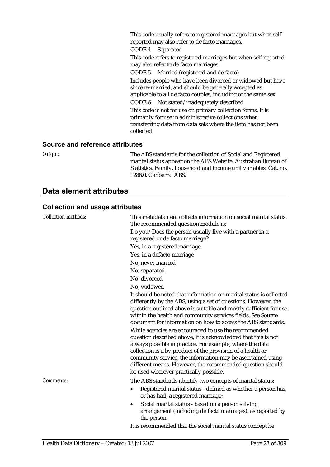This code usually refers to registered marriages but when self reported may also refer to de facto marriages.

CODE 4 Separated

This code refers to registered marriages but when self reported may also refer to de facto marriages.

CODE 5 Married (registered and de facto) Includes people who have been divorced or widowed but have since re-married, and should be generally accepted as applicable to all de facto couples, including of the same sex. CODE 6 Not stated/inadequately described This code is not for use on primary collection forms. It is primarily for use in administrative collections when transferring data from data sets where the item has not been collected.

#### **Source and reference attributes**

*Origin:* The ABS standards for the collection of Social and Registered marital status appear on the ABS Website. Australian Bureau of Statistics. Family, household and income unit variables. Cat. no. 1286.0. Canberra: ABS.

## **Data element attributes**

| <b>Collection methods:</b> | This metadata item collects information on social marital status.<br>The recommended question module is:                                                                                                                                                                                                                                                                                                              |
|----------------------------|-----------------------------------------------------------------------------------------------------------------------------------------------------------------------------------------------------------------------------------------------------------------------------------------------------------------------------------------------------------------------------------------------------------------------|
|                            | Do you/Does the person usually live with a partner in a<br>registered or de facto marriage?                                                                                                                                                                                                                                                                                                                           |
|                            | Yes, in a registered marriage                                                                                                                                                                                                                                                                                                                                                                                         |
|                            | Yes, in a defacto marriage                                                                                                                                                                                                                                                                                                                                                                                            |
|                            | No, never married                                                                                                                                                                                                                                                                                                                                                                                                     |
|                            | No, separated                                                                                                                                                                                                                                                                                                                                                                                                         |
|                            | No, divorced                                                                                                                                                                                                                                                                                                                                                                                                          |
|                            | No, widowed                                                                                                                                                                                                                                                                                                                                                                                                           |
|                            | It should be noted that information on marital status is collected<br>differently by the ABS, using a set of questions. However, the<br>question outlined above is suitable and mostly sufficient for use<br>within the health and community services fields. See Source<br>document for information on how to access the ABS standards.                                                                              |
|                            | While agencies are encouraged to use the recommended<br>question described above, it is acknowledged that this is not<br>always possible in practice. For example, where the data<br>collection is a by-product of the provision of a health or<br>community service, the information may be ascertained using<br>different means. However, the recommended question should<br>be used wherever practically possible. |
| Comments:                  | The ABS standards identify two concepts of marital status:                                                                                                                                                                                                                                                                                                                                                            |
|                            | Registered marital status - defined as whether a person has,<br>or has had, a registered marriage;                                                                                                                                                                                                                                                                                                                    |
|                            | Social marital status - based on a person's living<br>٠<br>arrangement (including de facto marriages), as reported by<br>the person.                                                                                                                                                                                                                                                                                  |
|                            | It is recommended that the social marital status concept be                                                                                                                                                                                                                                                                                                                                                           |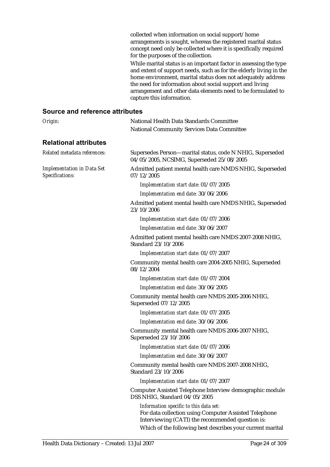collected when information on social support/home arrangements is sought, whereas the registered marital status concept need only be collected where it is specifically required for the purposes of the collection.

While marital status is an important factor in assessing the type and extent of support needs, such as for the elderly living in the home environment, marital status does not adequately address the need for information about social support and living arrangement and other data elements need to be formulated to capture this information.

#### **Source and reference attributes**

| Origin:                                              | National Health Data Standards Committee                                                                                                            |
|------------------------------------------------------|-----------------------------------------------------------------------------------------------------------------------------------------------------|
|                                                      | <b>National Community Services Data Committee</b>                                                                                                   |
| <b>Relational attributes</b>                         |                                                                                                                                                     |
| Related metadata references:                         | Supersedes Person—marital status, code N NHIG, Superseded<br>04/05/2005, NCSIMG, Superseded 25/08/2005                                              |
| <b>Implementation in Data Set</b><br>Specifications: | Admitted patient mental health care NMDS NHIG, Superseded<br>07/12/2005                                                                             |
|                                                      | Implementation start date: 01/07/2005                                                                                                               |
|                                                      | Implementation end date: 30/06/2006                                                                                                                 |
|                                                      | Admitted patient mental health care NMDS NHIG, Superseded<br>23/10/2006                                                                             |
|                                                      | Implementation start date: 01/07/2006                                                                                                               |
|                                                      | Implementation end date: 30/06/2007                                                                                                                 |
|                                                      | Admitted patient mental health care NMDS 2007-2008 NHIG,<br>Standard 23/10/2006                                                                     |
|                                                      | Implementation start date: 01/07/2007                                                                                                               |
|                                                      | Community mental health care 2004-2005 NHIG, Superseded<br>08/12/2004                                                                               |
|                                                      | Implementation start date: 01/07/2004                                                                                                               |
|                                                      | Implementation end date: 30/06/2005                                                                                                                 |
|                                                      | Community mental health care NMDS 2005-2006 NHIG,<br>Superseded 07/12/2005                                                                          |
|                                                      | Implementation start date: 01/07/2005                                                                                                               |
|                                                      | Implementation end date: 30/06/2006                                                                                                                 |
|                                                      | Community mental health care NMDS 2006-2007 NHIG,<br>Superseded 23/10/2006                                                                          |
|                                                      | Implementation start date: 01/07/2006                                                                                                               |
|                                                      | Implementation end date: 30/06/2007                                                                                                                 |
|                                                      | Community mental health care NMDS 2007-2008 NHIG,<br>Standard 23/10/2006                                                                            |
|                                                      | Implementation start date: 01/07/2007                                                                                                               |
|                                                      | Computer Assisted Telephone Interview demographic module<br>DSS NHIG, Standard 04/05/2005                                                           |
|                                                      | Information specific to this data set:<br>For data collection using Computer Assisted Telephone<br>Interviewing (CATI) the recommended question is: |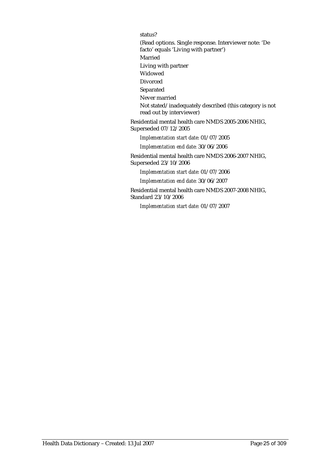status?

(Read options. Single response. Interviewer note: 'De facto' equals 'Living with partner') Married Living with partner Widowed Divorced Separated Never married Not stated/inadequately described (this category is not read out by interviewer)

Residential mental health care NMDS 2005-2006 NHIG, Superseded 07/12/2005

*Implementation start date:* 01/07/2005

*Implementation end date:* 30/06/2006

Residential mental health care NMDS 2006-2007 NHIG, Superseded 23/10/2006

*Implementation start date:* 01/07/2006

*Implementation end date:* 30/06/2007

Residential mental health care NMDS 2007-2008 NHIG, Standard 23/10/2006

*Implementation start date:* 01/07/2007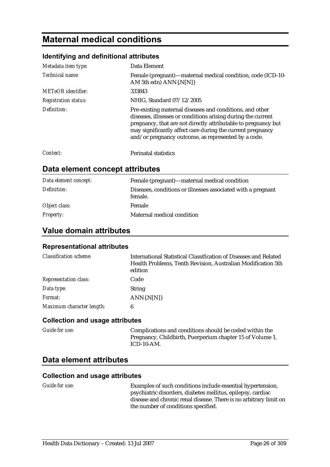## **Maternal medical conditions**

#### **Identifying and definitional attributes**

| Metadata item type:         | Data Element                                                                                                                                                                                                                                                                                                    |
|-----------------------------|-----------------------------------------------------------------------------------------------------------------------------------------------------------------------------------------------------------------------------------------------------------------------------------------------------------------|
| Technical name:             | Female (pregnant)—maternal medical condition, code (ICD-10-<br>AM 5th edn) ANN{.N[N]}                                                                                                                                                                                                                           |
| METeOR identifier:          | 333843                                                                                                                                                                                                                                                                                                          |
| <b>Registration status:</b> | NHIG, Standard 07/12/2005                                                                                                                                                                                                                                                                                       |
| Definition:                 | Pre-existing maternal diseases and conditions, and other<br>diseases, illnesses or conditions arising during the current<br>pregnancy, that are not directly attributable to pregnancy but<br>may significantly affect care during the current pregnancy<br>and/or pregnancy outcome, as represented by a code. |
| Context:                    | <b>Perinatal statistics</b>                                                                                                                                                                                                                                                                                     |

### **Data element concept attributes**

| Data element concept: | Female (pregnant)—maternal medical condition                            |
|-----------------------|-------------------------------------------------------------------------|
| Definition:           | Diseases, conditions or illnesses associated with a pregnant<br>female. |
| Object class:         | Female                                                                  |
| <b>Property:</b>      | Maternal medical condition                                              |

## **Value domain attributes**

#### **Representational attributes**

| <b>Classification scheme:</b> | International Statistical Classification of Diseases and Related<br>Health Problems, Tenth Revision, Australian Modification 5th<br>edition |
|-------------------------------|---------------------------------------------------------------------------------------------------------------------------------------------|
| <b>Representation class:</b>  | Code                                                                                                                                        |
| Data type:                    | <b>String</b>                                                                                                                               |
| Format:                       | $ANN\{N[N]\}$                                                                                                                               |
| Maximum character length:     | 6                                                                                                                                           |

#### **Collection and usage attributes**

| <i>Guide for use:</i> | Complications and conditions should be coded within the<br>Pregnancy, Childbirth, Puerperium chapter 15 of Volume 1,<br>$ICD-10-AM$ . |
|-----------------------|---------------------------------------------------------------------------------------------------------------------------------------|
|                       |                                                                                                                                       |

### **Data element attributes**

#### **Collection and usage attributes**

*Guide for use:* Examples of such conditions include essential hypertension, psychiatric disorders, diabetes mellitus, epilepsy, cardiac disease and chronic renal disease. There is no arbitrary limit on the number of conditions specified.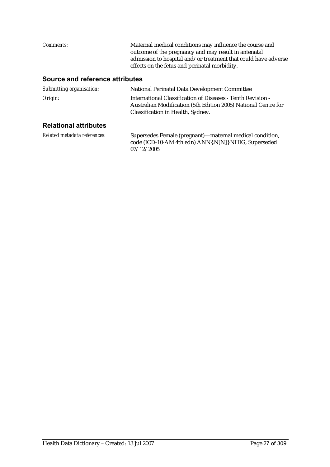| <i>Comments:</i> | Maternal medical conditions may influence the course and       |
|------------------|----------------------------------------------------------------|
|                  | outcome of the pregnancy and may result in antenatal           |
|                  | admission to hospital and/or treatment that could have adverse |
|                  | effects on the fetus and perinatal morbidity.                  |
|                  |                                                                |

## **Source and reference attributes**

| Submitting organisation:     | National Perinatal Data Development Committee                                                                                                                      |
|------------------------------|--------------------------------------------------------------------------------------------------------------------------------------------------------------------|
| Origin:                      | International Classification of Diseases - Tenth Revision -<br>Australian Modification (5th Edition 2005) National Centre for<br>Classification in Health, Sydney. |
| <b>Relational attributes</b> |                                                                                                                                                                    |
| Related metadata references: | Supersedes Female (pregnant)-maternal medical condition,<br>code (ICD-10-AM 4th edn) ANN{.N[N]} NHIG, Superseded<br>07/12/2005                                     |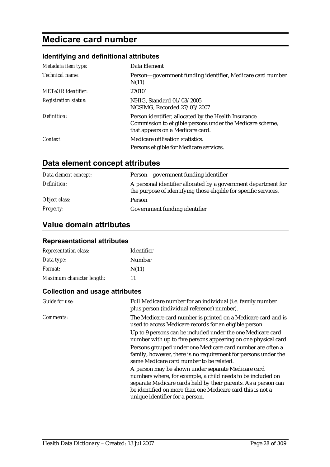## **Medicare card number**

### **Identifying and definitional attributes**

| Metadata item type:         | Data Element                                                                                                                                          |
|-----------------------------|-------------------------------------------------------------------------------------------------------------------------------------------------------|
| Technical name:             | Person—government funding identifier, Medicare card number<br>N(11)                                                                                   |
| <b>METeOR</b> identifier:   | 270101                                                                                                                                                |
| <b>Registration status:</b> | NHIG, Standard 01/03/2005<br>NCSIMG, Recorded 27/03/2007                                                                                              |
| Definition:                 | Person identifier, allocated by the Health Insurance<br>Commission to eligible persons under the Medicare scheme,<br>that appears on a Medicare card. |
| Context:                    | Medicare utilisation statistics.                                                                                                                      |
|                             | Persons eligible for Medicare services.                                                                                                               |

## **Data element concept attributes**

| Data element concept: | Person-government funding identifier                                                                                               |
|-----------------------|------------------------------------------------------------------------------------------------------------------------------------|
| Definition:           | A personal identifier allocated by a government department for<br>the purpose of identifying those eligible for specific services. |
| Object class:         | Person                                                                                                                             |
| <i>Property:</i>      | Government funding identifier                                                                                                      |

## **Value domain attributes**

### **Representational attributes**

| <b>Representation class:</b> | <b>Identifier</b> |
|------------------------------|-------------------|
| Data type:                   | Number            |
| <i>Format:</i>               | N(11)             |
| Maximum character length:    | 11                |

| Guide for use: | Full Medicare number for an individual (i.e. family number<br>plus person (individual reference) number).                                                                                                                                                                            |
|----------------|--------------------------------------------------------------------------------------------------------------------------------------------------------------------------------------------------------------------------------------------------------------------------------------|
| Comments:      | The Medicare card number is printed on a Medicare card and is<br>used to access Medicare records for an eligible person.                                                                                                                                                             |
|                | Up to 9 persons can be included under the one Medicare card<br>number with up to five persons appearing on one physical card.                                                                                                                                                        |
|                | Persons grouped under one Medicare card number are often a<br>family, however, there is no requirement for persons under the<br>same Medicare card number to be related.                                                                                                             |
|                | A person may be shown under separate Medicare card<br>numbers where, for example, a child needs to be included on<br>separate Medicare cards held by their parents. As a person can<br>be identified on more than one Medicare card this is not a<br>unique identifier for a person. |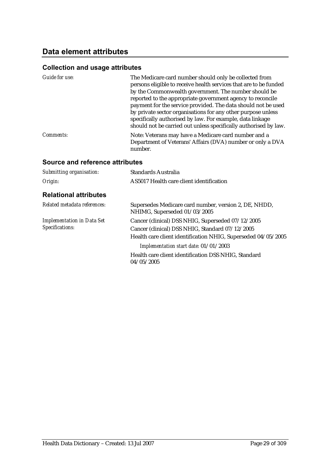## **Data element attributes**

## **Collection and usage attributes**

| Guide for use: | The Medicare card number should only be collected from<br>persons eligible to receive health services that are to be funded<br>by the Commonwealth government. The number should be<br>reported to the appropriate government agency to reconcile<br>payment for the service provided. The data should not be used<br>by private sector organisations for any other purpose unless<br>specifically authorised by law. For example, data linkage<br>should not be carried out unless specifically authorised by law. |
|----------------|---------------------------------------------------------------------------------------------------------------------------------------------------------------------------------------------------------------------------------------------------------------------------------------------------------------------------------------------------------------------------------------------------------------------------------------------------------------------------------------------------------------------|
| Comments:      | Note: Veterans may have a Medicare card number and a<br>Department of Veterans' Affairs (DVA) number or only a DVA<br>number.                                                                                                                                                                                                                                                                                                                                                                                       |

### **Source and reference attributes**

| Submitting organisation:                             | <b>Standards Australia</b>                                                                                                                                                                                     |
|------------------------------------------------------|----------------------------------------------------------------------------------------------------------------------------------------------------------------------------------------------------------------|
| Origin:                                              | AS5017 Health care client identification                                                                                                                                                                       |
| <b>Relational attributes</b>                         |                                                                                                                                                                                                                |
| Related metadata references:                         | Supersedes Medicare card number, version 2, DE, NHDD,<br>NHIMG, Superseded 01/03/2005                                                                                                                          |
| <b>Implementation in Data Set</b><br>Specifications: | Cancer (clinical) DSS NHIG, Superseded 07/12/2005<br>Cancer (clinical) DSS NHIG, Standard 07/12/2005<br>Health care client identification NHIG, Superseded 04/05/2005<br>Implementation start date: 01/01/2003 |
|                                                      | Health care client identification DSS NHIG, Standard<br>04/05/2005                                                                                                                                             |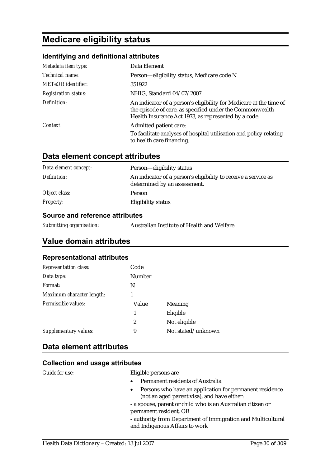## **Medicare eligibility status**

#### **Identifying and definitional attributes**

| Metadata item type:         | Data Element                                                                                                                                                                           |
|-----------------------------|----------------------------------------------------------------------------------------------------------------------------------------------------------------------------------------|
| Technical name:             | Person-eligibility status, Medicare code N                                                                                                                                             |
| <b>METeOR</b> identifier:   | 351922                                                                                                                                                                                 |
| <b>Registration status:</b> | NHIG, Standard 04/07/2007                                                                                                                                                              |
| Definition:                 | An indicator of a person's eligibility for Medicare at the time of<br>the episode of care, as specified under the Commonwealth<br>Health Insurance Act 1973, as represented by a code. |
| Context:                    | Admitted patient care:                                                                                                                                                                 |
|                             | To facilitate analyses of hospital utilisation and policy relating<br>to health care financing.                                                                                        |

|  | Data element concept attributes |
|--|---------------------------------|
|--|---------------------------------|

| Data element concept: | Person—eligibility status                                                                      |
|-----------------------|------------------------------------------------------------------------------------------------|
| Definition:           | An indicator of a person's eligibility to receive a service as<br>determined by an assessment. |
| Object class:         | Person                                                                                         |
| <i>Property:</i>      | Eligibility status                                                                             |

#### **Source and reference attributes**

| Submitting organisation: | Australian Institute of Health and Welfare |
|--------------------------|--------------------------------------------|
|--------------------------|--------------------------------------------|

### **Value domain attributes**

#### **Representational attributes**

| Representation class:     | Code          |                    |
|---------------------------|---------------|--------------------|
| Data type:                | <b>Number</b> |                    |
| Format:                   | N             |                    |
| Maximum character length: |               |                    |
| Permissible values:       | Value         | Meaning            |
|                           | 1             | Eligible           |
|                           | 2             | Not eligible       |
| Supplementary values:     | 9             | Not stated/unknown |
|                           |               |                    |

### **Data element attributes**

#### **Collection and usage attributes**

*Guide for use:* Eligible persons are

- Permanent residents of Australia
- Persons who have an application for permanent residence (not an aged parent visa), and have either:
- a spouse, parent or child who is an Australian citizen or permanent resident, OR

- authority from Department of Immigration and Multicultural and Indigenous Affairs to work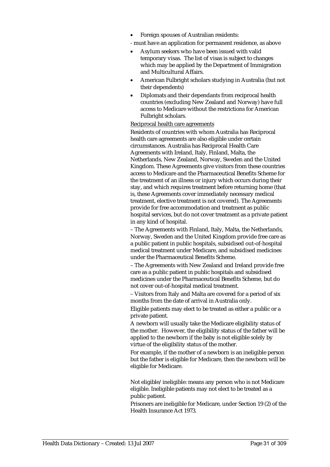- Foreign spouses of Australian residents:
- must have an application for permanent residence, as above
- Asylum seekers who have been issued with valid temporary visas. The list of visas is subject to changes which may be applied by the Department of Immigration and Multicultural Affairs.
- American Fulbright scholars studying in Australia (but not their dependents)
- Diplomats and their dependants from reciprocal health countries (excluding New Zealand and Norway) have full access to Medicare without the restrictions for American Fulbright scholars.

#### Reciprocal health care agreements

Residents of countries with whom Australia has Reciprocal health care agreements are also eligible under certain circumstances. Australia has Reciprocal Health Care Agreements with Ireland, Italy, Finland, Malta, the Netherlands, New Zealand, Norway, Sweden and the United Kingdom. These Agreements give visitors from these countries access to Medicare and the Pharmaceutical Benefits Scheme for the treatment of an illness or injury which occurs during their stay, and which requires treatment before returning home (that is, these Agreements cover immediately necessary medical treatment, elective treatment is not covered). The Agreements provide for free accommodation and treatment as public hospital services, but do not cover treatment as a private patient in any kind of hospital.

– The Agreements with Finland, Italy, Malta, the Netherlands, Norway, Sweden and the United Kingdom provide free care as a public patient in public hospitals, subsidised out-of-hospital medical treatment under Medicare, and subsidised medicines under the Pharmaceutical Benefits Scheme.

– The Agreements with New Zealand and Ireland provide free care as a public patient in public hospitals and subsidised medicines under the Pharmaceutical Benefits Scheme, but do not cover out-of-hospital medical treatment.

– Visitors from Italy and Malta are covered for a period of six months from the date of arrival in Australia only.

Eligible patients may elect to be treated as either a public or a private patient.

A newborn will usually take the Medicare eligibility status of the mother. However, the eligibility status of the father will be applied to the newborn if the baby is not eligible solely by virtue of the eligibility status of the mother.

For example, if the mother of a newborn is an ineligible person but the father is eligible for Medicare, then the newborn will be eligible for Medicare.

Not eligible/ineligible: means any person who is not Medicare eligible. Ineligible patients may not elect to be treated as a public patient.

Prisoners are ineligible for Medicare, under Section 19 (2) of the Health Insurance Act 1973.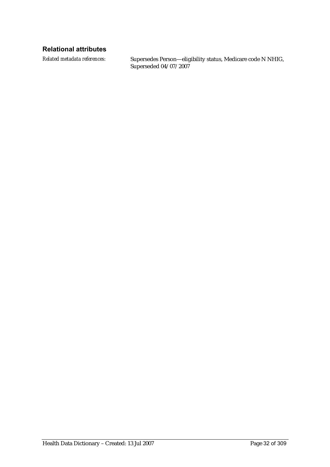### **Relational attributes**

*Related metadata references:* Supersedes Person—eligibility status, Medicare code N NHIG, Superseded 04/07/2007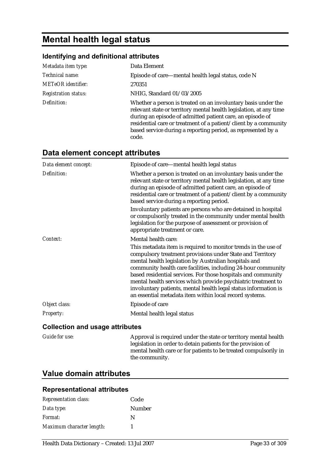## **Mental health legal status**

#### **Identifying and definitional attributes**

| Metadata item type:         | Data Element                                                                                                                                                                                                                                                                                                                                  |
|-----------------------------|-----------------------------------------------------------------------------------------------------------------------------------------------------------------------------------------------------------------------------------------------------------------------------------------------------------------------------------------------|
| Technical name:             | Episode of care—mental health legal status, code N                                                                                                                                                                                                                                                                                            |
| <b>METeOR</b> identifier:   | 270351                                                                                                                                                                                                                                                                                                                                        |
| <b>Registration status:</b> | NHIG, Standard 01/03/2005                                                                                                                                                                                                                                                                                                                     |
| Definition:                 | Whether a person is treated on an involuntary basis under the<br>relevant state or territory mental health legislation, at any time<br>during an episode of admitted patient care, an episode of<br>residential care or treatment of a patient/client by a community<br>based service during a reporting period, as represented by a<br>code. |

## **Data element concept attributes**

| Data element concept: | Episode of care—mental health legal status                                                                                                                                                                                                                                                                                                                                                                                                                                                                            |
|-----------------------|-----------------------------------------------------------------------------------------------------------------------------------------------------------------------------------------------------------------------------------------------------------------------------------------------------------------------------------------------------------------------------------------------------------------------------------------------------------------------------------------------------------------------|
| Definition:           | Whether a person is treated on an involuntary basis under the<br>relevant state or territory mental health legislation, at any time<br>during an episode of admitted patient care, an episode of<br>residential care or treatment of a patient/client by a community<br>based service during a reporting period.                                                                                                                                                                                                      |
|                       | Involuntary patients are persons who are detained in hospital<br>or compulsorily treated in the community under mental health<br>legislation for the purpose of assessment or provision of<br>appropriate treatment or care.                                                                                                                                                                                                                                                                                          |
| Context:              | Mental health care:                                                                                                                                                                                                                                                                                                                                                                                                                                                                                                   |
|                       | This metadata item is required to monitor trends in the use of<br>compulsory treatment provisions under State and Territory<br>mental health legislation by Australian hospitals and<br>community health care facilities, including 24-hour community<br>based residential services. For those hospitals and community<br>mental health services which provide psychiatric treatment to<br>involuntary patients, mental health legal status information is<br>an essential metadata item within local record systems. |
| Object class:         | Episode of care                                                                                                                                                                                                                                                                                                                                                                                                                                                                                                       |
| Property:             | Mental health legal status                                                                                                                                                                                                                                                                                                                                                                                                                                                                                            |

#### **Collection and usage attributes**

*Guide for use:* Approval is required under the state or territory mental health legislation in order to detain patients for the provision of mental health care or for patients to be treated compulsorily in the community.

### **Value domain attributes**

#### **Representational attributes**

| <b>Representation class:</b> | Code   |
|------------------------------|--------|
| Data type:                   | Number |
| <i>Format:</i>               | N      |
| Maximum character length:    |        |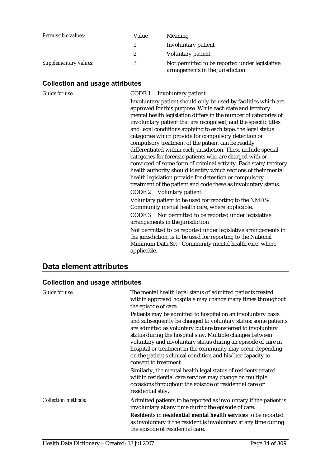| Permissible values:   | Value        | <b>Meaning</b>                                                                     |
|-----------------------|--------------|------------------------------------------------------------------------------------|
|                       |              | <b>Involuntary patient</b>                                                         |
|                       | $\mathbf{2}$ | <b>Voluntary patient</b>                                                           |
| Supplementary values: | 3            | Not permitted to be reported under legislative<br>arrangements in the jurisdiction |

## **Collection and usage attributes**

| Guide for use: | CODE 1 Involuntary patient                                                                                                                                                                                                                                                                                                                                                                                                                                                                                                                                                                                                                                                                                                                                                                                                                           |
|----------------|------------------------------------------------------------------------------------------------------------------------------------------------------------------------------------------------------------------------------------------------------------------------------------------------------------------------------------------------------------------------------------------------------------------------------------------------------------------------------------------------------------------------------------------------------------------------------------------------------------------------------------------------------------------------------------------------------------------------------------------------------------------------------------------------------------------------------------------------------|
|                | Involuntary patient should only be used by facilities which are<br>approved for this purpose. While each state and territory<br>mental health legislation differs in the number of categories of<br>involuntary patient that are recognised, and the specific titles<br>and legal conditions applying to each type, the legal status<br>categories which provide for compulsory detention or<br>compulsory treatment of the patient can be readily<br>differentiated within each jurisdiction. These include special<br>categories for forensic patients who are charged with or<br>convicted of some form of criminal activity. Each state/territory<br>health authority should identify which sections of their mental<br>health legislation provide for detention or compulsory<br>treatment of the patient and code these as involuntary status. |
|                | CODE 2 Voluntary patient<br>Voluntary patient to be used for reporting to the NMDS-<br>Community mental health care, where applicable.<br>Not permitted to be reported under legislative<br>CODE 3<br>arrangements in the jurisdiction<br>Not permitted to be reported under legislative arrangements in<br>the jurisdiction, is to be used for reporting to the National<br>Minimum Data Set - Community mental health care, where<br>applicable.                                                                                                                                                                                                                                                                                                                                                                                                   |

## **Data element attributes**

| Guide for use:             | The mental health legal status of admitted patients treated<br>within approved hospitals may change many times throughout<br>the episode of care.                                                                                                                                                                                                                                                                                                                                  |
|----------------------------|------------------------------------------------------------------------------------------------------------------------------------------------------------------------------------------------------------------------------------------------------------------------------------------------------------------------------------------------------------------------------------------------------------------------------------------------------------------------------------|
|                            | Patients may be admitted to hospital on an involuntary basis<br>and subsequently be changed to voluntary status; some patients<br>are admitted as voluntary but are transferred to involuntary<br>status during the hospital stay. Multiple changes between<br>voluntary and involuntary status during an episode of care in<br>hospital or treatment in the community may occur depending<br>on the patient's clinical condition and his/her capacity to<br>consent to treatment. |
|                            | Similarly, the mental health legal status of residents treated<br>within residential care services may change on multiple<br>occasions throughout the episode of residential care or<br>residential stay.                                                                                                                                                                                                                                                                          |
| <b>Collection methods:</b> | Admitted patients to be reported as involuntary if the patient is<br>involuntary at any time during the episode of care.                                                                                                                                                                                                                                                                                                                                                           |
|                            | Residents in residential mental health services to be reported<br>as involuntary if the resident is involuntary at any time during<br>the episode of residential care.                                                                                                                                                                                                                                                                                                             |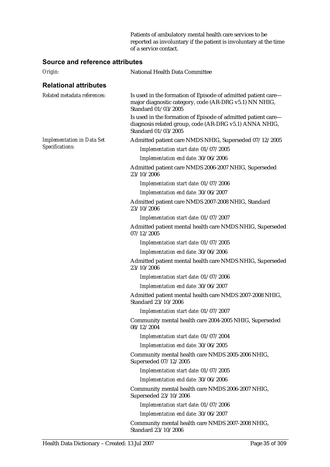Patients of ambulatory mental health care services to be reported as involuntary if the patient is involuntary at the time of a service contact.

#### **Source and reference attributes**

| Origin:                           | National Health Data Committee                                                                                                                 |
|-----------------------------------|------------------------------------------------------------------------------------------------------------------------------------------------|
| <b>Relational attributes</b>      |                                                                                                                                                |
| Related metadata references:      | Is used in the formation of Episode of admitted patient care—<br>major diagnostic category, code (AR-DRG v5.1) NN NHIG,<br>Standard 01/03/2005 |
|                                   | Is used in the formation of Episode of admitted patient care—<br>diagnosis related group, code (AR-DRG v5.1) ANNA NHIG,<br>Standard 01/03/2005 |
| <b>Implementation in Data Set</b> | Admitted patient care NMDS NHIG, Superseded 07/12/2005                                                                                         |
| Specifications:                   | Implementation start date: 01/07/2005                                                                                                          |
|                                   | Implementation end date: 30/06/2006                                                                                                            |
|                                   | Admitted patient care NMDS 2006-2007 NHIG, Superseded<br>23/10/2006                                                                            |
|                                   | Implementation start date: 01/07/2006                                                                                                          |
|                                   | Implementation end date: 30/06/2007                                                                                                            |
|                                   | Admitted patient care NMDS 2007-2008 NHIG, Standard<br>23/10/2006                                                                              |
|                                   | Implementation start date: 01/07/2007                                                                                                          |
|                                   | Admitted patient mental health care NMDS NHIG, Superseded<br>07/12/2005                                                                        |
|                                   | Implementation start date: 01/07/2005                                                                                                          |
|                                   | Implementation end date: 30/06/2006                                                                                                            |
|                                   | Admitted patient mental health care NMDS NHIG, Superseded<br>23/10/2006                                                                        |
|                                   | Implementation start date: 01/07/2006                                                                                                          |
|                                   | Implementation end date: 30/06/2007                                                                                                            |
|                                   | Admitted patient mental health care NMDS 2007-2008 NHIG,<br>Standard 23/10/2006                                                                |
|                                   | Implementation start date: 01/07/2007                                                                                                          |
|                                   | Community mental health care 2004-2005 NHIG, Superseded<br>08/12/2004                                                                          |
|                                   | Implementation start date: 01/07/2004                                                                                                          |
|                                   | Implementation end date: 30/06/2005                                                                                                            |
|                                   | Community mental health care NMDS 2005-2006 NHIG,<br>Superseded 07/12/2005                                                                     |
|                                   | Implementation start date: 01/07/2005                                                                                                          |
|                                   | Implementation end date: 30/06/2006                                                                                                            |
|                                   | Community mental health care NMDS 2006-2007 NHIG,<br>Superseded 23/10/2006                                                                     |
|                                   | Implementation start date: 01/07/2006                                                                                                          |
|                                   | Implementation end date: 30/06/2007                                                                                                            |
|                                   | Community mental health care NMDS 2007-2008 NHIG,<br>Standard 23/10/2006                                                                       |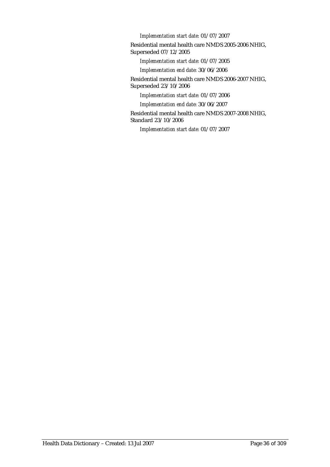*Implementation start date:* 01/07/2007

Residential mental health care NMDS 2005-2006 NHIG, Superseded 07/12/2005

*Implementation start date:* 01/07/2005

*Implementation end date:* 30/06/2006

Residential mental health care NMDS 2006-2007 NHIG, Superseded 23/10/2006

*Implementation start date:* 01/07/2006

*Implementation end date:* 30/06/2007

Residential mental health care NMDS 2007-2008 NHIG, Standard 23/10/2006

*Implementation start date:* 01/07/2007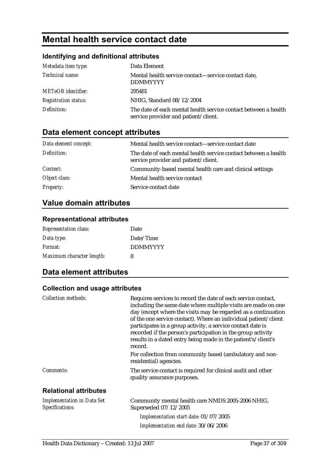# **Mental health service contact date**

## **Identifying and definitional attributes**

| Metadata item type:         | Data Element                                                                                            |
|-----------------------------|---------------------------------------------------------------------------------------------------------|
| Technical name:             | Mental health service contact—service contact date,<br><b>DDMMYYYY</b>                                  |
| <b>METeOR</b> identifier:   | 295481                                                                                                  |
| <b>Registration status:</b> | NHIG, Standard 08/12/2004                                                                               |
| Definition:                 | The date of each mental health service contact between a health<br>service provider and patient/client. |

# **Data element concept attributes**

| Data element concept: | Mental health service contact—service contact date                                                      |
|-----------------------|---------------------------------------------------------------------------------------------------------|
| Definition:           | The date of each mental health service contact between a health<br>service provider and patient/client. |
| Context:              | Community-based mental health care and clinical settings                                                |
| Object class:         | Mental health service contact                                                                           |
| <b>Property:</b>      | Service contact date                                                                                    |

# **Value domain attributes**

### **Representational attributes**

| <b>Representation class:</b> | Date            |
|------------------------------|-----------------|
| Data type:                   | Date/Time       |
| Format:                      | <b>DDMMYYYY</b> |
| Maximum character length:    | 8               |

# **Data element attributes**

| <b>Collection methods:</b>                           | Requires services to record the date of each service contact,<br>including the same date where multiple visits are made on one<br>day (except where the visits may be regarded as a continuation<br>of the one service contact). Where an individual patient/client<br>participates in a group activity, a service contact date is<br>recorded if the person's participation in the group activity<br>results in a dated entry being made in the patient's/client's<br>record. |
|------------------------------------------------------|--------------------------------------------------------------------------------------------------------------------------------------------------------------------------------------------------------------------------------------------------------------------------------------------------------------------------------------------------------------------------------------------------------------------------------------------------------------------------------|
|                                                      | For collection from community based (ambulatory and non-<br>residential) agencies.                                                                                                                                                                                                                                                                                                                                                                                             |
| Comments:                                            | The service contact is required for clinical audit and other<br>quality assurance purposes.                                                                                                                                                                                                                                                                                                                                                                                    |
| <b>Relational attributes</b>                         |                                                                                                                                                                                                                                                                                                                                                                                                                                                                                |
| <b>Implementation in Data Set</b><br>Specifications: | Community mental health care NMDS 2005-2006 NHIG,<br>Superseded 07/12/2005                                                                                                                                                                                                                                                                                                                                                                                                     |
|                                                      | Implementation start date: 01/07/2005                                                                                                                                                                                                                                                                                                                                                                                                                                          |
|                                                      | Implementation end date: 30/06/2006                                                                                                                                                                                                                                                                                                                                                                                                                                            |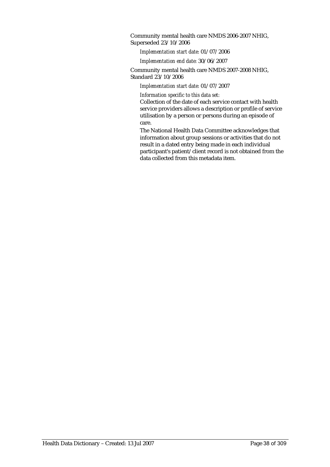Community mental health care NMDS 2006-2007 NHIG, Superseded 23/10/2006

*Implementation start date:* 01/07/2006

*Implementation end date:* 30/06/2007

Community mental health care NMDS 2007-2008 NHIG, Standard 23/10/2006

*Implementation start date:* 01/07/2007

*Information specific to this data set:*

Collection of the date of each service contact with health service providers allows a description or profile of service utilisation by a person or persons during an episode of care.

The National Health Data Committee acknowledges that information about group sessions or activities that do not result in a dated entry being made in each individual participant's patient/client record is not obtained from the data collected from this metadata item.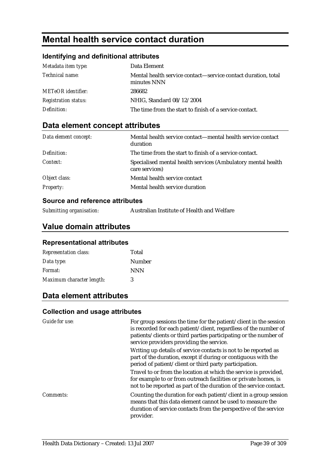# **Mental health service contact duration**

## **Identifying and definitional attributes**

| Metadata item type:         | Data Element                                                                 |
|-----------------------------|------------------------------------------------------------------------------|
| <i>Technical name:</i>      | Mental health service contact—service contact duration, total<br>minutes NNN |
| <b>METeOR</b> identifier:   | 286682                                                                       |
| <b>Registration status:</b> | NHIG, Standard 08/12/2004                                                    |
| Definition:                 | The time from the start to finish of a service contact.                      |

# **Data element concept attributes**

| Data element concept: | Mental health service contact—mental health service contact<br>duration        |
|-----------------------|--------------------------------------------------------------------------------|
| Definition:           | The time from the start to finish of a service contact.                        |
| Context:              | Specialised mental health services (Ambulatory mental health<br>care services) |
| Object class:         | Mental health service contact                                                  |
| <b>Property:</b>      | Mental health service duration                                                 |

### **Source and reference attributes**

|  | Submitting organisation: | Australian Institute of Health and Welfare |
|--|--------------------------|--------------------------------------------|
|--|--------------------------|--------------------------------------------|

## **Value domain attributes**

#### **Representational attributes**

| <b>Representation class:</b> | Total      |
|------------------------------|------------|
| Data type:                   | Number     |
| <i>Format:</i>               | <b>NNN</b> |
| Maximum character length:    | 3          |

# **Data element attributes**

| <b>Guide for use:</b> | For group sessions the time for the patient/client in the session<br>is recorded for each patient/client, regardless of the number of<br>patients/clients or third parties participating or the number of<br>service providers providing the service. |
|-----------------------|-------------------------------------------------------------------------------------------------------------------------------------------------------------------------------------------------------------------------------------------------------|
|                       | Writing up details of service contacts is not to be reported as<br>part of the duration, except if during or contiguous with the<br>period of patient/client or third party participation.                                                            |
|                       | Travel to or from the location at which the service is provided,<br>for example to or from outreach facilities or private homes, is<br>not to be reported as part of the duration of the service contact.                                             |
| <i>Comments:</i>      | Counting the duration for each patient/client in a group session<br>means that this data element cannot be used to measure the<br>duration of service contacts from the perspective of the service<br>provider.                                       |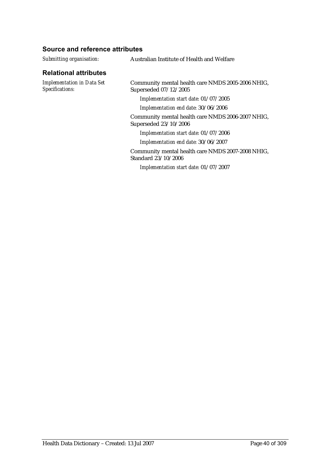| Submitting organisation:                             | Australian Institute of Health and Welfare                                 |
|------------------------------------------------------|----------------------------------------------------------------------------|
| <b>Relational attributes</b>                         |                                                                            |
| <b>Implementation in Data Set</b><br>Specifications: | Community mental health care NMDS 2005-2006 NHIG,<br>Superseded 07/12/2005 |
|                                                      | Implementation start date: 01/07/2005                                      |
|                                                      | Implementation end date: 30/06/2006                                        |
|                                                      | Community mental health care NMDS 2006-2007 NHIG,<br>Superseded 23/10/2006 |
|                                                      | Implementation start date: 01/07/2006                                      |
|                                                      | Implementation end date: 30/06/2007                                        |
|                                                      | Community mental health care NMDS 2007-2008 NHIG,<br>Standard 23/10/2006   |
|                                                      | Implementation start date: 01/07/2007                                      |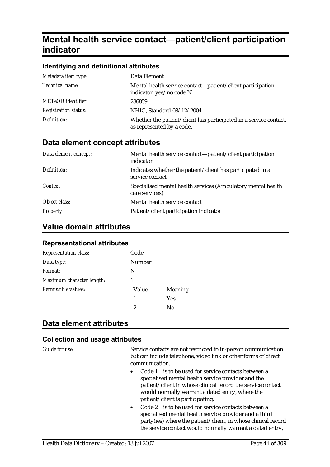# **Mental health service contact—patient/client participation indicator**

#### **Identifying and definitional attributes**

| Metadata item type:         | Data Element                                                                                   |
|-----------------------------|------------------------------------------------------------------------------------------------|
| Technical name:             | Mental health service contact—patient/client participation<br>indicator, yes/no code N         |
| <b>METeOR</b> identifier:   | 286859                                                                                         |
| <b>Registration status:</b> | NHIG, Standard 08/12/2004                                                                      |
| Definition:                 | Whether the patient/client has participated in a service contact,<br>as represented by a code. |

### **Data element concept attributes**

| Data element concept: | Mental health service contact—patient/client participation<br>indicator        |
|-----------------------|--------------------------------------------------------------------------------|
| Definition:           | Indicates whether the patient/client has participated in a<br>service contact. |
| Context:              | Specialised mental health services (Ambulatory mental health<br>care services) |
| Object class:         | Mental health service contact                                                  |
| <b>Property:</b>      | Patient/client participation indicator                                         |

#### **Value domain attributes**

#### **Representational attributes**

| <b>Representation class:</b> | Code   |                |
|------------------------------|--------|----------------|
| Data type:                   | Number |                |
| Format:                      | N      |                |
| Maximum character length:    |        |                |
| Permissible values:          | Value  | <b>Meaning</b> |
|                              | 1      | <b>Yes</b>     |
|                              | 2      | No             |

### **Data element attributes**

#### **Collection and usage attributes**

*Guide for use:* Service contacts are not restricted to in-person communication but can include telephone, video link or other forms of direct communication.

- Code 1 is to be used for service contacts between a specialised mental health service provider and the patient/client in whose clinical record the service contact would normally warrant a dated entry, where the patient/client is participating.
- Code 2 is to be used for service contacts between a specialised mental health service provider and a third party(ies) where the patient/client, in whose clinical record the service contact would normally warrant a dated entry,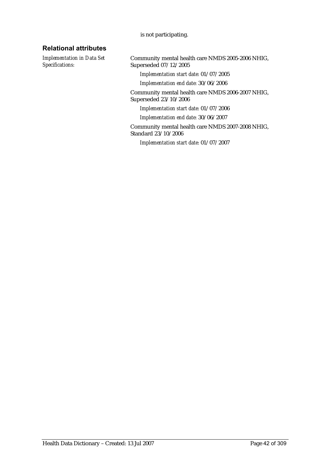#### is not participating.

### **Relational attributes**

*Implementation in Data Set Specifications:*

Community mental health care NMDS 2005-2006 NHIG, Superseded 07/12/2005

*Implementation start date:* 01/07/2005

*Implementation end date:* 30/06/2006

Community mental health care NMDS 2006-2007 NHIG, Superseded 23/10/2006

*Implementation start date:* 01/07/2006

*Implementation end date:* 30/06/2007

Community mental health care NMDS 2007-2008 NHIG, Standard 23/10/2006

*Implementation start date:* 01/07/2007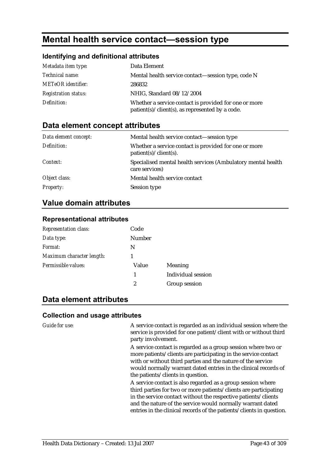# **Mental health service contact—session type**

#### **Identifying and definitional attributes**

| Metadata item type:         | Data Element                                                                                                              |
|-----------------------------|---------------------------------------------------------------------------------------------------------------------------|
| <i>Technical name:</i>      | Mental health service contact—session type, code N                                                                        |
| <b>METeOR</b> identifier:   | 286832                                                                                                                    |
| <b>Registration status:</b> | NHIG, Standard 08/12/2004                                                                                                 |
| Definition:                 | Whether a service contact is provided for one or more<br>$\text{patient}(s)/\text{client}(s)$ , as represented by a code. |

## **Data element concept attributes**

| Data element concept: | Mental health service contact—session type                                                      |
|-----------------------|-------------------------------------------------------------------------------------------------|
| Definition:           | Whether a service contact is provided for one or more<br>$\text{patient}(s)/\text{client}(s)$ . |
| Context:              | Specialised mental health services (Ambulatory mental health<br>care services)                  |
| Object class:         | Mental health service contact                                                                   |
| <b>Property:</b>      | Session type                                                                                    |

## **Value domain attributes**

#### **Representational attributes**

| <b>Representation class:</b> | Code             |                           |
|------------------------------|------------------|---------------------------|
| Data type:                   | <b>Number</b>    |                           |
| Format:                      | N                |                           |
| Maximum character length:    |                  |                           |
| Permissible values:          | Value            | <b>Meaning</b>            |
|                              | 1                | <b>Individual session</b> |
|                              | $\boldsymbol{2}$ | Group session             |
|                              |                  |                           |

## **Data element attributes**

#### **Collection and usage attributes**

*Guide for use:* A service contact is regarded as an individual session where the service is provided for one patient/client with or without third party involvement.

> A service contact is regarded as a group session where two or more patients/clients are participating in the service contact with or without third parties and the nature of the service would normally warrant dated entries in the clinical records of the patients/clients in question.

> A service contact is also regarded as a group session where third parties for two or more patients/clients are participating in the service contact without the respective patients/clients and the nature of the service would normally warrant dated entries in the clinical records of the patients/clients in question.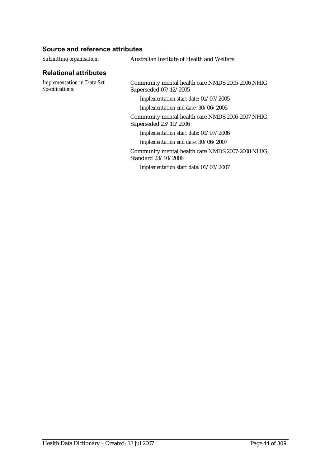| Submitting organisation:                             | Australian Institute of Health and Welfare                                 |  |
|------------------------------------------------------|----------------------------------------------------------------------------|--|
| <b>Relational attributes</b>                         |                                                                            |  |
| <b>Implementation in Data Set</b><br>Specifications: | Community mental health care NMDS 2005-2006 NHIG,<br>Superseded 07/12/2005 |  |
|                                                      | Implementation start date: 01/07/2005                                      |  |
|                                                      | Implementation end date: 30/06/2006                                        |  |
|                                                      | Community mental health care NMDS 2006-2007 NHIG,<br>Superseded 23/10/2006 |  |
|                                                      | Implementation start date: 01/07/2006                                      |  |
|                                                      | Implementation end date: 30/06/2007                                        |  |
|                                                      | Community mental health care NMDS 2007-2008 NHIG,<br>Standard 23/10/2006   |  |
|                                                      | Implementation start date: 01/07/2007                                      |  |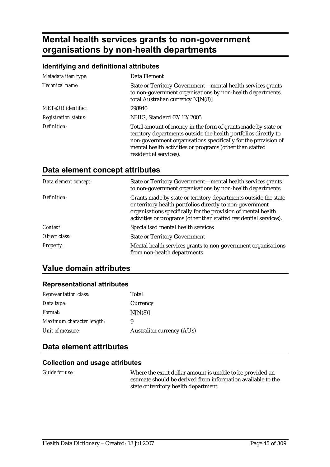# **Mental health services grants to non-government organisations by non-health departments**

### **Identifying and definitional attributes**

| Metadata item type:         | Data Element                                                                                                                                                                                                                                                                            |
|-----------------------------|-----------------------------------------------------------------------------------------------------------------------------------------------------------------------------------------------------------------------------------------------------------------------------------------|
| Technical name:             | State or Territory Government—mental health services grants<br>to non-government organisations by non-health departments,<br>total Australian currency $N[N(8)]$                                                                                                                        |
| <b>METeOR</b> identifier:   | 298940                                                                                                                                                                                                                                                                                  |
| <b>Registration status:</b> | NHIG, Standard 07/12/2005                                                                                                                                                                                                                                                               |
| Definition:                 | Total amount of money in the form of grants made by state or<br>territory departments outside the health portfolios directly to<br>non-government organisations specifically for the provision of<br>mental health activities or programs (other than staffed<br>residential services). |

# **Data element concept attributes**

| Data element concept: | State or Territory Government-mental health services grants<br>to non-government organisations by non-health departments                                                                                                                                           |
|-----------------------|--------------------------------------------------------------------------------------------------------------------------------------------------------------------------------------------------------------------------------------------------------------------|
| Definition:           | Grants made by state or territory departments outside the state<br>or territory health portfolios directly to non-government<br>organisations specifically for the provision of mental health<br>activities or programs (other than staffed residential services). |
| Context:              | Specialised mental health services                                                                                                                                                                                                                                 |
| Object class:         | <b>State or Territory Government</b>                                                                                                                                                                                                                               |
| <b>Property:</b>      | Mental health services grants to non-government organisations<br>from non-health departments                                                                                                                                                                       |

# **Value domain attributes**

#### **Representational attributes**

| Total                            |
|----------------------------------|
| Currency                         |
| N[N(8)]                          |
| 9                                |
| <b>Australian currency (AUS)</b> |
|                                  |

## **Data element attributes**

#### **Collection and usage attributes**

*Guide for use:* Where the exact dollar amount is unable to be provided an estimate should be derived from information available to the state or territory health department.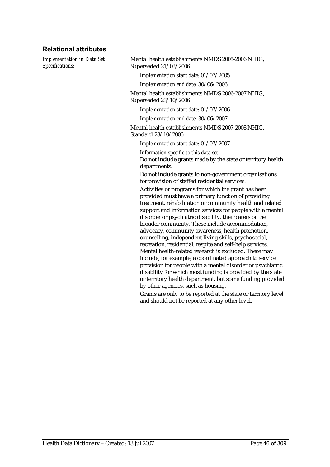#### **Relational attributes**

*Implementation in Data Set Specifications:*

Mental health establishments NMDS 2005-2006 NHIG, Superseded 21/03/2006

*Implementation start date:* 01/07/2005

*Implementation end date:* 30/06/2006

Mental health establishments NMDS 2006-2007 NHIG, Superseded 23/10/2006

*Implementation start date:* 01/07/2006

*Implementation end date:* 30/06/2007

Mental health establishments NMDS 2007-2008 NHIG, Standard 23/10/2006

*Implementation start date:* 01/07/2007

*Information specific to this data set:*

Do not include grants made by the state or territory health departments.

Do not include grants to non-government organisations for provision of staffed residential services.

Activities or programs for which the grant has been provided must have a primary function of providing treatment, rehabilitation or community health and related support and information services for people with a mental disorder or psychiatric disability, their carers or the broader community. These include accommodation, advocacy, community awareness, health promotion, counselling, independent living skills, psychosocial, recreation, residential, respite and self-help services. Mental health-related research is excluded. These may include, for example, a coordinated approach to service provision for people with a mental disorder or psychiatric disability for which most funding is provided by the state or territory health department, but some funding provided by other agencies, such as housing.

Grants are only to be reported at the state or territory level and should not be reported at any other level.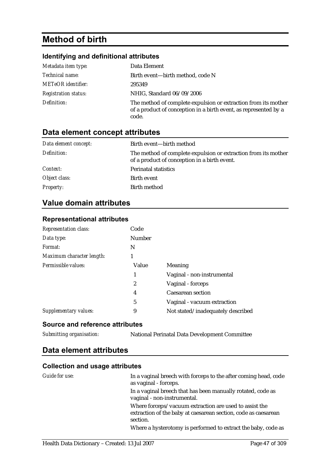# **Method of birth**

### **Identifying and definitional attributes**

| Metadata item type:         | Data Element                                                                                                                                |
|-----------------------------|---------------------------------------------------------------------------------------------------------------------------------------------|
| Technical name:             | Birth event-birth method, code N                                                                                                            |
| <b>METeOR</b> identifier:   | 295349                                                                                                                                      |
| <b>Registration status:</b> | NHIG, Standard 06/09/2006                                                                                                                   |
| Definition:                 | The method of complete expulsion or extraction from its mother<br>of a product of conception in a birth event, as represented by a<br>code. |

# **Data element concept attributes**

| Data element concept: | Birth event—birth method                                                                                       |
|-----------------------|----------------------------------------------------------------------------------------------------------------|
| Definition:           | The method of complete expulsion or extraction from its mother<br>of a product of conception in a birth event. |
| Context:              | <b>Perinatal statistics</b>                                                                                    |
| Object class:         | Birth event                                                                                                    |
| <b>Property:</b>      | Birth method                                                                                                   |

# **Value domain attributes**

| <b>Representation class:</b> | Code   |                                   |
|------------------------------|--------|-----------------------------------|
| Data type:                   | Number |                                   |
| Format:                      | N      |                                   |
| Maximum character length:    | 1      |                                   |
| Permissible values:          | Value  | Meaning                           |
|                              | 1      | Vaginal - non-instrumental        |
|                              | 2      | Vaginal - forceps                 |
|                              | 4      | <b>Caesarean section</b>          |
|                              | 5      | Vaginal - vacuum extraction       |
| Supplementary values:        | 9      | Not stated/inadequately described |

## **Representational attributes**

### **Source and reference attributes**

*Submitting organisation:* National Perinatal Data Development Committee

# **Data element attributes**

| Guide for use: | In a vaginal breech with forceps to the after coming head, code<br>as vaginal - forceps.                                             |
|----------------|--------------------------------------------------------------------------------------------------------------------------------------|
|                | In a vaginal breech that has been manually rotated, code as<br>vaginal - non-instrumental.                                           |
|                | Where forceps/vacuum extraction are used to assist the<br>extraction of the baby at caesarean section, code as caesarean<br>section. |
|                | Where a hysterotomy is performed to extract the baby, code as                                                                        |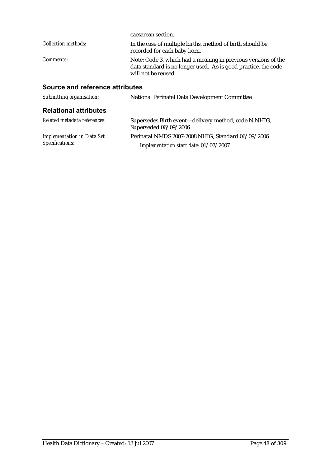|                                 | caesarean section.                                                                                                                                     |
|---------------------------------|--------------------------------------------------------------------------------------------------------------------------------------------------------|
| Collection methods:             | In the case of multiple births, method of birth should be<br>recorded for each baby born.                                                              |
| Comments:                       | Note: Code 3, which had a meaning in previous versions of the<br>data standard is no longer used. As is good practice, the code<br>will not be reused. |
| Source and reference attributes |                                                                                                                                                        |
| Submitting organisation:        | <b>National Perinatal Data Development Committee</b>                                                                                                   |
|                                 |                                                                                                                                                        |

### **Relational attributes**

| Related metadata references:      | Supersedes Birth event—delivery method, code N NHIG,<br>Superseded 06/09/2006 |
|-----------------------------------|-------------------------------------------------------------------------------|
| <b>Implementation in Data Set</b> | Perinatal NMDS 2007-2008 NHIG, Standard 06/09/2006                            |
| Specifications:                   | Implementation start date: 01/07/2007                                         |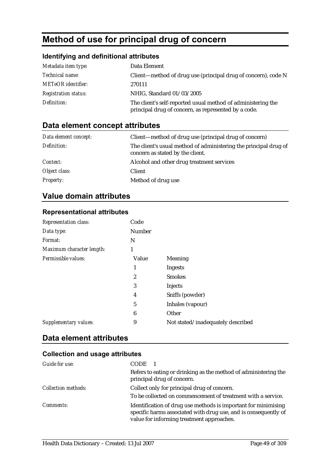# **Method of use for principal drug of concern**

## **Identifying and definitional attributes**

| Metadata item type:         | Data Element                                                                                                         |
|-----------------------------|----------------------------------------------------------------------------------------------------------------------|
| Technical name:             | Client—method of drug use (principal drug of concern), code N                                                        |
| <b>METeOR</b> identifier:   | 270111                                                                                                               |
| <b>Registration status:</b> | NHIG, Standard 01/03/2005                                                                                            |
| Definition:                 | The client's self-reported usual method of administering the<br>principal drug of concern, as represented by a code. |

# **Data element concept attributes**

| Data element concept: | Client—method of drug use (principal drug of concern)                                                |
|-----------------------|------------------------------------------------------------------------------------------------------|
| Definition:           | The client's usual method of administering the principal drug of<br>concern as stated by the client. |
| Context:              | Alcohol and other drug treatment services                                                            |
| Object class:         | Client                                                                                               |
| <b>Property:</b>      | Method of drug use                                                                                   |

# **Value domain attributes**

#### **Representational attributes**

| Representation class:     | Code          |                                   |
|---------------------------|---------------|-----------------------------------|
| Data type:                | <b>Number</b> |                                   |
| Format:                   | N             |                                   |
| Maximum character length: | 1             |                                   |
| Permissible values:       | Value         | <b>Meaning</b>                    |
|                           | 1             | <b>Ingests</b>                    |
|                           | 2             | <b>Smokes</b>                     |
|                           | 3             | Injects                           |
|                           | 4             | Sniffs (powder)                   |
|                           | 5             | Inhales (vapour)                  |
|                           | 6             | Other                             |
| Supplementary values:     | 9             | Not stated/inadequately described |
|                           |               |                                   |

## **Data element attributes**

| Guide for use:             | <b>CODE</b>                                                                                                                                                                    |
|----------------------------|--------------------------------------------------------------------------------------------------------------------------------------------------------------------------------|
|                            | Refers to eating or drinking as the method of administering the<br>principal drug of concern.                                                                                  |
| <b>Collection methods:</b> | Collect only for principal drug of concern.                                                                                                                                    |
|                            | To be collected on commencement of treatment with a service.                                                                                                                   |
| <i>Comments:</i>           | Identification of drug use methods is important for minimising<br>specific harms associated with drug use, and is consequently of<br>value for informing treatment approaches. |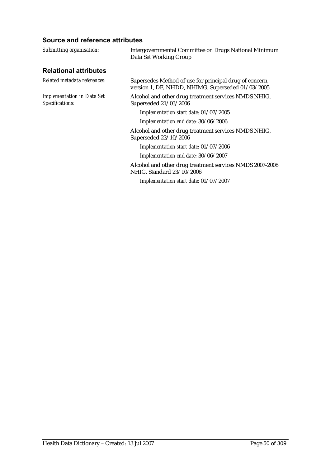| Submitting organisation:                             | Intergovernmental Committee on Drugs National Minimum<br>Data Set Working Group                              |
|------------------------------------------------------|--------------------------------------------------------------------------------------------------------------|
| <b>Relational attributes</b>                         |                                                                                                              |
| Related metadata references:                         | Supersedes Method of use for principal drug of concern,<br>version 1, DE, NHDD, NHIMG, Superseded 01/03/2005 |
| <b>Implementation in Data Set</b><br>Specifications: | Alcohol and other drug treatment services NMDS NHIG,<br>Superseded 21/03/2006                                |
|                                                      | Implementation start date: 01/07/2005                                                                        |
|                                                      | Implementation end date: 30/06/2006                                                                          |
|                                                      | Alcohol and other drug treatment services NMDS NHIG,<br>Superseded 23/10/2006                                |
|                                                      | Implementation start date: 01/07/2006                                                                        |
|                                                      | Implementation end date: 30/06/2007                                                                          |
|                                                      | Alcohol and other drug treatment services NMDS 2007-2008<br>NHIG, Standard 23/10/2006                        |
|                                                      | Implementation start date: 01/07/2007                                                                        |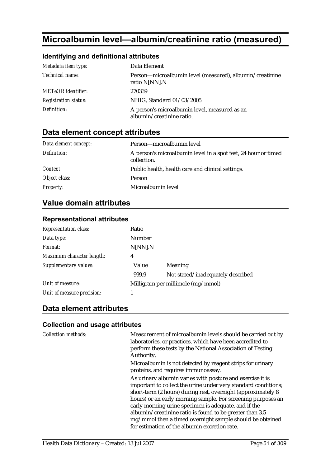# **Microalbumin level—albumin/creatinine ratio (measured)**

#### **Identifying and definitional attributes**

| Metadata item type:         | Data Element                                                               |
|-----------------------------|----------------------------------------------------------------------------|
| Technical name:             | Person—microalbumin level (measured), albumin/creatinine<br>ratio N[NN].N  |
| <b>METeOR</b> identifier:   | 270339                                                                     |
| <b>Registration status:</b> | NHIG, Standard 01/03/2005                                                  |
| Definition:                 | A person's microalbumin level, measured as an<br>albumin/creatinine ratio. |

## **Data element concept attributes**

| Data element concept: | Person—microalbumin level                                                     |
|-----------------------|-------------------------------------------------------------------------------|
| Definition:           | A person's microalbumin level in a spot test, 24 hour or timed<br>collection. |
| Context:              | Public health, health care and clinical settings.                             |
| Object class:         | Person                                                                        |
| <b>Property:</b>      | Microalbumin level                                                            |

## **Value domain attributes**

#### **Representational attributes**

| <b>Representation class:</b> | Ratio   |                                   |
|------------------------------|---------|-----------------------------------|
| Data type:                   | Number  |                                   |
| Format:                      | N[NN].N |                                   |
| Maximum character length:    | 4       |                                   |
| Supplementary values:        | Value   | Meaning                           |
|                              | 999.9   | Not stated/inadequately described |
| Unit of measure:             |         | Milligram per millimole (mg/mmol) |
| Unit of measure precision:   |         |                                   |

## **Data element attributes**

#### **Collection and usage attributes**

*Collection methods:* Measurement of microalbumin levels should be carried out by laboratories, or practices, which have been accredited to perform these tests by the National Association of Testing Authority. Microalbumin is not detected by reagent strips for urinary proteins, and requires immunoassay. As urinary albumin varies with posture and exercise it is important to collect the urine under very standard conditions; short-term (2 hours) during rest, overnight (approximately 8 hours) or an early morning sample. For screening purposes an early morning urine specimen is adequate, and if the albumin/creatinine ratio is found to be greater than 3.5 mg/mmol then a timed overnight sample should be obtained for estimation of the albumin excretion rate.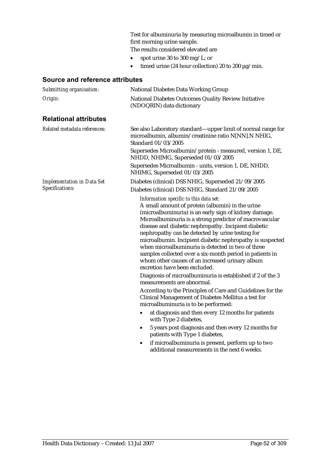Test for albuminuria by measuring microalbumin in timed or first morning urine sample.

The results considered elevated are

- spot urine 30 to 300 mg/L; or
- timed urine (24 hour collection) 20 to 200  $\mu$ g/min.

| Submitting organisation:          | <b>National Diabetes Data Working Group</b>                                                                                                                                                                                                                                                                                                                                                                                                                                                                                                                                                                                                                                                                                                                                                                                                                                                                                                                                                                                                                                                                                                                       |  |  |
|-----------------------------------|-------------------------------------------------------------------------------------------------------------------------------------------------------------------------------------------------------------------------------------------------------------------------------------------------------------------------------------------------------------------------------------------------------------------------------------------------------------------------------------------------------------------------------------------------------------------------------------------------------------------------------------------------------------------------------------------------------------------------------------------------------------------------------------------------------------------------------------------------------------------------------------------------------------------------------------------------------------------------------------------------------------------------------------------------------------------------------------------------------------------------------------------------------------------|--|--|
| Origin:                           | National Diabetes Outcomes Quality Review Initiative<br>(NDOQRIN) data dictionary                                                                                                                                                                                                                                                                                                                                                                                                                                                                                                                                                                                                                                                                                                                                                                                                                                                                                                                                                                                                                                                                                 |  |  |
| <b>Relational attributes</b>      |                                                                                                                                                                                                                                                                                                                                                                                                                                                                                                                                                                                                                                                                                                                                                                                                                                                                                                                                                                                                                                                                                                                                                                   |  |  |
| Related metadata references:      | See also Laboratory standard—upper limit of normal range for<br>microalbumin, albumin/creatinine ratio N[NN].N NHIG,<br>Standard 01/03/2005                                                                                                                                                                                                                                                                                                                                                                                                                                                                                                                                                                                                                                                                                                                                                                                                                                                                                                                                                                                                                       |  |  |
|                                   | Supersedes Microalbumin/protein - measured, version 1, DE,<br>NHDD, NHIMG, Superseded 01/03/2005                                                                                                                                                                                                                                                                                                                                                                                                                                                                                                                                                                                                                                                                                                                                                                                                                                                                                                                                                                                                                                                                  |  |  |
|                                   | Supersedes Microalbumin - units, version 1, DE, NHDD,<br>NHIMG, Superseded 01/03/2005                                                                                                                                                                                                                                                                                                                                                                                                                                                                                                                                                                                                                                                                                                                                                                                                                                                                                                                                                                                                                                                                             |  |  |
| <b>Implementation in Data Set</b> | Diabetes (clinical) DSS NHIG, Superseded 21/09/2005                                                                                                                                                                                                                                                                                                                                                                                                                                                                                                                                                                                                                                                                                                                                                                                                                                                                                                                                                                                                                                                                                                               |  |  |
| Specifications:                   | Diabetes (clinical) DSS NHIG, Standard 21/09/2005                                                                                                                                                                                                                                                                                                                                                                                                                                                                                                                                                                                                                                                                                                                                                                                                                                                                                                                                                                                                                                                                                                                 |  |  |
|                                   | Information specific to this data set:<br>A small amount of protein (albumin) in the urine<br>(microalbuminuria) is an early sign of kidney damage.<br>Microalbuminuria is a strong predictor of macrovascular<br>disease and diabetic nephropathy. Incipient diabetic<br>nephropathy can be detected by urine testing for<br>microalbumin. Incipient diabetic nephropathy is suspected<br>when microalbuminuria is detected in two of three<br>samples collected over a six-month period in patients in<br>whom other causes of an increased urinary album<br>excretion have been excluded.<br>Diagnosis of microalbuminuria is established if 2 of the 3<br>measurements are abnormal.<br>According to the Principles of Care and Guidelines for the<br>Clinical Management of Diabetes Mellitus a test for<br>microalbuminuria is to be performed:<br>at diagnosis and then every 12 months for patients<br>٠<br>with Type 2 diabetes,<br>5 years post diagnosis and then every 12 months for<br>$\bullet$<br>patients with Type 1 diabetes,<br>if microalbuminuria is present, perform up to two<br>$\bullet$<br>additional measurements in the next 6 weeks. |  |  |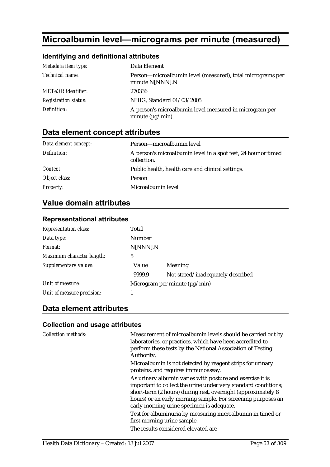# **Microalbumin level—micrograms per minute (measured)**

## **Identifying and definitional attributes**

| Metadata item type:         | Data Element                                                                      |
|-----------------------------|-----------------------------------------------------------------------------------|
| Technical name:             | Person-microalbumin level (measured), total micrograms per<br>minute N[NNN].N     |
| <b>METeOR</b> identifier:   | 270336                                                                            |
| <b>Registration status:</b> | NHIG, Standard 01/03/2005                                                         |
| Definition:                 | A person's microalbumin level measured in microgram per<br>minute $(\mu g/min)$ . |

# **Data element concept attributes**

| Data element concept: | Person—microalbumin level                                                     |
|-----------------------|-------------------------------------------------------------------------------|
| Definition:           | A person's microalbumin level in a spot test, 24 hour or timed<br>collection. |
| Context:              | Public health, health care and clinical settings.                             |
| Object class:         | Person                                                                        |
| <b>Property:</b>      | Microalbumin level                                                            |

# **Value domain attributes**

### **Representational attributes**

| <b>Representation class:</b> | Total                              |                                   |
|------------------------------|------------------------------------|-----------------------------------|
| Data type:                   | Number                             |                                   |
| <i>Format:</i>               | N[NNN].N                           |                                   |
| Maximum character length:    | 5                                  |                                   |
| Supplementary values:        | Value                              | Meaning                           |
|                              | 9999.9                             | Not stated/inadequately described |
| Unit of measure:             | Microgram per minute $(\mu g/min)$ |                                   |
| Unit of measure precision:   |                                    |                                   |

# **Data element attributes**

| <b>Collection methods:</b> | Measurement of microalbumin levels should be carried out by<br>laboratories, or practices, which have been accredited to<br>perform these tests by the National Association of Testing<br>Authority.                                                                                                     |
|----------------------------|----------------------------------------------------------------------------------------------------------------------------------------------------------------------------------------------------------------------------------------------------------------------------------------------------------|
|                            | Microalbumin is not detected by reagent strips for urinary<br>proteins, and requires immunoassay.                                                                                                                                                                                                        |
|                            | As urinary albumin varies with posture and exercise it is<br>important to collect the urine under very standard conditions;<br>short-term (2 hours) during rest, overnight (approximately 8<br>hours) or an early morning sample. For screening purposes an<br>early morning urine specimen is adequate. |
|                            | Test for albuminuria by measuring microalbumin in timed or<br>first morning urine sample.                                                                                                                                                                                                                |
|                            | The results considered elevated are                                                                                                                                                                                                                                                                      |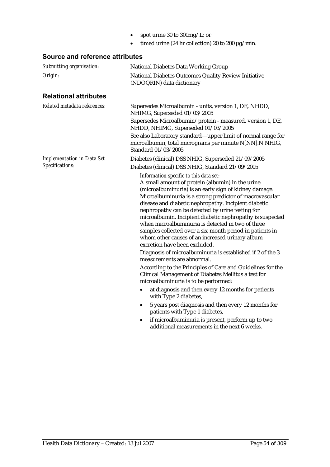- spot urine 30 to 300mg/L; or
- timed urine (24 hr collection) 20 to 200  $\mu$ g/min.

| Submitting organisation:          | <b>National Diabetes Data Working Group</b>                                                                                                                                                                                                                                                                                                                                                                                                                                                                                                                                                                                                                                                                                                                                                                                                                                                                                                                                                                                                                                                                                                                               |  |  |
|-----------------------------------|---------------------------------------------------------------------------------------------------------------------------------------------------------------------------------------------------------------------------------------------------------------------------------------------------------------------------------------------------------------------------------------------------------------------------------------------------------------------------------------------------------------------------------------------------------------------------------------------------------------------------------------------------------------------------------------------------------------------------------------------------------------------------------------------------------------------------------------------------------------------------------------------------------------------------------------------------------------------------------------------------------------------------------------------------------------------------------------------------------------------------------------------------------------------------|--|--|
| Origin:                           | National Diabetes Outcomes Quality Review Initiative<br>(NDOQRIN) data dictionary                                                                                                                                                                                                                                                                                                                                                                                                                                                                                                                                                                                                                                                                                                                                                                                                                                                                                                                                                                                                                                                                                         |  |  |
| <b>Relational attributes</b>      |                                                                                                                                                                                                                                                                                                                                                                                                                                                                                                                                                                                                                                                                                                                                                                                                                                                                                                                                                                                                                                                                                                                                                                           |  |  |
| Related metadata references:      | Supersedes Microalbumin - units, version 1, DE, NHDD,<br>NHIMG, Superseded 01/03/2005                                                                                                                                                                                                                                                                                                                                                                                                                                                                                                                                                                                                                                                                                                                                                                                                                                                                                                                                                                                                                                                                                     |  |  |
|                                   | Supersedes Microalbumin/protein - measured, version 1, DE,<br>NHDD, NHIMG, Superseded 01/03/2005                                                                                                                                                                                                                                                                                                                                                                                                                                                                                                                                                                                                                                                                                                                                                                                                                                                                                                                                                                                                                                                                          |  |  |
|                                   | See also Laboratory standard-upper limit of normal range for<br>microalbumin, total micrograms per minute N[NN].N NHIG,<br>Standard 01/03/2005                                                                                                                                                                                                                                                                                                                                                                                                                                                                                                                                                                                                                                                                                                                                                                                                                                                                                                                                                                                                                            |  |  |
| <b>Implementation in Data Set</b> | Diabetes (clinical) DSS NHIG, Superseded 21/09/2005                                                                                                                                                                                                                                                                                                                                                                                                                                                                                                                                                                                                                                                                                                                                                                                                                                                                                                                                                                                                                                                                                                                       |  |  |
| Specifications:                   | Diabetes (clinical) DSS NHIG, Standard 21/09/2005                                                                                                                                                                                                                                                                                                                                                                                                                                                                                                                                                                                                                                                                                                                                                                                                                                                                                                                                                                                                                                                                                                                         |  |  |
|                                   | Information specific to this data set:<br>A small amount of protein (albumin) in the urine<br>(microalbuminuria) is an early sign of kidney damage.<br>Microalbuminuria is a strong predictor of macrovascular<br>disease and diabetic nephropathy. Incipient diabetic<br>nephropathy can be detected by urine testing for<br>microalbumin. Incipient diabetic nephropathy is suspected<br>when microalbuminuria is detected in two of three<br>samples collected over a six-month period in patients in<br>whom other causes of an increased urinary album<br>excretion have been excluded.<br>Diagnosis of microalbuminuria is established if 2 of the 3<br>measurements are abnormal.<br>According to the Principles of Care and Guidelines for the<br>Clinical Management of Diabetes Mellitus a test for<br>microalbuminuria is to be performed:<br>at diagnosis and then every 12 months for patients<br>$\bullet$<br>with Type 2 diabetes,<br>5 years post diagnosis and then every 12 months for<br>$\bullet$<br>patients with Type 1 diabetes,<br>if microalbuminuria is present, perform up to two<br>$\bullet$<br>additional measurements in the next 6 weeks. |  |  |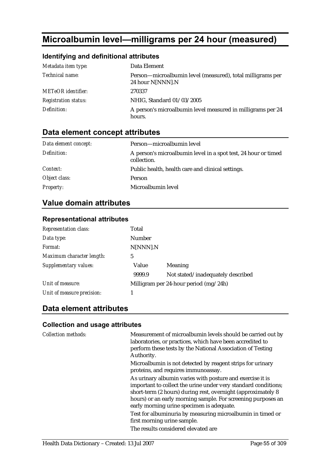# **Microalbumin level—milligrams per 24 hour (measured)**

## **Identifying and definitional attributes**

| Metadata item type:         | Data Element                                                                   |
|-----------------------------|--------------------------------------------------------------------------------|
| Technical name:             | Person—microalbumin level (measured), total milligrams per<br>24 hour N[NNN].N |
| <b>METeOR</b> identifier:   | 270337                                                                         |
| <b>Registration status:</b> | NHIG, Standard 01/03/2005                                                      |
| Definition:                 | A person's microalbumin level measured in milligrams per 24<br>hours.          |

# **Data element concept attributes**

| Data element concept: | Person-microalbumin level                                                     |
|-----------------------|-------------------------------------------------------------------------------|
| Definition:           | A person's microalbumin level in a spot test, 24 hour or timed<br>collection. |
| Context:              | Public health, health care and clinical settings.                             |
| Object class:         | Person                                                                        |
| <b>Property:</b>      | Microalbumin level                                                            |

# **Value domain attributes**

### **Representational attributes**

| <b>Representation class:</b> | Total                                   |                                   |
|------------------------------|-----------------------------------------|-----------------------------------|
| Data type:                   | Number                                  |                                   |
| <i>Format:</i>               | N[NNN].N                                |                                   |
| Maximum character length:    | 5                                       |                                   |
| Supplementary values:        | Value                                   | <b>Meaning</b>                    |
|                              | 9999.9                                  | Not stated/inadequately described |
| Unit of measure:             | Milligram per 24-hour period $(mg/24h)$ |                                   |
| Unit of measure precision:   |                                         |                                   |

# **Data element attributes**

| <b>Collection methods:</b> | Measurement of microalbumin levels should be carried out by<br>laboratories, or practices, which have been accredited to<br>perform these tests by the National Association of Testing<br>Authority.                                                                                                     |
|----------------------------|----------------------------------------------------------------------------------------------------------------------------------------------------------------------------------------------------------------------------------------------------------------------------------------------------------|
|                            | Microalbumin is not detected by reagent strips for urinary<br>proteins, and requires immunoassay.                                                                                                                                                                                                        |
|                            | As urinary albumin varies with posture and exercise it is<br>important to collect the urine under very standard conditions;<br>short-term (2 hours) during rest, overnight (approximately 8<br>hours) or an early morning sample. For screening purposes an<br>early morning urine specimen is adequate. |
|                            | Test for albuminuria by measuring microalbumin in timed or<br>first morning urine sample.                                                                                                                                                                                                                |
|                            | The results considered elevated are                                                                                                                                                                                                                                                                      |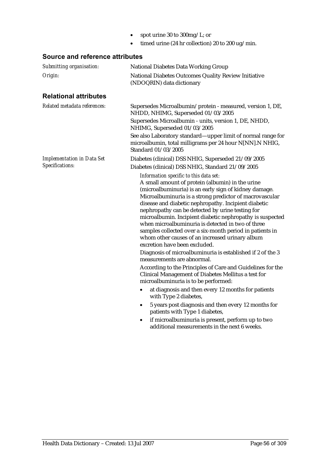- spot urine 30 to 300mg/L; or
- timed urine (24 hr collection) 20 to 200 ug/min.

| Submitting organisation:          | <b>National Diabetes Data Working Group</b>                                                                                                                                                                                                                                                                                                                                                                                                                                                                                                                                                                                                                                                                                                                                                                                                                                                                                                                                                                                                                                                                                                                       |  |  |
|-----------------------------------|-------------------------------------------------------------------------------------------------------------------------------------------------------------------------------------------------------------------------------------------------------------------------------------------------------------------------------------------------------------------------------------------------------------------------------------------------------------------------------------------------------------------------------------------------------------------------------------------------------------------------------------------------------------------------------------------------------------------------------------------------------------------------------------------------------------------------------------------------------------------------------------------------------------------------------------------------------------------------------------------------------------------------------------------------------------------------------------------------------------------------------------------------------------------|--|--|
| Origin:                           | National Diabetes Outcomes Quality Review Initiative<br>(NDOQRIN) data dictionary                                                                                                                                                                                                                                                                                                                                                                                                                                                                                                                                                                                                                                                                                                                                                                                                                                                                                                                                                                                                                                                                                 |  |  |
| <b>Relational attributes</b>      |                                                                                                                                                                                                                                                                                                                                                                                                                                                                                                                                                                                                                                                                                                                                                                                                                                                                                                                                                                                                                                                                                                                                                                   |  |  |
| Related metadata references:      | Supersedes Microalbumin/protein - measured, version 1, DE,<br>NHDD, NHIMG, Superseded 01/03/2005                                                                                                                                                                                                                                                                                                                                                                                                                                                                                                                                                                                                                                                                                                                                                                                                                                                                                                                                                                                                                                                                  |  |  |
|                                   | Supersedes Microalbumin - units, version 1, DE, NHDD,<br>NHIMG, Superseded 01/03/2005                                                                                                                                                                                                                                                                                                                                                                                                                                                                                                                                                                                                                                                                                                                                                                                                                                                                                                                                                                                                                                                                             |  |  |
|                                   | See also Laboratory standard—upper limit of normal range for<br>microalbumin, total milligrams per 24 hour N[NN].N NHIG,<br>Standard 01/03/2005                                                                                                                                                                                                                                                                                                                                                                                                                                                                                                                                                                                                                                                                                                                                                                                                                                                                                                                                                                                                                   |  |  |
| <b>Implementation in Data Set</b> | Diabetes (clinical) DSS NHIG, Superseded 21/09/2005                                                                                                                                                                                                                                                                                                                                                                                                                                                                                                                                                                                                                                                                                                                                                                                                                                                                                                                                                                                                                                                                                                               |  |  |
| Specifications:                   | Diabetes (clinical) DSS NHIG, Standard 21/09/2005                                                                                                                                                                                                                                                                                                                                                                                                                                                                                                                                                                                                                                                                                                                                                                                                                                                                                                                                                                                                                                                                                                                 |  |  |
|                                   | Information specific to this data set:<br>A small amount of protein (albumin) in the urine<br>(microalbuminuria) is an early sign of kidney damage.<br>Microalbuminuria is a strong predictor of macrovascular<br>disease and diabetic nephropathy. Incipient diabetic<br>nephropathy can be detected by urine testing for<br>microalbumin. Incipient diabetic nephropathy is suspected<br>when microalbuminuria is detected in two of three<br>samples collected over a six-month period in patients in<br>whom other causes of an increased urinary album<br>excretion have been excluded.<br>Diagnosis of microalbuminuria is established if 2 of the 3<br>measurements are abnormal.<br>According to the Principles of Care and Guidelines for the<br>Clinical Management of Diabetes Mellitus a test for<br>microalbuminuria is to be performed:<br>at diagnosis and then every 12 months for patients<br>$\bullet$<br>with Type 2 diabetes,<br>5 years post diagnosis and then every 12 months for<br>$\bullet$<br>patients with Type 1 diabetes,<br>if microalbuminuria is present, perform up to two<br>٠<br>additional measurements in the next 6 weeks. |  |  |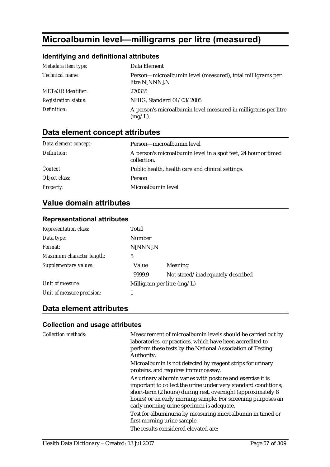# **Microalbumin level—milligrams per litre (measured)**

## **Identifying and definitional attributes**

| Metadata item type:         | Data Element                                                                 |
|-----------------------------|------------------------------------------------------------------------------|
| Technical name:             | Person-microalbumin level (measured), total milligrams per<br>litre N[NNN].N |
| <b>METeOR</b> identifier:   | 270335                                                                       |
| <b>Registration status:</b> | NHIG, Standard 01/03/2005                                                    |
| Definition:                 | A person's microalbumin level measured in milligrams per litre<br>$(mg/L)$ . |

# **Data element concept attributes**

| Data element concept: | Person—microalbumin level                                                     |
|-----------------------|-------------------------------------------------------------------------------|
| Definition:           | A person's microalbumin level in a spot test, 24 hour or timed<br>collection. |
| Context:              | Public health, health care and clinical settings.                             |
| Object class:         | Person                                                                        |
| <b>Property:</b>      | Microalbumin level                                                            |

# **Value domain attributes**

### **Representational attributes**

| <b>Representation class:</b> | Total                        |                                   |
|------------------------------|------------------------------|-----------------------------------|
| Data type:                   | Number                       |                                   |
| Format:                      | N[NNN].N                     |                                   |
| Maximum character length:    | 5                            |                                   |
| Supplementary values:        | Value                        | Meaning                           |
|                              | 9999.9                       | Not stated/inadequately described |
| Unit of measure:             | Milligram per litre $(mg/L)$ |                                   |
| Unit of measure precision:   |                              |                                   |

# **Data element attributes**

| <b>Collection methods:</b> | Measurement of microalbumin levels should be carried out by<br>laboratories, or practices, which have been accredited to<br>perform these tests by the National Association of Testing<br>Authority.                                                                                                     |
|----------------------------|----------------------------------------------------------------------------------------------------------------------------------------------------------------------------------------------------------------------------------------------------------------------------------------------------------|
|                            | Microalbumin is not detected by reagent strips for urinary<br>proteins, and requires immunoassay.                                                                                                                                                                                                        |
|                            | As urinary albumin varies with posture and exercise it is<br>important to collect the urine under very standard conditions;<br>short-term (2 hours) during rest, overnight (approximately 8<br>hours) or an early morning sample. For screening purposes an<br>early morning urine specimen is adequate. |
|                            | Test for albuminuria by measuring microalbumin in timed or<br>first morning urine sample.                                                                                                                                                                                                                |
|                            | The results considered elevated are:                                                                                                                                                                                                                                                                     |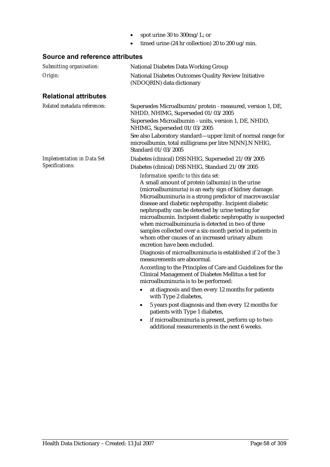- spot urine 30 to 300mg/L; or
- timed urine (24 hr collection) 20 to 200 ug/min.

| Submitting organisation:          | <b>National Diabetes Data Working Group</b>                                                                                                                                                                                                                                                                                                                                                                                                                                                                                                                                                                                                                                                                                                                                                                                                                                                                                                                                                                                                                                                                                                                       |
|-----------------------------------|-------------------------------------------------------------------------------------------------------------------------------------------------------------------------------------------------------------------------------------------------------------------------------------------------------------------------------------------------------------------------------------------------------------------------------------------------------------------------------------------------------------------------------------------------------------------------------------------------------------------------------------------------------------------------------------------------------------------------------------------------------------------------------------------------------------------------------------------------------------------------------------------------------------------------------------------------------------------------------------------------------------------------------------------------------------------------------------------------------------------------------------------------------------------|
| Origin:                           | National Diabetes Outcomes Quality Review Initiative<br>(NDOQRIN) data dictionary                                                                                                                                                                                                                                                                                                                                                                                                                                                                                                                                                                                                                                                                                                                                                                                                                                                                                                                                                                                                                                                                                 |
| <b>Relational attributes</b>      |                                                                                                                                                                                                                                                                                                                                                                                                                                                                                                                                                                                                                                                                                                                                                                                                                                                                                                                                                                                                                                                                                                                                                                   |
| Related metadata references:      | Supersedes Microalbumin/protein - measured, version 1, DE,<br>NHDD, NHIMG, Superseded 01/03/2005                                                                                                                                                                                                                                                                                                                                                                                                                                                                                                                                                                                                                                                                                                                                                                                                                                                                                                                                                                                                                                                                  |
|                                   | Supersedes Microalbumin - units, version 1, DE, NHDD,<br>NHIMG, Superseded 01/03/2005                                                                                                                                                                                                                                                                                                                                                                                                                                                                                                                                                                                                                                                                                                                                                                                                                                                                                                                                                                                                                                                                             |
|                                   | See also Laboratory standard—upper limit of normal range for<br>microalbumin, total milligrams per litre N[NN].N NHIG,<br>Standard 01/03/2005                                                                                                                                                                                                                                                                                                                                                                                                                                                                                                                                                                                                                                                                                                                                                                                                                                                                                                                                                                                                                     |
| <b>Implementation in Data Set</b> | Diabetes (clinical) DSS NHIG, Superseded 21/09/2005                                                                                                                                                                                                                                                                                                                                                                                                                                                                                                                                                                                                                                                                                                                                                                                                                                                                                                                                                                                                                                                                                                               |
| Specifications:                   | Diabetes (clinical) DSS NHIG, Standard 21/09/2005                                                                                                                                                                                                                                                                                                                                                                                                                                                                                                                                                                                                                                                                                                                                                                                                                                                                                                                                                                                                                                                                                                                 |
|                                   | Information specific to this data set:<br>A small amount of protein (albumin) in the urine<br>(microalbuminuria) is an early sign of kidney damage.<br>Microalbuminuria is a strong predictor of macrovascular<br>disease and diabetic nephropathy. Incipient diabetic<br>nephropathy can be detected by urine testing for<br>microalbumin. Incipient diabetic nephropathy is suspected<br>when microalbuminuria is detected in two of three<br>samples collected over a six-month period in patients in<br>whom other causes of an increased urinary album<br>excretion have been excluded.<br>Diagnosis of microalbuminuria is established if 2 of the 3<br>measurements are abnormal.<br>According to the Principles of Care and Guidelines for the<br>Clinical Management of Diabetes Mellitus a test for<br>microalbuminuria is to be performed:<br>at diagnosis and then every 12 months for patients<br>$\bullet$<br>with Type 2 diabetes,<br>5 years post diagnosis and then every 12 months for<br>$\bullet$<br>patients with Type 1 diabetes,<br>if microalbuminuria is present, perform up to two<br>٠<br>additional measurements in the next 6 weeks. |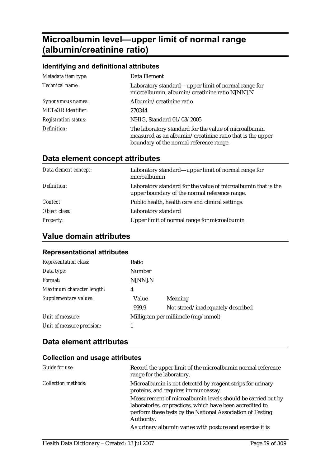# **Microalbumin level—upper limit of normal range (albumin/creatinine ratio)**

### **Identifying and definitional attributes**

| Metadata item type:         | Data Element                                                                                                                                                  |
|-----------------------------|---------------------------------------------------------------------------------------------------------------------------------------------------------------|
| Technical name:             | Laboratory standard—upper limit of normal range for<br>microalbumin, albumin/creatinine ratio N[NN].N                                                         |
| Synonymous names:           | Albumin/creatinine ratio                                                                                                                                      |
| <b>METeOR</b> identifier:   | 270344                                                                                                                                                        |
| <b>Registration status:</b> | NHIG, Standard 01/03/2005                                                                                                                                     |
| Definition:                 | The laboratory standard for the value of microalbumin<br>measured as an albumin/creatinine ratio that is the upper<br>boundary of the normal reference range. |

## **Data element concept attributes**

| Data element concept: | Laboratory standard—upper limit of normal range for<br>microalbumin                                            |
|-----------------------|----------------------------------------------------------------------------------------------------------------|
| Definition:           | Laboratory standard for the value of microalbumin that is the<br>upper boundary of the normal reference range. |
| Context:              | Public health, health care and clinical settings.                                                              |
| Object class:         | Laboratory standard                                                                                            |
| <i>Property:</i>      | Upper limit of normal range for microalbumin                                                                   |

## **Value domain attributes**

#### **Representational attributes**

| <b>Representation class:</b> | Ratio          |                                   |
|------------------------------|----------------|-----------------------------------|
| Data type:                   | Number         |                                   |
| Format:                      | N[NN].N        |                                   |
| Maximum character length:    | $\overline{4}$ |                                   |
| Supplementary values:        | Value          | <b>Meaning</b>                    |
|                              | 999.9          | Not stated/inadequately described |
| Unit of measure:             |                | Milligram per millimole (mg/mmol) |
| Unit of measure precision:   |                |                                   |

## **Data element attributes**

| Guide for use:             | Record the upper limit of the microalbumin normal reference<br>range for the laboratory.                                                                                                             |
|----------------------------|------------------------------------------------------------------------------------------------------------------------------------------------------------------------------------------------------|
| <b>Collection methods:</b> | Microalbumin is not detected by reagent strips for urinary<br>proteins, and requires immunoassay.                                                                                                    |
|                            | Measurement of microalbumin levels should be carried out by<br>laboratories, or practices, which have been accredited to<br>perform these tests by the National Association of Testing<br>Authority. |
|                            | As urinary albumin varies with posture and exercise it is                                                                                                                                            |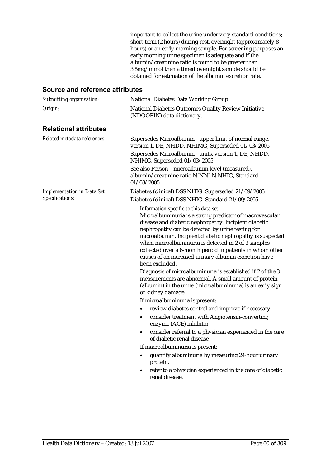important to collect the urine under very standard conditions; short-term (2 hours) during rest, overnight (approximately 8 hours) or an early morning sample. For screening purposes an early morning urine specimen is adequate and if the albumin/creatinine ratio is found to be greater than 3.5mg/mmol then a timed overnight sample should be obtained for estimation of the albumin excretion rate.

| Submitting organisation:          | <b>National Diabetes Data Working Group</b>                                                                                                                                                                                                                                                                                                                                                                                                                                                                                                                                                                                                                                        |
|-----------------------------------|------------------------------------------------------------------------------------------------------------------------------------------------------------------------------------------------------------------------------------------------------------------------------------------------------------------------------------------------------------------------------------------------------------------------------------------------------------------------------------------------------------------------------------------------------------------------------------------------------------------------------------------------------------------------------------|
| Origin:                           | National Diabetes Outcomes Quality Review Initiative<br>(NDOQRIN) data dictionary.                                                                                                                                                                                                                                                                                                                                                                                                                                                                                                                                                                                                 |
| <b>Relational attributes</b>      |                                                                                                                                                                                                                                                                                                                                                                                                                                                                                                                                                                                                                                                                                    |
| Related metadata references:      | Supersedes Microalbumin - upper limit of normal range,<br>version 1, DE, NHDD, NHIMG, Superseded 01/03/2005                                                                                                                                                                                                                                                                                                                                                                                                                                                                                                                                                                        |
|                                   | Supersedes Microalbumin - units, version 1, DE, NHDD,<br>NHIMG, Superseded 01/03/2005                                                                                                                                                                                                                                                                                                                                                                                                                                                                                                                                                                                              |
|                                   | See also Person-microalbumin level (measured),<br>albumin/creatinine ratio N[NN].N NHIG, Standard<br>01/03/2005                                                                                                                                                                                                                                                                                                                                                                                                                                                                                                                                                                    |
| <b>Implementation in Data Set</b> | Diabetes (clinical) DSS NHIG, Superseded 21/09/2005                                                                                                                                                                                                                                                                                                                                                                                                                                                                                                                                                                                                                                |
| Specifications:                   | Diabetes (clinical) DSS NHIG, Standard 21/09/2005                                                                                                                                                                                                                                                                                                                                                                                                                                                                                                                                                                                                                                  |
|                                   | Information specific to this data set:<br>Microalbuminuria is a strong predictor of macrovascular<br>disease and diabetic nephropathy. Incipient diabetic<br>nephropathy can be detected by urine testing for<br>microalbumin. Incipient diabetic nephropathy is suspected<br>when microalbuminuria is detected in 2 of 3 samples<br>collected over a 6-month period in patients in whom other<br>causes of an increased urinary albumin excretion have<br>been excluded.<br>Diagnosis of microalbuminuria is established if 2 of the 3<br>measurements are abnormal. A small amount of protein<br>(albumin) in the urine (microalbuminuria) is an early sign<br>of kidney damage. |
|                                   | If microalbuminuria is present:                                                                                                                                                                                                                                                                                                                                                                                                                                                                                                                                                                                                                                                    |
|                                   | review diabetes control and improve if necessary                                                                                                                                                                                                                                                                                                                                                                                                                                                                                                                                                                                                                                   |
|                                   | consider treatment with Angiotensin-converting<br>٠<br>enzyme (ACE) inhibitor                                                                                                                                                                                                                                                                                                                                                                                                                                                                                                                                                                                                      |
|                                   | consider referral to a physician experienced in the care<br>٠<br>of diabetic renal disease                                                                                                                                                                                                                                                                                                                                                                                                                                                                                                                                                                                         |
|                                   | If macroalbuminuria is present:                                                                                                                                                                                                                                                                                                                                                                                                                                                                                                                                                                                                                                                    |
|                                   | quantify albuminuria by measuring 24-hour urinary<br>$\bullet$<br>protein.                                                                                                                                                                                                                                                                                                                                                                                                                                                                                                                                                                                                         |
|                                   | refer to a physician experienced in the care of diabetic<br>$\bullet$<br>renal disease.                                                                                                                                                                                                                                                                                                                                                                                                                                                                                                                                                                                            |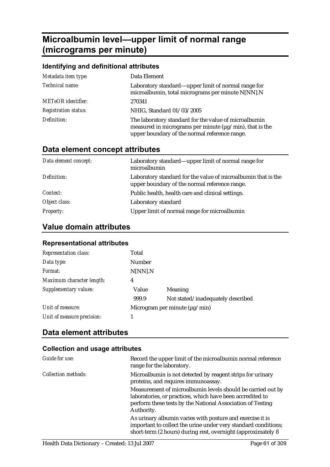# **Microalbumin level—upper limit of normal range (micrograms per minute)**

### **Identifying and definitional attributes**  *Metadata item type:* Data Element *Technical name:* Laboratory standard—upper limit of normal range for microalbumin, total micrograms per minute N[NN].N *METeOR identifier:* 270341 *Registration status:* NHIG, Standard 01/03/2005 *Definition:* The laboratory standard for the value of microalbumin measured in micrograms per minute ( $\mu$ g/min), that is the upper boundary of the normal reference range.

# **Data element concept attributes**

| Data element concept: | Laboratory standard—upper limit of normal range for<br>microalbumin                                            |
|-----------------------|----------------------------------------------------------------------------------------------------------------|
| Definition:           | Laboratory standard for the value of microalbumin that is the<br>upper boundary of the normal reference range. |
| <i>Context:</i>       | Public health, health care and clinical settings.                                                              |
| Object class:         | Laboratory standard                                                                                            |
| <b>Property:</b>      | Upper limit of normal range for microalbumin                                                                   |

# **Value domain attributes**

| <u>Representational attributes</u> |                                    |                                   |
|------------------------------------|------------------------------------|-----------------------------------|
| <b>Representation class:</b>       | Total                              |                                   |
| Data type:                         | Number                             |                                   |
| Format:                            | N[NN].N                            |                                   |
| Maximum character length:          | 4                                  |                                   |
| Supplementary values:              | Value                              | <b>Meaning</b>                    |
|                                    | 999.9                              | Not stated/inadequately described |
| Unit of measure:                   | Microgram per minute $(\mu g/min)$ |                                   |
| Unit of measure precision:         |                                    |                                   |
|                                    |                                    |                                   |

### **Representational attributes**

# **Data element attributes**

| Guide for use:             | Record the upper limit of the microalbumin normal reference<br>range for the laboratory.                                                                                                             |
|----------------------------|------------------------------------------------------------------------------------------------------------------------------------------------------------------------------------------------------|
| <i>Collection methods:</i> | Microalbumin is not detected by reagent strips for urinary<br>proteins, and requires immunoassay.                                                                                                    |
|                            | Measurement of microalbumin levels should be carried out by<br>laboratories, or practices, which have been accredited to<br>perform these tests by the National Association of Testing<br>Authority. |
|                            | As urinary albumin varies with posture and exercise it is<br>important to collect the urine under very standard conditions;<br>short-term (2 hours) during rest, overnight (approximately 8          |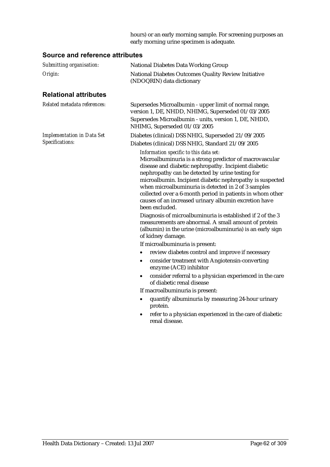hours) or an early morning sample. For screening purposes an early morning urine specimen is adequate.

| Submitting organisation:          | <b>National Diabetes Data Working Group</b>                                                                                                                                                                                                                                                                                                                                                                                                                               |
|-----------------------------------|---------------------------------------------------------------------------------------------------------------------------------------------------------------------------------------------------------------------------------------------------------------------------------------------------------------------------------------------------------------------------------------------------------------------------------------------------------------------------|
| Origin:                           | National Diabetes Outcomes Quality Review Initiative<br>(NDOQRIN) data dictionary                                                                                                                                                                                                                                                                                                                                                                                         |
| <b>Relational attributes</b>      |                                                                                                                                                                                                                                                                                                                                                                                                                                                                           |
| Related metadata references:      | Supersedes Microalbumin - upper limit of normal range,<br>version 1, DE, NHDD, NHIMG, Superseded 01/03/2005                                                                                                                                                                                                                                                                                                                                                               |
|                                   | Supersedes Microalbumin - units, version 1, DE, NHDD,<br>NHIMG, Superseded 01/03/2005                                                                                                                                                                                                                                                                                                                                                                                     |
| <b>Implementation in Data Set</b> | Diabetes (clinical) DSS NHIG, Superseded 21/09/2005                                                                                                                                                                                                                                                                                                                                                                                                                       |
| Specifications:                   | Diabetes (clinical) DSS NHIG, Standard 21/09/2005                                                                                                                                                                                                                                                                                                                                                                                                                         |
|                                   | Information specific to this data set:<br>Microalbuminuria is a strong predictor of macrovascular<br>disease and diabetic nephropathy. Incipient diabetic<br>nephropathy can be detected by urine testing for<br>microalbumin. Incipient diabetic nephropathy is suspected<br>when microalbuminuria is detected in 2 of 3 samples<br>collected over a 6-month period in patients in whom other<br>causes of an increased urinary albumin excretion have<br>been excluded. |
|                                   | Diagnosis of microalbuminuria is established if 2 of the 3<br>measurements are abnormal. A small amount of protein<br>(albumin) in the urine (microalbuminuria) is an early sign<br>of kidney damage.                                                                                                                                                                                                                                                                     |
|                                   | If microalbuminuria is present:                                                                                                                                                                                                                                                                                                                                                                                                                                           |
|                                   | review diabetes control and improve if necessary<br>$\bullet$                                                                                                                                                                                                                                                                                                                                                                                                             |
|                                   | consider treatment with Angiotensin-converting<br>$\bullet$<br>enzyme (ACE) inhibitor                                                                                                                                                                                                                                                                                                                                                                                     |
|                                   | consider referral to a physician experienced in the care<br>$\bullet$<br>of diabetic renal disease                                                                                                                                                                                                                                                                                                                                                                        |
|                                   | If macroalbuminuria is present:                                                                                                                                                                                                                                                                                                                                                                                                                                           |
|                                   | quantify albuminuria by measuring 24-hour urinary<br>$\bullet$<br>protein.                                                                                                                                                                                                                                                                                                                                                                                                |
|                                   | refer to a physician experienced in the care of diabetic<br>$\bullet$<br>renal disease.                                                                                                                                                                                                                                                                                                                                                                                   |
|                                   |                                                                                                                                                                                                                                                                                                                                                                                                                                                                           |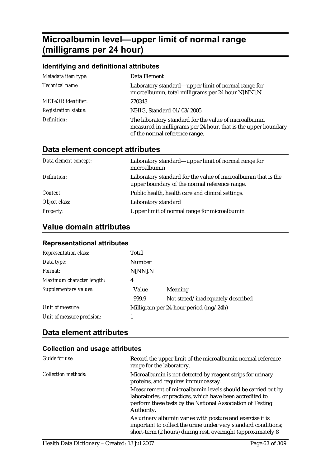# **Microalbumin level—upper limit of normal range (milligrams per 24 hour)**

### **Identifying and definitional attributes**

| Metadata item type:         | Data Element                                                                                                                                              |
|-----------------------------|-----------------------------------------------------------------------------------------------------------------------------------------------------------|
| Technical name:             | Laboratory standard—upper limit of normal range for<br>microalbumin, total milligrams per 24 hour N[NN].N                                                 |
| <b>METeOR</b> identifier:   | 270343                                                                                                                                                    |
| <b>Registration status:</b> | NHIG, Standard 01/03/2005                                                                                                                                 |
| Definition:                 | The laboratory standard for the value of microalbumin<br>measured in milligrams per 24 hour, that is the upper boundary<br>of the normal reference range. |

# **Data element concept attributes**

| Data element concept: | Laboratory standard—upper limit of normal range for<br>microalbumin                                            |
|-----------------------|----------------------------------------------------------------------------------------------------------------|
| Definition:           | Laboratory standard for the value of microalbumin that is the<br>upper boundary of the normal reference range. |
| Context:              | Public health, health care and clinical settings.                                                              |
| Object class:         | Laboratory standard                                                                                            |
| <b>Property:</b>      | Upper limit of normal range for microalbumin                                                                   |

# **Value domain attributes**

| <b>Representation class:</b> | Total         |                                       |
|------------------------------|---------------|---------------------------------------|
| Data type:                   | <b>Number</b> |                                       |
| <i>Format:</i>               | N[NN].N       |                                       |
| Maximum character length:    | 4             |                                       |
| Supplementary values:        | Value         | Meaning                               |
|                              | 999.9         | Not stated/inadequately described     |
| Unit of measure:             |               | Milligram per 24-hour period (mg/24h) |
| Unit of measure precision:   |               |                                       |

## **Data element attributes**

| Guide for use:             | Record the upper limit of the microalbumin normal reference<br>range for the laboratory.                                                                                                             |
|----------------------------|------------------------------------------------------------------------------------------------------------------------------------------------------------------------------------------------------|
| <b>Collection methods:</b> | Microalbumin is not detected by reagent strips for urinary<br>proteins, and requires immunoassay.                                                                                                    |
|                            | Measurement of microalbumin levels should be carried out by<br>laboratories, or practices, which have been accredited to<br>perform these tests by the National Association of Testing<br>Authority. |
|                            | As urinary albumin varies with posture and exercise it is<br>important to collect the urine under very standard conditions;<br>short-term (2 hours) during rest, overnight (approximately 8          |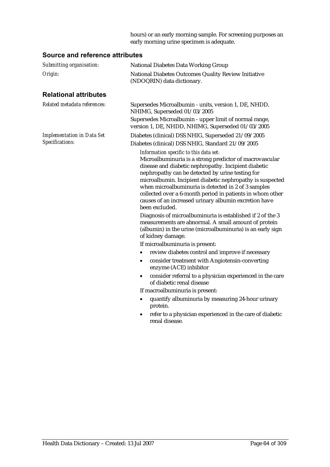hours) or an early morning sample. For screening purposes an early morning urine specimen is adequate.

| Submitting organisation:                             | National Diabetes Data Working Group                                                                                                                                                                                                                                                                                                                                                                                                                                      |
|------------------------------------------------------|---------------------------------------------------------------------------------------------------------------------------------------------------------------------------------------------------------------------------------------------------------------------------------------------------------------------------------------------------------------------------------------------------------------------------------------------------------------------------|
| Origin:                                              | National Diabetes Outcomes Quality Review Initiative<br>(NDOQRIN) data dictionary.                                                                                                                                                                                                                                                                                                                                                                                        |
| <b>Relational attributes</b>                         |                                                                                                                                                                                                                                                                                                                                                                                                                                                                           |
| Related metadata references:                         | Supersedes Microalbumin - units, version 1, DE, NHDD,<br>NHIMG, Superseded 01/03/2005                                                                                                                                                                                                                                                                                                                                                                                     |
|                                                      | Supersedes Microalbumin - upper limit of normal range,<br>version 1, DE, NHDD, NHIMG, Superseded 01/03/2005                                                                                                                                                                                                                                                                                                                                                               |
| <b>Implementation in Data Set</b><br>Specifications: | Diabetes (clinical) DSS NHIG, Superseded 21/09/2005<br>Diabetes (clinical) DSS NHIG, Standard 21/09/2005                                                                                                                                                                                                                                                                                                                                                                  |
|                                                      | Information specific to this data set:<br>Microalbuminuria is a strong predictor of macrovascular<br>disease and diabetic nephropathy. Incipient diabetic<br>nephropathy can be detected by urine testing for<br>microalbumin. Incipient diabetic nephropathy is suspected<br>when microalbuminuria is detected in 2 of 3 samples<br>collected over a 6-month period in patients in whom other<br>causes of an increased urinary albumin excretion have<br>been excluded. |
|                                                      | Diagnosis of microalbuminuria is established if 2 of the 3<br>measurements are abnormal. A small amount of protein<br>(albumin) in the urine (microalbuminuria) is an early sign<br>of kidney damage.                                                                                                                                                                                                                                                                     |
|                                                      | If microalbuminuria is present:                                                                                                                                                                                                                                                                                                                                                                                                                                           |
|                                                      | review diabetes control and improve if necessary<br>$\bullet$<br>consider treatment with Angiotensin-converting<br>$\bullet$<br>enzyme (ACE) inhibitor                                                                                                                                                                                                                                                                                                                    |
|                                                      | consider referral to a physician experienced in the care<br>$\bullet$<br>of diabetic renal disease                                                                                                                                                                                                                                                                                                                                                                        |
|                                                      | If macroalbuminuria is present:                                                                                                                                                                                                                                                                                                                                                                                                                                           |
|                                                      | quantify albuminuria by measuring 24-hour urinary<br>$\bullet$<br>protein.                                                                                                                                                                                                                                                                                                                                                                                                |
|                                                      | refer to a physician experienced in the care of diabetic<br>$\bullet$<br>renal disease.                                                                                                                                                                                                                                                                                                                                                                                   |
|                                                      |                                                                                                                                                                                                                                                                                                                                                                                                                                                                           |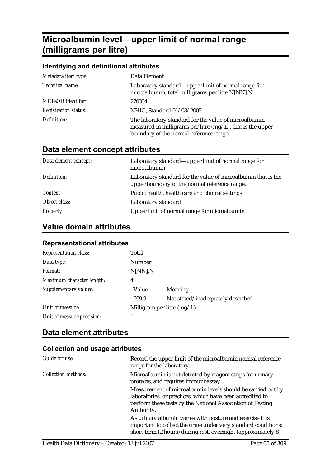# **Microalbumin level—upper limit of normal range (milligrams per litre)**

### **Identifying and definitional attributes**  *Metadata item type:* Data Element *Technical name:* Laboratory standard—upper limit of normal range for microalbumin, total milligrams per litre N[NN].N *METeOR identifier:* 270334 *Registration status:* NHIG, Standard 01/03/2005 *Definition:* The laboratory standard for the value of microalbumin measured in milligrams per litre (mg/L), that is the upper boundary of the normal reference range.

# **Data element concept attributes**

| Data element concept: | Laboratory standard—upper limit of normal range for<br>microalbumin                                            |
|-----------------------|----------------------------------------------------------------------------------------------------------------|
| Definition:           | Laboratory standard for the value of microalbumin that is the<br>upper boundary of the normal reference range. |
| <i>Context:</i>       | Public health, health care and clinical settings.                                                              |
| Object class:         | Laboratory standard                                                                                            |
| <b>Property:</b>      | Upper limit of normal range for microalbumin                                                                   |

## **Value domain attributes**

| <b>Representational attributes</b> |  |
|------------------------------------|--|
|                                    |  |

| Representation class:      | Total                        |                                   |
|----------------------------|------------------------------|-----------------------------------|
| Data type:                 | Number                       |                                   |
| Format:                    | N[NN].N                      |                                   |
| Maximum character length:  | 4                            |                                   |
| Supplementary values:      | Value                        | Meaning                           |
|                            | 999.9                        | Not stated/inadequately described |
| Unit of measure:           | Milligram per litre $(mg/L)$ |                                   |
| Unit of measure precision: |                              |                                   |

# **Data element attributes**

| Guide for use:             | Record the upper limit of the microalbumin normal reference<br>range for the laboratory.                                                                                                             |
|----------------------------|------------------------------------------------------------------------------------------------------------------------------------------------------------------------------------------------------|
| <i>Collection methods:</i> | Microalbumin is not detected by reagent strips for urinary<br>proteins, and requires immunoassay.                                                                                                    |
|                            | Measurement of microalbumin levels should be carried out by<br>laboratories, or practices, which have been accredited to<br>perform these tests by the National Association of Testing<br>Authority. |
|                            | As urinary albumin varies with posture and exercise it is<br>important to collect the urine under very standard conditions;<br>short-term (2 hours) during rest, overnight (approximately 8          |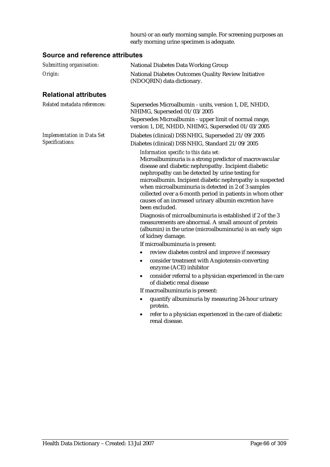hours) or an early morning sample. For screening purposes an early morning urine specimen is adequate.

| Submitting organisation:                             | National Diabetes Data Working Group                                                                                                                                                                                                                                                                                                                                                                                                                                      |
|------------------------------------------------------|---------------------------------------------------------------------------------------------------------------------------------------------------------------------------------------------------------------------------------------------------------------------------------------------------------------------------------------------------------------------------------------------------------------------------------------------------------------------------|
| Origin:                                              | National Diabetes Outcomes Quality Review Initiative<br>(NDOQRIN) data dictionary.                                                                                                                                                                                                                                                                                                                                                                                        |
| <b>Relational attributes</b>                         |                                                                                                                                                                                                                                                                                                                                                                                                                                                                           |
| Related metadata references:                         | Supersedes Microalbumin - units, version 1, DE, NHDD,<br>NHIMG, Superseded 01/03/2005                                                                                                                                                                                                                                                                                                                                                                                     |
|                                                      | Supersedes Microalbumin - upper limit of normal range,<br>version 1, DE, NHDD, NHIMG, Superseded 01/03/2005                                                                                                                                                                                                                                                                                                                                                               |
| <b>Implementation in Data Set</b><br>Specifications: | Diabetes (clinical) DSS NHIG, Superseded 21/09/2005<br>Diabetes (clinical) DSS NHIG, Standard 21/09/2005                                                                                                                                                                                                                                                                                                                                                                  |
|                                                      | Information specific to this data set:<br>Microalbuminuria is a strong predictor of macrovascular<br>disease and diabetic nephropathy. Incipient diabetic<br>nephropathy can be detected by urine testing for<br>microalbumin. Incipient diabetic nephropathy is suspected<br>when microalbuminuria is detected in 2 of 3 samples<br>collected over a 6-month period in patients in whom other<br>causes of an increased urinary albumin excretion have<br>been excluded. |
|                                                      | Diagnosis of microalbuminuria is established if 2 of the 3<br>measurements are abnormal. A small amount of protein<br>(albumin) in the urine (microalbuminuria) is an early sign<br>of kidney damage.                                                                                                                                                                                                                                                                     |
|                                                      | If microalbuminuria is present:                                                                                                                                                                                                                                                                                                                                                                                                                                           |
|                                                      | review diabetes control and improve if necessary<br>٠<br>consider treatment with Angiotensin-converting<br>$\bullet$<br>enzyme (ACE) inhibitor                                                                                                                                                                                                                                                                                                                            |
|                                                      | consider referral to a physician experienced in the care<br>$\bullet$<br>of diabetic renal disease                                                                                                                                                                                                                                                                                                                                                                        |
|                                                      | If macroalbuminuria is present:                                                                                                                                                                                                                                                                                                                                                                                                                                           |
|                                                      | quantify albuminuria by measuring 24-hour urinary<br>$\bullet$<br>protein.                                                                                                                                                                                                                                                                                                                                                                                                |
|                                                      | refer to a physician experienced in the care of diabetic<br>$\bullet$<br>renal disease.                                                                                                                                                                                                                                                                                                                                                                                   |
|                                                      |                                                                                                                                                                                                                                                                                                                                                                                                                                                                           |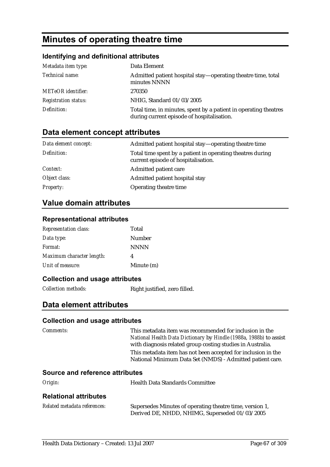# **Minutes of operating theatre time**

### **Identifying and definitional attributes**

| Metadata item type:         | Data Element                                                                                                   |
|-----------------------------|----------------------------------------------------------------------------------------------------------------|
| Technical name:             | Admitted patient hospital stay—operating theatre time, total<br>minutes NNNN                                   |
| <b>METeOR</b> identifier:   | 270350                                                                                                         |
| <b>Registration status:</b> | NHIG, Standard 01/03/2005                                                                                      |
| Definition:                 | Total time, in minutes, spent by a patient in operating theatres<br>during current episode of hospitalisation. |

# **Data element concept attributes**

| Data element concept: | Admitted patient hospital stay—operating theatre time                                             |
|-----------------------|---------------------------------------------------------------------------------------------------|
| Definition:           | Total time spent by a patient in operating theatres during<br>current episode of hospitalisation. |
| Context:              | Admitted patient care                                                                             |
| Object class:         | Admitted patient hospital stay                                                                    |
| <b>Property:</b>      | Operating theatre time                                                                            |

## **Value domain attributes**

### **Representational attributes**

| <b>Representation class:</b> | Total       |
|------------------------------|-------------|
| Data type:                   | Number      |
| Format:                      | <b>NNNN</b> |
| Maximum character length:    | 4           |
| Unit of measure:             | Minute (m)  |

#### **Collection and usage attributes**

*Collection methods:* Right justified, zero filled.

### **Data element attributes**

| <i>Comments:</i>                       | This metadata item was recommended for inclusion in the<br>National Health Data Dictionary by Hindle (1988a, 1988b) to assist<br>with diagnosis related group costing studies in Australia. |
|----------------------------------------|---------------------------------------------------------------------------------------------------------------------------------------------------------------------------------------------|
|                                        | This metadata item has not been accepted for inclusion in the<br>National Minimum Data Set (NMDS) - Admitted patient care.                                                                  |
| <b>Source and reference attributes</b> |                                                                                                                                                                                             |
| Origin:                                | <b>Health Data Standards Committee</b>                                                                                                                                                      |
| <b>Relational attributes</b>           |                                                                                                                                                                                             |
|                                        |                                                                                                                                                                                             |

| Related metadata references: | Supersedes Minutes of operating theatre time, version 1, |
|------------------------------|----------------------------------------------------------|
|                              | Derived DE, NHDD, NHIMG, Superseded 01/03/2005           |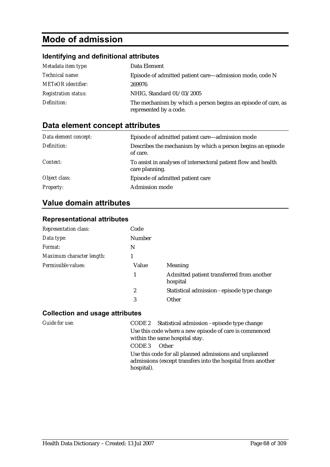# **Mode of admission**

## **Identifying and definitional attributes**

| Metadata item type:         | Data Element                                                                            |
|-----------------------------|-----------------------------------------------------------------------------------------|
| <i>Technical name:</i>      | Episode of admitted patient care—admission mode, code N                                 |
| <b>METeOR</b> identifier:   | 269976                                                                                  |
| <b>Registration status:</b> | NHIG, Standard 01/03/2005                                                               |
| Definition:                 | The mechanism by which a person begins an episode of care, as<br>represented by a code. |

# **Data element concept attributes**

| Data element concept: | Episode of admitted patient care—admission mode                                  |
|-----------------------|----------------------------------------------------------------------------------|
| Definition:           | Describes the mechanism by which a person begins an episode<br>of care.          |
| Context:              | To assist in analyses of intersectoral patient flow and health<br>care planning. |
| Object class:         | Episode of admitted patient care                                                 |
| <b>Property:</b>      | <b>Admission mode</b>                                                            |

# **Value domain attributes**

### **Representational attributes**

| <b>Representation class:</b> | Code   |                                                       |
|------------------------------|--------|-------------------------------------------------------|
| Data type:                   | Number |                                                       |
| Format:                      | N      |                                                       |
| Maximum character length:    | 1      |                                                       |
| Permissible values:          | Value  | Meaning                                               |
|                              |        | Admitted patient transferred from another<br>hospital |
|                              | 2      | Statistical admission - episode type change           |
|                              | 3      | Other                                                 |

| Guide for use: | CODE 2 Statistical admission - episode type change                                                                                  |
|----------------|-------------------------------------------------------------------------------------------------------------------------------------|
|                | Use this code where a new episode of care is commenced<br>within the same hospital stay.                                            |
|                | CODE 3<br><b>Other</b>                                                                                                              |
|                | Use this code for all planned admissions and unplanned<br>admissions (except transfers into the hospital from another<br>hospital). |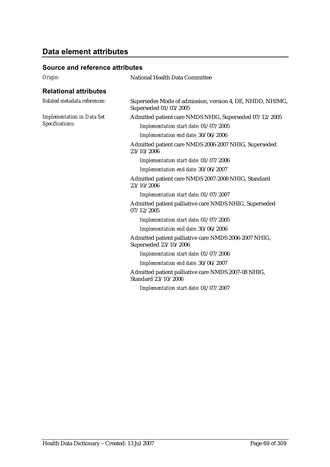# **Data element attributes**

| Origin:                                              | National Health Data Committee                                                                  |  |  |
|------------------------------------------------------|-------------------------------------------------------------------------------------------------|--|--|
| <b>Relational attributes</b>                         |                                                                                                 |  |  |
| Related metadata references:                         | Supersedes Mode of admission, version 4, DE, NHDD, NHIMG,<br>Superseded 01/03/2005              |  |  |
| <b>Implementation in Data Set</b><br>Specifications: | Admitted patient care NMDS NHIG, Superseded 07/12/2005<br>Implementation start date: 01/07/2005 |  |  |
|                                                      | Implementation end date: 30/06/2006                                                             |  |  |
|                                                      | Admitted patient care NMDS 2006-2007 NHIG, Superseded<br>23/10/2006                             |  |  |
|                                                      | Implementation start date: 01/07/2006                                                           |  |  |
|                                                      | Implementation end date: 30/06/2007                                                             |  |  |
|                                                      | Admitted patient care NMDS 2007-2008 NHIG, Standard<br>23/10/2006                               |  |  |
|                                                      | Implementation start date: 01/07/2007                                                           |  |  |
|                                                      | Admitted patient palliative care NMDS NHIG, Superseded<br>07/12/2005                            |  |  |
|                                                      | Implementation start date: 01/07/2005                                                           |  |  |
|                                                      | Implementation end date: 30/06/2006                                                             |  |  |
|                                                      | Admitted patient palliative care NMDS 2006-2007 NHIG,<br>Superseded 23/10/2006                  |  |  |
|                                                      | Implementation start date: 01/07/2006                                                           |  |  |
|                                                      | Implementation end date: 30/06/2007                                                             |  |  |
|                                                      | Admitted patient palliative care NMDS 2007-08 NHIG,<br>Standard 23/10/2006                      |  |  |
|                                                      | Implementation start date: 01/07/2007                                                           |  |  |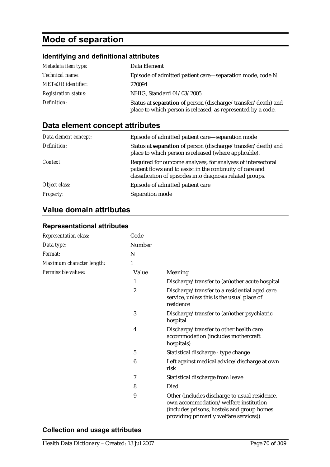# **Mode of separation**

# **Identifying and definitional attributes**

| Metadata item type:         | Data Element                                                                                                                         |
|-----------------------------|--------------------------------------------------------------------------------------------------------------------------------------|
| Technical name:             | Episode of admitted patient care—separation mode, code N                                                                             |
| <b>METeOR</b> identifier:   | 270094                                                                                                                               |
| <b>Registration status:</b> | NHIG, Standard 01/03/2005                                                                                                            |
| Definition:                 | Status at <b>separation</b> of person (discharge/transfer/death) and<br>place to which person is released, as represented by a code. |

# **Data element concept attributes**

| Data element concept: | Episode of admitted patient care—separation mode                                                                                                                                       |
|-----------------------|----------------------------------------------------------------------------------------------------------------------------------------------------------------------------------------|
| Definition:           | Status at separation of person (discharge/transfer/death) and<br>place to which person is released (where applicable).                                                                 |
| Context:              | Required for outcome analyses, for analyses of intersectoral<br>patient flows and to assist in the continuity of care and<br>classification of episodes into diagnosis related groups. |
| Object class:         | Episode of admitted patient care                                                                                                                                                       |
| <b>Property:</b>      | Separation mode                                                                                                                                                                        |

# **Value domain attributes**

### **Representational attributes**

| <b>Representation class:</b> | Code             |                                                                                                                                                                                |
|------------------------------|------------------|--------------------------------------------------------------------------------------------------------------------------------------------------------------------------------|
| Data type:                   | Number           |                                                                                                                                                                                |
| Format:                      | N                |                                                                                                                                                                                |
| Maximum character length:    | 1                |                                                                                                                                                                                |
| Permissible values:          | Value            | Meaning                                                                                                                                                                        |
|                              | 1                | Discharge/transfer to (an) other acute hospital                                                                                                                                |
|                              | $\boldsymbol{2}$ | Discharge/transfer to a residential aged care<br>service, unless this is the usual place of<br>residence                                                                       |
|                              | 3                | Discharge/transfer to (an) other psychiatric<br>hospital                                                                                                                       |
|                              | 4                | Discharge/transfer to other health care<br>accommodation (includes mothercraft<br>hospitals)                                                                                   |
|                              | 5                | Statistical discharge - type change                                                                                                                                            |
|                              | 6                | Left against medical advice/discharge at own<br>risk                                                                                                                           |
|                              | 7                | Statistical discharge from leave                                                                                                                                               |
|                              | 8                | Died                                                                                                                                                                           |
|                              | 9                | Other (includes discharge to usual residence,<br>own accommodation/welfare institution<br>(includes prisons, hostels and group homes<br>providing primarily welfare services)) |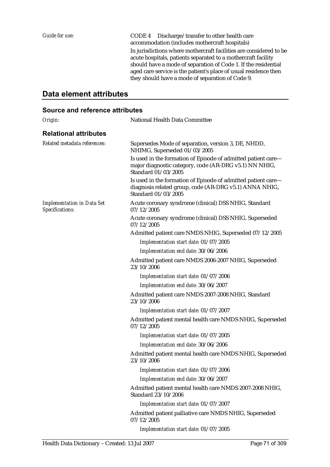*Guide for use:* CODE 4 Discharge/transfer to other health care accommodation (includes mothercraft hospitals) In jurisdictions where mothercraft facilities are considered to be acute hospitals, patients separated to a mothercraft facility should have a mode of separation of Code 1. If the residential aged care service is the patient's place of usual residence then they should have a mode of separation of Code 9.

## **Data element attributes**

| Origin:                                              | National Health Data Committee                                                                                                                 |
|------------------------------------------------------|------------------------------------------------------------------------------------------------------------------------------------------------|
| <b>Relational attributes</b>                         |                                                                                                                                                |
| Related metadata references:                         | Supersedes Mode of separation, version 3, DE, NHDD,<br>NHIMG, Superseded 01/03/2005                                                            |
|                                                      | Is used in the formation of Episode of admitted patient care-<br>major diagnostic category, code (AR-DRG v5.1) NN NHIG,<br>Standard 01/03/2005 |
|                                                      | Is used in the formation of Episode of admitted patient care-<br>diagnosis related group, code (AR-DRG v5.1) ANNA NHIG,<br>Standard 01/03/2005 |
| <b>Implementation in Data Set</b><br>Specifications: | Acute coronary syndrome (clinical) DSS NHIG, Standard<br>07/12/2005                                                                            |
|                                                      | Acute coronary syndrome (clinical) DSS NHIG, Superseded<br>07/12/2005                                                                          |
|                                                      | Admitted patient care NMDS NHIG, Superseded 07/12/2005                                                                                         |
|                                                      | Implementation start date: 01/07/2005                                                                                                          |
|                                                      | Implementation end date: 30/06/2006                                                                                                            |
|                                                      | Admitted patient care NMDS 2006-2007 NHIG, Superseded<br>23/10/2006                                                                            |
|                                                      | Implementation start date: 01/07/2006                                                                                                          |
|                                                      | Implementation end date: 30/06/2007                                                                                                            |
|                                                      | Admitted patient care NMDS 2007-2008 NHIG, Standard<br>23/10/2006                                                                              |
|                                                      | Implementation start date: 01/07/2007                                                                                                          |
|                                                      | Admitted patient mental health care NMDS NHIG, Superseded<br>07/12/2005                                                                        |
|                                                      | Implementation start date: 01/07/2005                                                                                                          |
|                                                      | Implementation end date: 30/06/2006                                                                                                            |
|                                                      | Admitted patient mental health care NMDS NHIG, Superseded<br>23/10/2006                                                                        |
|                                                      | Implementation start date: 01/07/2006                                                                                                          |
|                                                      | Implementation end date: 30/06/2007                                                                                                            |
|                                                      | Admitted patient mental health care NMDS 2007-2008 NHIG,<br>Standard 23/10/2006                                                                |
|                                                      | Implementation start date: 01/07/2007                                                                                                          |
|                                                      | Admitted patient palliative care NMDS NHIG, Superseded<br>07/12/2005                                                                           |
|                                                      | Implementation start date: 01/07/2005                                                                                                          |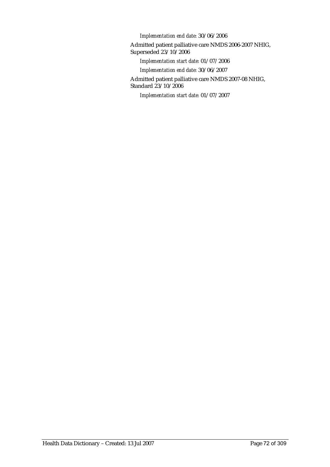*Implementation end date:* 30/06/2006

Admitted patient palliative care NMDS 2006-2007 NHIG, Superseded 23/10/2006

*Implementation start date:* 01/07/2006

*Implementation end date:* 30/06/2007

Admitted patient palliative care NMDS 2007-08 NHIG, Standard 23/10/2006

*Implementation start date:* 01/07/2007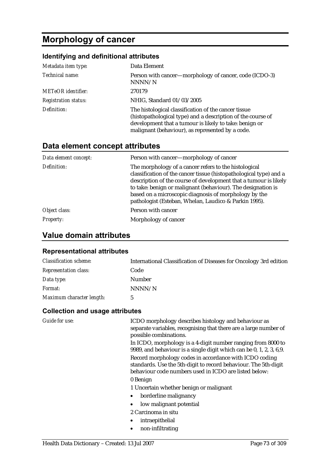# **Morphology of cancer**

## **Identifying and definitional attributes**

| Metadata item type:         | Data Element                                                                                                                                                                                                                      |
|-----------------------------|-----------------------------------------------------------------------------------------------------------------------------------------------------------------------------------------------------------------------------------|
| Technical name:             | Person with cancer—morphology of cancer, code (ICDO-3)<br>NNNN/N                                                                                                                                                                  |
| <b>METeOR</b> identifier:   | 270179                                                                                                                                                                                                                            |
| <b>Registration status:</b> | NHIG, Standard 01/03/2005                                                                                                                                                                                                         |
| Definition:                 | The histological classification of the cancer tissue<br>(histopathological type) and a description of the course of<br>development that a tumour is likely to take: benign or<br>malignant (behaviour), as represented by a code. |

## **Data element concept attributes**

| Data element concept: | Person with cancer—morphology of cancer                                                                                                                                                                                                                                                                                                                                           |
|-----------------------|-----------------------------------------------------------------------------------------------------------------------------------------------------------------------------------------------------------------------------------------------------------------------------------------------------------------------------------------------------------------------------------|
| Definition:           | The morphology of a cancer refers to the histological<br>classification of the cancer tissue (histopathological type) and a<br>description of the course of development that a tumour is likely<br>to take: benign or malignant (behaviour). The designation is<br>based on a microscopic diagnosis of morphology by the<br>pathologist (Esteban, Whelan, Laudico & Parkin 1995). |
| Object class:         | Person with cancer                                                                                                                                                                                                                                                                                                                                                                |
| <i>Property:</i>      | Morphology of cancer                                                                                                                                                                                                                                                                                                                                                              |

## **Value domain attributes**

#### **Representational attributes**

| <b>Classification scheme:</b> | International Classification of Diseases for Oncology 3rd edition |
|-------------------------------|-------------------------------------------------------------------|
| <b>Representation class:</b>  | Code                                                              |
| Data type:                    | Number                                                            |
| Format:                       | NNNN/N                                                            |
| Maximum character length:     |                                                                   |

| Guide for use: | ICDO morphology describes histology and behaviour as                                                                                                                               |
|----------------|------------------------------------------------------------------------------------------------------------------------------------------------------------------------------------|
|                | separate variables, recognising that there are a large number of<br>possible combinations.                                                                                         |
|                | In ICDO, morphology is a 4-digit number ranging from 8000 to<br>9989, and behaviour is a single digit which can be 0, 1, 2, 3, 6,9.                                                |
|                | Record morphology codes in accordance with ICDO coding<br>standards. Use the 5th-digit to record behaviour. The 5th-digit<br>behaviour code numbers used in ICDO are listed below: |
|                | 0 Benign                                                                                                                                                                           |
|                | 1 Uncertain whether benign or malignant                                                                                                                                            |
|                | borderline malignancy<br>$\bullet$                                                                                                                                                 |
|                | low malignant potential                                                                                                                                                            |
|                | 2 Carcinoma in situ                                                                                                                                                                |
|                | intraepithelial                                                                                                                                                                    |
|                | non-infiltrating                                                                                                                                                                   |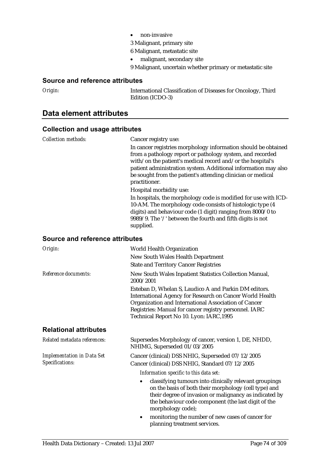- non-invasive
- 3 Malignant, primary site
- 6 Malignant, metastatic site
- malignant, secondary site
- 9 Malignant, uncertain whether primary or metastatic site

#### **Source and reference attributes**

*Origin:* International Classification of Diseases for Oncology, Third Edition (ICDO-3)

### **Data element attributes**

#### **Collection and usage attributes**

| <b>Collection methods:</b>      | Cancer registry use:                                                                                                                                                                                                                                                                                                                                                   |
|---------------------------------|------------------------------------------------------------------------------------------------------------------------------------------------------------------------------------------------------------------------------------------------------------------------------------------------------------------------------------------------------------------------|
|                                 | In cancer registries morphology information should be obtained<br>from a pathology report or pathology system, and recorded<br>with/on the patient's medical record and/or the hospital's<br>patient administration system. Additional information may also<br>be sought from the patient's attending clinician or medical<br>practitioner.<br>Hospital morbidity use: |
|                                 | In hospitals, the morphology code is modified for use with ICD-<br>10-AM. The morphology code consists of histologic type (4)<br>digits) and behaviour code (1 digit) ranging from 8000/0 to<br>9989/9. The '/' between the fourth and fifth digits is not<br>supplied.                                                                                                |
| Source and reference attributes |                                                                                                                                                                                                                                                                                                                                                                        |
| Origin:                         | <b>World Health Organization</b>                                                                                                                                                                                                                                                                                                                                       |
|                                 | New South Wales Health Department                                                                                                                                                                                                                                                                                                                                      |
|                                 | <b>State and Territory Cancer Registries</b>                                                                                                                                                                                                                                                                                                                           |
| Reference documents:            | New South Wales Inpatient Statistics Collection Manual,<br>2000/2001                                                                                                                                                                                                                                                                                                   |

Esteban D, Whelan S, Laudico A and Parkin DM editors. International Agency for Research on Cancer World Health Organization and International Association of Cancer Registries: Manual for cancer registry personnel. IARC Technical Report No 10. Lyon: IARC,1995

#### **Relational attributes**

| Related metadata references:                         | Supersedes Morphology of cancer, version 1, DE, NHDD,<br>NHIMG, Superseded 01/03/2005                                                                                                                                                                      |
|------------------------------------------------------|------------------------------------------------------------------------------------------------------------------------------------------------------------------------------------------------------------------------------------------------------------|
| <b>Implementation in Data Set</b><br>Specifications: | Cancer (clinical) DSS NHIG, Superseded 07/12/2005<br>Cancer (clinical) DSS NHIG, Standard 07/12/2005<br>Information specific to this data set:                                                                                                             |
|                                                      | classifying tumours into clinically relevant groupings<br>٠<br>on the basis of both their morphology (cell type) and<br>their degree of invasion or malignancy as indicated by<br>the behaviour code component (the last digit of the<br>morphology code); |

• monitoring the number of new cases of cancer for planning treatment services.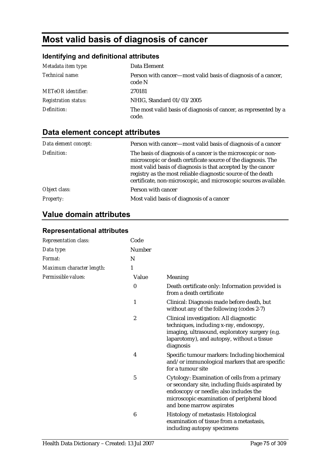# **Most valid basis of diagnosis of cancer**

## **Identifying and definitional attributes**

| Metadata item type:         | Data Element                                                              |
|-----------------------------|---------------------------------------------------------------------------|
| Technical name:             | Person with cancer—most valid basis of diagnosis of a cancer,<br>code N   |
| <b>METeOR</b> identifier:   | 270181                                                                    |
| <i>Registration status:</i> | NHIG, Standard 01/03/2005                                                 |
| Definition:                 | The most valid basis of diagnosis of cancer, as represented by a<br>code. |

## **Data element concept attributes**

| Data element concept: | Person with cancer—most valid basis of diagnosis of a cancer                                                                                                                                                                                                                                                                       |
|-----------------------|------------------------------------------------------------------------------------------------------------------------------------------------------------------------------------------------------------------------------------------------------------------------------------------------------------------------------------|
| Definition:           | The basis of diagnosis of a cancer is the microscopic or non-<br>microscopic or death certificate source of the diagnosis. The<br>most valid basis of diagnosis is that accepted by the cancer<br>registry as the most reliable diagnostic source of the death<br>certificate, non-microscopic, and microscopic sources available. |
| Object class:         | Person with cancer                                                                                                                                                                                                                                                                                                                 |
| <b>Property:</b>      | Most valid basis of diagnosis of a cancer                                                                                                                                                                                                                                                                                          |

## **Value domain attributes**

#### **Representational attributes**

| Representation class:     | Code             |                                                                                                                                                                                                                         |
|---------------------------|------------------|-------------------------------------------------------------------------------------------------------------------------------------------------------------------------------------------------------------------------|
| Data type:                | Number           |                                                                                                                                                                                                                         |
| Format:                   | N                |                                                                                                                                                                                                                         |
| Maximum character length: | 1                |                                                                                                                                                                                                                         |
| Permissible values:       | Value            | Meaning                                                                                                                                                                                                                 |
|                           | $\bf{0}$         | Death certificate only: Information provided is<br>from a death certificate                                                                                                                                             |
|                           | $\mathbf{1}$     | Clinical: Diagnosis made before death, but<br>without any of the following (codes 2-7)                                                                                                                                  |
|                           | $\boldsymbol{2}$ | Clinical investigation: All diagnostic<br>techniques, including x-ray, endoscopy,<br>imaging, ultrasound, exploratory surgery (e.g.<br>laparotomy), and autopsy, without a tissue<br>diagnosis                          |
|                           | 4                | Specific tumour markers: Including biochemical<br>and/or immunological markers that are specific<br>for a tumour site                                                                                                   |
|                           | 5                | Cytology: Examination of cells from a primary<br>or secondary site, including fluids aspirated by<br>endoscopy or needle; also includes the<br>microscopic examination of peripheral blood<br>and bone marrow aspirates |
|                           | 6                | Histology of metastasis: Histological<br>examination of tissue from a metastasis,<br>including autopsy specimens                                                                                                        |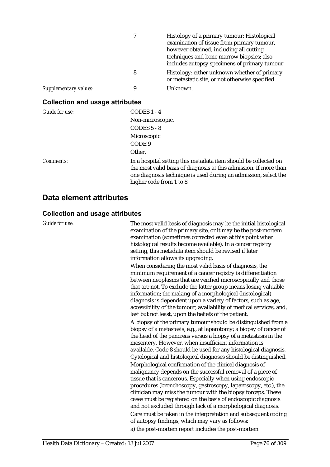|                       | 7 | Histology of a primary tumour: Histological<br>examination of tissue from primary tumour,<br>however obtained, including all cutting<br>techniques and bone marrow biopsies; also<br>includes autopsy specimens of primary tumour |
|-----------------------|---|-----------------------------------------------------------------------------------------------------------------------------------------------------------------------------------------------------------------------------------|
|                       | 8 | Histology: either unknown whether of primary<br>or metastatic site, or not otherwise specified                                                                                                                                    |
| Supplementary values: | 9 | Unknown.                                                                                                                                                                                                                          |

## **Collection and usage attributes**

| Guide for use:   | $CODES 1 - 4$                                                                                                                                                                                                                       |
|------------------|-------------------------------------------------------------------------------------------------------------------------------------------------------------------------------------------------------------------------------------|
|                  | Non-microscopic.                                                                                                                                                                                                                    |
|                  | $CODES 5 - 8$                                                                                                                                                                                                                       |
|                  | Microscopic.                                                                                                                                                                                                                        |
|                  | CODE 9                                                                                                                                                                                                                              |
|                  | Other.                                                                                                                                                                                                                              |
| <i>Comments:</i> | In a hospital setting this metadata item should be collected on<br>the most valid basis of diagnosis at this admission. If more than<br>one diagnosis technique is used during an admission, select the<br>higher code from 1 to 8. |

## **Data element attributes**

| <b>Guide for use:</b> | The most valid basis of diagnosis may be the initial histological<br>examination of the primary site, or it may be the post-mortem<br>examination (sometimes corrected even at this point when<br>histological results become available). In a cancer registry<br>setting, this metadata item should be revised if later<br>information allows its upgrading.                                                                                         |
|-----------------------|-------------------------------------------------------------------------------------------------------------------------------------------------------------------------------------------------------------------------------------------------------------------------------------------------------------------------------------------------------------------------------------------------------------------------------------------------------|
|                       | When considering the most valid basis of diagnosis, the<br>minimum requirement of a cancer registry is differentiation<br>between neoplasms that are verified microscopically and those<br>that are not. To exclude the latter group means losing valuable<br>information; the making of a morphological (histological)                                                                                                                               |
|                       | diagnosis is dependent upon a variety of factors, such as age,<br>accessibility of the tumour, availability of medical services, and,<br>last but not least, upon the beliefs of the patient.                                                                                                                                                                                                                                                         |
|                       | A biopsy of the primary tumour should be distinguished from a<br>biopsy of a metastasis, e.g., at laparotomy; a biopsy of cancer of<br>the head of the pancreas versus a biopsy of a metastasis in the<br>mesentery. However, when insufficient information is<br>available, Code 8 should be used for any histological diagnosis.<br>Cytological and histological diagnoses should be distinguished.                                                 |
|                       | Morphological confirmation of the clinical diagnosis of<br>malignancy depends on the successful removal of a piece of<br>tissue that is cancerous. Especially when using endoscopic<br>procedures (bronchoscopy, gastroscopy, laparoscopy, etc.), the<br>clinician may miss the tumour with the biopsy forceps. These<br>cases must be registered on the basis of endoscopic diagnosis<br>and not excluded through lack of a morphological diagnosis. |
|                       | Care must be taken in the interpretation and subsequent coding<br>of autopsy findings, which may vary as follows:<br>a) the post-mortem report includes the post-mortem                                                                                                                                                                                                                                                                               |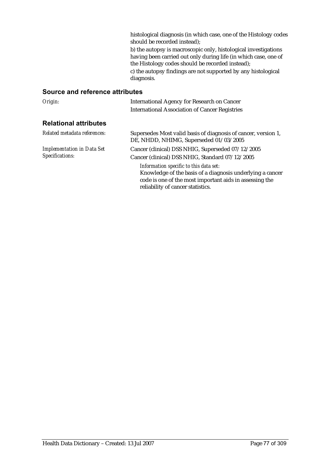histological diagnosis (in which case, one of the Histology codes should be recorded instead); b) the autopsy is macroscopic only, histological investigations having been carried out only during life (in which case, one of the Histology codes should be recorded instead); c) the autopsy findings are not supported by any histological diagnosis.

#### **Source and reference attributes**

| Origin:                                              | <b>International Agency for Research on Cancer</b><br><b>International Association of Cancer Registries</b>                                                                                         |
|------------------------------------------------------|-----------------------------------------------------------------------------------------------------------------------------------------------------------------------------------------------------|
| <b>Relational attributes</b>                         |                                                                                                                                                                                                     |
| Related metadata references:                         | Supersedes Most valid basis of diagnosis of cancer, version 1,<br>DE, NHDD, NHIMG, Superseded 01/03/2005                                                                                            |
| <b>Implementation in Data Set</b><br>Specifications: | Cancer (clinical) DSS NHIG, Superseded 07/12/2005<br>Cancer (clinical) DSS NHIG, Standard 07/12/2005                                                                                                |
|                                                      | Information specific to this data set:<br>Knowledge of the basis of a diagnosis underlying a cancer<br>code is one of the most important aids in assessing the<br>reliability of cancer statistics. |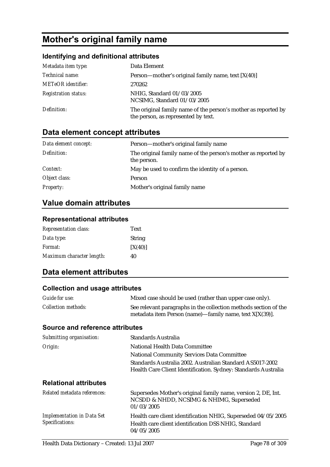# **Mother's original family name**

### **Identifying and definitional attributes**

| Metadata item type:         | Data Element                                                                                          |
|-----------------------------|-------------------------------------------------------------------------------------------------------|
| Technical name:             | Person—mother's original family name, text $[X(40)]$                                                  |
| <b>METeOR</b> identifier:   | 270262                                                                                                |
| <b>Registration status:</b> | NHIG, Standard 01/03/2005<br>NCSIMG, Standard 01/03/2005                                              |
| Definition:                 | The original family name of the person's mother as reported by<br>the person, as represented by text. |

## **Data element concept attributes**

| Data element concept: | Person—mother's original family name                                          |
|-----------------------|-------------------------------------------------------------------------------|
| Definition:           | The original family name of the person's mother as reported by<br>the person. |
| Context:              | May be used to confirm the identity of a person.                              |
| Object class:         | Person                                                                        |
| <b>Property:</b>      | Mother's original family name                                                 |

## **Value domain attributes**

#### **Representational attributes**

| <b>Representation class:</b> | Text          |
|------------------------------|---------------|
| Data type:                   | <b>String</b> |
| <i>Format:</i>               | [X(40)]       |
| Maximum character length:    | 40            |

## **Data element attributes**

#### **Collection and usage attributes**

| Guide for use:                         | Mixed case should be used (rather than upper case only).                                                                       |
|----------------------------------------|--------------------------------------------------------------------------------------------------------------------------------|
| <i>Collection methods:</i>             | See relevant paragraphs in the collection methods section of the<br>metadata item Person (name)—family name, text $X[X(39)]$ . |
| <b>Source and reference attributes</b> |                                                                                                                                |
| Submitting organisation:               | Standards Australia                                                                                                            |
| Origin:                                | National Health Data Committee                                                                                                 |
|                                        | $\cdots$ $\alpha$ $\cdots$ $\alpha$<br>$\mathbf{M}$ $\mathbf{M}$                                                               |

## National Community Services Data Committee Standards Australia 2002. Australian Standard AS5017-2002 Health Care Client Identification. Sydney: Standards Australia **Relational attributes**

| Related metadata references:                         | Supersedes Mother's original family name, version 2, DE, Int.<br>NCSDD & NHDD, NCSIMG & NHIMG, Superseded<br>01/03/2005             |
|------------------------------------------------------|-------------------------------------------------------------------------------------------------------------------------------------|
| <b>Implementation in Data Set</b><br>Specifications: | Health care client identification NHIG, Superseded 04/05/2005<br>Health care client identification DSS NHIG, Standard<br>04/05/2005 |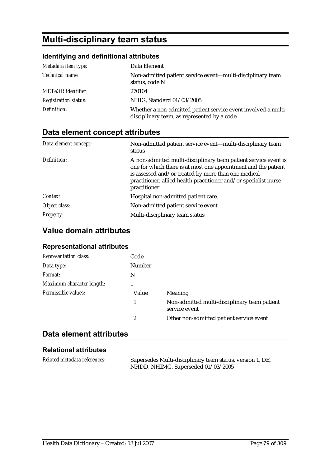# **Multi-disciplinary team status**

## **Identifying and definitional attributes**

| Metadata item type:         | Data Element                                                                                                   |
|-----------------------------|----------------------------------------------------------------------------------------------------------------|
| Technical name:             | Non-admitted patient service event—multi-disciplinary team<br>status, code N                                   |
| <b>METeOR</b> identifier:   | 270104                                                                                                         |
| <b>Registration status:</b> | NHIG, Standard 01/03/2005                                                                                      |
| Definition:                 | Whether a non-admitted patient service event involved a multi-<br>disciplinary team, as represented by a code. |

## **Data element concept attributes**

| Data element concept: | Non-admitted patient service event—multi-disciplinary team<br>status                                                                                                                                                                                                          |
|-----------------------|-------------------------------------------------------------------------------------------------------------------------------------------------------------------------------------------------------------------------------------------------------------------------------|
| Definition:           | A non-admitted multi-disciplinary team patient service event is<br>one for which there is at most one appointment and the patient<br>is assessed and/or treated by more than one medical<br>practitioner, allied health practitioner and/or specialist nurse<br>practitioner. |
| Context:              | Hospital non-admitted patient care.                                                                                                                                                                                                                                           |
| Object class:         | Non-admitted patient service event                                                                                                                                                                                                                                            |
| <b>Property:</b>      | Multi-disciplinary team status                                                                                                                                                                                                                                                |

## **Value domain attributes**

### **Representational attributes**

| <b>Representation class:</b> | Code   |                                                               |
|------------------------------|--------|---------------------------------------------------------------|
| Data type:                   | Number |                                                               |
| Format:                      | N      |                                                               |
| Maximum character length:    |        |                                                               |
| Permissible values:          | Value  | <b>Meaning</b>                                                |
|                              |        | Non-admitted multi-disciplinary team patient<br>service event |
|                              | 2      | Other non-admitted patient service event                      |

## **Data element attributes**

#### **Relational attributes**

| Related metadata references: | Supersedes Multi-disciplinary team status, version 1, DE, |
|------------------------------|-----------------------------------------------------------|
|                              | NHDD, NHIMG, Superseded 01/03/2005                        |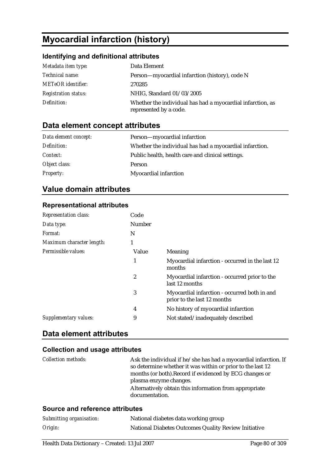# **Myocardial infarction (history)**

### **Identifying and definitional attributes**

| Metadata item type:         | Data Element                                                                         |
|-----------------------------|--------------------------------------------------------------------------------------|
| <i>Technical name:</i>      | Person-myocardial infarction (history), code N                                       |
| <b>METeOR</b> identifier:   | 270285                                                                               |
| <b>Registration status:</b> | NHIG, Standard 01/03/2005                                                            |
| Definition:                 | Whether the individual has had a myocardial infarction, as<br>represented by a code. |

## **Data element concept attributes**

| Data element concept: | Person-myocardial infarction                            |
|-----------------------|---------------------------------------------------------|
| Definition:           | Whether the individual has had a myocardial infarction. |
| <i>Context:</i>       | Public health, health care and clinical settings.       |
| Object class:         | Person                                                  |
| <b>Property:</b>      | Myocardial infarction                                   |

## **Value domain attributes**

### **Representational attributes**

| <b>Representation class:</b> | Code   |                                                                             |
|------------------------------|--------|-----------------------------------------------------------------------------|
| Data type:                   | Number |                                                                             |
| Format:                      | N      |                                                                             |
| Maximum character length:    |        |                                                                             |
| Permissible values:          | Value  | Meaning                                                                     |
|                              | 1      | Myocardial infarction - occurred in the last 12<br>months                   |
|                              | 2      | Myocardial infarction - occurred prior to the<br>last 12 months             |
|                              | 3      | Myocardial infarction - occurred both in and<br>prior to the last 12 months |
|                              | 4      | No history of myocardial infarction                                         |
| Supplementary values:        | 9      | Not stated/inadequately described                                           |

## **Data element attributes**

#### **Collection and usage attributes**

| <i>Collection methods:</i> | Ask the individual if he/she has had a myocardial infarction. If<br>so determine whether it was within or prior to the last 12<br>months (or both). Record if evidenced by ECG changes or<br>plasma enzyme changes. |
|----------------------------|---------------------------------------------------------------------------------------------------------------------------------------------------------------------------------------------------------------------|
|                            | Alternatively obtain this information from appropriate<br>documentation.                                                                                                                                            |

#### **Source and reference attributes**

| Submitting organisation: | National diabetes data working group                 |
|--------------------------|------------------------------------------------------|
| Origin:                  | National Diabetes Outcomes Quality Review Initiative |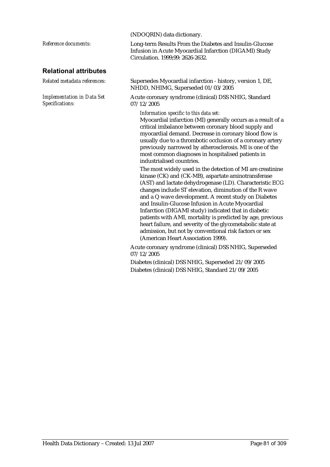|                                                      | (NDOQRIN) data dictionary.                                                                                                                                                                                                                                                                                                                                                                                                                                                                                                                               |
|------------------------------------------------------|----------------------------------------------------------------------------------------------------------------------------------------------------------------------------------------------------------------------------------------------------------------------------------------------------------------------------------------------------------------------------------------------------------------------------------------------------------------------------------------------------------------------------------------------------------|
| Reference documents:                                 | Long-term Results From the Diabetes and Insulin-Glucose<br>Infusion in Acute Myocardial Infarction (DIGAMI) Study<br>Circulation. 1999;99: 2626-2632.                                                                                                                                                                                                                                                                                                                                                                                                    |
| <b>Relational attributes</b>                         |                                                                                                                                                                                                                                                                                                                                                                                                                                                                                                                                                          |
| Related metadata references:                         | Supersedes Myocardial infarction - history, version 1, DE,<br>NHDD, NHIMG, Superseded 01/03/2005                                                                                                                                                                                                                                                                                                                                                                                                                                                         |
| <b>Implementation in Data Set</b><br>Specifications: | Acute coronary syndrome (clinical) DSS NHIG, Standard<br>07/12/2005                                                                                                                                                                                                                                                                                                                                                                                                                                                                                      |
|                                                      | Information specific to this data set:<br>Myocardial infarction (MI) generally occurs as a result of a<br>critical imbalance between coronary blood supply and<br>myocardial demand. Decrease in coronary blood flow is<br>usually due to a thrombotic occlusion of a coronary artery<br>previously narrowed by atherosclerosis. MI is one of the<br>most common diagnoses in hospitalised patients in<br>industrialised countries.<br>The most widely used in the detection of MI are creatinine<br>kinase (CK) and (CK-MB), aspartate aminotransferase |
|                                                      | (AST) and lactate dehydrogenase (LD). Characteristic ECG<br>changes include ST elevation, diminution of the R wave<br>and a Q wave development. A recent study on Diabetes<br>and Insulin-Glucose Infusion in Acute Myocardial<br>Infarction (DIGAMI study) indicated that in diabetic<br>patients with AMI, mortality is predicted by age, previous<br>heart failure, and severity of the glycometabolic state at<br>admission, but not by conventional risk factors or sex<br>(American Heart Association 1999).                                       |
|                                                      | Acute coronary syndrome (clinical) DSS NHIG, Superseded<br>07/12/2005                                                                                                                                                                                                                                                                                                                                                                                                                                                                                    |
|                                                      | Diabetes (clinical) DSS NHIG, Superseded 21/09/2005                                                                                                                                                                                                                                                                                                                                                                                                                                                                                                      |

Diabetes (clinical) DSS NHIG, Standard 21/09/2005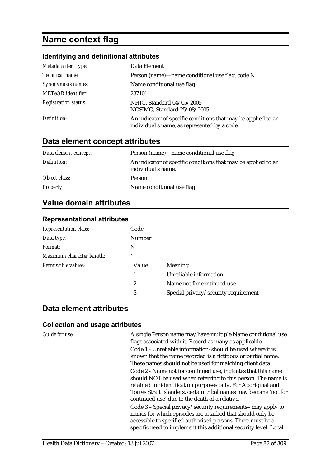## **Name context flag**

#### **Identifying and definitional attributes**

| Metadata item type:         | Data Element                                                                                                  |
|-----------------------------|---------------------------------------------------------------------------------------------------------------|
| Technical name:             | Person (name)—name conditional use flag, code N                                                               |
| Synonymous names:           | Name conditional use flag                                                                                     |
| <b>METeOR</b> identifier:   | 287101                                                                                                        |
| <b>Registration status:</b> | NHIG, Standard 04/05/2005<br>NCSIMG, Standard 25/08/2005                                                      |
| Definition:                 | An indicator of specific conditions that may be applied to an<br>individual's name, as represented by a code. |

## **Data element concept attributes**

| Data element concept: | Person (name)—name conditional use flag                                             |
|-----------------------|-------------------------------------------------------------------------------------|
| Definition:           | An indicator of specific conditions that may be applied to an<br>individual's name. |
| Object class:         | Person                                                                              |
| <b>Property:</b>      | Name conditional use flag                                                           |

### **Value domain attributes**

#### **Representational attributes**

| Code          |                                      |
|---------------|--------------------------------------|
| <b>Number</b> |                                      |
| N             |                                      |
|               |                                      |
| Value         | Meaning                              |
| 1             | Unreliable information               |
| 2             | Name not for continued use           |
| 3             | Special privacy/security requirement |
|               |                                      |

## **Data element attributes**

#### **Collection and usage attributes**

*Guide for use:* A single Person name may have multiple Name conditional use flags associated with it. Record as many as applicable. Code 1 - Unreliable information: should be used where it is known that the name recorded is a fictitious or partial name. These names should not be used for matching client data. Code 2 - Name not for continued use, indicates that this name should NOT be used when referring to this person. The name is retained for identification purposes only. For Aboriginal and Torres Strait Islanders, certain tribal names may become 'not for continued use' due to the death of a relative.

Code 3 – Special privacy/security requirements– may apply to names for which episodes are attached that should only be accessible to specified authorised persons. There must be a specific need to implement this additional security level. Local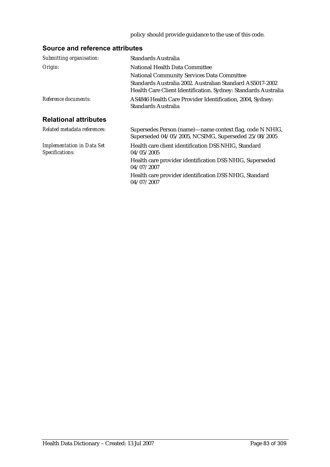### policy should provide guidance to the use of this code.

## **Source and reference attributes**

| Submitting organisation:                             | <b>Standards Australia</b>                                                                                                  |
|------------------------------------------------------|-----------------------------------------------------------------------------------------------------------------------------|
| Origin:                                              | National Health Data Committee                                                                                              |
|                                                      | <b>National Community Services Data Committee</b>                                                                           |
|                                                      | Standards Australia 2002, Australian Standard AS5017-2002<br>Health Care Client Identification. Sydney: Standards Australia |
| Reference documents:                                 | AS4846 Health Care Provider Identification, 2004, Sydney:<br>Standards Australia                                            |
| <b>Relational attributes</b>                         |                                                                                                                             |
| Related metadata references:                         | Supersedes Person (name)—name context flag, code N NHIG,<br>Superseded 04/05/2005, NCSIMG, Superseded 25/08/2005            |
| <b>Implementation in Data Set</b><br>Specifications: | Health care client identification DSS NHIG, Standard<br>04/05/2005                                                          |
|                                                      | Health care provider identification DSS NHIG, Superseded<br>04/07/2007                                                      |
|                                                      | Health care provider identification DSS NHIG, Standard<br>04/07/2007                                                        |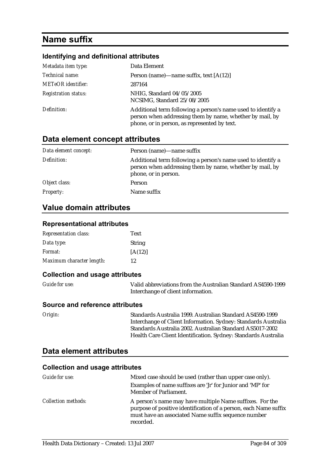# **Name suffix**

### **Identifying and definitional attributes**

| Metadata item type:         | Data Element                                                                                                                                                             |
|-----------------------------|--------------------------------------------------------------------------------------------------------------------------------------------------------------------------|
| Technical name:             | Person (name)—name suffix, text $[A(12)]$                                                                                                                                |
| <b>METeOR</b> identifier:   | 287164                                                                                                                                                                   |
| <b>Registration status:</b> | NHIG, Standard 04/05/2005<br>NCSIMG, Standard 25/08/2005                                                                                                                 |
| Definition:                 | Additional term following a person's name used to identify a<br>person when addressing them by name, whether by mail, by<br>phone, or in person, as represented by text. |

### **Data element concept attributes**

| Data element concept: | Person (name)—name suffix                                                                                                                        |
|-----------------------|--------------------------------------------------------------------------------------------------------------------------------------------------|
| Definition:           | Additional term following a person's name used to identify a<br>person when addressing them by name, whether by mail, by<br>phone, or in person. |
| Object class:         | Person                                                                                                                                           |
| <b>Property:</b>      | Name suffix                                                                                                                                      |

### **Value domain attributes**

#### **Representational attributes**

| <b>Representation class:</b> | Text    |
|------------------------------|---------|
| Data type:                   | String  |
| <i>Format:</i>               | [A(12)] |
| Maximum character length:    | 12      |

#### **Collection and usage attributes**

| <b>Guide for use:</b> | Valid abbreviations from the Australian Standard AS4590-1999 |
|-----------------------|--------------------------------------------------------------|
|                       | Interchange of client information.                           |

#### **Source and reference attributes**

*Origin:* Standards Australia 1999. Australian Standard AS4590-1999 Interchange of Client Information. Sydney: Standards Australia Standards Australia 2002. Australian Standard AS5017-2002 Health Care Client Identification. Sydney: Standards Australia

## **Data element attributes**

| Guide for use:             | Mixed case should be used (rather than upper case only).                                                                                                                                         |
|----------------------------|--------------------------------------------------------------------------------------------------------------------------------------------------------------------------------------------------|
|                            | Examples of name suffixes are 'Jr' for Junior and 'MP' for<br>Member of Parliament.                                                                                                              |
| <i>Collection methods:</i> | A person's name may have multiple Name suffixes. For the<br>purpose of positive identification of a person, each Name suffix<br>must have an associated Name suffix sequence number<br>recorded. |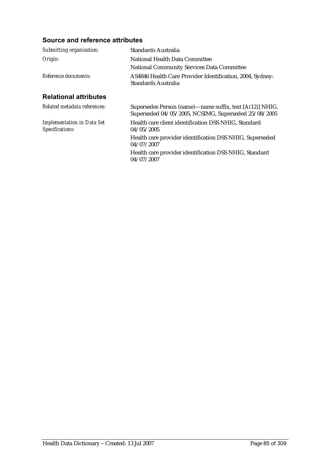## **Source and reference attributes**

| Submitting organisation:                             | Standards Australia                                                                                              |
|------------------------------------------------------|------------------------------------------------------------------------------------------------------------------|
| Origin:                                              | National Health Data Committee                                                                                   |
|                                                      | <b>National Community Services Data Committee</b>                                                                |
| Reference documents:                                 | AS4846 Health Care Provider Identification, 2004, Sydney:<br>Standards Australia                                 |
| <b>Relational attributes</b>                         |                                                                                                                  |
| Related metadata references:                         | Supersedes Person (name)—name suffix, text [A(12)] NHIG,<br>Superseded 04/05/2005, NCSIMG, Superseded 25/08/2005 |
| <b>Implementation in Data Set</b><br>Specifications: | Health care client identification DSS NHIG, Standard<br>04/05/2005                                               |
|                                                      | Health care provider identification DSS NHIG, Superseded<br>04/07/2007                                           |
|                                                      | Health care provider identification DSS NHIG, Standard<br>04/07/2007                                             |
|                                                      |                                                                                                                  |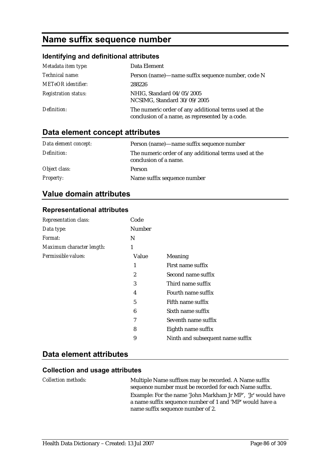## **Name suffix sequence number**

### **Identifying and definitional attributes**

| Metadata item type:         | Data Element                                                                                             |
|-----------------------------|----------------------------------------------------------------------------------------------------------|
| Technical name:             | Person (name)—name suffix sequence number, code N                                                        |
| <b>METeOR</b> identifier:   | 288226                                                                                                   |
| <b>Registration status:</b> | NHIG, Standard 04/05/2005<br>NCSIMG, Standard 30/09/2005                                                 |
| Definition:                 | The numeric order of any additional terms used at the<br>conclusion of a name, as represented by a code. |

## **Data element concept attributes**

| Data element concept: | Person (name)—name suffix sequence number                                      |
|-----------------------|--------------------------------------------------------------------------------|
| Definition:           | The numeric order of any additional terms used at the<br>conclusion of a name. |
| Object class:         | Person                                                                         |
| <b>Property:</b>      | Name suffix sequence number                                                    |

## **Value domain attributes**

#### **Representational attributes**

| <b>Representation class:</b> | Code             |                                  |
|------------------------------|------------------|----------------------------------|
| Data type:                   | Number           |                                  |
| Format:                      | N                |                                  |
| Maximum character length:    | 1                |                                  |
| Permissible values:          | Value            | Meaning                          |
|                              | 1                | First name suffix                |
|                              | $\boldsymbol{2}$ | Second name suffix               |
|                              | 3                | Third name suffix                |
|                              | 4                | Fourth name suffix               |
|                              | 5                | Fifth name suffix                |
|                              | 6                | Sixth name suffix                |
|                              | 7                | Seventh name suffix              |
|                              | 8                | Eighth name suffix               |
|                              | 9                | Ninth and subsequent name suffix |

## **Data element attributes**

#### **Collection and usage attributes**

*Collection methods:* Multiple Name suffixes may be recorded. A Name suffix sequence number must be recorded for each Name suffix. Example: For the name 'John Markham Jr MP', 'Jr' would have a name suffix sequence number of 1 and 'MP' would have a name suffix sequence number of 2.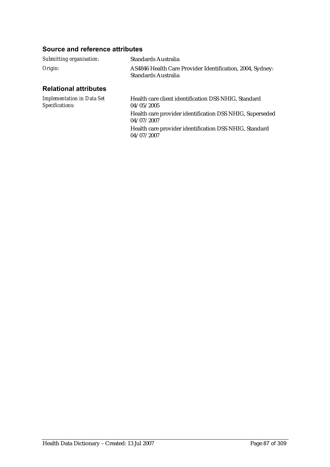## **Source and reference attributes**

| Submitting organisation:                             | Standards Australia                                                              |
|------------------------------------------------------|----------------------------------------------------------------------------------|
| Origin:                                              | AS4846 Health Care Provider Identification, 2004, Sydney:<br>Standards Australia |
| <b>Relational attributes</b>                         |                                                                                  |
| <b>Implementation in Data Set</b><br>Specifications: | Health care client identification DSS NHIG, Standard<br>04/05/2005               |
|                                                      | Health care provider identification DSS NHIG, Superseded<br>04/07/2007           |
|                                                      | TT 1.1                                                                           |

04/07/2007

Health care provider identification DSS NHIG, Standard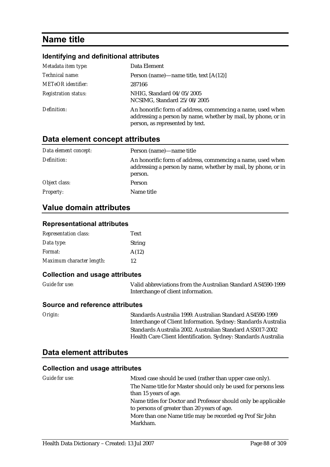## **Name title**

## **Identifying and definitional attributes**

| Metadata item type:         | Data Element                                                                                                                                                   |
|-----------------------------|----------------------------------------------------------------------------------------------------------------------------------------------------------------|
| Technical name:             | Person (name)—name title, text $[A(12)]$                                                                                                                       |
| <b>METeOR</b> identifier:   | 287166                                                                                                                                                         |
| <b>Registration status:</b> | NHIG, Standard 04/05/2005<br>NCSIMG, Standard 25/08/2005                                                                                                       |
| Definition:                 | An honorific form of address, commencing a name, used when<br>addressing a person by name, whether by mail, by phone, or in<br>person, as represented by text. |

### **Data element concept attributes**

| Data element concept: | Person (name)—name title                                                                                                               |
|-----------------------|----------------------------------------------------------------------------------------------------------------------------------------|
| Definition:           | An honorific form of address, commencing a name, used when<br>addressing a person by name, whether by mail, by phone, or in<br>person. |
| Object class:         | Person                                                                                                                                 |
| <b>Property:</b>      | Name title                                                                                                                             |

### **Value domain attributes**

#### **Representational attributes**

| <b>Representation class:</b> | <b>Text</b>   |
|------------------------------|---------------|
| Data type:                   | <b>String</b> |
| <i>Format:</i>               | A(12)         |
| Maximum character length:    | 12            |

#### **Collection and usage attributes**

| <b>Guide for use:</b> | Valid abbreviations from the Australian Standard AS4590-1999 |
|-----------------------|--------------------------------------------------------------|
|                       | Interchange of client information.                           |

#### **Source and reference attributes**

*Origin:* Standards Australia 1999. Australian Standard AS4590-1999 Interchange of Client Information. Sydney: Standards Australia Standards Australia 2002. Australian Standard AS5017-2002 Health Care Client Identification. Sydney: Standards Australia

## **Data element attributes**

| <i>Guide for use:</i> | Mixed case should be used (rather than upper case only).                                                      |
|-----------------------|---------------------------------------------------------------------------------------------------------------|
|                       | The Name title for Master should only be used for persons less                                                |
|                       | than 15 years of age.                                                                                         |
|                       | Name titles for Doctor and Professor should only be applicable<br>to persons of greater than 20 years of age. |
|                       | More than one Name title may be recorded eg Prof Sir John<br>Markham.                                         |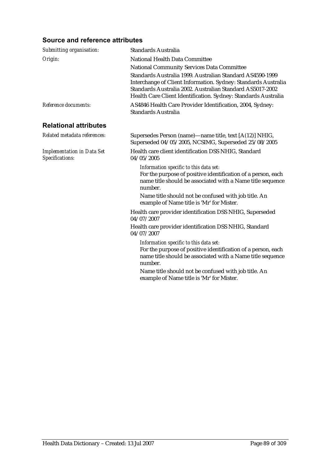### **Source and reference attributes**

| <b>Standards Australia</b>                                                                                                                                                                                                                                 |
|------------------------------------------------------------------------------------------------------------------------------------------------------------------------------------------------------------------------------------------------------------|
| <b>National Health Data Committee</b>                                                                                                                                                                                                                      |
| <b>National Community Services Data Committee</b>                                                                                                                                                                                                          |
| Standards Australia 1999. Australian Standard AS4590-1999<br>Interchange of Client Information. Sydney: Standards Australia<br>Standards Australia 2002. Australian Standard AS5017-2002<br>Health Care Client Identification. Sydney: Standards Australia |
| AS4846 Health Care Provider Identification, 2004, Sydney:<br><b>Standards Australia</b>                                                                                                                                                                    |
|                                                                                                                                                                                                                                                            |
| Supersedes Person (name)—name title, text [A(12)] NHIG,<br>Superseded 04/05/2005, NCSIMG, Superseded 25/08/2005                                                                                                                                            |
| Health care client identification DSS NHIG, Standard<br>04/05/2005                                                                                                                                                                                         |
| Information specific to this data set:<br>For the purpose of positive identification of a person, each<br>name title should be associated with a Name title sequence<br>number.                                                                            |
| Name title should not be confused with job title. An<br>example of Name title is 'Mr' for Mister.                                                                                                                                                          |
| Health care provider identification DSS NHIG, Superseded<br>04/07/2007                                                                                                                                                                                     |
| Health care provider identification DSS NHIG, Standard<br>04/07/2007                                                                                                                                                                                       |
| Information specific to this data set:<br>For the purpose of positive identification of a person, each<br>name title should be associated with a Name title sequence<br>number.                                                                            |
| Name title should not be confused with job title. An<br>example of Name title is 'Mr' for Mister.                                                                                                                                                          |
|                                                                                                                                                                                                                                                            |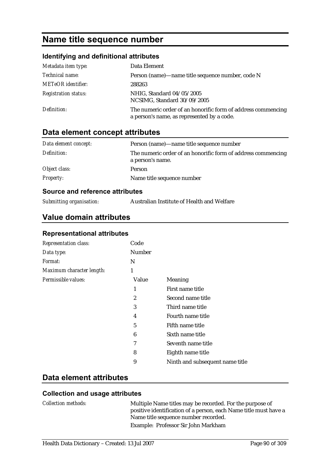# **Name title sequence number**

### **Identifying and definitional attributes**

| Metadata item type:         | Data Element                                                                                               |
|-----------------------------|------------------------------------------------------------------------------------------------------------|
| Technical name:             | Person (name)—name title sequence number, code N                                                           |
| <b>METeOR</b> identifier:   | 288263                                                                                                     |
| <b>Registration status:</b> | NHIG, Standard 04/05/2005<br>NCSIMG, Standard 30/09/2005                                                   |
| Definition:                 | The numeric order of an honorific form of address commencing<br>a person's name, as represented by a code. |

## **Data element concept attributes**

| Data element concept: | Person (name)—name title sequence number                                         |
|-----------------------|----------------------------------------------------------------------------------|
| Definition:           | The numeric order of an honorific form of address commencing<br>a person's name. |
| Object class:         | Person                                                                           |
| <b>Property:</b>      | Name title sequence number                                                       |

#### **Source and reference attributes**

*Submitting organisation:* Australian Institute of Health and Welfare

## **Value domain attributes**

#### **Representational attributes**

| <b>Representation class:</b> | Code           |                                 |
|------------------------------|----------------|---------------------------------|
| Data type:                   | Number         |                                 |
| <i>Format:</i>               | N              |                                 |
| Maximum character length:    | 1              |                                 |
| Permissible values:          | Value          | <b>Meaning</b>                  |
|                              | 1              | First name title                |
|                              | $\overline{2}$ | Second name title               |
|                              | 3              | Third name title                |
|                              | 4              | Fourth name title               |
|                              | 5              | Fifth name title                |
|                              | 6              | Sixth name title                |
|                              | 7              | Seventh name title              |
|                              | 8              | Eighth name title               |
|                              | 9              | Ninth and subsequent name title |

## **Data element attributes**

| <i>Collection methods:</i> | Multiple Name titles may be recorded. For the purpose of<br>positive identification of a person, each Name title must have a<br>Name title sequence number recorded. |
|----------------------------|----------------------------------------------------------------------------------------------------------------------------------------------------------------------|
|                            | Example: Professor Sir John Markham                                                                                                                                  |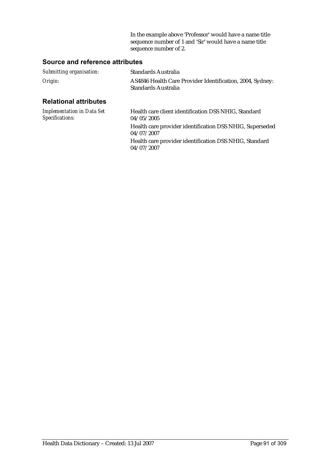In the example above 'Professor' would have a name title sequence number of 1 and 'Sir' would have a name title sequence number of 2.

### **Source and reference attributes**

| Submitting organisation:                             | Standards Australia                                                              |
|------------------------------------------------------|----------------------------------------------------------------------------------|
| Origin:                                              | AS4846 Health Care Provider Identification, 2004, Sydney:<br>Standards Australia |
| <b>Relational attributes</b>                         |                                                                                  |
| <b>Implementation in Data Set</b><br>Specifications: | Health care client identification DSS NHIG, Standard<br>04/05/2005               |
|                                                      | Health care provider identification DSS NHIG, Superseded<br>04/07/2007           |

Health care provider identification DSS NHIG, Standard 04/07/2007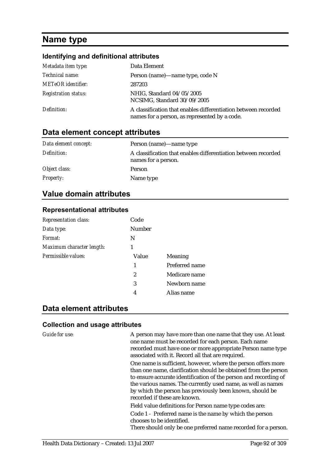# **Name type**

#### **Identifying and definitional attributes**

| Metadata item type:         | Data Element                                                                                                    |
|-----------------------------|-----------------------------------------------------------------------------------------------------------------|
| Technical name:             | Person (name)—name type, code N                                                                                 |
| <b>METeOR</b> identifier:   | 287203                                                                                                          |
| <b>Registration status:</b> | NHIG, Standard 04/05/2005<br>NCSIMG, Standard 30/09/2005                                                        |
| Definition:                 | A classification that enables differentiation between recorded<br>names for a person, as represented by a code. |

## **Data element concept attributes**

| Data element concept: | Person (name)—name type                                                               |
|-----------------------|---------------------------------------------------------------------------------------|
| Definition:           | A classification that enables differentiation between recorded<br>names for a person. |
| Object class:         | Person                                                                                |
| <b>Property:</b>      | Name type                                                                             |

### **Value domain attributes**

#### **Representational attributes**

| <b>Representation class:</b> | Code          |                |
|------------------------------|---------------|----------------|
| Data type:                   | <b>Number</b> |                |
| Format:                      | N             |                |
| Maximum character length:    | 1             |                |
| Permissible values:          | Value         | Meaning        |
|                              | 1             | Preferred name |
|                              | 2             | Medicare name  |
|                              | 3             | Newborn name   |
|                              | 4             | Alias name     |
|                              |               |                |

## **Data element attributes**

#### **Collection and usage attributes**

*Guide for use:* A person may have more than one name that they use. At least one name must be recorded for each person. Each name recorded must have one or more appropriate Person name type associated with it. Record all that are required.

> One name is sufficient, however, where the person offers more than one name, clarification should be obtained from the person to ensure accurate identification of the person and recording of the various names. The currently used name, as well as names by which the person has previously been known, should be recorded if these are known.

Field value definitions for Person name type codes are:

Code 1 - Preferred name is the name by which the person chooses to be identified.

There should only be one preferred name recorded for a person.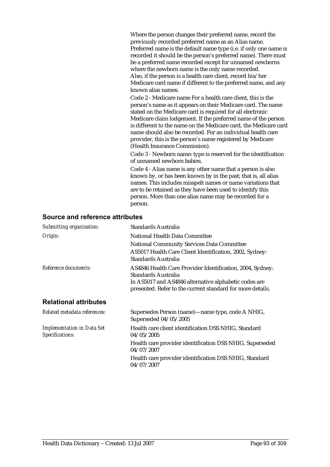Where the person changes their preferred name, record the previously recorded preferred name as an Alias name. Preferred name is the default name type (i.e. if only one name is recorded it should be the person's preferred name). There must be a preferred name recorded except for unnamed newborns where the newborn name is the only name recorded. Also, if the person is a health care client, record his/her Medicare card name if different to the preferred name, and any known alias names.

Code 2 - Medicare name For a health care client, this is the person's name as it appears on their Medicare card. The name stated on the Medicare card is required for all electronic Medicare claim lodgement. If the preferred name of the person is different to the name on the Medicare card, the Medicare card name should also be recorded. For an individual health care provider, this is the person's name registered by Medicare (Health Insurance Commission).

Code 3 - Newborn name: type is reserved for the identification of unnamed newborn babies.

Code 4 - Alias name is any other name that a person is also known by, or has been known by in the past; that is, all alias names. This includes misspelt names or name variations that are to be retained as they have been used to identify this person. More than one alias name may be recorded for a person.

#### **Source and reference attributes**

| Submitting organisation:                             | Standards Australia                                                                                                 |
|------------------------------------------------------|---------------------------------------------------------------------------------------------------------------------|
| Origin:                                              | <b>National Health Data Committee</b>                                                                               |
|                                                      | National Community Services Data Committee                                                                          |
|                                                      | AS5017 Health Care Client Identification, 2002, Sydney:<br>Standards Australia                                      |
| Reference documents:                                 | AS4846 Health Care Provider Identification, 2004, Sydney:<br>Standards Australia                                    |
|                                                      | In AS5017 and AS4846 alternative alphabetic codes are<br>presented. Refer to the current standard for more details. |
| <b>Relational attributes</b>                         |                                                                                                                     |
| Related metadata references:                         | Supersedes Person (name)—name type, code A NHIG,<br>Superseded 04/05/2005                                           |
| <b>Implementation in Data Set</b><br>Specifications: | Health care client identification DSS NHIG, Standard<br>04/05/2005                                                  |
|                                                      | Health care provider identification DSS NHIG, Superseded<br>04/07/2007                                              |
|                                                      | Health care provider identification DSS NHIG, Standard<br>04/07/2007                                                |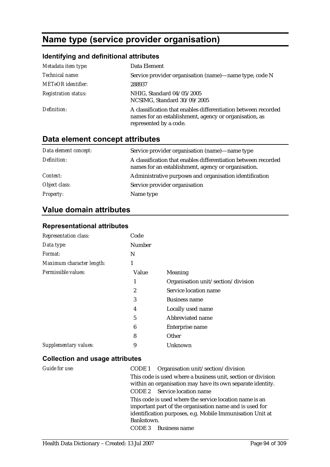# **Name type (service provider organisation)**

## **Identifying and definitional attributes**

| Metadata item type:         | Data Element                                                                                                                                       |
|-----------------------------|----------------------------------------------------------------------------------------------------------------------------------------------------|
| Technical name:             | Service provider organisation (name)—name type, code N                                                                                             |
| METeOR identifier:          | 288937                                                                                                                                             |
| <b>Registration status:</b> | NHIG, Standard 04/05/2005<br>NCSIMG, Standard 30/09/2005                                                                                           |
| Definition:                 | A classification that enables differentiation between recorded<br>names for an establishment, agency or organisation, as<br>represented by a code. |

## **Data element concept attributes**

| Data element concept: | Service provider organisation (name)—name type                                                                        |
|-----------------------|-----------------------------------------------------------------------------------------------------------------------|
| Definition:           | A classification that enables differentiation between recorded<br>names for an establishment, agency or organisation. |
| <i>Context:</i>       | Administrative purposes and organisation identification                                                               |
| Object class:         | Service provider organisation                                                                                         |
| <b>Property:</b>      | Name type                                                                                                             |

## **Value domain attributes**

### **Representational attributes**

| <b>Representation class:</b> | Code          |                                    |
|------------------------------|---------------|------------------------------------|
| Data type:                   | <b>Number</b> |                                    |
| Format:                      | N             |                                    |
| Maximum character length:    | 1             |                                    |
| Permissible values:          | Value         | Meaning                            |
|                              | 1             | Organisation unit/section/division |
|                              | 2             | Service location name              |
|                              | 3             | <b>Business name</b>               |
|                              | 4             | Locally used name                  |
|                              | 5             | Abbreviated name                   |
|                              | 6             | Enterprise name                    |
|                              | 8             | Other                              |
| Supplementary values:        | 9             | Unknown                            |
|                              |               |                                    |

| Guide for use: | CODE 1 Organisation unit/section/division                                                                                  |
|----------------|----------------------------------------------------------------------------------------------------------------------------|
|                | This code is used where a business unit, section or division<br>within an organisation may have its own separate identity. |
|                | CODE 2 Service location name                                                                                               |
|                | This code is used where the service location name is an<br>important part of the organisation name and is used for         |
|                | identification purposes, e.g. Mobile Immunisation Unit at                                                                  |
|                | Bankstown.                                                                                                                 |
|                | CODE 3<br><b>Business name</b>                                                                                             |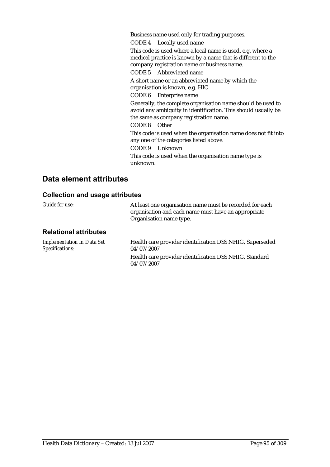Business name used only for trading purposes.

CODE 4 Locally used name

This code is used where a local name is used, e.g. where a medical practice is known by a name that is different to the company registration name or business name.

CODE 5 Abbreviated name

A short name or an abbreviated name by which the organisation is known, e.g. HIC.

CODE 6 Enterprise name

Generally, the complete organisation name should be used to avoid any ambiguity in identification. This should usually be the same as company registration name.

#### CODE 8 Other

This code is used when the organisation name does not fit into any one of the categories listed above.

CODE 9 Unknown

This code is used when the organisation name type is unknown.

## **Data element attributes**

| Guide for use:                                       | At least one organisation name must be recorded for each<br>organisation and each name must have an appropriate<br>Organisation name type. |
|------------------------------------------------------|--------------------------------------------------------------------------------------------------------------------------------------------|
| <b>Relational attributes</b>                         |                                                                                                                                            |
| <b>Implementation in Data Set</b><br>Specifications: | Health care provider identification DSS NHIG, Superseded<br>04/07/2007                                                                     |
|                                                      | Health care provider identification DSS NHIG, Standard<br>04/07/2007                                                                       |
|                                                      |                                                                                                                                            |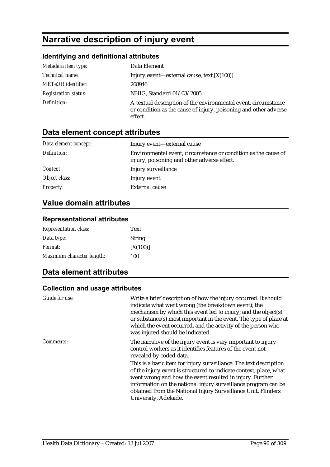# **Narrative description of injury event**

## **Identifying and definitional attributes**

| Metadata item type:         | Data Element                                                                                                                                  |
|-----------------------------|-----------------------------------------------------------------------------------------------------------------------------------------------|
| Technical name:             | Injury event—external cause, text $[X(100)]$                                                                                                  |
| <b>METeOR</b> identifier:   | 268946                                                                                                                                        |
| <b>Registration status:</b> | NHIG, Standard 01/03/2005                                                                                                                     |
| Definition:                 | A textual description of the environmental event, circumstance<br>or condition as the cause of injury, poisoning and other adverse<br>effect. |

## **Data element concept attributes**

| Data element concept: | Injury event—external cause                                                                                   |
|-----------------------|---------------------------------------------------------------------------------------------------------------|
| Definition:           | Environmental event, circumstance or condition as the cause of<br>injury, poisoning and other adverse effect. |
| Context:              | Injury surveillance                                                                                           |
| Object class:         | Injury event                                                                                                  |
| <b>Property:</b>      | <b>External cause</b>                                                                                         |

## **Value domain attributes**

### **Representational attributes**

| <b>Representation class:</b> | Text          |
|------------------------------|---------------|
| Data type:                   | <b>String</b> |
| <i>Format:</i>               | [X(100)]      |
| Maximum character length:    | 100           |

## **Data element attributes**

| Guide for use:   | Write a brief description of how the injury occurred. It should<br>indicate what went wrong (the breakdown event); the<br>mechanism by which this event led to injury; and the object(s)<br>or substance(s) most important in the event. The type of place at<br>which the event occurred, and the activity of the person who<br>was injured should be indicated. |
|------------------|-------------------------------------------------------------------------------------------------------------------------------------------------------------------------------------------------------------------------------------------------------------------------------------------------------------------------------------------------------------------|
| <i>Comments:</i> | The narrative of the injury event is very important to injury<br>control workers as it identifies features of the event not<br>revealed by coded data.                                                                                                                                                                                                            |
|                  | This is a basic item for injury surveillance. The text description<br>of the injury event is structured to indicate context, place, what<br>went wrong and how the event resulted in injury. Further<br>information on the national injury surveillance program can be<br>obtained from the National Injury Surveillance Unit, Flinders<br>University, Adelaide.  |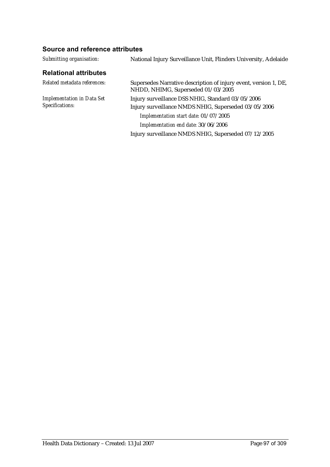### **Source and reference attributes**

| Submitting organisation:                             | National Injury Surveillance Unit, Flinders University, Adelaide                                                                                                                          |  |
|------------------------------------------------------|-------------------------------------------------------------------------------------------------------------------------------------------------------------------------------------------|--|
| <b>Relational attributes</b>                         |                                                                                                                                                                                           |  |
| Related metadata references:                         | Supersedes Narrative description of injury event, version 1, DE,<br>NHDD, NHIMG, Superseded 01/03/2005                                                                                    |  |
| <b>Implementation in Data Set</b><br>Specifications: | Injury surveillance DSS NHIG, Standard 03/05/2006<br>Injury surveillance NMDS NHIG, Superseded 03/05/2006<br>Implementation start date: 01/07/2005<br>Implementation end date: 30/06/2006 |  |
|                                                      | Injury surveillance NMDS NHIG, Superseded 07/12/2005                                                                                                                                      |  |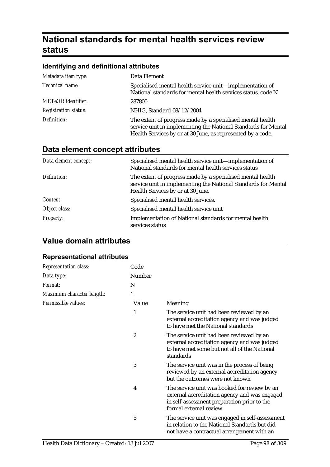# **National standards for mental health services review status**

### **Identifying and definitional attributes**

| Metadata item type:         | Data Element                                                                                                                                                                                |
|-----------------------------|---------------------------------------------------------------------------------------------------------------------------------------------------------------------------------------------|
| Technical name:             | Specialised mental health service unit-implementation of<br>National standards for mental health services status, code N                                                                    |
| <b>METeOR</b> identifier:   | 287800                                                                                                                                                                                      |
| <b>Registration status:</b> | NHIG, Standard 08/12/2004                                                                                                                                                                   |
| Definition:                 | The extent of progress made by a specialised mental health<br>service unit in implementing the National Standards for Mental<br>Health Services by or at 30 June, as represented by a code. |

## **Data element concept attributes**

| Data element concept: | Specialised mental health service unit—implementation of<br>National standards for mental health services status                                                  |
|-----------------------|-------------------------------------------------------------------------------------------------------------------------------------------------------------------|
| Definition:           | The extent of progress made by a specialised mental health<br>service unit in implementing the National Standards for Mental<br>Health Services by or at 30 June. |
| Context:              | Specialised mental health services.                                                                                                                               |
| Object class:         | Specialised mental health service unit                                                                                                                            |
| <b>Property:</b>      | <b>Implementation of National standards for mental health</b><br>services status                                                                                  |

## **Value domain attributes**

#### **Representational attributes**

| <b>Representation class:</b> | Code             |                                                                                                                                                                        |
|------------------------------|------------------|------------------------------------------------------------------------------------------------------------------------------------------------------------------------|
| Data type:                   | Number           |                                                                                                                                                                        |
| Format:                      | N                |                                                                                                                                                                        |
| Maximum character length:    | 1                |                                                                                                                                                                        |
| Permissible values:          | Value            | Meaning                                                                                                                                                                |
|                              | 1                | The service unit had been reviewed by an<br>external accreditation agency and was judged<br>to have met the National standards                                         |
|                              | $\boldsymbol{2}$ | The service unit had been reviewed by an<br>external accreditation agency and was judged<br>to have met some but not all of the National<br>standards                  |
|                              | 3                | The service unit was in the process of being<br>reviewed by an external accreditation agency<br>but the outcomes were not known                                        |
|                              | 4                | The service unit was booked for review by an<br>external accreditation agency and was engaged<br>in self-assessment preparation prior to the<br>formal external review |
|                              | 5                | The service unit was engaged in self-assessment<br>in relation to the National Standards but did<br>not have a contractual arrangement with an                         |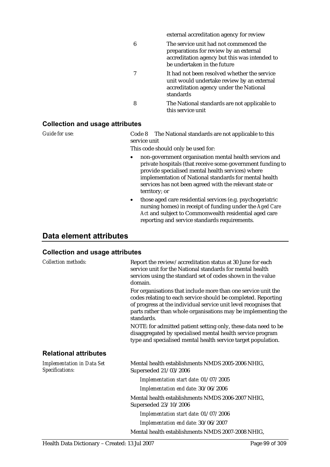|   | external accreditation agency for review                                                                                                                         |
|---|------------------------------------------------------------------------------------------------------------------------------------------------------------------|
| 6 | The service unit had not commenced the<br>preparations for review by an external<br>accreditation agency but this was intended to<br>be undertaken in the future |
| 7 | It had not been resolved whether the service<br>unit would undertake review by an external<br>accreditation agency under the National<br>standards               |
| 8 | The National standards are not applicable to<br>this service unit                                                                                                |

#### **Collection and usage attributes**

*Guide for use:* Code 8 The National standards are not applicable to this service unit

This code should only be used for:

- non-government organisation mental health services and private hospitals (that receive some government funding to provide specialised mental health services) where implementation of National standards for mental health services has not been agreed with the relevant state or territory; or
- those aged care residential services (e.g. psychogeriatric nursing homes) in receipt of funding under the *Aged Care Act* and subject to Commonwealth residential aged care reporting and service standards requirements.

## **Data element attributes**

| <b>Collection methods:</b>                           | Report the review/accreditation status at 30 June for each<br>service unit for the National standards for mental health<br>services using the standard set of codes shown in the value<br>domain.                                                                                 |
|------------------------------------------------------|-----------------------------------------------------------------------------------------------------------------------------------------------------------------------------------------------------------------------------------------------------------------------------------|
|                                                      | For organisations that include more than one service unit the<br>codes relating to each service should be completed. Reporting<br>of progress at the individual service unit level recognises that<br>parts rather than whole organisations may be implementing the<br>standards. |
|                                                      | NOTE: for admitted patient setting only, these data need to be<br>disaggregated by specialised mental health service program<br>type and specialised mental health service target population.                                                                                     |
| <b>Relational attributes</b>                         |                                                                                                                                                                                                                                                                                   |
| <b>Implementation in Data Set</b><br>Specifications: | Mental health establishments NMDS 2005-2006 NHIG,<br>Superseded 21/03/2006                                                                                                                                                                                                        |
|                                                      | Implementation start date: 01/07/2005                                                                                                                                                                                                                                             |
|                                                      | Implementation end date: 30/06/2006                                                                                                                                                                                                                                               |
|                                                      | Mental health establishments NMDS 2006-2007 NHIG,<br>Superseded 23/10/2006                                                                                                                                                                                                        |
|                                                      | Implementation start date: 01/07/2006                                                                                                                                                                                                                                             |
|                                                      | Implementation end date: 30/06/2007                                                                                                                                                                                                                                               |
|                                                      | Mental health establishments NMDS 2007-2008 NHIG,                                                                                                                                                                                                                                 |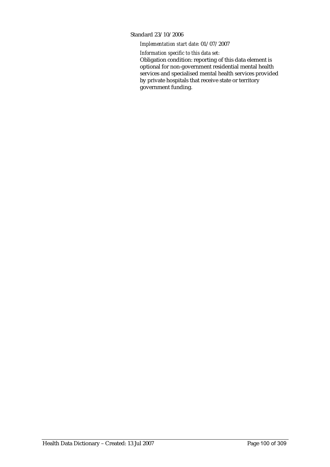#### Standard 23/10/2006

#### *Implementation start date:* 01/07/2007

*Information specific to this data set:*

Obligation condition: reporting of this data element is optional for non-government residential mental health services and specialised mental health services provided by private hospitals that receive state or territory government funding.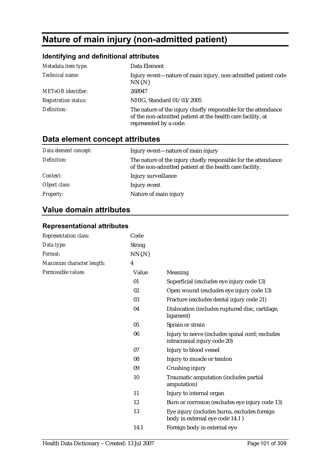# **Nature of main injury (non-admitted patient)**

## **Identifying and definitional attributes**

| Metadata item type:         | Data Element                                                                                                                                             |
|-----------------------------|----------------------------------------------------------------------------------------------------------------------------------------------------------|
| Technical name:             | Injury event—nature of main injury, non-admitted patient code<br>$NN\{N\}$                                                                               |
| <b>METeOR</b> identifier:   | 268947                                                                                                                                                   |
| <b>Registration status:</b> | NHIG, Standard 01/03/2005                                                                                                                                |
| Definition:                 | The nature of the injury chiefly responsible for the attendance<br>of the non-admitted patient at the health care facility, at<br>represented by a code. |

## **Data element concept attributes**

| Data element concept: | Injury event—nature of main injury                                                                                          |
|-----------------------|-----------------------------------------------------------------------------------------------------------------------------|
| Definition:           | The nature of the injury chiefly responsible for the attendance<br>of the non-admitted patient at the health care facility. |
| Context:              | Injury surveillance                                                                                                         |
| Object class:         | Injury event                                                                                                                |
| <b>Property:</b>      | Nature of main injury                                                                                                       |

## **Value domain attributes**

### **Representational attributes**

| Representation class:     | Code           |                                                                                 |
|---------------------------|----------------|---------------------------------------------------------------------------------|
| Data type:                | <b>String</b>  |                                                                                 |
| Format:                   | $NN\{N\}$      |                                                                                 |
| Maximum character length: | $\overline{4}$ |                                                                                 |
| Permissible values:       | Value          | Meaning                                                                         |
|                           | 01             | Superficial (excludes eye injury code 13)                                       |
|                           | 02             | Open wound (excludes eye injury code 13)                                        |
|                           | 03             | Fracture (excludes dental injury code 21)                                       |
|                           | 04             | Dislocation (includes ruptured disc, cartilage,<br>ligament)                    |
|                           | 05             | Sprain or strain                                                                |
|                           | 06             | Injury to nerve (includes spinal cord; excludes<br>intracranial injury code 20) |
|                           | 07             | Injury to blood vessel                                                          |
|                           | 08             | Injury to muscle or tendon                                                      |
|                           | 09             | Crushing injury                                                                 |
|                           | 10             | Traumatic amputation (includes partial<br>amputation)                           |
|                           | 11             | Injury to internal organ                                                        |
|                           | 12             | Burn or corrosion (excludes eye injury code 13)                                 |
|                           | 13             | Eye injury (includes burns, excludes foreign<br>body in external eye code 14.1) |
|                           | 14.1           | Foreign body in external eye                                                    |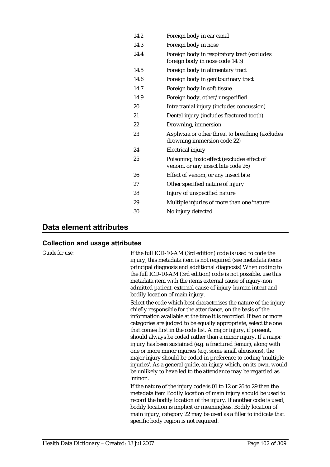| 14.2 | Foreign body in ear canal                                                         |
|------|-----------------------------------------------------------------------------------|
| 14.3 | Foreign body in nose                                                              |
| 14.4 | Foreign body in respiratory tract (excludes<br>foreign body in nose code 14.3)    |
| 14.5 | Foreign body in alimentary tract                                                  |
| 14.6 | Foreign body in genitourinary tract                                               |
| 14.7 | Foreign body in soft tissue                                                       |
| 14.9 | Foreign body, other/unspecified                                                   |
| 20   | Intracranial injury (includes concussion)                                         |
| 21   | Dental injury (includes fractured tooth)                                          |
| 22   | Drowning, immersion                                                               |
| 23   | Asphyxia or other threat to breathing (excludes<br>drowning immersion code 22)    |
| 24   | Electrical injury                                                                 |
| 25   | Poisoning, toxic effect (excludes effect of<br>venom, or any insect bite code 26) |
| 26   | Effect of venom, or any insect bite                                               |
| 27   | Other specified nature of injury                                                  |
| 28   | Injury of unspecified nature                                                      |
| 29   | Multiple injuries of more than one 'nature'                                       |
| 30   | No injury detected                                                                |
|      |                                                                                   |

### **Data element attributes**

#### **Collection and usage attributes**

*Guide for use:* If the full ICD-10-AM (3rd edition) code is used to code the injury, this metadata item is not required (see metadata items principal diagnosis and additional diagnosis) When coding to the full ICD-10-AM (3rd edition) code is not possible, use this metadata item with the items external cause of injury-non admitted patient, external cause of injury-human intent and bodily location of main injury.

> Select the code which best characterises the nature of the injury chiefly responsible for the attendance, on the basis of the information available at the time it is recorded. If two or more categories are judged to be equally appropriate, select the one that comes first in the code list. A major injury, if present, should always be coded rather than a minor injury. If a major injury has been sustained (e.g. a fractured femur), along with one or more minor injuries (e.g. some small abrasions), the major injury should be coded in preference to coding 'multiple injuries'. As a general guide, an injury which, on its own, would be unlikely to have led to the attendance may be regarded as 'minor'.

If the nature of the injury code is 01 to 12 or 26 to 29 then the metadata item Bodily location of main injury should be used to record the bodily location of the injury. If another code is used, bodily location is implicit or meaningless. Bodily location of main injury, category 22 may be used as a filler to indicate that specific body region is not required.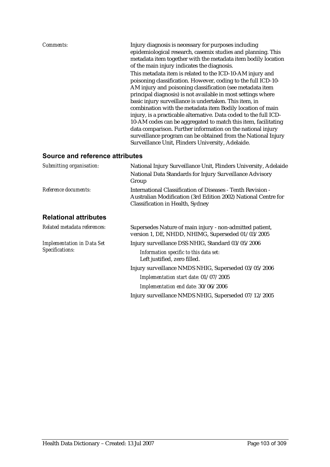| AM injury and poisoning classification (see metadata item<br>principal diagnosis) is not available in most settings where<br>basic injury surveillance is undertaken. This item, in<br>combination with the metadata item Bodily location of main<br>data comparison. Further information on the national injury<br>Surveillance Unit, Flinders University, Adelaide. | Comments: | Injury diagnosis is necessary for purposes including<br>epidemiological research, casemix studies and planning. This<br>metadata item together with the metadata item bodily location<br>of the main injury indicates the diagnosis.<br>This metadata item is related to the ICD-10-AM injury and<br>poisoning classification. However, coding to the full ICD-10-<br>injury, is a practicable alternative. Data coded to the full ICD-<br>10-AM codes can be aggregated to match this item, facilitating<br>surveillance program can be obtained from the National Injury |
|-----------------------------------------------------------------------------------------------------------------------------------------------------------------------------------------------------------------------------------------------------------------------------------------------------------------------------------------------------------------------|-----------|----------------------------------------------------------------------------------------------------------------------------------------------------------------------------------------------------------------------------------------------------------------------------------------------------------------------------------------------------------------------------------------------------------------------------------------------------------------------------------------------------------------------------------------------------------------------------|
| Source and reference attributes<br>Submitting organication:                                                                                                                                                                                                                                                                                                           |           | National Injury Survoillance Unit, Flinders University, Adelaide                                                                                                                                                                                                                                                                                                                                                                                                                                                                                                           |

| Submitting organisation:                             | National Injury Surveillance Unit, Flinders University, Adelaide                                                                                                  |
|------------------------------------------------------|-------------------------------------------------------------------------------------------------------------------------------------------------------------------|
|                                                      | National Data Standards for Injury Surveillance Advisory<br>Group                                                                                                 |
| Reference documents:                                 | International Classification of Diseases - Tenth Revision -<br>Australian Modification (3rd Edition 2002) National Centre for<br>Classification in Health, Sydney |
| <b>Relational attributes</b>                         |                                                                                                                                                                   |
| Related metadata references:                         | Supersedes Nature of main injury - non-admitted patient,<br>version 1, DE, NHDD, NHIMG, Superseded 01/03/2005                                                     |
| <b>Implementation in Data Set</b><br>Specifications: | Injury surveillance DSS NHIG, Standard 03/05/2006                                                                                                                 |
|                                                      | Information specific to this data set:<br>Left justified, zero filled.                                                                                            |
|                                                      | Injury surveillance NMDS NHIG, Superseded 03/05/2006                                                                                                              |
|                                                      | Implementation start date: 01/07/2005                                                                                                                             |
|                                                      | Implementation end date: 30/06/2006                                                                                                                               |

Injury surveillance NMDS NHIG, Superseded 07/12/2005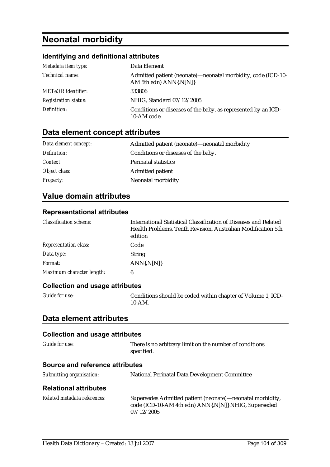# **Neonatal morbidity**

## **Identifying and definitional attributes**

| Metadata item type:         | Data Element                                                                           |
|-----------------------------|----------------------------------------------------------------------------------------|
| Technical name:             | Admitted patient (neonate)—neonatal morbidity, code (ICD-10-<br>AM 5th edn) ANN{.N[N]} |
| <b>METeOR</b> identifier:   | 333806                                                                                 |
| <b>Registration status:</b> | NHIG, Standard 07/12/2005                                                              |
| Definition:                 | Conditions or diseases of the baby, as represented by an ICD-<br>10-AM code.           |

## **Data element concept attributes**

| Data element concept: | Admitted patient (neonate)—neonatal morbidity |
|-----------------------|-----------------------------------------------|
| Definition:           | Conditions or diseases of the baby.           |
| <i>Context:</i>       | <b>Perinatal statistics</b>                   |
| Object class:         | <b>Admitted patient</b>                       |
| <b>Property:</b>      | Neonatal morbidity                            |

## **Value domain attributes**

### **Representational attributes**

| <b>Classification scheme:</b> | International Statistical Classification of Diseases and Related<br>Health Problems, Tenth Revision, Australian Modification 5th<br>edition |
|-------------------------------|---------------------------------------------------------------------------------------------------------------------------------------------|
| <b>Representation class:</b>  | Code                                                                                                                                        |
| Data type:                    | <b>String</b>                                                                                                                               |
| Format:                       | $ANN\{N[N]\}$                                                                                                                               |
| Maximum character length:     | 6                                                                                                                                           |

## **Collection and usage attributes**

| Guide for use: | Conditions should be coded within chapter of Volume 1, ICD- |
|----------------|-------------------------------------------------------------|
|                | $10$ -AM.                                                   |

### **Data element attributes**

| Guide for use:                         | There is no arbitrary limit on the number of conditions<br>specified.                                                           |
|----------------------------------------|---------------------------------------------------------------------------------------------------------------------------------|
| <b>Source and reference attributes</b> |                                                                                                                                 |
| Submitting organisation:               | <b>National Perinatal Data Development Committee</b>                                                                            |
| <b>Relational attributes</b>           |                                                                                                                                 |
| Related metadata references:           | Supersedes Admitted patient (neonate)—neonatal morbidity,<br>code (ICD-10-AM 4th edn) ANN{.N N } NHIG, Superseded<br>07/12/2005 |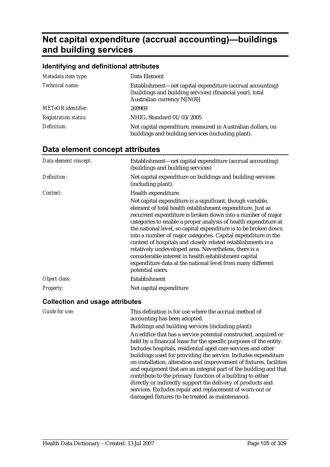# **Net capital expenditure (accrual accounting)—buildings and building services**

| Identifying and definitional attributes |                                                                                                                                                        |
|-----------------------------------------|--------------------------------------------------------------------------------------------------------------------------------------------------------|
| Metadata item type:                     | Data Element                                                                                                                                           |
| Technical name:                         | Establishment—net capital expenditure (accrual accounting)<br>(buildings and building services) (financial year), total<br>Australian currency N[N(8)] |
| <b>METeOR</b> identifier:               | 269969                                                                                                                                                 |
| <b>Registration status:</b>             | NHIG, Standard 01/03/2005                                                                                                                              |
| Definition:                             | Net capital expenditure, measured in Australian dollars, on<br>buildings and building services (including plant).                                      |

## **Data element concept attributes**

| Data element concept: | Establishment—net capital expenditure (accrual accounting)<br>(buildings and building services)                                                                                                                                                                                                                                                                                                                                                                                                                                                                                                                                                                    |
|-----------------------|--------------------------------------------------------------------------------------------------------------------------------------------------------------------------------------------------------------------------------------------------------------------------------------------------------------------------------------------------------------------------------------------------------------------------------------------------------------------------------------------------------------------------------------------------------------------------------------------------------------------------------------------------------------------|
| Definition:           | Net capital expenditure on buildings and building services<br>(including plant).                                                                                                                                                                                                                                                                                                                                                                                                                                                                                                                                                                                   |
| Context:              | Health expenditure:                                                                                                                                                                                                                                                                                                                                                                                                                                                                                                                                                                                                                                                |
|                       | Net capital expenditure is a significant, though variable,<br>element of total health establishment expenditure. Just as<br>recurrent expenditure is broken down into a number of major<br>categories to enable a proper analysis of health expenditure at<br>the national level, so capital expenditure is to be broken down<br>into a number of major categories. Capital expenditure in the<br>context of hospitals and closely related establishments is a<br>relatively undeveloped area. Nevertheless, there is a<br>considerable interest in health establishment capital<br>expenditure data at the national level from many different<br>potential users. |
| Object class:         | Establishment                                                                                                                                                                                                                                                                                                                                                                                                                                                                                                                                                                                                                                                      |
| <i>Property:</i>      | Net capital expenditure                                                                                                                                                                                                                                                                                                                                                                                                                                                                                                                                                                                                                                            |

| <b>Guide for use:</b> | This definition is for use where the accrual method of<br>accounting has been adopted. |
|-----------------------|----------------------------------------------------------------------------------------|
|                       | Buildings and building services (including plant):                                     |
|                       | An edifice that has a service potential constructed, acquired or                       |
|                       | held by a financial lease for the specific purposes of the entity.                     |
|                       | Includes hospitals, residential aged care services and other                           |
|                       | buildings used for providing the service. Includes expenditure                         |
|                       | on installation, alteration and improvement of fixtures, facilities                    |
|                       | and equipment that are an integral part of the building and that                       |
|                       | contribute to the primary function of a building to either                             |
|                       | directly or indirectly support the delivery of products and                            |
|                       | services. Excludes repair and replacement of worn-out or                               |
|                       | damaged fixtures (to be treated as maintenance).                                       |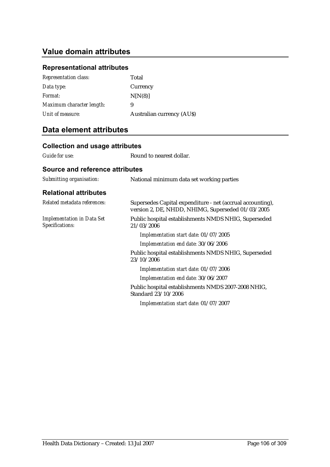## **Value domain attributes**

## **Representational attributes**

| <b>Representation class:</b> | Total                            |
|------------------------------|----------------------------------|
| Data type:                   | Currency                         |
| <i>Format:</i>               | N[N(8)]                          |
| Maximum character length:    | 9                                |
| Unit of measure:             | <b>Australian currency (AUS)</b> |

## **Data element attributes**

| <b>Collection and usage attributes</b>               |                                                                                                                 |
|------------------------------------------------------|-----------------------------------------------------------------------------------------------------------------|
| Guide for use:                                       | Round to nearest dollar.                                                                                        |
| <b>Source and reference attributes</b>               |                                                                                                                 |
| Submitting organisation:                             | National minimum data set working parties                                                                       |
| <b>Relational attributes</b>                         |                                                                                                                 |
| Related metadata references:                         | Supersedes Capital expenditure - net (accrual accounting),<br>version 2, DE, NHDD, NHIMG, Superseded 01/03/2005 |
| <b>Implementation in Data Set</b><br>Specifications: | Public hospital establishments NMDS NHIG, Superseded<br>21/03/2006                                              |
|                                                      | Implementation start date: 01/07/2005                                                                           |
|                                                      | Implementation end date: 30/06/2006                                                                             |
|                                                      | Public hospital establishments NMDS NHIG, Superseded<br>23/10/2006                                              |
|                                                      | Implementation start date: 01/07/2006                                                                           |
|                                                      | Implementation end date: 30/06/2007                                                                             |
|                                                      | Public hospital establishments NMDS 2007-2008 NHIG,<br>Standard 23/10/2006                                      |
|                                                      | Implementation start date: 01/07/2007                                                                           |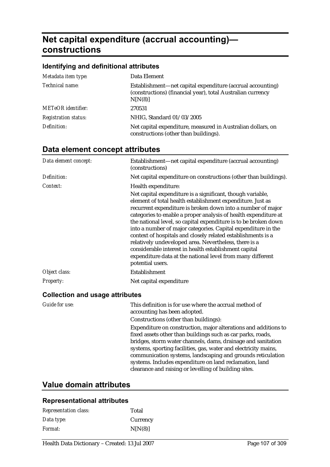# **Net capital expenditure (accrual accounting) constructions**

#### **Identifying and definitional attributes**

| Metadata item type:         | Data Element                                                                                                                         |
|-----------------------------|--------------------------------------------------------------------------------------------------------------------------------------|
| Technical name:             | Establishment—net capital expenditure (accrual accounting)<br>(constructions) (financial year), total Australian currency<br>N[N(8)] |
| <b>METeOR</b> identifier:   | 270531                                                                                                                               |
| <b>Registration status:</b> | NHIG, Standard 01/03/2005                                                                                                            |
| Definition:                 | Net capital expenditure, measured in Australian dollars, on<br>constructions (other than buildings).                                 |

## **Data element concept attributes**

| Data element concept: | Establishment—net capital expenditure (accrual accounting)<br>(constructions)                                                                                                                                                                                                                                                                                                                                                                                                                                                                                                                                                                                      |
|-----------------------|--------------------------------------------------------------------------------------------------------------------------------------------------------------------------------------------------------------------------------------------------------------------------------------------------------------------------------------------------------------------------------------------------------------------------------------------------------------------------------------------------------------------------------------------------------------------------------------------------------------------------------------------------------------------|
| Definition:           | Net capital expenditure on constructions (other than buildings).                                                                                                                                                                                                                                                                                                                                                                                                                                                                                                                                                                                                   |
| Context:              | Health expenditure:                                                                                                                                                                                                                                                                                                                                                                                                                                                                                                                                                                                                                                                |
|                       | Net capital expenditure is a significant, though variable,<br>element of total health establishment expenditure. Just as<br>recurrent expenditure is broken down into a number of major<br>categories to enable a proper analysis of health expenditure at<br>the national level, so capital expenditure is to be broken down<br>into a number of major categories. Capital expenditure in the<br>context of hospitals and closely related establishments is a<br>relatively undeveloped area. Nevertheless, there is a<br>considerable interest in health establishment capital<br>expenditure data at the national level from many different<br>potential users. |
| Object class:         | Establishment                                                                                                                                                                                                                                                                                                                                                                                                                                                                                                                                                                                                                                                      |
| <b>Property:</b>      | Net capital expenditure                                                                                                                                                                                                                                                                                                                                                                                                                                                                                                                                                                                                                                            |

#### **Collection and usage attributes**

| Guide for use: | This definition is for use where the accrual method of<br>accounting has been adopted.                                                                                                                                                                                                                                                                                                                                                               |
|----------------|------------------------------------------------------------------------------------------------------------------------------------------------------------------------------------------------------------------------------------------------------------------------------------------------------------------------------------------------------------------------------------------------------------------------------------------------------|
|                | Constructions (other than buildings):                                                                                                                                                                                                                                                                                                                                                                                                                |
|                | Expenditure on construction, major alterations and additions to<br>fixed assets other than buildings such as car parks, roads,<br>bridges, storm water channels, dams, drainage and sanitation<br>systems, sporting facilities, gas, water and electricity mains,<br>communication systems, landscaping and grounds reticulation<br>systems. Includes expenditure on land reclamation, land<br>clearance and raising or levelling of building sites. |

## **Value domain attributes**

#### **Representational attributes**

| <b>Representation class:</b> | Total    |
|------------------------------|----------|
| Data type:                   | Currency |
| <i>Format:</i>               | N[N(8)]  |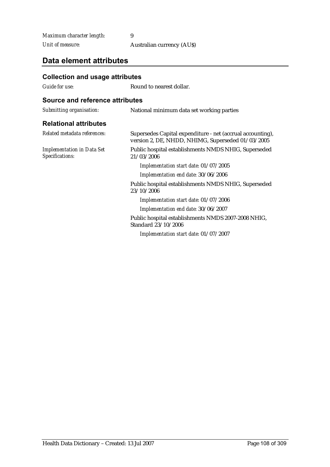| Maximum character length: |                                  |
|---------------------------|----------------------------------|
| Unit of measure:          | <b>Australian currency (AUS)</b> |

## **Data element attributes**

| <b>Collection and usage attributes</b>                                                                          |
|-----------------------------------------------------------------------------------------------------------------|
| Round to nearest dollar.                                                                                        |
| Source and reference attributes                                                                                 |
| National minimum data set working parties                                                                       |
|                                                                                                                 |
| Supersedes Capital expenditure - net (accrual accounting),<br>version 2, DE, NHDD, NHIMG, Superseded 01/03/2005 |
| Public hospital establishments NMDS NHIG, Superseded<br>21/03/2006                                              |
| Implementation start date: 01/07/2005                                                                           |
| Implementation end date: 30/06/2006                                                                             |
| Public hospital establishments NMDS NHIG, Superseded<br>23/10/2006                                              |
| Implementation start date: 01/07/2006                                                                           |
| Implementation end date: 30/06/2007                                                                             |
| Public hospital establishments NMDS 2007-2008 NHIG,<br>Standard 23/10/2006                                      |
| Implementation start date: 01/07/2007                                                                           |
|                                                                                                                 |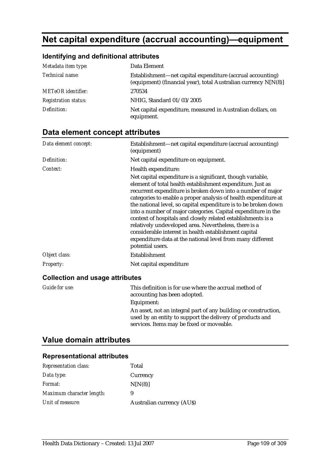# **Net capital expenditure (accrual accounting)—equipment**

### **Identifying and definitional attributes**

| Metadata item type:         | Data Element                                                                                                                    |
|-----------------------------|---------------------------------------------------------------------------------------------------------------------------------|
| Technical name:             | Establishment—net capital expenditure (accrual accounting)<br>(equipment) (financial year), total Australian currency $N[N(8)]$ |
| <b>METeOR</b> identifier:   | 270534                                                                                                                          |
| <b>Registration status:</b> | NHIG, Standard 01/03/2005                                                                                                       |
| Definition:                 | Net capital expenditure, measured in Australian dollars, on<br>equipment.                                                       |

## **Data element concept attributes**

| Data element concept:                  | Establishment—net capital expenditure (accrual accounting)<br>(equipment)                                                                                                                                                                                                                                                                                                                                                                                                                                                                                                                                                                                          |
|----------------------------------------|--------------------------------------------------------------------------------------------------------------------------------------------------------------------------------------------------------------------------------------------------------------------------------------------------------------------------------------------------------------------------------------------------------------------------------------------------------------------------------------------------------------------------------------------------------------------------------------------------------------------------------------------------------------------|
| Definition:                            | Net capital expenditure on equipment.                                                                                                                                                                                                                                                                                                                                                                                                                                                                                                                                                                                                                              |
| Context:                               | Health expenditure:                                                                                                                                                                                                                                                                                                                                                                                                                                                                                                                                                                                                                                                |
|                                        | Net capital expenditure is a significant, though variable,<br>element of total health establishment expenditure. Just as<br>recurrent expenditure is broken down into a number of major<br>categories to enable a proper analysis of health expenditure at<br>the national level, so capital expenditure is to be broken down<br>into a number of major categories. Capital expenditure in the<br>context of hospitals and closely related establishments is a<br>relatively undeveloped area. Nevertheless, there is a<br>considerable interest in health establishment capital<br>expenditure data at the national level from many different<br>potential users. |
| Object class:                          | Establishment                                                                                                                                                                                                                                                                                                                                                                                                                                                                                                                                                                                                                                                      |
| <b>Property:</b>                       | Net capital expenditure                                                                                                                                                                                                                                                                                                                                                                                                                                                                                                                                                                                                                                            |
| <b>Collection and usage attributes</b> |                                                                                                                                                                                                                                                                                                                                                                                                                                                                                                                                                                                                                                                                    |
| Guide for use:                         | This definition is for use where the accrual method of                                                                                                                                                                                                                                                                                                                                                                                                                                                                                                                                                                                                             |

accounting has been adopted.

Equipment:

#### An asset, not an integral part of any building or construction, used by an entity to support the delivery of products and services. Items may be fixed or moveable.

## **Value domain attributes**

| <b>Representation class:</b> | Total                            |
|------------------------------|----------------------------------|
| Data type:                   | Currency                         |
| Format:                      | N[N(8)]                          |
| Maximum character length:    | 9                                |
| Unit of measure:             | <b>Australian currency (AUS)</b> |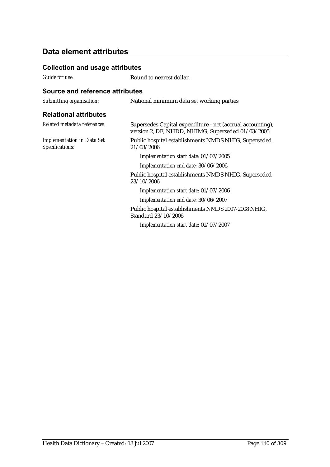### **Collection and usage attributes**

*Guide for use:* Round to nearest dollar.

| Submitting organisation:                             | National minimum data set working parties                                                                       |
|------------------------------------------------------|-----------------------------------------------------------------------------------------------------------------|
| <b>Relational attributes</b>                         |                                                                                                                 |
| Related metadata references:                         | Supersedes Capital expenditure - net (accrual accounting),<br>version 2, DE, NHDD, NHIMG, Superseded 01/03/2005 |
| <b>Implementation in Data Set</b><br>Specifications: | Public hospital establishments NMDS NHIG, Superseded<br>21/03/2006                                              |
|                                                      | Implementation start date: 01/07/2005                                                                           |
|                                                      | Implementation end date: 30/06/2006                                                                             |
|                                                      | Public hospital establishments NMDS NHIG, Superseded<br>23/10/2006                                              |
|                                                      | Implementation start date: 01/07/2006                                                                           |
|                                                      | Implementation end date: 30/06/2007                                                                             |
|                                                      | Public hospital establishments NMDS 2007-2008 NHIG,<br>Standard 23/10/2006                                      |
|                                                      | Implementation start date: 01/07/2007                                                                           |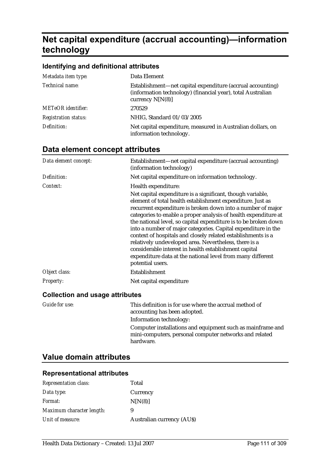# **Net capital expenditure (accrual accounting)—information technology**

### **Identifying and definitional attributes**

| Metadata item type:         | Data Element                                                                                                                                    |
|-----------------------------|-------------------------------------------------------------------------------------------------------------------------------------------------|
| Technical name:             | Establishment—net capital expenditure (accrual accounting)<br>(information technology) (financial year), total Australian<br>currency $N[N(8)]$ |
| <b>METeOR</b> identifier:   | 270529                                                                                                                                          |
| <b>Registration status:</b> | NHIG, Standard 01/03/2005                                                                                                                       |
| Definition:                 | Net capital expenditure, measured in Australian dollars, on<br>information technology.                                                          |

# **Data element concept attributes**

| Data element concept:                  | Establishment—net capital expenditure (accrual accounting)<br>(information technology)                                                                                                                                                                                                                                                                                                                                                                                                                                                                                                                                                                             |
|----------------------------------------|--------------------------------------------------------------------------------------------------------------------------------------------------------------------------------------------------------------------------------------------------------------------------------------------------------------------------------------------------------------------------------------------------------------------------------------------------------------------------------------------------------------------------------------------------------------------------------------------------------------------------------------------------------------------|
| Definition:                            | Net capital expenditure on information technology.                                                                                                                                                                                                                                                                                                                                                                                                                                                                                                                                                                                                                 |
| Context:                               | Health expenditure:                                                                                                                                                                                                                                                                                                                                                                                                                                                                                                                                                                                                                                                |
|                                        | Net capital expenditure is a significant, though variable,<br>element of total health establishment expenditure. Just as<br>recurrent expenditure is broken down into a number of major<br>categories to enable a proper analysis of health expenditure at<br>the national level, so capital expenditure is to be broken down<br>into a number of major categories. Capital expenditure in the<br>context of hospitals and closely related establishments is a<br>relatively undeveloped area. Nevertheless, there is a<br>considerable interest in health establishment capital<br>expenditure data at the national level from many different<br>potential users. |
| Object class:                          | Establishment                                                                                                                                                                                                                                                                                                                                                                                                                                                                                                                                                                                                                                                      |
| <b>Property:</b>                       | Net capital expenditure                                                                                                                                                                                                                                                                                                                                                                                                                                                                                                                                                                                                                                            |
| <b>Collection and usage attributes</b> |                                                                                                                                                                                                                                                                                                                                                                                                                                                                                                                                                                                                                                                                    |

| Guide for use: | This definition is for use where the accrual method of<br>accounting has been adopted.                                            |
|----------------|-----------------------------------------------------------------------------------------------------------------------------------|
|                | Information technology:                                                                                                           |
|                | Computer installations and equipment such as mainframe and<br>mini-computers, personal computer networks and related<br>hardware. |

## **Value domain attributes**

| Data type:<br>Currency<br>N[N(8)]<br><i>Format:</i><br>Maximum character length:<br>9<br>Unit of measure:<br><b>Australian currency (AUS)</b> | <b>Representation class:</b> | Total |
|-----------------------------------------------------------------------------------------------------------------------------------------------|------------------------------|-------|
|                                                                                                                                               |                              |       |
|                                                                                                                                               |                              |       |
|                                                                                                                                               |                              |       |
|                                                                                                                                               |                              |       |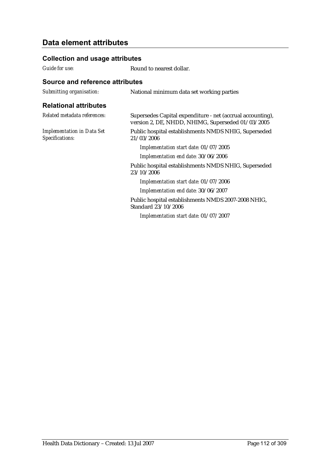### **Collection and usage attributes**

*Guide for use:* Round to nearest dollar.

| Submitting organisation:                             | National minimum data set working parties                                                                       |
|------------------------------------------------------|-----------------------------------------------------------------------------------------------------------------|
| <b>Relational attributes</b>                         |                                                                                                                 |
| Related metadata references:                         | Supersedes Capital expenditure - net (accrual accounting),<br>version 2, DE, NHDD, NHIMG, Superseded 01/03/2005 |
| <b>Implementation in Data Set</b><br>Specifications: | Public hospital establishments NMDS NHIG, Superseded<br>21/03/2006                                              |
|                                                      | Implementation start date: 01/07/2005                                                                           |
|                                                      | Implementation end date: 30/06/2006                                                                             |
|                                                      | Public hospital establishments NMDS NHIG, Superseded<br>23/10/2006                                              |
|                                                      | Implementation start date: 01/07/2006                                                                           |
|                                                      | Implementation end date: 30/06/2007                                                                             |
|                                                      | Public hospital establishments NMDS 2007-2008 NHIG,<br>Standard 23/10/2006                                      |
|                                                      | Implementation start date: 01/07/2007                                                                           |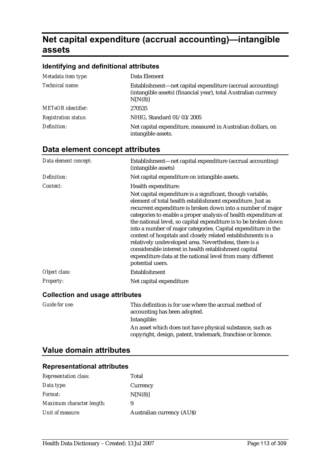# **Net capital expenditure (accrual accounting)—intangible assets**

### **Identifying and definitional attributes**

| Metadata item type:         | Data Element                                                                                                                             |
|-----------------------------|------------------------------------------------------------------------------------------------------------------------------------------|
| Technical name:             | Establishment—net capital expenditure (accrual accounting)<br>(intangible assets) (financial year), total Australian currency<br>N[N(8)] |
| <b>METeOR</b> identifier:   | 270535                                                                                                                                   |
| <b>Registration status:</b> | NHIG, Standard 01/03/2005                                                                                                                |
| Definition:                 | Net capital expenditure, measured in Australian dollars, on<br>intangible assets.                                                        |

# **Data element concept attributes**

| Data element concept:                  | Establishment—net capital expenditure (accrual accounting)<br>(intangible assets)                                                                                                                                                                                                                                                                                                                                                                                                                                                                                                                                                                                  |
|----------------------------------------|--------------------------------------------------------------------------------------------------------------------------------------------------------------------------------------------------------------------------------------------------------------------------------------------------------------------------------------------------------------------------------------------------------------------------------------------------------------------------------------------------------------------------------------------------------------------------------------------------------------------------------------------------------------------|
| Definition:                            | Net capital expenditure on intangible assets.                                                                                                                                                                                                                                                                                                                                                                                                                                                                                                                                                                                                                      |
| Context:                               | Health expenditure:                                                                                                                                                                                                                                                                                                                                                                                                                                                                                                                                                                                                                                                |
|                                        | Net capital expenditure is a significant, though variable,<br>element of total health establishment expenditure. Just as<br>recurrent expenditure is broken down into a number of major<br>categories to enable a proper analysis of health expenditure at<br>the national level, so capital expenditure is to be broken down<br>into a number of major categories. Capital expenditure in the<br>context of hospitals and closely related establishments is a<br>relatively undeveloped area. Nevertheless, there is a<br>considerable interest in health establishment capital<br>expenditure data at the national level from many different<br>potential users. |
| Object class:                          | Establishment                                                                                                                                                                                                                                                                                                                                                                                                                                                                                                                                                                                                                                                      |
| <b>Property:</b>                       | Net capital expenditure                                                                                                                                                                                                                                                                                                                                                                                                                                                                                                                                                                                                                                            |
| <b>Collection and usage attributes</b> |                                                                                                                                                                                                                                                                                                                                                                                                                                                                                                                                                                                                                                                                    |

| Guide for use: | This definition is for use where the accrual method of<br>accounting has been adopted.                                  |
|----------------|-------------------------------------------------------------------------------------------------------------------------|
|                | Intangible:                                                                                                             |
|                | An asset which does not have physical substance, such as<br>copyright, design, patent, trademark, franchise or licence. |

# **Value domain attributes**

| <b>Representation class:</b> | Total                            |
|------------------------------|----------------------------------|
| Data type:                   | Currency                         |
| <i>Format:</i>               | N[N(8)]                          |
| Maximum character length:    | 9                                |
| Unit of measure:             | <b>Australian currency (AUS)</b> |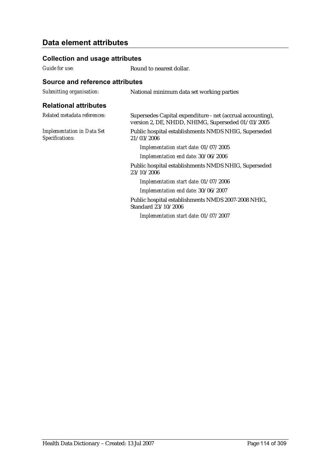### **Collection and usage attributes**

*Guide for use:* Round to nearest dollar.

| Submitting organisation:                             | National minimum data set working parties                                                                       |
|------------------------------------------------------|-----------------------------------------------------------------------------------------------------------------|
| <b>Relational attributes</b>                         |                                                                                                                 |
| Related metadata references:                         | Supersedes Capital expenditure - net (accrual accounting),<br>version 2, DE, NHDD, NHIMG, Superseded 01/03/2005 |
| <b>Implementation in Data Set</b><br>Specifications: | Public hospital establishments NMDS NHIG, Superseded<br>21/03/2006                                              |
|                                                      | Implementation start date: 01/07/2005                                                                           |
|                                                      | Implementation end date: 30/06/2006                                                                             |
|                                                      | Public hospital establishments NMDS NHIG, Superseded<br>23/10/2006                                              |
|                                                      | Implementation start date: 01/07/2006                                                                           |
|                                                      | Implementation end date: 30/06/2007                                                                             |
|                                                      | Public hospital establishments NMDS 2007-2008 NHIG,<br>Standard 23/10/2006                                      |
|                                                      | Implementation start date: 01/07/2007                                                                           |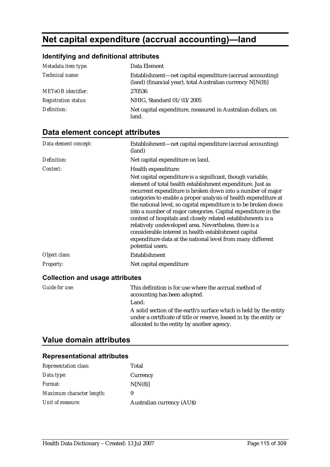# **Net capital expenditure (accrual accounting)—land**

## **Identifying and definitional attributes**

| Metadata item type:         | Data Element                                                                                                             |
|-----------------------------|--------------------------------------------------------------------------------------------------------------------------|
| Technical name:             | Establishment—net capital expenditure (accrual accounting)<br>(land) (financial year), total Australian currency N[N(8)] |
| <b>METeOR</b> identifier:   | 270536                                                                                                                   |
| <b>Registration status:</b> | NHIG, Standard 01/03/2005                                                                                                |
| Definition:                 | Net capital expenditure, measured in Australian dollars, on<br>land.                                                     |

# **Data element concept attributes**

| Data element concept:                  | Establishment—net capital expenditure (accrual accounting)<br>(land)                                                                                                                                                                                                                                                                                                                                                                                                                                                                                                                                                                                               |
|----------------------------------------|--------------------------------------------------------------------------------------------------------------------------------------------------------------------------------------------------------------------------------------------------------------------------------------------------------------------------------------------------------------------------------------------------------------------------------------------------------------------------------------------------------------------------------------------------------------------------------------------------------------------------------------------------------------------|
| Definition:                            | Net capital expenditure on land.                                                                                                                                                                                                                                                                                                                                                                                                                                                                                                                                                                                                                                   |
| Context:                               | Health expenditure:                                                                                                                                                                                                                                                                                                                                                                                                                                                                                                                                                                                                                                                |
|                                        | Net capital expenditure is a significant, though variable,<br>element of total health establishment expenditure. Just as<br>recurrent expenditure is broken down into a number of major<br>categories to enable a proper analysis of health expenditure at<br>the national level, so capital expenditure is to be broken down<br>into a number of major categories. Capital expenditure in the<br>context of hospitals and closely related establishments is a<br>relatively undeveloped area. Nevertheless, there is a<br>considerable interest in health establishment capital<br>expenditure data at the national level from many different<br>potential users. |
| Object class:                          | Establishment                                                                                                                                                                                                                                                                                                                                                                                                                                                                                                                                                                                                                                                      |
| Property:                              | Net capital expenditure                                                                                                                                                                                                                                                                                                                                                                                                                                                                                                                                                                                                                                            |
| <b>Collection and usage attributes</b> |                                                                                                                                                                                                                                                                                                                                                                                                                                                                                                                                                                                                                                                                    |

| Guide for use: | This definition is for use where the accrual method of<br>accounting has been adopted.                                                                                                  |
|----------------|-----------------------------------------------------------------------------------------------------------------------------------------------------------------------------------------|
|                | Land:                                                                                                                                                                                   |
|                | A solid section of the earth's surface which is held by the entity<br>under a certificate of title or reserve, leased in by the entity or<br>allocated to the entity by another agency. |

# **Value domain attributes**

| <b>Representation class:</b> | Total                            |
|------------------------------|----------------------------------|
| Data type:                   | Currency                         |
| Format:                      | N[N(8)]                          |
| Maximum character length:    | 9                                |
| Unit of measure:             | <b>Australian currency (AUS)</b> |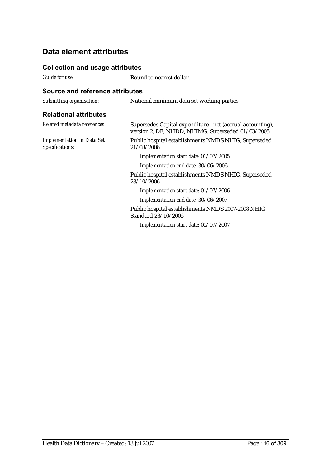### **Collection and usage attributes**

*Guide for use:* Round to nearest dollar.

| Submitting organisation:                             | National minimum data set working parties                                                                       |
|------------------------------------------------------|-----------------------------------------------------------------------------------------------------------------|
| <b>Relational attributes</b>                         |                                                                                                                 |
| Related metadata references:                         | Supersedes Capital expenditure - net (accrual accounting),<br>version 2, DE, NHDD, NHIMG, Superseded 01/03/2005 |
| <b>Implementation in Data Set</b><br>Specifications: | Public hospital establishments NMDS NHIG, Superseded<br>21/03/2006                                              |
|                                                      | Implementation start date: 01/07/2005                                                                           |
|                                                      | Implementation end date: 30/06/2006                                                                             |
|                                                      | Public hospital establishments NMDS NHIG, Superseded<br>23/10/2006                                              |
|                                                      | Implementation start date: 01/07/2006                                                                           |
|                                                      | Implementation end date: 30/06/2007                                                                             |
|                                                      | Public hospital establishments NMDS 2007-2008 NHIG,<br>Standard 23/10/2006                                      |
|                                                      | Implementation start date: 01/07/2007                                                                           |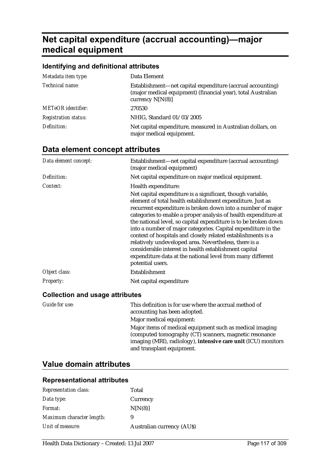# **Net capital expenditure (accrual accounting)—major medical equipment**

### **Identifying and definitional attributes**

| Metadata item type:         | Data Element                                                                                                                                     |
|-----------------------------|--------------------------------------------------------------------------------------------------------------------------------------------------|
| Technical name:             | Establishment—net capital expenditure (accrual accounting)<br>(major medical equipment) (financial year), total Australian<br>currency $N[N(8)]$ |
| <b>METeOR</b> identifier:   | 270530                                                                                                                                           |
| <b>Registration status:</b> | NHIG, Standard 01/03/2005                                                                                                                        |
| Definition:                 | Net capital expenditure, measured in Australian dollars, on<br>major medical equipment.                                                          |

# **Data element concept attributes**

| Data element concept:            | Establishment—net capital expenditure (accrual accounting)<br>(major medical equipment)                                                                                                                                                                                                                                                                                                                                                                                                                                                                                                                                                                            |
|----------------------------------|--------------------------------------------------------------------------------------------------------------------------------------------------------------------------------------------------------------------------------------------------------------------------------------------------------------------------------------------------------------------------------------------------------------------------------------------------------------------------------------------------------------------------------------------------------------------------------------------------------------------------------------------------------------------|
| Definition:                      | Net capital expenditure on major medical equipment.                                                                                                                                                                                                                                                                                                                                                                                                                                                                                                                                                                                                                |
| Context:                         | Health expenditure:                                                                                                                                                                                                                                                                                                                                                                                                                                                                                                                                                                                                                                                |
|                                  | Net capital expenditure is a significant, though variable,<br>element of total health establishment expenditure. Just as<br>recurrent expenditure is broken down into a number of major<br>categories to enable a proper analysis of health expenditure at<br>the national level, so capital expenditure is to be broken down<br>into a number of major categories. Capital expenditure in the<br>context of hospitals and closely related establishments is a<br>relatively undeveloped area. Nevertheless, there is a<br>considerable interest in health establishment capital<br>expenditure data at the national level from many different<br>potential users. |
| Object class:                    | Establishment                                                                                                                                                                                                                                                                                                                                                                                                                                                                                                                                                                                                                                                      |
| <b>Property:</b>                 | Net capital expenditure                                                                                                                                                                                                                                                                                                                                                                                                                                                                                                                                                                                                                                            |
| Osllastiam and usessa attuikuta. |                                                                                                                                                                                                                                                                                                                                                                                                                                                                                                                                                                                                                                                                    |

#### **Collection and usage attributes**

| Guide for use: | This definition is for use where the accrual method of<br>accounting has been adopted.                                                                                                                           |
|----------------|------------------------------------------------------------------------------------------------------------------------------------------------------------------------------------------------------------------|
|                | Major medical equipment:                                                                                                                                                                                         |
|                | Major items of medical equipment such as medical imaging<br>(computed tomography (CT) scanners, magnetic resonance<br>imaging (MRI), radiology), intensive care unit (ICU) monitors<br>and transplant equipment. |

# **Value domain attributes**

| Total                            |
|----------------------------------|
| Currency                         |
| N[N(8)]                          |
|                                  |
| <b>Australian currency (AUS)</b> |
|                                  |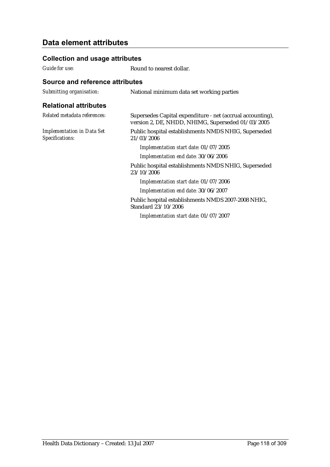### **Collection and usage attributes**

*Guide for use:* Round to nearest dollar.

| Submitting organisation:                             | National minimum data set working parties                                                                       |
|------------------------------------------------------|-----------------------------------------------------------------------------------------------------------------|
| <b>Relational attributes</b>                         |                                                                                                                 |
| Related metadata references:                         | Supersedes Capital expenditure - net (accrual accounting),<br>version 2, DE, NHDD, NHIMG, Superseded 01/03/2005 |
| <b>Implementation in Data Set</b><br>Specifications: | Public hospital establishments NMDS NHIG, Superseded<br>21/03/2006                                              |
|                                                      | Implementation start date: 01/07/2005                                                                           |
|                                                      | Implementation end date: 30/06/2006                                                                             |
| 23/10/2006<br>Standard 23/10/2006                    | Public hospital establishments NMDS NHIG, Superseded                                                            |
|                                                      | Implementation start date: 01/07/2006                                                                           |
|                                                      | Implementation end date: 30/06/2007                                                                             |
|                                                      | Public hospital establishments NMDS 2007-2008 NHIG,                                                             |
|                                                      | Implementation start date: 01/07/2007                                                                           |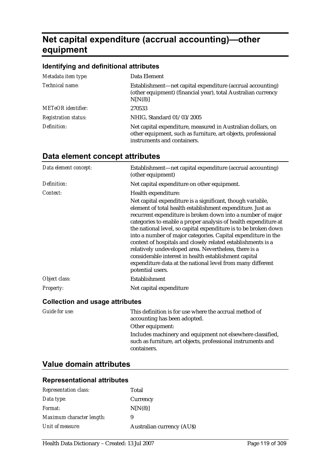# **Net capital expenditure (accrual accounting)—other equipment**

#### **Identifying and definitional attributes**

| Metadata item type:         | Data Element                                                                                                                                                |
|-----------------------------|-------------------------------------------------------------------------------------------------------------------------------------------------------------|
| Technical name:             | Establishment—net capital expenditure (accrual accounting)<br>(other equipment) (financial year), total Australian currency<br>N[N(8)]                      |
| <b>METeOR</b> identifier:   | 270533                                                                                                                                                      |
| <b>Registration status:</b> | NHIG, Standard 01/03/2005                                                                                                                                   |
| Definition:                 | Net capital expenditure, measured in Australian dollars, on<br>other equipment, such as furniture, art objects, professional<br>instruments and containers. |

| Data element concept:                  | Establishment—net capital expenditure (accrual accounting)<br>(other equipment)                                                                                                                                                                                                                                                                                                                                                                                                                                                                                                                                                                                    |
|----------------------------------------|--------------------------------------------------------------------------------------------------------------------------------------------------------------------------------------------------------------------------------------------------------------------------------------------------------------------------------------------------------------------------------------------------------------------------------------------------------------------------------------------------------------------------------------------------------------------------------------------------------------------------------------------------------------------|
| Definition:                            | Net capital expenditure on other equipment.                                                                                                                                                                                                                                                                                                                                                                                                                                                                                                                                                                                                                        |
| Context:                               | Health expenditure:                                                                                                                                                                                                                                                                                                                                                                                                                                                                                                                                                                                                                                                |
|                                        | Net capital expenditure is a significant, though variable,<br>element of total health establishment expenditure. Just as<br>recurrent expenditure is broken down into a number of major<br>categories to enable a proper analysis of health expenditure at<br>the national level, so capital expenditure is to be broken down<br>into a number of major categories. Capital expenditure in the<br>context of hospitals and closely related establishments is a<br>relatively undeveloped area. Nevertheless, there is a<br>considerable interest in health establishment capital<br>expenditure data at the national level from many different<br>potential users. |
| Object class:                          | Establishment                                                                                                                                                                                                                                                                                                                                                                                                                                                                                                                                                                                                                                                      |
| <b>Property:</b>                       | Net capital expenditure                                                                                                                                                                                                                                                                                                                                                                                                                                                                                                                                                                                                                                            |
| <b>Collection and usage attributes</b> |                                                                                                                                                                                                                                                                                                                                                                                                                                                                                                                                                                                                                                                                    |

# **Data element concept attributes**

| Guide for use: | This definition is for use where the accrual method of<br>accounting has been adopted.                                     |
|----------------|----------------------------------------------------------------------------------------------------------------------------|
|                | Other equipment:                                                                                                           |
|                | Includes machinery and equipment not elsewhere classified,<br>such as furniture, art objects, professional instruments and |
|                | containers.                                                                                                                |

# **Value domain attributes**

| <b>Representation class:</b> | Total                            |
|------------------------------|----------------------------------|
| Data type:                   | Currency                         |
| <i>Format:</i>               | N[N(8)]                          |
| Maximum character length:    | 9                                |
| Unit of measure:             | <b>Australian currency (AUS)</b> |
|                              |                                  |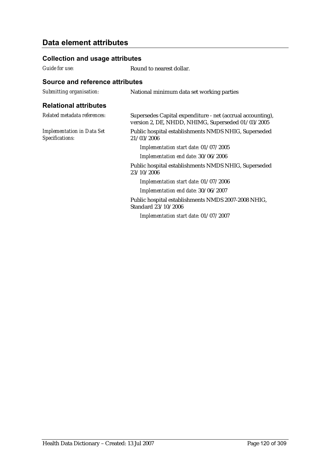### **Collection and usage attributes**

*Guide for use:* Round to nearest dollar.

| Submitting organisation:                             | National minimum data set working parties                                                                       |
|------------------------------------------------------|-----------------------------------------------------------------------------------------------------------------|
| <b>Relational attributes</b>                         |                                                                                                                 |
| Related metadata references:                         | Supersedes Capital expenditure - net (accrual accounting),<br>version 2, DE, NHDD, NHIMG, Superseded 01/03/2005 |
| <b>Implementation in Data Set</b><br>Specifications: | Public hospital establishments NMDS NHIG, Superseded<br>21/03/2006                                              |
|                                                      | Implementation start date: 01/07/2005                                                                           |
|                                                      | Implementation end date: 30/06/2006                                                                             |
|                                                      | Public hospital establishments NMDS NHIG, Superseded<br>23/10/2006                                              |
|                                                      | Implementation start date: 01/07/2006                                                                           |
|                                                      | Implementation end date: 30/06/2007                                                                             |
|                                                      | Public hospital establishments NMDS 2007-2008 NHIG,<br>Standard 23/10/2006                                      |
|                                                      | Implementation start date: 01/07/2007                                                                           |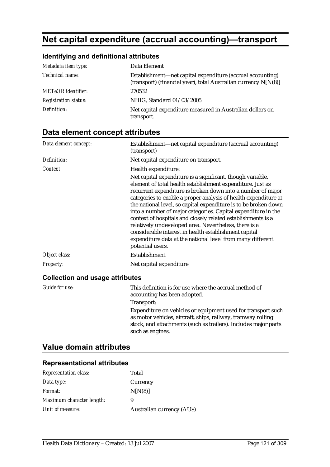# **Net capital expenditure (accrual accounting)—transport**

## **Identifying and definitional attributes**

| Metadata item type:         | Data Element                                                                                                                  |
|-----------------------------|-------------------------------------------------------------------------------------------------------------------------------|
| Technical name:             | Establishment—net capital expenditure (accrual accounting)<br>(transport) (financial year), total Australian currency N[N(8)] |
| <b>METeOR</b> identifier:   | 270532                                                                                                                        |
| <b>Registration status:</b> | NHIG, Standard 01/03/2005                                                                                                     |
| Definition:                 | Net capital expenditure measured in Australian dollars on<br>transport.                                                       |

# **Data element concept attributes**

| Data element concept:                  | Establishment—net capital expenditure (accrual accounting)<br>(transport)                                                                                                                                                                                                                                                                                                                                                                                                                                                                                                                                                                                          |
|----------------------------------------|--------------------------------------------------------------------------------------------------------------------------------------------------------------------------------------------------------------------------------------------------------------------------------------------------------------------------------------------------------------------------------------------------------------------------------------------------------------------------------------------------------------------------------------------------------------------------------------------------------------------------------------------------------------------|
| Definition:                            | Net capital expenditure on transport.                                                                                                                                                                                                                                                                                                                                                                                                                                                                                                                                                                                                                              |
| Context:                               | Health expenditure:                                                                                                                                                                                                                                                                                                                                                                                                                                                                                                                                                                                                                                                |
|                                        | Net capital expenditure is a significant, though variable,<br>element of total health establishment expenditure. Just as<br>recurrent expenditure is broken down into a number of major<br>categories to enable a proper analysis of health expenditure at<br>the national level, so capital expenditure is to be broken down<br>into a number of major categories. Capital expenditure in the<br>context of hospitals and closely related establishments is a<br>relatively undeveloped area. Nevertheless, there is a<br>considerable interest in health establishment capital<br>expenditure data at the national level from many different<br>potential users. |
| Object class:                          | Establishment                                                                                                                                                                                                                                                                                                                                                                                                                                                                                                                                                                                                                                                      |
| <b>Property:</b>                       | Net capital expenditure                                                                                                                                                                                                                                                                                                                                                                                                                                                                                                                                                                                                                                            |
| <b>Collection and usage attributes</b> |                                                                                                                                                                                                                                                                                                                                                                                                                                                                                                                                                                                                                                                                    |
|                                        | $T1 \cdot 1 \cdot 1 \cdot 1 \cdot 1$ . The set of $T$ is the set of $T$                                                                                                                                                                                                                                                                                                                                                                                                                                                                                                                                                                                            |

| Guide for use: | This definition is for use where the accrual method of<br>accounting has been adopted.                                                                                                                              |
|----------------|---------------------------------------------------------------------------------------------------------------------------------------------------------------------------------------------------------------------|
|                | Transport:                                                                                                                                                                                                          |
|                | Expenditure on vehicles or equipment used for transport such<br>as motor vehicles, aircraft, ships, railway, tramway rolling<br>stock, and attachments (such as trailers). Includes major parts<br>such as engines. |

## **Value domain attributes**

| <b>Representation class:</b> | Total                      |
|------------------------------|----------------------------|
| Data type:                   | Currency                   |
| Format:                      | N[N(8)]                    |
| Maximum character length:    | 9                          |
| Unit of measure:             | Australian currency (AU\$) |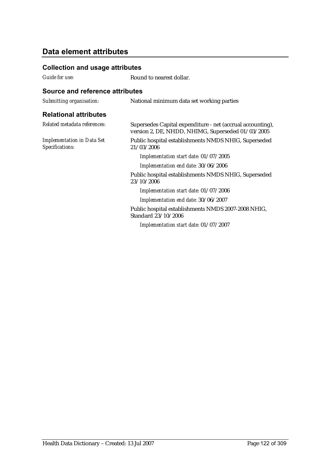### **Collection and usage attributes**

*Guide for use:* Round to nearest dollar.

| Submitting organisation:                             | National minimum data set working parties                                                                       |
|------------------------------------------------------|-----------------------------------------------------------------------------------------------------------------|
| <b>Relational attributes</b>                         |                                                                                                                 |
| Related metadata references:                         | Supersedes Capital expenditure - net (accrual accounting),<br>version 2, DE, NHDD, NHIMG, Superseded 01/03/2005 |
| <b>Implementation in Data Set</b><br>Specifications: | Public hospital establishments NMDS NHIG, Superseded<br>21/03/2006                                              |
|                                                      | Implementation start date: 01/07/2005                                                                           |
|                                                      | Implementation end date: 30/06/2006                                                                             |
|                                                      | Public hospital establishments NMDS NHIG, Superseded<br>23/10/2006                                              |
|                                                      | Implementation start date: 01/07/2006                                                                           |
|                                                      | Implementation end date: 30/06/2007                                                                             |
|                                                      | Public hospital establishments NMDS 2007-2008 NHIG,<br>Standard 23/10/2006                                      |
|                                                      | Implementation start date: 01/07/2007                                                                           |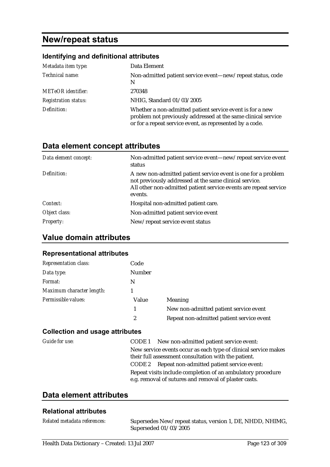# **New/repeat status**

### **Identifying and definitional attributes**

| Metadata item type:         | Data Element                                                                                                                                                                           |
|-----------------------------|----------------------------------------------------------------------------------------------------------------------------------------------------------------------------------------|
| Technical name:             | Non-admitted patient service event-new/repeat status, code<br>N                                                                                                                        |
| <b>METeOR</b> identifier:   | 270348                                                                                                                                                                                 |
| <b>Registration status:</b> | NHIG, Standard 01/03/2005                                                                                                                                                              |
| Definition:                 | Whether a non-admitted patient service event is for a new<br>problem not previously addressed at the same clinical service<br>or for a repeat service event, as represented by a code. |

# **Data element concept attributes**

| Data element concept: | Non-admitted patient service event-new/repeat service event<br>status                                                                                                                                  |
|-----------------------|--------------------------------------------------------------------------------------------------------------------------------------------------------------------------------------------------------|
| Definition:           | A new non-admitted patient service event is one for a problem<br>not previously addressed at the same clinical service.<br>All other non-admitted patient service events are repeat service<br>events. |
| Context:              | Hospital non-admitted patient care.                                                                                                                                                                    |
| Object class:         | Non-admitted patient service event                                                                                                                                                                     |
| <b>Property:</b>      | New/repeat service event status                                                                                                                                                                        |

## **Value domain attributes**

#### **Representational attributes**

| <b>Representation class:</b> | Code          |                                           |
|------------------------------|---------------|-------------------------------------------|
| Data type:                   | <b>Number</b> |                                           |
| Format:                      | N             |                                           |
| Maximum character length:    |               |                                           |
| Permissible values:          | Value         | Meaning                                   |
|                              |               | New non-admitted patient service event    |
|                              | 2             | Repeat non-admitted patient service event |

### **Collection and usage attributes**

| Guide for use: | CODE 1 New non-admitted patient service event:                                                                          |
|----------------|-------------------------------------------------------------------------------------------------------------------------|
|                | New service events occur as each type of clinical service makes<br>their full assessment consultation with the patient. |
|                | CODE 2 Repeat non-admitted patient service event:                                                                       |
|                | Repeat visits include completion of an ambulatory procedure<br>e.g. removal of sutures and removal of plaster casts.    |

# **Data element attributes**

### **Relational attributes**

| Related metadata references: | Supersedes New/repeat status, version 1, DE, NHDD, NHIMG, |
|------------------------------|-----------------------------------------------------------|
|                              | Superseded $01/03/2005$                                   |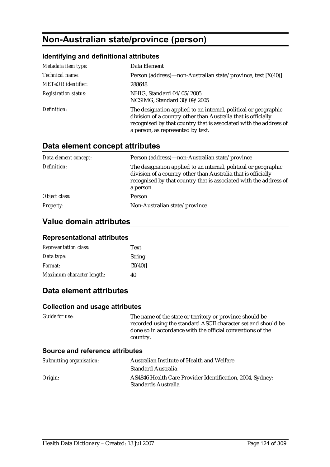# **Non-Australian state/province (person)**

### **Identifying and definitional attributes**

| Metadata item type:         | Data Element                                                                                                                                                                                                                               |
|-----------------------------|--------------------------------------------------------------------------------------------------------------------------------------------------------------------------------------------------------------------------------------------|
| Technical name:             | Person (address)—non-Australian state/province, text [X(40)]                                                                                                                                                                               |
| <b>METeOR</b> identifier:   | 288648                                                                                                                                                                                                                                     |
| <b>Registration status:</b> | NHIG, Standard 04/05/2005<br>NCSIMG, Standard 30/09/2005                                                                                                                                                                                   |
| Definition:                 | The designation applied to an internal, political or geographic<br>division of a country other than Australia that is officially<br>recognised by that country that is associated with the address of<br>a person, as represented by text. |

### **Data element concept attributes**

| Data element concept: | Person (address)—non-Australian state/province                                                                                                                                                                     |
|-----------------------|--------------------------------------------------------------------------------------------------------------------------------------------------------------------------------------------------------------------|
| Definition:           | The designation applied to an internal, political or geographic<br>division of a country other than Australia that is officially<br>recognised by that country that is associated with the address of<br>a person. |
| Object class:         | <b>Person</b>                                                                                                                                                                                                      |
| <b>Property:</b>      | Non-Australian state/province                                                                                                                                                                                      |

### **Value domain attributes**

#### **Representational attributes**

| <b>Representation class:</b> | <b>Text</b>   |
|------------------------------|---------------|
| Data type:                   | <b>String</b> |
| <i>Format:</i>               | [X(40)]       |
| Maximum character length:    | 40            |

### **Data element attributes**

#### **Collection and usage attributes**

*Guide for use:* The name of the state or territory or province should be recorded using the standard ASCII character set and should be done so in accordance with the official conventions of the country.

| Submitting organisation: | Australian Institute of Health and Welfare                                       |
|--------------------------|----------------------------------------------------------------------------------|
|                          | <b>Standard Australia</b>                                                        |
| Origin:                  | AS4846 Health Care Provider Identification, 2004, Sydney:<br>Standards Australia |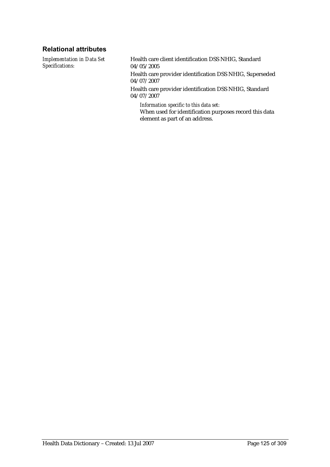### **Relational attributes**

*Implementation in Data Set Specifications:*

Health care client identification DSS NHIG, Standard 04/05/2005

Health care provider identification DSS NHIG, Superseded 04/07/2007

Health care provider identification DSS NHIG, Standard 04/07/2007

*Information specific to this data set:* When used for identification purposes record this data element as part of an address.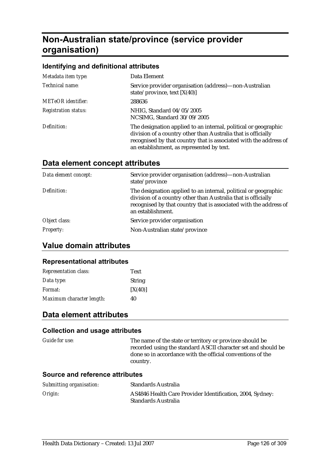# **Non-Australian state/province (service provider organisation)**

### **Identifying and definitional attributes**

| Metadata item type:         | Data Element                                                                                                                                                                                                                                       |
|-----------------------------|----------------------------------------------------------------------------------------------------------------------------------------------------------------------------------------------------------------------------------------------------|
| Technical name:             | Service provider organisation (address)—non-Australian<br>state/province, text $[X(40)]$                                                                                                                                                           |
| <b>METeOR</b> identifier:   | 288636                                                                                                                                                                                                                                             |
| <b>Registration status:</b> | NHIG, Standard 04/05/2005<br>NCSIMG, Standard 30/09/2005                                                                                                                                                                                           |
| Definition:                 | The designation applied to an internal, political or geographic<br>division of a country other than Australia that is officially<br>recognised by that country that is associated with the address of<br>an establishment, as represented by text. |

# **Data element concept attributes**

| Service provider organisation (address)—non-Australian<br>state/province                                                                                                                                                   |
|----------------------------------------------------------------------------------------------------------------------------------------------------------------------------------------------------------------------------|
| The designation applied to an internal, political or geographic<br>division of a country other than Australia that is officially<br>recognised by that country that is associated with the address of<br>an establishment. |
| Service provider organisation                                                                                                                                                                                              |
| Non-Australian state/province                                                                                                                                                                                              |
|                                                                                                                                                                                                                            |

### **Value domain attributes**

#### **Representational attributes**

| <b>Representation class:</b> | <b>Text</b>   |
|------------------------------|---------------|
| Data type:                   | <b>String</b> |
| <i>Format:</i>               | [X(40)]       |
| Maximum character length:    | 40            |

## **Data element attributes**

#### **Collection and usage attributes**

| <i>Guide for use:</i> | The name of the state or territory or province should be      |
|-----------------------|---------------------------------------------------------------|
|                       | recorded using the standard ASCII character set and should be |
|                       | done so in accordance with the official conventions of the    |
|                       | country.                                                      |

| Submitting organisation: | Standards Australia                                                              |
|--------------------------|----------------------------------------------------------------------------------|
| Origin:                  | AS4846 Health Care Provider Identification, 2004, Sydney:<br>Standards Australia |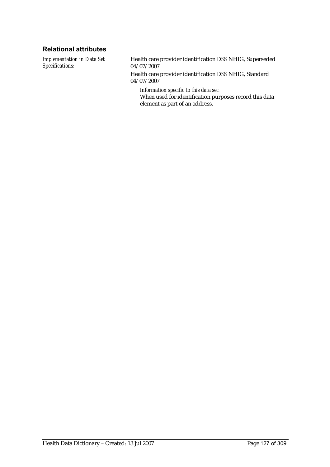### **Relational attributes**

*Implementation in Data Set Specifications:*

Health care provider identification DSS NHIG, Superseded 04/07/2007

Health care provider identification DSS NHIG, Standard 04/07/2007

*Information specific to this data set:*

When used for identification purposes record this data element as part of an address.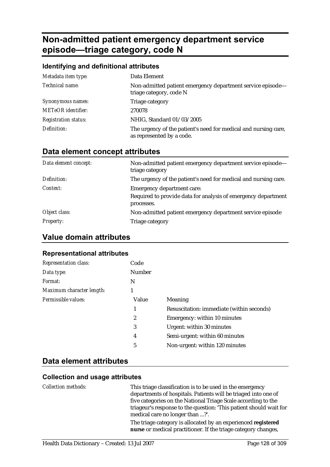# **Non-admitted patient emergency department service episode—triage category, code N**

#### **Identifying and definitional attributes**

| Metadata item type:         | Data Element                                                                                 |
|-----------------------------|----------------------------------------------------------------------------------------------|
| Technical name:             | Non-admitted patient emergency department service episode-<br>triage category, code N        |
| Synonymous names:           | Triage category                                                                              |
| <b>METeOR</b> identifier:   | 270078                                                                                       |
| <b>Registration status:</b> | NHIG, Standard 01/03/2005                                                                    |
| Definition:                 | The urgency of the patient's need for medical and nursing care,<br>as represented by a code. |

## **Data element concept attributes**

| Data element concept: | Non-admitted patient emergency department service episode-<br>triage category |  |
|-----------------------|-------------------------------------------------------------------------------|--|
| Definition:           | The urgency of the patient's need for medical and nursing care.               |  |
| Context:              | <b>Emergency department care:</b>                                             |  |
|                       | Required to provide data for analysis of emergency department<br>processes.   |  |
| Object class:         | Non-admitted patient emergency department service episode                     |  |
| <b>Property:</b>      | Triage category                                                               |  |

### **Value domain attributes**

#### **Representational attributes**

| Representation class:     | Code          |                                           |
|---------------------------|---------------|-------------------------------------------|
| Data type:                | <b>Number</b> |                                           |
| Format:                   | N             |                                           |
| Maximum character length: | 1             |                                           |
| Permissible values:       | Value         | Meaning                                   |
|                           |               | Resuscitation: immediate (within seconds) |
|                           | 2             | Emergency: within 10 minutes              |
|                           | 3             | Urgent: within 30 minutes                 |
|                           | 4             | Semi-urgent: within 60 minutes            |
|                           | 5             | Non-urgent: within 120 minutes            |
|                           |               |                                           |

### **Data element attributes**

#### **Collection and usage attributes**

*Collection methods:* This triage classification is to be used in the emergency departments of hospitals. Patients will be triaged into one of five categories on the National Triage Scale according to the triageur's response to the question: 'This patient should wait for medical care no longer than ...?'. The triage category is allocated by an experienced **registered** 

**nurse** or medical practitioner. If the triage category changes,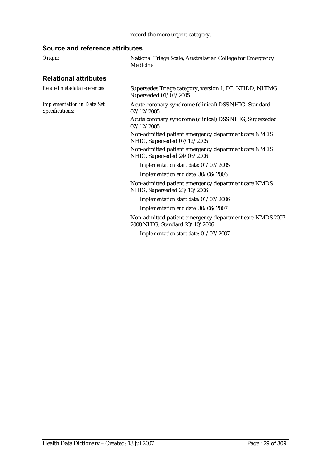### record the more urgent category.

| Origin:                                              | National Triage Scale, Australasian College for Emergency<br>Medicine                       |  |
|------------------------------------------------------|---------------------------------------------------------------------------------------------|--|
| <b>Relational attributes</b>                         |                                                                                             |  |
| Related metadata references:                         | Supersedes Triage category, version 1, DE, NHDD, NHIMG,<br>Superseded 01/03/2005            |  |
| <b>Implementation in Data Set</b><br>Specifications: | Acute coronary syndrome (clinical) DSS NHIG, Standard<br>07/12/2005                         |  |
|                                                      | Acute coronary syndrome (clinical) DSS NHIG, Superseded<br>07/12/2005                       |  |
|                                                      | Non-admitted patient emergency department care NMDS<br>NHIG, Superseded 07/12/2005          |  |
|                                                      | Non-admitted patient emergency department care NMDS<br>NHIG, Superseded 24/03/2006          |  |
|                                                      | Implementation start date: 01/07/2005                                                       |  |
|                                                      | Implementation end date: 30/06/2006                                                         |  |
|                                                      | Non-admitted patient emergency department care NMDS<br>NHIG, Superseded 23/10/2006          |  |
|                                                      | Implementation start date: 01/07/2006                                                       |  |
|                                                      | Implementation end date: 30/06/2007                                                         |  |
|                                                      | Non-admitted patient emergency department care NMDS 2007-<br>2008 NHIG, Standard 23/10/2006 |  |
|                                                      | Implementation start date: 01/07/2007                                                       |  |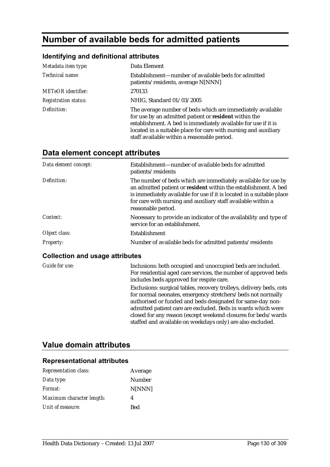# **Number of available beds for admitted patients**

#### **Identifying and definitional attributes**

| Metadata item type:         | Data Element                                                                                                                                                                                                                                                                                            |
|-----------------------------|---------------------------------------------------------------------------------------------------------------------------------------------------------------------------------------------------------------------------------------------------------------------------------------------------------|
| Technical name:             | Establishment—number of available beds for admitted<br>patients/residents, average N[NNN]                                                                                                                                                                                                               |
| <b>METeOR</b> identifier:   | 270133                                                                                                                                                                                                                                                                                                  |
| <b>Registration status:</b> | NHIG, Standard 01/03/2005                                                                                                                                                                                                                                                                               |
| Definition:                 | The average number of beds which are immediately available<br>for use by an admitted patient or resident within the<br>establishment. A bed is immediately available for use if it is<br>located in a suitable place for care with nursing and auxiliary<br>staff available within a reasonable period. |

## **Data element concept attributes**

| Data element concept: | Establishment—number of available beds for admitted<br>patients/residents                                                                                                                                                                                                                       |
|-----------------------|-------------------------------------------------------------------------------------------------------------------------------------------------------------------------------------------------------------------------------------------------------------------------------------------------|
| Definition:           | The number of beds which are immediately available for use by<br>an admitted patient or resident within the establishment. A bed<br>is immediately available for use if it is located in a suitable place<br>for care with nursing and auxiliary staff available within a<br>reasonable period. |
| Context:              | Necessary to provide an indicator of the availability and type of<br>service for an establishment.                                                                                                                                                                                              |
| Object class:         | Establishment                                                                                                                                                                                                                                                                                   |
| <b>Property:</b>      | Number of available beds for admitted patients/residents                                                                                                                                                                                                                                        |

#### **Collection and usage attributes**

*Guide for use:* Inclusions: both occupied and unoccupied beds are included. For residential aged care services, the number of approved beds includes beds approved for respite care. Exclusions: surgical tables, recovery trolleys, delivery beds, cots for normal neonates, emergency stretchers/beds not normally authorised or funded and beds designated for same-day nonadmitted patient care are excluded. Beds in wards which were closed for any reason (except weekend closures for beds/wards staffed and available on weekdays only) are also excluded.

### **Value domain attributes**

| <b>Representation class:</b> | Average       |
|------------------------------|---------------|
| Data type:                   | <b>Number</b> |
| Format:                      | N[NNN]        |
| Maximum character length:    | 4             |
| Unit of measure:             | Bed           |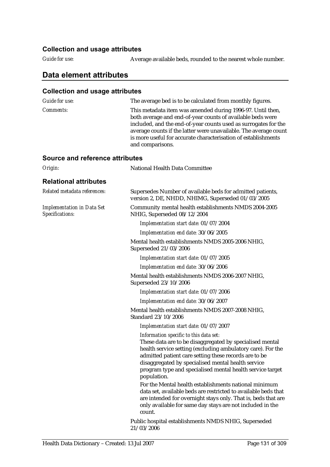#### **Collection and usage attributes**

*Guide for use:* Average available beds, rounded to the nearest whole number.

### **Data element attributes**

#### **Collection and usage attributes**  *Guide for use:* The average bed is to be calculated from monthly figures. *Comments:* This metadata item was amended during 1996-97. Until then, both average and end-of-year counts of available beds were included, and the end-of-year counts used as surrogates for the average counts if the latter were unavailable. The average count is more useful for accurate characterisation of establishments and comparisons. **Source and reference attributes**  *Origin:* National Health Data Committee **Relational attributes**  *Related metadata references:* Supersedes Number of available beds for admitted patients, version 2, DE, NHDD, NHIMG, Superseded 01/03/2005 *Implementation in Data Set Specifications:* Community mental health establishments NMDS 2004-2005 NHIG, Superseded 08/12/2004 *Implementation start date:* 01/07/2004 *Implementation end date:* 30/06/2005 Mental health establishments NMDS 2005-2006 NHIG, Superseded 21/03/2006 *Implementation start date:* 01/07/2005 *Implementation end date:* 30/06/2006 Mental health establishments NMDS 2006-2007 NHIG, Superseded 23/10/2006 *Implementation start date:* 01/07/2006 *Implementation end date:* 30/06/2007 Mental health establishments NMDS 2007-2008 NHIG, Standard 23/10/2006 *Implementation start date:* 01/07/2007 *Information specific to this data set:* These data are to be disaggregated by specialised mental health service setting (excluding ambulatory care). For the admitted patient care setting these records are to be disaggregated by specialised mental health service program type and specialised mental health service target population. For the Mental health establishments national minimum data set, available beds are restricted to available beds that are intended for overnight stays only. That is, beds that are only available for same day stays are not included in the count.

Public hospital establishments NMDS NHIG, Superseded 21/03/2006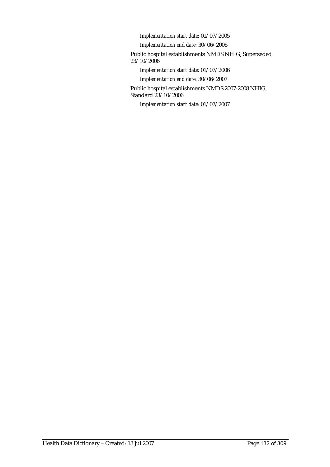*Implementation start date:* 01/07/2005

*Implementation end date:* 30/06/2006

Public hospital establishments NMDS NHIG, Superseded 23/10/2006

*Implementation start date:* 01/07/2006

*Implementation end date:* 30/06/2007

Public hospital establishments NMDS 2007-2008 NHIG, Standard 23/10/2006

*Implementation start date:* 01/07/2007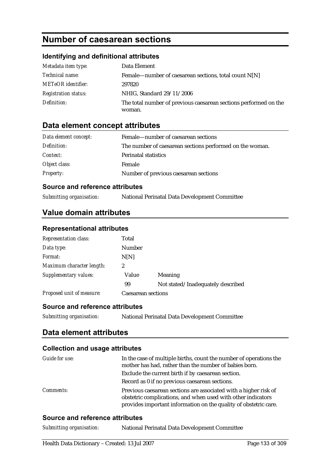# **Number of caesarean sections**

### **Identifying and definitional attributes**

| Metadata item type:         | Data Element                                                     |
|-----------------------------|------------------------------------------------------------------|
| <i>Technical name:</i>      | Female—number of caesarean sections, total count $N[N]$          |
| <b>METeOR</b> identifier:   | 297820                                                           |
| <b>Registration status:</b> | NHIG, Standard 29/11/2006                                        |
| Definition:                 | The total number of previous caesarean sections performed on the |
|                             | woman.                                                           |

## **Data element concept attributes**

| Data element concept: | Female—number of caesarean sections                      |
|-----------------------|----------------------------------------------------------|
| Definition:           | The number of caesarean sections performed on the woman. |
| <i>Context:</i>       | <b>Perinatal statistics</b>                              |
| Object class:         | Female                                                   |
| <b>Property:</b>      | Number of previous caesarean sections                    |

### **Source and reference attributes**

| Submitting organisation: | National Perinatal Data Development Committee |
|--------------------------|-----------------------------------------------|
|--------------------------|-----------------------------------------------|

### **Value domain attributes**

#### **Representational attributes**

| <b>Representation class:</b> | Total              |                                   |
|------------------------------|--------------------|-----------------------------------|
| Data type:                   | <b>Number</b>      |                                   |
| Format:                      | N[N]               |                                   |
| Maximum character length:    | 2                  |                                   |
| Supplementary values:        | Value              | Meaning                           |
|                              | 99                 | Not stated/Inadequately described |
| Proposed unit of measure:    | Caesarean sections |                                   |

#### **Source and reference attributes**

| Submitting organisation: | National Perinatal Data Development Committee |
|--------------------------|-----------------------------------------------|
|                          |                                               |

### **Data element attributes**

#### **Collection and usage attributes**

| Guide for use:   | In the case of multiple births, count the number of operations the<br>mother has had, rather than the number of babies born.                                                                         |
|------------------|------------------------------------------------------------------------------------------------------------------------------------------------------------------------------------------------------|
|                  | Exclude the current birth if by caesarean section.                                                                                                                                                   |
|                  | Record as 0 if no previous caesarean sections.                                                                                                                                                       |
| <i>Comments:</i> | Previous caesarean sections are associated with a higher risk of<br>obstetric complications, and when used with other indicators<br>provides important information on the quality of obstetric care. |

#### **Source and reference attributes**

*Submitting organisation:* National Perinatal Data Development Committee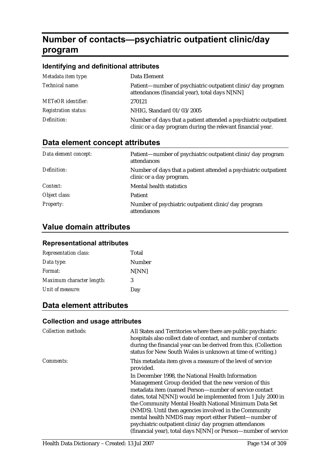# **Number of contacts—psychiatric outpatient clinic/day program**

#### **Identifying and definitional attributes**

| Metadata item type:         | Data Element                                                                                                                   |
|-----------------------------|--------------------------------------------------------------------------------------------------------------------------------|
| Technical name:             | Patient—number of psychiatric outpatient clinic/day program<br>attendances (financial year), total days N[NN]                  |
| <b>METeOR</b> identifier:   | 270121                                                                                                                         |
| <b>Registration status:</b> | NHIG, Standard 01/03/2005                                                                                                      |
| Definition:                 | Number of days that a patient attended a psychiatric outpatient<br>clinic or a day program during the relevant financial year. |

### **Data element concept attributes**

| Data element concept: | Patient—number of psychiatric outpatient clinic/day program<br>attendances                  |
|-----------------------|---------------------------------------------------------------------------------------------|
| Definition:           | Number of days that a patient attended a psychiatric outpatient<br>clinic or a day program. |
| Context:              | Mental health statistics                                                                    |
| Object class:         | <b>Patient</b>                                                                              |
| <b>Property:</b>      | Number of psychiatric outpatient clinic/day program<br>attendances                          |

## **Value domain attributes**

#### **Representational attributes**

| <b>Representation class:</b> | Total  |
|------------------------------|--------|
| Data type:                   | Number |
| Format:                      | N[NN]  |
| Maximum character length:    | 3      |
| Unit of measure:             | Day    |

# **Data element attributes**

#### **Collection and usage attributes**

| <b>Collection methods:</b> | All States and Territories where there are public psychiatric<br>hospitals also collect date of contact, and number of contacts<br>during the financial year can be derived from this. (Collection<br>status for New South Wales is unknown at time of writing.) |
|----------------------------|------------------------------------------------------------------------------------------------------------------------------------------------------------------------------------------------------------------------------------------------------------------|
| Comments:                  | This metadata item gives a measure of the level of service<br>provided.                                                                                                                                                                                          |
|                            | In December 1998, the National Health Information                                                                                                                                                                                                                |
|                            | Management Group decided that the new version of this<br>metadata item (named Person-number of service contact<br>dates, total N[NN]) would be implemented from 1 July 2000 in<br>the Community Mental Health National Minimum Data Set                          |
|                            | (NMDS). Until then agencies involved in the Community                                                                                                                                                                                                            |
|                            | mental health NMDS may report either Patient-number of                                                                                                                                                                                                           |
|                            | psychiatric outpatient clinic/day program attendances                                                                                                                                                                                                            |
|                            | (financial year), total days N[NN] or Person-number of service                                                                                                                                                                                                   |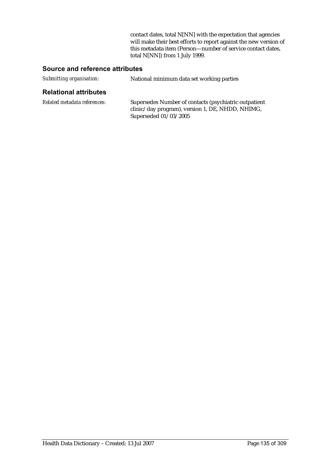contact dates, total N[NN] with the expectation that agencies will make their best efforts to report against the new version of this metadata item (Person—number of service contact dates, total N[NN]) from 1 July 1999.

#### **Source and reference attributes**

| Submitting organisation: | National minimum data set working parties |
|--------------------------|-------------------------------------------|
|                          |                                           |

#### **Relational attributes**

| Related metadata references: | Supersedes Number of contacts (psychiatric outpatient |
|------------------------------|-------------------------------------------------------|
|                              | clinic/day program), version 1, DE, NHDD, NHIMG,      |
|                              | Superseded $01/03/2005$                               |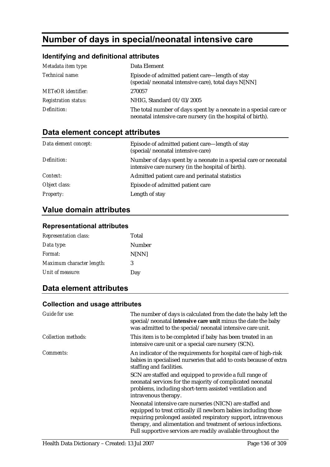# **Number of days in special/neonatal intensive care**

### **Identifying and definitional attributes**

| Metadata item type:         | Data Element                                                                                                                    |
|-----------------------------|---------------------------------------------------------------------------------------------------------------------------------|
| Technical name:             | Episode of admitted patient care—length of stay<br>(special/neonatal intensive care), total days N[NN]                          |
| <b>METeOR</b> identifier:   | 270057                                                                                                                          |
| <b>Registration status:</b> | NHIG, Standard 01/03/2005                                                                                                       |
| Definition:                 | The total number of days spent by a neonate in a special care or<br>neonatal intensive care nursery (in the hospital of birth). |

# **Data element concept attributes**

| Data element concept: | Episode of admitted patient care—length of stay<br>(special/neonatal intensive care)                                  |
|-----------------------|-----------------------------------------------------------------------------------------------------------------------|
| Definition:           | Number of days spent by a neonate in a special care or neonatal<br>intensive care nursery (in the hospital of birth). |
| Context:              | Admitted patient care and perinatal statistics                                                                        |
| Object class:         | Episode of admitted patient care                                                                                      |
| <b>Property:</b>      | Length of stay                                                                                                        |

# **Value domain attributes**

#### **Representational attributes**

| <b>Representation class:</b> | Total  |
|------------------------------|--------|
| Data type:                   | Number |
| Format:                      | N[NN]  |
| Maximum character length:    | 3      |
| Unit of measure:             | Day    |

# **Data element attributes**

#### **Collection and usage attributes**

| Guide for use:      | The number of days is calculated from the date the baby left the<br>special/neonatal intensive care unit minus the date the baby<br>was admitted to the special/neonatal intensive care unit.                                                                                                                                   |
|---------------------|---------------------------------------------------------------------------------------------------------------------------------------------------------------------------------------------------------------------------------------------------------------------------------------------------------------------------------|
| Collection methods: | This item is to be completed if baby has been treated in an<br>intensive care unit or a special care nursery (SCN).                                                                                                                                                                                                             |
| Comments:           | An indicator of the requirements for hospital care of high-risk<br>babies in specialised nurseries that add to costs because of extra<br>staffing and facilities.                                                                                                                                                               |
|                     | SCN are staffed and equipped to provide a full range of<br>neonatal services for the majority of complicated neonatal<br>problems, including short-term assisted ventilation and<br>intravenous therapy.                                                                                                                        |
|                     | Neonatal intensive care nurseries (NICN) are staffed and<br>equipped to treat critically ill newborn babies including those<br>requiring prolonged assisted respiratory support, intravenous<br>therapy, and alimentation and treatment of serious infections.<br>Full supportive services are readily available throughout the |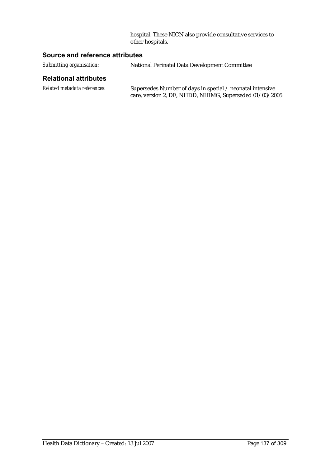hospital. These NICN also provide consultative services to other hospitals.

#### **Source and reference attributes**

*Submitting organisation:* National Perinatal Data Development Committee

### **Relational attributes**

| Related metadata references: | Supersedes Number of days in special / neonatal intensive |
|------------------------------|-----------------------------------------------------------|
|                              | care, version 2, DE, NHDD, NHIMG, Superseded 01/03/2005   |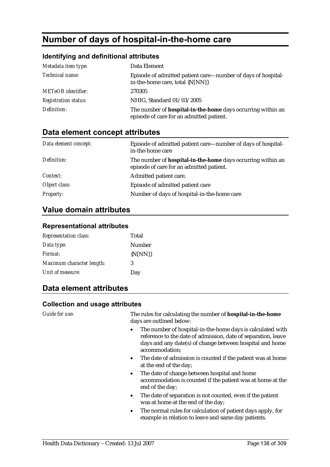# **Number of days of hospital-in-the-home care**

#### **Identifying and definitional attributes**

| Metadata item type:         | Data Element                                                                                                   |
|-----------------------------|----------------------------------------------------------------------------------------------------------------|
| Technical name:             | Episode of admitted patient care—number of days of hospital-<br>in-the-home care, total {N[NN]}                |
| <b>METeOR</b> identifier:   | 270305                                                                                                         |
| <b>Registration status:</b> | NHIG, Standard 01/03/2005                                                                                      |
| Definition:                 | The number of <b>hospital-in-the-home</b> days occurring within an<br>episode of care for an admitted patient. |

# **Data element concept attributes**

| Data element concept: | Episode of admitted patient care—number of days of hospital-<br>in-the-home care                               |
|-----------------------|----------------------------------------------------------------------------------------------------------------|
| Definition:           | The number of <b>hospital-in-the-home</b> days occurring within an<br>episode of care for an admitted patient. |
| Context:              | Admitted patient care.                                                                                         |
| Object class:         | Episode of admitted patient care                                                                               |
| <b>Property:</b>      | Number of days of hospital-in-the-home care                                                                    |

## **Value domain attributes**

#### **Representational attributes**

| <b>Representation class:</b> | Total       |
|------------------------------|-------------|
| Data type:                   | Number      |
| Format:                      | $\{N[NN]\}$ |
| Maximum character length:    | 3           |
| Unit of measure:             | Day         |

# **Data element attributes**

#### **Collection and usage attributes**

*Guide for use:* The rules for calculating the number of **hospital-in-the-home**  days are outlined below:

- The number of hospital-in-the-home days is calculated with reference to the date of admission, date of separation, leave days and any date(s) of change between hospital and home accommodation;
- The date of admission is counted if the patient was at home at the end of the day;
- The date of change between hospital and home accommodation is counted if the patient was at home at the end of the day;
- The date of separation is not counted, even if the patient was at home at the end of the day;
- The normal rules for calculation of patient days apply, for example in relation to leave and same day patients.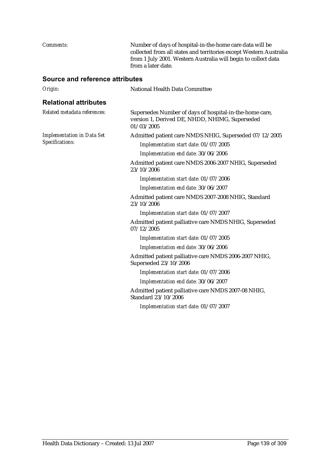*Comments:* Number of days of hospital-in-the-home care data will be collected from all states and territories except Western Australia from 1 July 2001. Western Australia will begin to collect data from a later date. **Source and reference attributes**  *Origin:* National Health Data Committee **Relational attributes**  *Related metadata references:* Supersedes Number of days of hospital-in-the-home care, version 1, Derived DE, NHDD, NHIMG, Superseded 01/03/2005 *Implementation in Data Set Specifications:* Admitted patient care NMDS NHIG, Superseded 07/12/2005 *Implementation start date:* 01/07/2005 *Implementation end date:* 30/06/2006 Admitted patient care NMDS 2006-2007 NHIG, Superseded 23/10/2006 *Implementation start date:* 01/07/2006 *Implementation end date:* 30/06/2007 Admitted patient care NMDS 2007-2008 NHIG, Standard 23/10/2006 *Implementation start date:* 01/07/2007 Admitted patient palliative care NMDS NHIG, Superseded 07/12/2005 *Implementation start date:* 01/07/2005 *Implementation end date:* 30/06/2006 Admitted patient palliative care NMDS 2006-2007 NHIG, Superseded 23/10/2006 *Implementation start date:* 01/07/2006 *Implementation end date:* 30/06/2007 Admitted patient palliative care NMDS 2007-08 NHIG, Standard 23/10/2006 *Implementation start date:* 01/07/2007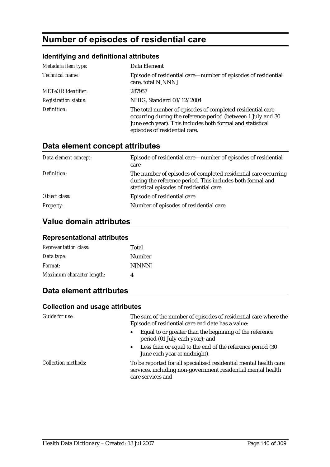# **Number of episodes of residential care**

### **Identifying and definitional attributes**

| Metadata item type:         | Data Element                                                                                                                                                                                                              |
|-----------------------------|---------------------------------------------------------------------------------------------------------------------------------------------------------------------------------------------------------------------------|
| Technical name:             | Episode of residential care—number of episodes of residential<br>care, total N[NNN]                                                                                                                                       |
| <b>METeOR</b> identifier:   | 287957                                                                                                                                                                                                                    |
| <b>Registration status:</b> | NHIG, Standard 08/12/2004                                                                                                                                                                                                 |
| Definition:                 | The total number of episodes of completed residential care<br>occurring during the reference period (between 1 July and 30<br>June each year). This includes both formal and statistical<br>episodes of residential care. |

### **Data element concept attributes**

| Data element concept: | Episode of residential care—number of episodes of residential<br>care                                                                                                     |
|-----------------------|---------------------------------------------------------------------------------------------------------------------------------------------------------------------------|
| Definition:           | The number of episodes of completed residential care occurring<br>during the reference period. This includes both formal and<br>statistical episodes of residential care. |
| Object class:         | Episode of residential care                                                                                                                                               |
| <b>Property:</b>      | Number of episodes of residential care                                                                                                                                    |

# **Value domain attributes**

#### **Representational attributes**

| <b>Representation class:</b> | Total         |
|------------------------------|---------------|
| Data type:                   | <b>Number</b> |
| <i>Format:</i>               | N[NNN]        |
| Maximum character length:    | 4             |

# **Data element attributes**

### **Collection and usage attributes**

| Guide for use:             | The sum of the number of episodes of residential care where the<br>Episode of residential care end date has a value:                                   |
|----------------------------|--------------------------------------------------------------------------------------------------------------------------------------------------------|
|                            | Equal to or greater than the beginning of the reference<br>period (01 July each year); and                                                             |
|                            | • Less than or equal to the end of the reference period (30)<br>June each year at midnight).                                                           |
| <b>Collection methods:</b> | To be reported for all specialised residential mental health care<br>services, including non-government residential mental health<br>care services and |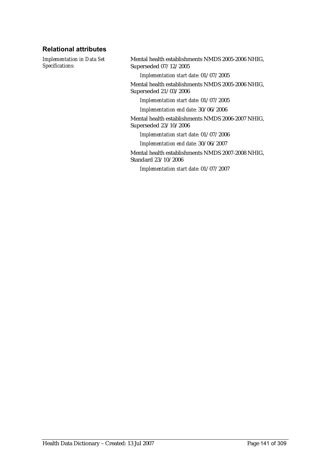### **Relational attributes**

*Implementation in Data Set Specifications:*

Mental health establishments NMDS 2005-2006 NHIG, Superseded 07/12/2005

*Implementation start date:* 01/07/2005

Mental health establishments NMDS 2005-2006 NHIG, Superseded 21/03/2006

*Implementation start date:* 01/07/2005

*Implementation end date:* 30/06/2006

Mental health establishments NMDS 2006-2007 NHIG, Superseded 23/10/2006

*Implementation start date:* 01/07/2006

*Implementation end date:* 30/06/2007

Mental health establishments NMDS 2007-2008 NHIG, Standard 23/10/2006

*Implementation start date:* 01/07/2007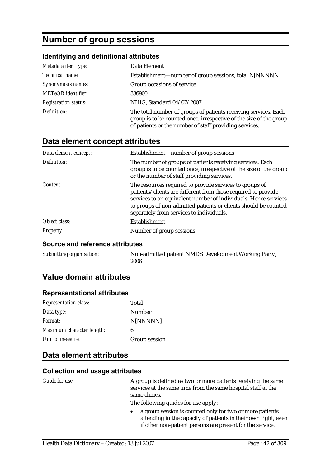# **Number of group sessions**

### **Identifying and definitional attributes**

| Metadata item type:         | Data Element                                                                                                                                                                                    |
|-----------------------------|-------------------------------------------------------------------------------------------------------------------------------------------------------------------------------------------------|
| Technical name:             | Establishment—number of group sessions, total N[NNNNN]                                                                                                                                          |
| Synonymous names:           | Group occasions of service                                                                                                                                                                      |
| <b>METeOR</b> identifier:   | 336900                                                                                                                                                                                          |
| <b>Registration status:</b> | NHIG, Standard 04/07/2007                                                                                                                                                                       |
| Definition:                 | The total number of groups of patients receiving services. Each<br>group is to be counted once, irrespective of the size of the group<br>of patients or the number of staff providing services. |

## **Data element concept attributes**

| Data element concept: | Establishment—number of group sessions                                                                                                                                                                                                                                                                     |
|-----------------------|------------------------------------------------------------------------------------------------------------------------------------------------------------------------------------------------------------------------------------------------------------------------------------------------------------|
| Definition:           | The number of groups of patients receiving services. Each<br>group is to be counted once, irrespective of the size of the group<br>or the number of staff providing services.                                                                                                                              |
| Context:              | The resources required to provide services to groups of<br>patients/clients are different from those required to provide<br>services to an equivalent number of individuals. Hence services<br>to groups of non-admitted patients or clients should be counted<br>separately from services to individuals. |
| Object class:         | Establishment                                                                                                                                                                                                                                                                                              |
| <b>Property:</b>      | Number of group sessions                                                                                                                                                                                                                                                                                   |

#### **Source and reference attributes**

| Submitting organisation: | Non-admitted patient NMDS Development Working Party, |
|--------------------------|------------------------------------------------------|
|                          | 2006                                                 |

## **Value domain attributes**

#### **Representational attributes**

| <b>Representation class:</b> | Total         |
|------------------------------|---------------|
| Data type:                   | Number        |
| <i>Format:</i>               | N[NNNNN]      |
| Maximum character length:    | 6             |
| Unit of measure:             | Group session |

### **Data element attributes**

#### **Collection and usage attributes**

| <i>Guide for use:</i> | A group is defined as two or more patients receiving the same<br>services at the same time from the same hospital staff at the<br>same clinics.                                         |
|-----------------------|-----------------------------------------------------------------------------------------------------------------------------------------------------------------------------------------|
|                       | The following guides for use apply:                                                                                                                                                     |
|                       | a group session is counted only for two or more patients<br>attending in the capacity of patients in their own right, even<br>if other non-patient persons are present for the service. |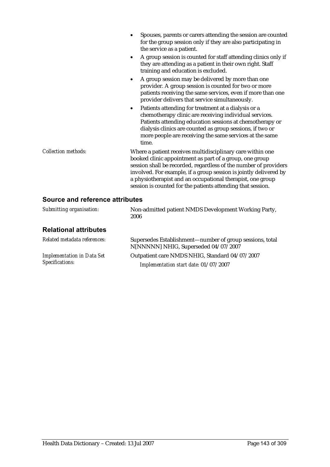|                                 | Spouses, parents or carers attending the session are counted<br>for the group session only if they are also participating in<br>the service as a patient.                                                                                                                                                                                                                                   |
|---------------------------------|---------------------------------------------------------------------------------------------------------------------------------------------------------------------------------------------------------------------------------------------------------------------------------------------------------------------------------------------------------------------------------------------|
|                                 | A group session is counted for staff attending clinics only if<br>$\bullet$<br>they are attending as a patient in their own right. Staff<br>training and education is excluded.                                                                                                                                                                                                             |
|                                 | A group session may be delivered by more than one<br>$\bullet$<br>provider. A group session is counted for two or more<br>patients receiving the same services, even if more than one<br>provider delivers that service simultaneously.                                                                                                                                                     |
|                                 | Patients attending for treatment at a dialysis or a<br>$\bullet$<br>chemotherapy clinic are receiving individual services.<br>Patients attending education sessions at chemotherapy or<br>dialysis clinics are counted as group sessions, if two or<br>more people are receiving the same services at the same<br>time.                                                                     |
| <b>Collection methods:</b>      | Where a patient receives multidisciplinary care within one<br>booked clinic appointment as part of a group, one group<br>session shall be recorded, regardless of the number of providers<br>involved. For example, if a group session is jointly delivered by<br>a physiotherapist and an occupational therapist, one group<br>session is counted for the patients attending that session. |
| Source and reference attributes |                                                                                                                                                                                                                                                                                                                                                                                             |
| Submitting organisation:        | Non-admitted patient NMDS Development Working Party,<br>2006                                                                                                                                                                                                                                                                                                                                |
| <b>Relational attributes</b>    |                                                                                                                                                                                                                                                                                                                                                                                             |

| Related metadata references:                         | Supersedes Establishment—number of group sessions, total<br>N[NNNNN] NHIG, Superseded 04/07/2007 |
|------------------------------------------------------|--------------------------------------------------------------------------------------------------|
| <b>Implementation in Data Set</b><br>Specifications: | Outpatient care NMDS NHIG, Standard 04/07/2007                                                   |
|                                                      | Implementation start date: 01/07/2007                                                            |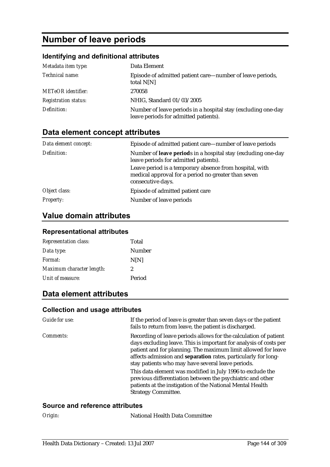# **Number of leave periods**

## **Identifying and definitional attributes**

| Metadata item type:         | Data Element                                                                                           |
|-----------------------------|--------------------------------------------------------------------------------------------------------|
| Technical name:             | Episode of admitted patient care—number of leave periods,<br>total $N[N]$                              |
| <b>METeOR</b> identifier:   | 270058                                                                                                 |
| <b>Registration status:</b> | NHIG, Standard 01/03/2005                                                                              |
| Definition:                 | Number of leave periods in a hospital stay (excluding one-day<br>leave periods for admitted patients). |

# **Data element concept attributes**

| Data element concept: | Episode of admitted patient care—number of leave periods                                                                            |
|-----------------------|-------------------------------------------------------------------------------------------------------------------------------------|
| Definition:           | Number of leave periods in a hospital stay (excluding one-day<br>leave periods for admitted patients).                              |
|                       | Leave period is a temporary absence from hospital, with<br>medical approval for a period no greater than seven<br>consecutive days. |
| Object class:         | Episode of admitted patient care                                                                                                    |
| <i>Property:</i>      | Number of leave periods                                                                                                             |

## **Value domain attributes**

### **Representational attributes**

| <b>Representation class:</b> | Total  |
|------------------------------|--------|
| Data type:                   | Number |
| Format:                      | N[N]   |
| Maximum character length:    | 2      |
| Unit of measure:             | Period |

# **Data element attributes**

### **Collection and usage attributes**

| Guide for use:   | If the period of leave is greater than seven days or the patient<br>fails to return from leave, the patient is discharged.                                                                                                                                                                                                                                                                                                                                                                                                                           |
|------------------|------------------------------------------------------------------------------------------------------------------------------------------------------------------------------------------------------------------------------------------------------------------------------------------------------------------------------------------------------------------------------------------------------------------------------------------------------------------------------------------------------------------------------------------------------|
| <i>Comments:</i> | Recording of leave periods allows for the calculation of patient<br>days excluding leave. This is important for analysis of costs per<br>patient and for planning. The maximum limit allowed for leave<br>affects admission and separation rates, particularly for long-<br>stay patients who may have several leave periods.<br>This data element was modified in July 1996 to exclude the<br>previous differentiation between the psychiatric and other<br>patients at the instigation of the National Mental Health<br><b>Strategy Committee.</b> |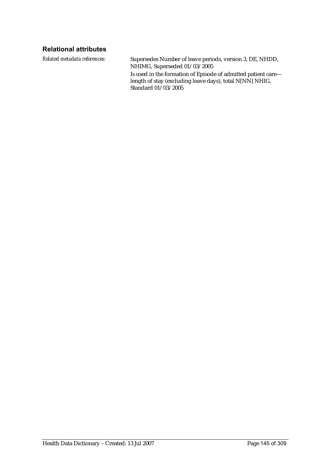### **Relational attributes**

*Related metadata references:* Supersedes Number of leave periods, version 3, DE, NHDD, NHIMG, Superseded 01/03/2005 Is used in the formation of Episode of admitted patient care length of stay (excluding leave days), total N[NN] NHIG, Standard 01/03/2005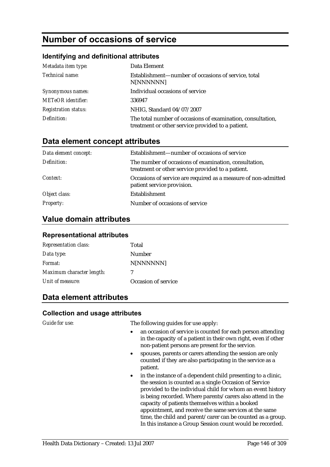# **Number of occasions of service**

#### **Identifying and definitional attributes**

| Metadata item type:         | Data Element                                                                                                     |
|-----------------------------|------------------------------------------------------------------------------------------------------------------|
| Technical name:             | Establishment—number of occasions of service, total<br>N[NNNNNN]                                                 |
| Synonymous names:           | Individual occasions of service                                                                                  |
| <b>METeOR</b> identifier:   | 336947                                                                                                           |
| <b>Registration status:</b> | NHIG, Standard 04/07/2007                                                                                        |
| Definition:                 | The total number of occasions of examination, consultation,<br>treatment or other service provided to a patient. |

### **Data element concept attributes**

| Data element concept: | Establishment—number of occasions of service                                                               |
|-----------------------|------------------------------------------------------------------------------------------------------------|
| Definition:           | The number of occasions of examination, consultation,<br>treatment or other service provided to a patient. |
| Context:              | Occasions of service are required as a measure of non-admitted<br>patient service provision.               |
| Object class:         | Establishment                                                                                              |
| <b>Property:</b>      | Number of occasions of service                                                                             |

### **Value domain attributes**

#### **Representational attributes**

| <b>Representation class:</b> | Total               |
|------------------------------|---------------------|
| Data type:                   | Number              |
| Format:                      | N[NNNNNN]           |
| Maximum character length:    | 7                   |
| Unit of measure:             | Occasion of service |

### **Data element attributes**

#### **Collection and usage attributes**

*Guide for use:* The following guides for use apply:

- an occasion of service is counted for each person attending in the capacity of a patient in their own right, even if other non-patient persons are present for the service.
- spouses, parents or carers attending the session are only counted if they are also participating in the service as a patient.
- in the instance of a dependent child presenting to a clinic, the session is counted as a single Occasion of Service provided to the individual child for whom an event history is being recorded. Where parents/carers also attend in the capacity of patients themselves within a booked appointment, and receive the same services at the same time, the child and parent/carer can be counted as a group. In this instance a Group Session count would be recorded.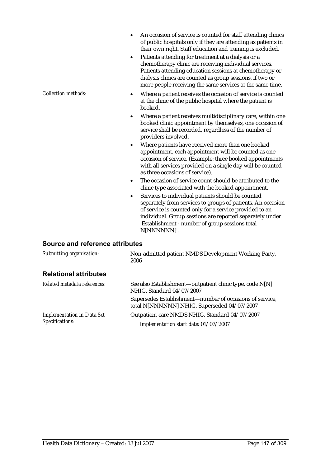- An occasion of service is counted for staff attending clinics of public hospitals only if they are attending as patients in their own right. Staff education and training is excluded.
- Patients attending for treatment at a dialysis or a chemotherapy clinic are receiving individual services. Patients attending education sessions at chemotherapy or dialysis clinics are counted as group sessions, if two or more people receiving the same services at the same time.
- *Collection methods:* Where a patient receives the occasion of service is counted at the clinic of the public hospital where the patient is booked.
	- Where a patient receives multidisciplinary care, within one booked clinic appointment by themselves, one occasion of service shall be recorded, regardless of the number of providers involved.
	- Where patients have received more than one booked appointment, each appointment will be counted as one occasion of service. (Example: three booked appointments with all services provided on a single day will be counted as three occasions of service).
	- The occasion of service count should be attributed to the clinic type associated with the booked appointment.
	- Services to individual patients should be counted separately from services to groups of patients. An occasion of service is counted only for a service provided to an individual. Group sessions are reported separately under 'Establishment - number of group sessions total N[NNNNNN]'.

#### **Source and reference attributes**

| Submitting organisation:                             | Non-admitted patient NMDS Development Working Party,<br>2006                                            |
|------------------------------------------------------|---------------------------------------------------------------------------------------------------------|
| <b>Relational attributes</b>                         |                                                                                                         |
| Related metadata references:                         | See also Establishment—outpatient clinic type, code N[N]<br>NHIG, Standard 04/07/2007                   |
|                                                      | Supersedes Establishment—number of occasions of service,<br>total N[NNNNNN] NHIG, Superseded 04/07/2007 |
| <b>Implementation in Data Set</b><br>Specifications: | Outpatient care NMDS NHIG, Standard 04/07/2007                                                          |
|                                                      | Implementation start date: 01/07/2007                                                                   |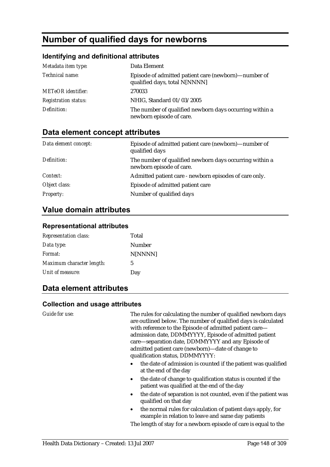# **Number of qualified days for newborns**

#### **Identifying and definitional attributes**

| Metadata item type:         | Data Element                                                                          |
|-----------------------------|---------------------------------------------------------------------------------------|
| Technical name:             | Episode of admitted patient care (newborn)—number of<br>qualified days, total N[NNNN] |
| <b>METeOR</b> identifier:   | 270033                                                                                |
| <b>Registration status:</b> | NHIG, Standard 01/03/2005                                                             |
| Definition:                 | The number of qualified newborn days occurring within a<br>newborn episode of care.   |

### **Data element concept attributes**

| Data element concept: | Episode of admitted patient care (newborn)—number of<br>qualified days              |
|-----------------------|-------------------------------------------------------------------------------------|
| Definition:           | The number of qualified newborn days occurring within a<br>newborn episode of care. |
| Context:              | Admitted patient care - newborn episodes of care only.                              |
| Object class:         | Episode of admitted patient care                                                    |
| <i>Property:</i>      | Number of qualified days                                                            |

### **Value domain attributes**

#### **Representational attributes**

| <b>Representation class:</b> | Total   |
|------------------------------|---------|
| Data type:                   | Number  |
| Format:                      | N[NNNN] |
| Maximum character length:    | 5       |
| Unit of measure:             | Day     |
|                              |         |

### **Data element attributes**

#### **Collection and usage attributes**

*Guide for use:* The rules for calculating the number of qualified newborn days are outlined below. The number of qualified days is calculated with reference to the Episode of admitted patient care admission date, DDMMYYYY, Episode of admitted patient care—separation date, DDMMYYYY and any Episode of admitted patient care (newborn)—date of change to qualification status, DDMMYYYY:

- the date of admission is counted if the patient was qualified at the end of the day
- the date of change to qualification status is counted if the patient was qualified at the end of the day
- the date of separation is not counted, even if the patient was qualified on that day
- the normal rules for calculation of patient days apply, for example in relation to leave and same day patients

The length of stay for a newborn episode of care is equal to the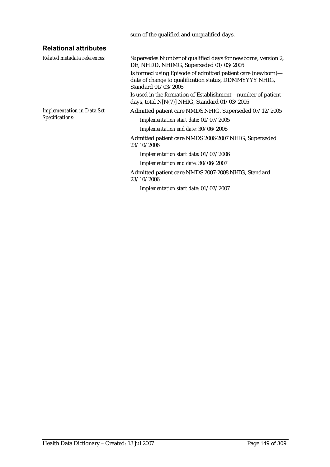sum of the qualified and unqualified days.

### **Relational attributes**

*Related metadata references:* Supersedes Number of qualified days for newborns, version 2,

DE, NHDD, NHIMG, Superseded 01/03/2005 Is formed using Episode of admitted patient care (newborn) date of change to qualification status, DDMMYYYY NHIG, Standard 01/03/2005

Is used in the formation of Establishment—number of patient days, total N[N(7)] NHIG, Standard 01/03/2005

*Implementation in Data Set Specifications:*

Admitted patient care NMDS NHIG, Superseded 07/12/2005

*Implementation start date:* 01/07/2005

*Implementation end date:* 30/06/2006

Admitted patient care NMDS 2006-2007 NHIG, Superseded 23/10/2006

*Implementation start date:* 01/07/2006

*Implementation end date:* 30/06/2007

Admitted patient care NMDS 2007-2008 NHIG, Standard 23/10/2006

*Implementation start date:* 01/07/2007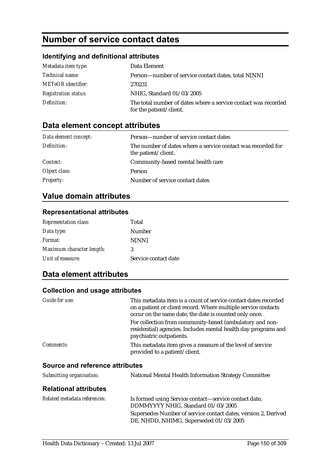# **Number of service contact dates**

### **Identifying and definitional attributes**

| Metadata item type:         | Data Element                                                                              |
|-----------------------------|-------------------------------------------------------------------------------------------|
| <i>Technical name:</i>      | Person—number of service contact dates, total N[NN]                                       |
| <b>METeOR</b> identifier:   | 270231                                                                                    |
| <b>Registration status:</b> | NHIG, Standard 01/03/2005                                                                 |
| Definition:                 | The total number of dates where a service contact was recorded<br>for the patient/client. |

### **Data element concept attributes**

| Data element concept: | Person—number of service contact dates                                              |
|-----------------------|-------------------------------------------------------------------------------------|
| Definition:           | The number of dates where a service contact was recorded for<br>the patient/client. |
| <i>Context:</i>       | Community-based mental health care                                                  |
| Object class:         | <b>Person</b>                                                                       |
| <b>Property:</b>      | Number of service contact dates                                                     |

### **Value domain attributes**

#### **Representational attributes**

| <b>Representation class:</b> | Total                |
|------------------------------|----------------------|
| Data type:                   | Number               |
| Format:                      | <b>N[NN]</b>         |
| Maximum character length:    | 3                    |
| Unit of measure:             | Service contact date |

### **Data element attributes**

| Guide for use:                         | This metadata item is a count of service contact dates recorded<br>on a patient or client record. Where multiple service contacts<br>occur on the same date, the date is counted only once. |
|----------------------------------------|---------------------------------------------------------------------------------------------------------------------------------------------------------------------------------------------|
|                                        | For collection from community-based (ambulatory and non-<br>residential) agencies. Includes mental health day programs and<br>psychiatric outpatients.                                      |
| <i>Comments:</i>                       | This metadata item gives a measure of the level of service<br>provided to a patient/client.                                                                                                 |
| <b>Source and reference attributes</b> |                                                                                                                                                                                             |
| Submitting organisation:               | National Mental Health Information Strategy Committee                                                                                                                                       |
| <b>Relational attributes</b>           |                                                                                                                                                                                             |

| Related metadata references: | Is formed using Service contact—service contact date,<br>DDMMYYYY NHIG, Standard 01/03/2005              |
|------------------------------|----------------------------------------------------------------------------------------------------------|
|                              | Supersedes Number of service contact dates, version 2, Derived<br>DE, NHDD, NHIMG, Superseded 01/03/2005 |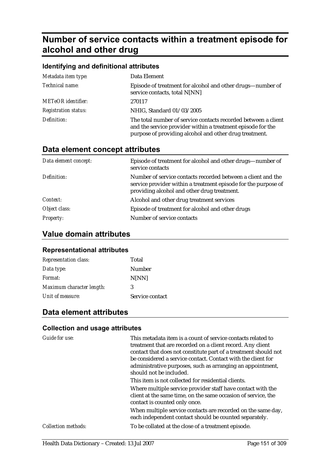# **Number of service contacts within a treatment episode for alcohol and other drug**

| Identifying and definitional attributes |                                                                                                                                                                                         |  |
|-----------------------------------------|-----------------------------------------------------------------------------------------------------------------------------------------------------------------------------------------|--|
| Metadata item type:                     | Data Element                                                                                                                                                                            |  |
| Technical name:                         | Episode of treatment for alcohol and other drugs—number of<br>service contacts, total N[NN]                                                                                             |  |
| METeOR identifier:                      | 270117                                                                                                                                                                                  |  |
| <b>Registration status:</b>             | NHIG, Standard 01/03/2005                                                                                                                                                               |  |
| Definition:                             | The total number of service contacts recorded between a client<br>and the service provider within a treatment episode for the<br>purpose of providing alcohol and other drug treatment. |  |

### **Data element concept attributes**

| Data element concept: | Episode of treatment for alcohol and other drugs—number of<br>service contacts                                                                                                |
|-----------------------|-------------------------------------------------------------------------------------------------------------------------------------------------------------------------------|
| Definition:           | Number of service contacts recorded between a client and the<br>service provider within a treatment episode for the purpose of<br>providing alcohol and other drug treatment. |
| Context:              | Alcohol and other drug treatment services                                                                                                                                     |
| Object class:         | Episode of treatment for alcohol and other drugs                                                                                                                              |
| <b>Property:</b>      | Number of service contacts                                                                                                                                                    |

### **Value domain attributes**

#### **Representational attributes**

| <b>Representation class:</b> | Total           |
|------------------------------|-----------------|
| Data type:                   | Number          |
| Format:                      | N[NN]           |
| Maximum character length:    | 3               |
| Unit of measure:             | Service contact |

### **Data element attributes**

| Guide for use:             | This metadata item is a count of service contacts related to<br>treatment that are recorded on a client record. Any client<br>contact that does not constitute part of a treatment should not<br>be considered a service contact. Contact with the client for<br>administrative purposes, such as arranging an appointment,<br>should not be included. |
|----------------------------|--------------------------------------------------------------------------------------------------------------------------------------------------------------------------------------------------------------------------------------------------------------------------------------------------------------------------------------------------------|
|                            | This item is not collected for residential clients.                                                                                                                                                                                                                                                                                                    |
|                            | Where multiple service provider staff have contact with the<br>client at the same time, on the same occasion of service, the<br>contact is counted only once.                                                                                                                                                                                          |
|                            | When multiple service contacts are recorded on the same day,<br>each independent contact should be counted separately.                                                                                                                                                                                                                                 |
| <b>Collection methods:</b> | To be collated at the close of a treatment episode.                                                                                                                                                                                                                                                                                                    |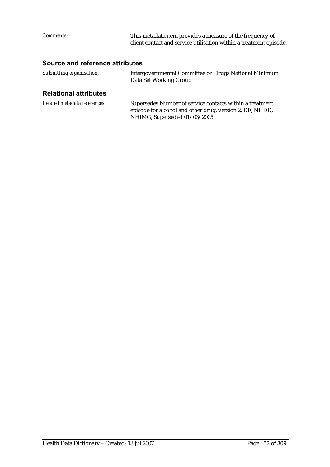| <i>Comments:</i>                | This metadata item provides a measure of the frequency of<br>client contact and service utilisation within a treatment episode. |
|---------------------------------|---------------------------------------------------------------------------------------------------------------------------------|
| Source and reference attributes |                                                                                                                                 |

#### **Source and reference attributes**

| Submitting organisation:     | Intergovernmental Committee on Drugs National Minimum<br>Data Set Working Group |
|------------------------------|---------------------------------------------------------------------------------|
| <b>Relational attributes</b> |                                                                                 |

| Related metadata references: | Supersedes Number of service contacts within a treatment |
|------------------------------|----------------------------------------------------------|
|                              | episode for alcohol and other drug, version 2, DE, NHDD, |
|                              | NHIMG, Superseded 01/03/2005                             |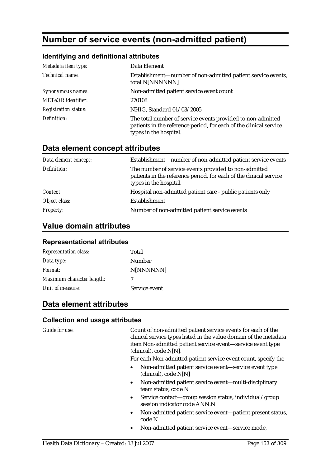# **Number of service events (non-admitted patient)**

#### **Identifying and definitional attributes**

| Metadata item type:         | Data Element                                                                                                                                                |
|-----------------------------|-------------------------------------------------------------------------------------------------------------------------------------------------------------|
| Technical name:             | Establishment—number of non-admitted patient service events,<br>total N[NNNNNN]                                                                             |
| Synonymous names:           | Non-admitted patient service event count                                                                                                                    |
| <b>METeOR</b> identifier:   | 270108                                                                                                                                                      |
| <b>Registration status:</b> | NHIG, Standard 01/03/2005                                                                                                                                   |
| Definition:                 | The total number of service events provided to non-admitted<br>patients in the reference period, for each of the clinical service<br>types in the hospital. |

### **Data element concept attributes**

| Data element concept: | Establishment—number of non-admitted patient service events                                                                                           |
|-----------------------|-------------------------------------------------------------------------------------------------------------------------------------------------------|
| Definition:           | The number of service events provided to non-admitted<br>patients in the reference period, for each of the clinical service<br>types in the hospital. |
| Context:              | Hospital non-admitted patient care - public patients only                                                                                             |
| Object class:         | Establishment                                                                                                                                         |
| <b>Property:</b>      | Number of non-admitted patient service events                                                                                                         |

### **Value domain attributes**

#### **Representational attributes**

| <b>Representation class:</b> | Total         |
|------------------------------|---------------|
| Data type:                   | <b>Number</b> |
| Format:                      | N[NNNNNN]     |
| Maximum character length:    | 7             |
| Unit of measure:             | Service event |

### **Data element attributes**

#### **Collection and usage attributes**

*Guide for use:* Count of non-admitted patient service events for each of the clinical service types listed in the value domain of the metadata item Non-admitted patient service event—service event type (clinical), code N[N].

For each Non-admitted patient service event count, specify the

- Non-admitted patient service event—service event type (clinical), code N[N]
- Non-admitted patient service event—multi-disciplinary team status, code N
- Service contact—group session status, individual/group session indicator code ANN.N
- Non-admitted patient service event—patient present status, code N
- Non-admitted patient service event—service mode,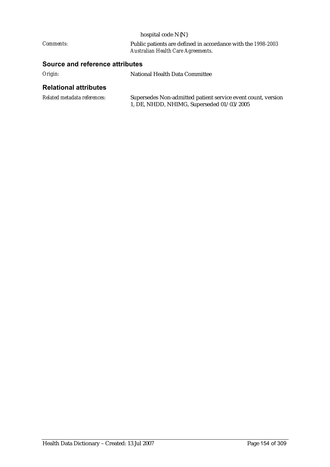|                                 | hospital code N{N}                                                                                        |  |
|---------------------------------|-----------------------------------------------------------------------------------------------------------|--|
| <i>Comments:</i>                | Public patients are defined in accordance with the 1998-2003<br><b>Australian Health Care Agreements.</b> |  |
| Source and reference attributes |                                                                                                           |  |
|                                 |                                                                                                           |  |

| Origin: | National Health Data Committee |
|---------|--------------------------------|
|         |                                |

### **Relational attributes**

| Related metadata references: | Supersedes Non-admitted patient service event count, version |
|------------------------------|--------------------------------------------------------------|
|                              | 1, DE, NHDD, NHIMG, Superseded 01/03/2005                    |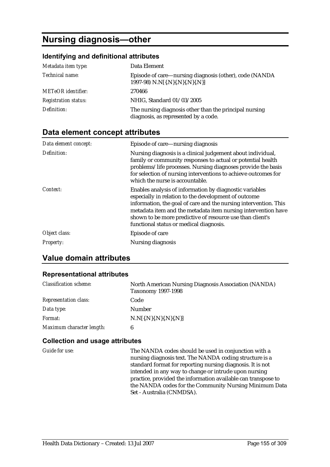# **Nursing diagnosis—other**

#### **Identifying and definitional attributes**

| Metadata item type:         | Data Element                                                                                   |
|-----------------------------|------------------------------------------------------------------------------------------------|
| Technical name:             | Episode of care—nursing diagnosis (other), code (NANDA<br>1997-98) N.N[{.N}{.N}{.N}{.N}}       |
| <b>METeOR</b> identifier:   | 270466                                                                                         |
| <b>Registration status:</b> | NHIG, Standard 01/03/2005                                                                      |
| Definition:                 | The nursing diagnosis other than the principal nursing<br>diagnosis, as represented by a code. |

### **Data element concept attributes**

| Data element concept: | Episode of care—nursing diagnosis                                                                                                                                                                                                                                                                                                                            |
|-----------------------|--------------------------------------------------------------------------------------------------------------------------------------------------------------------------------------------------------------------------------------------------------------------------------------------------------------------------------------------------------------|
| Definition:           | Nursing diagnosis is a clinical judgement about individual,<br>family or community responses to actual or potential health<br>problems/life processes. Nursing diagnoses provide the basis<br>for selection of nursing interventions to achieve outcomes for<br>which the nurse is accountable.                                                              |
| Context:              | Enables analysis of information by diagnostic variables<br>especially in relation to the development of outcome<br>information, the goal of care and the nursing intervention. This<br>metadata item and the metadata item nursing intervention have<br>shown to be more predictive of resource use than client's<br>functional status or medical diagnosis. |
| Object class:         | Episode of care                                                                                                                                                                                                                                                                                                                                              |
| Property:             | Nursing diagnosis                                                                                                                                                                                                                                                                                                                                            |

### **Value domain attributes**

#### **Representational attributes**

| <b>Classification scheme:</b> | North American Nursing Diagnosis Association (NANDA)<br><b>Taxonomy 1997-1998</b> |
|-------------------------------|-----------------------------------------------------------------------------------|
| <b>Representation class:</b>  | Code                                                                              |
| Data type:                    | <b>Number</b>                                                                     |
| Format:                       | $N.N[\{N\},N\},N,\{N\}]$                                                          |
| Maximum character length:     | 6                                                                                 |

#### **Collection and usage attributes**

*Guide for use:* The NANDA codes should be used in conjunction with a nursing diagnosis text. The NANDA coding structure is a standard format for reporting nursing diagnosis. It is not intended in any way to change or intrude upon nursing practice, provided the information available can transpose to the NANDA codes for the Community Nursing Minimum Data Set - Australia (CNMDSA).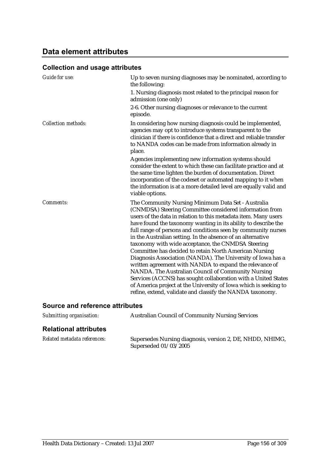# **Data element attributes**

| Guide for use:                         | Up to seven nursing diagnoses may be nominated, according to<br>the following:                                                                                                                                                                                                                                                                                                                                                                                                                                                                                                                                                                                                                                                                                                                                                                                                        |
|----------------------------------------|---------------------------------------------------------------------------------------------------------------------------------------------------------------------------------------------------------------------------------------------------------------------------------------------------------------------------------------------------------------------------------------------------------------------------------------------------------------------------------------------------------------------------------------------------------------------------------------------------------------------------------------------------------------------------------------------------------------------------------------------------------------------------------------------------------------------------------------------------------------------------------------|
|                                        | 1. Nursing diagnosis most related to the principal reason for<br>admission (one only)                                                                                                                                                                                                                                                                                                                                                                                                                                                                                                                                                                                                                                                                                                                                                                                                 |
|                                        | 2-6. Other nursing diagnoses or relevance to the current<br>episode.                                                                                                                                                                                                                                                                                                                                                                                                                                                                                                                                                                                                                                                                                                                                                                                                                  |
| <b>Collection methods:</b>             | In considering how nursing diagnosis could be implemented,<br>agencies may opt to introduce systems transparent to the<br>clinician if there is confidence that a direct and reliable transfer<br>to NANDA codes can be made from information already in<br>place.                                                                                                                                                                                                                                                                                                                                                                                                                                                                                                                                                                                                                    |
|                                        | Agencies implementing new information systems should<br>consider the extent to which these can facilitate practice and at<br>the same time lighten the burden of documentation. Direct<br>incorporation of the codeset or automated mapping to it when<br>the information is at a more detailed level are equally valid and<br>viable options.                                                                                                                                                                                                                                                                                                                                                                                                                                                                                                                                        |
| Comments:                              | The Community Nursing Minimum Data Set - Australia<br>(CNMDSA) Steering Committee considered information from<br>users of the data in relation to this metadata item. Many users<br>have found the taxonomy wanting in its ability to describe the<br>full range of persons and conditions seen by community nurses<br>in the Australian setting. In the absence of an alternative<br>taxonomy with wide acceptance, the CNMDSA Steering<br>Committee has decided to retain North American Nursing<br>Diagnosis Association (NANDA). The University of Iowa has a<br>written agreement with NANDA to expand the relevance of<br>NANDA. The Australian Council of Community Nursing<br>Services (ACCNS) has sought collaboration with a United States<br>of America project at the University of Iowa which is seeking to<br>refine, extend, validate and classify the NANDA taxonomy. |
| <b>Source and reference attributes</b> |                                                                                                                                                                                                                                                                                                                                                                                                                                                                                                                                                                                                                                                                                                                                                                                                                                                                                       |

| Submitting organisation:     | <b>Australian Council of Community Nursing Services</b>                            |
|------------------------------|------------------------------------------------------------------------------------|
| <b>Relational attributes</b> |                                                                                    |
| Related metadata references: | Supersedes Nursing diagnosis, version 2, DE, NHDD, NHIMG,<br>Superseded 01/03/2005 |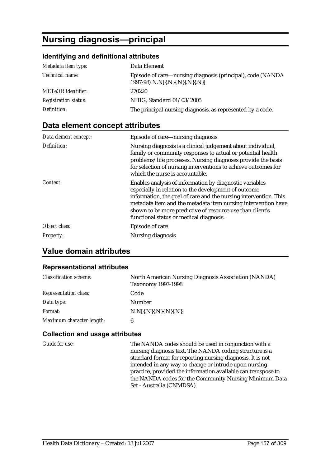# **Nursing diagnosis—principal**

#### **Identifying and definitional attributes**

| Metadata item type:         | Data Element                                                                                  |
|-----------------------------|-----------------------------------------------------------------------------------------------|
| Technical name:             | Episode of care—nursing diagnosis (principal), code (NANDA<br>1997-98) N.N[{.N}{.N}{.N}{.N}}] |
| <b>METeOR</b> identifier:   | 270220                                                                                        |
| <b>Registration status:</b> | NHIG, Standard 01/03/2005                                                                     |
| Definition:                 | The principal nursing diagnosis, as represented by a code.                                    |

### **Data element concept attributes**

| Data element concept: | Episode of care—nursing diagnosis                                                                                                                                                                                                                                                                                                                            |
|-----------------------|--------------------------------------------------------------------------------------------------------------------------------------------------------------------------------------------------------------------------------------------------------------------------------------------------------------------------------------------------------------|
| Definition:           | Nursing diagnosis is a clinical judgement about individual,<br>family or community responses to actual or potential health<br>problems/life processes. Nursing diagnoses provide the basis<br>for selection of nursing interventions to achieve outcomes for<br>which the nurse is accountable.                                                              |
| Context:              | Enables analysis of information by diagnostic variables<br>especially in relation to the development of outcome<br>information, the goal of care and the nursing intervention. This<br>metadata item and the metadata item nursing intervention have<br>shown to be more predictive of resource use than client's<br>functional status or medical diagnosis. |
| Object class:         | Episode of care                                                                                                                                                                                                                                                                                                                                              |
| <b>Property:</b>      | Nursing diagnosis                                                                                                                                                                                                                                                                                                                                            |

### **Value domain attributes**

#### **Representational attributes**

| <b>Classification scheme:</b> | North American Nursing Diagnosis Association (NANDA)<br><b>Taxonomy 1997-1998</b> |
|-------------------------------|-----------------------------------------------------------------------------------|
| <b>Representation class:</b>  | Code                                                                              |
| Data type:                    | <b>Number</b>                                                                     |
| Format:                       | $N.N$ {{ $N$ }{ $N$ }{ $N$ }{ $N$ }}                                              |
| Maximum character length:     | 6                                                                                 |

#### **Collection and usage attributes**

*Guide for use:* The NANDA codes should be used in conjunction with a nursing diagnosis text. The NANDA coding structure is a standard format for reporting nursing diagnosis. It is not intended in any way to change or intrude upon nursing practice, provided the information available can transpose to the NANDA codes for the Community Nursing Minimum Data Set - Australia (CNMDSA).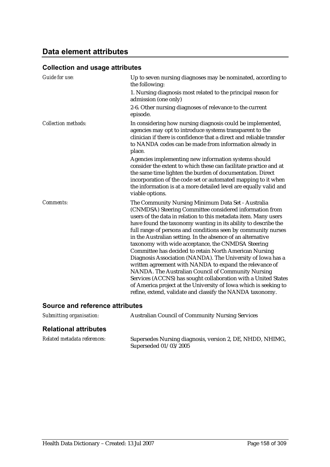### **Data element attributes**

| Guide for use:                         | Up to seven nursing diagnoses may be nominated, according to<br>the following:                                                                                                                                                                                                                                                                                                                                                                                                                                                                                                                                                                                                                                                                                                                                                                                                        |
|----------------------------------------|---------------------------------------------------------------------------------------------------------------------------------------------------------------------------------------------------------------------------------------------------------------------------------------------------------------------------------------------------------------------------------------------------------------------------------------------------------------------------------------------------------------------------------------------------------------------------------------------------------------------------------------------------------------------------------------------------------------------------------------------------------------------------------------------------------------------------------------------------------------------------------------|
|                                        | 1. Nursing diagnosis most related to the principal reason for<br>admission (one only)                                                                                                                                                                                                                                                                                                                                                                                                                                                                                                                                                                                                                                                                                                                                                                                                 |
|                                        | 2-6. Other nursing diagnoses of relevance to the current<br>episode.                                                                                                                                                                                                                                                                                                                                                                                                                                                                                                                                                                                                                                                                                                                                                                                                                  |
| <b>Collection methods:</b>             | In considering how nursing diagnosis could be implemented,<br>agencies may opt to introduce systems transparent to the<br>clinician if there is confidence that a direct and reliable transfer<br>to NANDA codes can be made from information already in<br>place.                                                                                                                                                                                                                                                                                                                                                                                                                                                                                                                                                                                                                    |
|                                        | Agencies implementing new information systems should<br>consider the extent to which these can facilitate practice and at<br>the same time lighten the burden of documentation. Direct<br>incorporation of the code set or automated mapping to it when<br>the information is at a more detailed level are equally valid and<br>viable options.                                                                                                                                                                                                                                                                                                                                                                                                                                                                                                                                       |
| Comments:                              | The Community Nursing Minimum Data Set - Australia<br>(CNMDSA) Steering Committee considered information from<br>users of the data in relation to this metadata item. Many users<br>have found the taxonomy wanting in its ability to describe the<br>full range of persons and conditions seen by community nurses<br>in the Australian setting. In the absence of an alternative<br>taxonomy with wide acceptance, the CNMDSA Steering<br>Committee has decided to retain North American Nursing<br>Diagnosis Association (NANDA). The University of Iowa has a<br>written agreement with NANDA to expand the relevance of<br>NANDA. The Australian Council of Community Nursing<br>Services (ACCNS) has sought collaboration with a United States<br>of America project at the University of Iowa which is seeking to<br>refine, extend, validate and classify the NANDA taxonomy. |
| <b>Source and reference attributes</b> |                                                                                                                                                                                                                                                                                                                                                                                                                                                                                                                                                                                                                                                                                                                                                                                                                                                                                       |

| Submitting organisation:     | <b>Australian Council of Community Nursing Services</b>                            |
|------------------------------|------------------------------------------------------------------------------------|
| <b>Relational attributes</b> |                                                                                    |
| Related metadata references: | Supersedes Nursing diagnosis, version 2, DE, NHDD, NHIMG,<br>Superseded 01/03/2005 |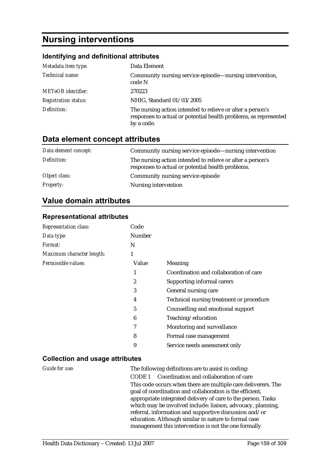# **Nursing interventions**

#### **Identifying and definitional attributes**

| Metadata item type:         | Data Element                                                                                                                                 |
|-----------------------------|----------------------------------------------------------------------------------------------------------------------------------------------|
| Technical name:             | Community nursing service episode—nursing intervention,<br>code N                                                                            |
| <b>METeOR</b> identifier:   | 270223                                                                                                                                       |
| <b>Registration status:</b> | NHIG, Standard 01/03/2005                                                                                                                    |
| Definition:                 | The nursing action intended to relieve or alter a person's<br>responses to actual or potential health problems, as represented<br>by a code. |

### **Data element concept attributes**

| Data element concept: | Community nursing service episode—nursing intervention                                                          |
|-----------------------|-----------------------------------------------------------------------------------------------------------------|
| Definition:           | The nursing action intended to relieve or alter a person's<br>responses to actual or potential health problems. |
| Object class:         | Community nursing service episode                                                                               |
| <b>Property:</b>      | Nursing intervention                                                                                            |

### **Value domain attributes**

#### **Representational attributes**

| <b>Representation class:</b> | Code   |                                          |
|------------------------------|--------|------------------------------------------|
| Data type:                   | Number |                                          |
| <i>Format:</i>               | N      |                                          |
| Maximum character length:    | 1      |                                          |
| Permissible values:          | Value  | Meaning                                  |
|                              |        | Coordination and collaboration of care   |
|                              | 2      | Supporting informal carers               |
|                              | 3      | General nursing care                     |
|                              | 4      | Technical nursing treatment or procedure |
|                              | 5      | Counselling and emotional support        |
|                              | 6      | Teaching/education                       |
|                              | 7      | Monitoring and surveillance              |
|                              | 8      | Formal case management                   |
|                              | 9      | Service needs assessment only            |

#### **Collection and usage attributes**

*Guide for use:* The following definitions are to assist in coding: CODE 1 Coordination and collaboration of care This code occurs when there are multiple care deliverers. The goal of coordination and collaboration is the efficient, appropriate integrated delivery of care to the person. Tasks which may be involved include: liaison, advocacy, planning, referral, information and supportive discussion and/or education. Although similar in nature to formal case management this intervention is not the one formally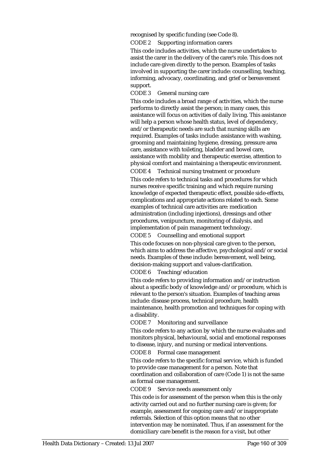recognised by specific funding (see Code 8).

CODE 2 Supporting information carers

This code includes activities, which the nurse undertakes to assist the carer in the delivery of the carer's role. This does not include care given directly to the person. Examples of tasks involved in supporting the carer include: counselling, teaching, informing, advocacy, coordinating, and grief or bereavement support.

CODE 3 General nursing care

This code includes a broad range of activities, which the nurse performs to directly assist the person; in many cases, this assistance will focus on activities of daily living. This assistance will help a person whose health status, level of dependency, and/or therapeutic needs are such that nursing skills are required. Examples of tasks include: assistance with washing, grooming and maintaining hygiene, dressing, pressure area care, assistance with toileting, bladder and bowel care, assistance with mobility and therapeutic exercise, attention to physical comfort and maintaining a therapeutic environment.

CODE 4 Technical nursing treatment or procedure

This code refers to technical tasks and procedures for which nurses receive specific training and which require nursing knowledge of expected therapeutic effect, possible side-effects, complications and appropriate actions related to each. Some examples of technical care activities are: medication administration (including injections), dressings and other procedures, venipuncture, monitoring of dialysis, and implementation of pain management technology.

CODE 5 Counselling and emotional support

This code focuses on non-physical care given to the person, which aims to address the affective, psychological and/or social needs. Examples of these include: bereavement, well being, decision-making support and values-clarification.

CODE 6 Teaching/education

This code refers to providing information and/or instruction about a specific body of knowledge and/or procedure, which is relevant to the person's situation. Examples of teaching areas include: disease process, technical procedure, health maintenance, health promotion and techniques for coping with a disability.

CODE 7 Monitoring and surveillance

This code refers to any action by which the nurse evaluates and monitors physical, behavioural, social and emotional responses to disease, injury, and nursing or medical interventions.

CODE 8 Formal case management

This code refers to the specific formal service, which is funded to provide case management for a person. Note that coordination and collaboration of care (Code 1) is not the same as formal case management.

CODE 9 Service needs assessment only

This code is for assessment of the person when this is the only activity carried out and no further nursing care is given; for example, assessment for ongoing care and/or inappropriate referrals. Selection of this option means that no other intervention may be nominated. Thus, if an assessment for the domiciliary care benefit is the reason for a visit, but other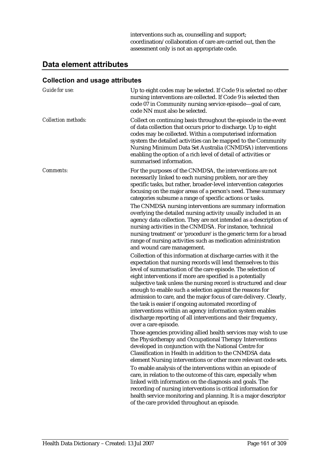interventions such as, counselling and support; coordination/collaboration of care are carried out, then the assessment only is not an appropriate code.

### **Data element attributes**

| <b>Guide for use:</b>      | Up to eight codes may be selected. If Code 9 is selected no other<br>nursing interventions are collected. If Code 9 is selected then<br>code 07 in Community nursing service episode-goal of care,<br>code NN must also be selected.                                                                                                                                                                                                                                                                                                                                                                                                                                                                                                                                                                                                                                                                                                                                                                                                                                                                                                                                                                                                                                                                                                                                                                                                                                                                                                                                                                                                                                                                                                                                      |
|----------------------------|---------------------------------------------------------------------------------------------------------------------------------------------------------------------------------------------------------------------------------------------------------------------------------------------------------------------------------------------------------------------------------------------------------------------------------------------------------------------------------------------------------------------------------------------------------------------------------------------------------------------------------------------------------------------------------------------------------------------------------------------------------------------------------------------------------------------------------------------------------------------------------------------------------------------------------------------------------------------------------------------------------------------------------------------------------------------------------------------------------------------------------------------------------------------------------------------------------------------------------------------------------------------------------------------------------------------------------------------------------------------------------------------------------------------------------------------------------------------------------------------------------------------------------------------------------------------------------------------------------------------------------------------------------------------------------------------------------------------------------------------------------------------------|
| <b>Collection methods:</b> | Collect on continuing basis throughout the episode in the event<br>of data collection that occurs prior to discharge. Up to eight<br>codes may be collected. Within a computerised information<br>system the detailed activities can be mapped to the Community<br>Nursing Minimum Data Set Australia (CNMDSA) interventions<br>enabling the option of a rich level of detail of activities or<br>summarised information.                                                                                                                                                                                                                                                                                                                                                                                                                                                                                                                                                                                                                                                                                                                                                                                                                                                                                                                                                                                                                                                                                                                                                                                                                                                                                                                                                 |
| Comments:                  | For the purposes of the CNMDSA, the interventions are not<br>necessarily linked to each nursing problem, nor are they<br>specific tasks, but rather, broader-level intervention categories<br>focusing on the major areas of a person's need. These summary<br>categories subsume a range of specific actions or tasks.<br>The CNMDSA nursing interventions are summary information<br>overlying the detailed nursing activity usually included in an<br>agency data collection. They are not intended as a description of<br>nursing activities in the CNMDSA. For instance, 'technical<br>nursing treatment' or 'procedure' is the generic term for a broad<br>range of nursing activities such as medication administration<br>and wound care management.<br>Collection of this information at discharge carries with it the<br>expectation that nursing records will lend themselves to this<br>level of summarisation of the care episode. The selection of<br>eight interventions if more are specified is a potentially<br>subjective task unless the nursing record is structured and clear<br>enough to enable such a selection against the reasons for<br>admission to care, and the major focus of care delivery. Clearly,<br>the task is easier if ongoing automated recording of<br>interventions within an agency information system enables<br>discharge reporting of all interventions and their frequency,<br>over a care episode.<br>Those agencies providing allied health services may wish to use<br>the Physiotherapy and Occupational Therapy Interventions<br>developed in conjunction with the National Centre for<br>Classification in Health in addition to the CNMDSA data<br>element Nursing interventions or other more relevant code sets. |
|                            | To enable analysis of the interventions within an episode of<br>care, in relation to the outcome of this care, especially when<br>linked with information on the diagnosis and goals. The<br>recording of nursing interventions is critical information for<br>health service monitoring and planning. It is a major descriptor<br>of the care provided throughout an episode.                                                                                                                                                                                                                                                                                                                                                                                                                                                                                                                                                                                                                                                                                                                                                                                                                                                                                                                                                                                                                                                                                                                                                                                                                                                                                                                                                                                            |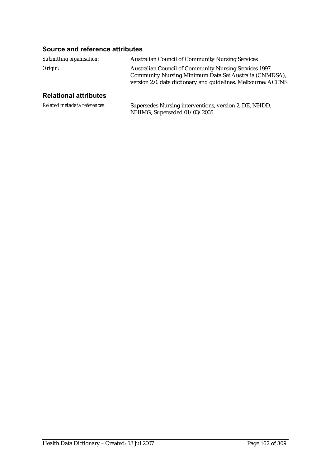### **Source and reference attributes**

| Submitting organisation: | <b>Australian Council of Community Nursing Services</b>                                                                                                                                  |
|--------------------------|------------------------------------------------------------------------------------------------------------------------------------------------------------------------------------------|
| Origin:                  | <b>Australian Council of Community Nursing Services 1997.</b><br>Community Nursing Minimum Data Set Australia (CNMDSA),<br>version 2.0: data dictionary and guidelines. Melbourne: ACCNS |

### **Relational attributes**

| Related metadata references: | Supersedes Nursing interventions, version 2, DE, NHDD, |
|------------------------------|--------------------------------------------------------|
|                              | NHIMG, Superseded 01/03/2005                           |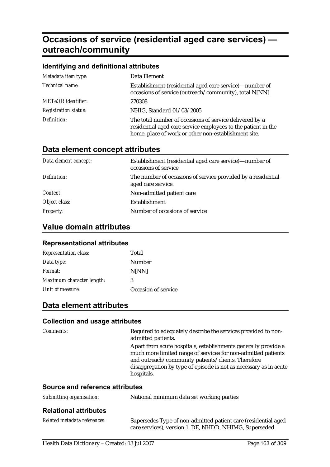# **Occasions of service (residential aged care services) outreach/community**

| Identifying and definitional attributes |                                                                                                                                                                                  |
|-----------------------------------------|----------------------------------------------------------------------------------------------------------------------------------------------------------------------------------|
| Metadata item type:                     | Data Element                                                                                                                                                                     |
| Technical name:                         | Establishment (residential aged care service)—number of<br>occasions of service (outreach/community), total N[NN]                                                                |
| <b>METeOR</b> identifier:               | 270308                                                                                                                                                                           |
| <b>Registration status:</b>             | NHIG, Standard 01/03/2005                                                                                                                                                        |
| Definition:                             | The total number of occasions of service delivered by a<br>residential aged care service employees to the patient in the<br>home, place of work or other non-establishment site. |

# **Data element concept attributes**

| Data element concept: | Establishment (residential aged care service)—number of<br>occasions of service    |
|-----------------------|------------------------------------------------------------------------------------|
| Definition:           | The number of occasions of service provided by a residential<br>aged care service. |
| Context:              | Non-admitted patient care                                                          |
| Object class:         | Establishment                                                                      |
| <b>Property:</b>      | Number of occasions of service                                                     |

### **Value domain attributes**

#### **Representational attributes**

| <b>Representation class:</b> | Total               |
|------------------------------|---------------------|
| Data type:                   | Number              |
| Format:                      | N[NN]               |
| Maximum character length:    | 3                   |
| Unit of measure:             | Occasion of service |

### **Data element attributes**

#### **Collection and usage attributes**

| <i>Comments:</i>                | Required to adequately describe the services provided to non-<br>admitted patients.                                                                                                                                                                                      |
|---------------------------------|--------------------------------------------------------------------------------------------------------------------------------------------------------------------------------------------------------------------------------------------------------------------------|
|                                 | Apart from acute hospitals, establishments generally provide a<br>much more limited range of services for non-admitted patients<br>and outreach/community patients/clients. Therefore<br>disaggregation by type of episode is not as necessary as in acute<br>hospitals. |
| Source and reference attributes |                                                                                                                                                                                                                                                                          |

#### **Source and reference attributes**

| Submitting organisation: | National minimum data set working parties |
|--------------------------|-------------------------------------------|
|                          |                                           |

### **Relational attributes**

| Related metadata references: | Supersedes Type of non-admitted patient care (residential aged |
|------------------------------|----------------------------------------------------------------|
|                              | care services), version 1, DE, NHDD, NHIMG, Superseded         |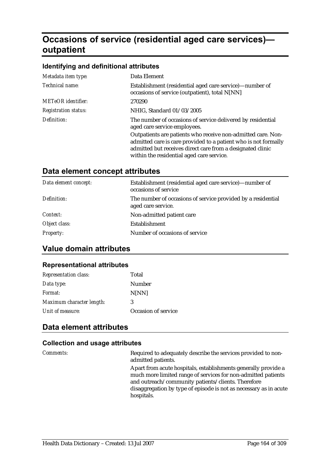# **Occasions of service (residential aged care services) outpatient**

#### **Identifying and definitional attributes**

| Metadata item type:         | Data Element                                                                                                                                                                                                                               |
|-----------------------------|--------------------------------------------------------------------------------------------------------------------------------------------------------------------------------------------------------------------------------------------|
| Technical name:             | Establishment (residential aged care service)-number of<br>occasions of service (outpatient), total N[NN]                                                                                                                                  |
| <b>METeOR</b> identifier:   | 270290                                                                                                                                                                                                                                     |
| <b>Registration status:</b> | NHIG, Standard 01/03/2005                                                                                                                                                                                                                  |
| Definition:                 | The number of occasions of service delivered by residential<br>aged care service employees.                                                                                                                                                |
|                             | Outpatients are patients who receive non-admitted care. Non-<br>admitted care is care provided to a patient who is not formally<br>admitted but receives direct care from a designated clinic<br>within the residential aged care service. |

### **Data element concept attributes**

| Data element concept: | Establishment (residential aged care service)—number of<br>occasions of service    |
|-----------------------|------------------------------------------------------------------------------------|
| Definition:           | The number of occasions of service provided by a residential<br>aged care service. |
| Context:              | Non-admitted patient care                                                          |
| Object class:         | Establishment                                                                      |
| <b>Property:</b>      | Number of occasions of service                                                     |

### **Value domain attributes**

#### **Representational attributes**

| <b>Representation class:</b> | Total               |
|------------------------------|---------------------|
| Data type:                   | Number              |
| Format:                      | N[NN]               |
| Maximum character length:    | 3                   |
| Unit of measure:             | Occasion of service |

### **Data element attributes**

#### **Collection and usage attributes**

*Comments:* Required to adequately describe the services provided to nonadmitted patients.

> Apart from acute hospitals, establishments generally provide a much more limited range of services for non-admitted patients and outreach/community patients/clients. Therefore disaggregation by type of episode is not as necessary as in acute hospitals.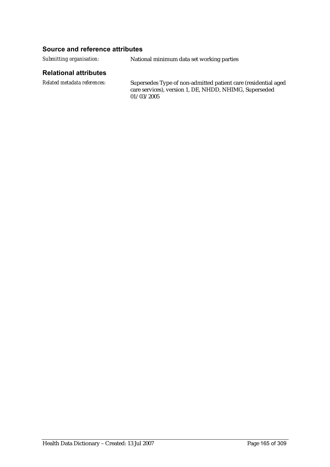#### **Source and reference attributes**

*Submitting organisation:* National minimum data set working parties

#### **Relational attributes**

*Related metadata references:* Supersedes Type of non-admitted patient care (residential aged care services), version 1, DE, NHDD, NHIMG, Superseded 01/03/2005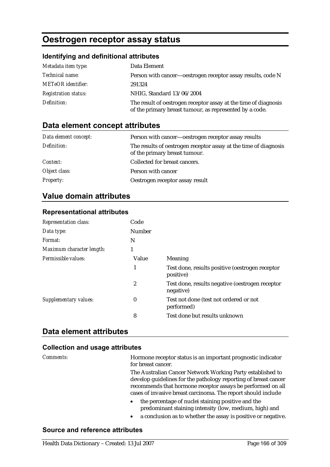# **Oestrogen receptor assay status**

#### **Identifying and definitional attributes**

| Metadata item type:         | Data Element                                                                                                               |
|-----------------------------|----------------------------------------------------------------------------------------------------------------------------|
| Technical name:             | Person with cancer—oestrogen receptor assay results, code N                                                                |
| <b>METeOR</b> identifier:   | 291324                                                                                                                     |
| <b>Registration status:</b> | NHIG, Standard 13/06/2004                                                                                                  |
| Definition:                 | The result of oestrogen receptor assay at the time of diagnosis<br>of the primary breast tumour, as represented by a code. |

### **Data element concept attributes**

| Data element concept: | Person with cancer—oestrogen receptor assay results                                               |
|-----------------------|---------------------------------------------------------------------------------------------------|
| Definition:           | The results of oestrogen receptor assay at the time of diagnosis<br>of the primary breast tumour. |
| Context:              | Collected for breast cancers.                                                                     |
| Object class:         | Person with cancer                                                                                |
| <b>Property:</b>      | Oestrogen receptor assay result                                                                   |

### **Value domain attributes**

#### **Representational attributes**

| <b>Representation class:</b> | Code             |                                                              |
|------------------------------|------------------|--------------------------------------------------------------|
| Data type:                   | <b>Number</b>    |                                                              |
| Format:                      | N                |                                                              |
| Maximum character length:    | 1                |                                                              |
| Permissible values:          | Value            | Meaning                                                      |
|                              | 1                | Test done, results positive (oestrogen receptor<br>positive) |
|                              | 2                | Test done, results negative (oestrogen receptor<br>negative) |
| <b>Supplementary values:</b> | $\boldsymbol{0}$ | Test not done (test not ordered or not<br>performed)         |
|                              | 8                | Test done but results unknown                                |

### **Data element attributes**

#### **Collection and usage attributes**

*Comments:* Hormone receptor status is an important prognostic indicator for breast cancer.

> The Australian Cancer Network Working Party established to develop guidelines for the pathology reporting of breast cancer recommends that hormone receptor assays be performed on all cases of invasive breast carcinoma. The report should include

- the percentage of nuclei staining positive and the predominant staining intensity (low, medium, high) and
- a conclusion as to whether the assay is positive or negative.

#### **Source and reference attributes**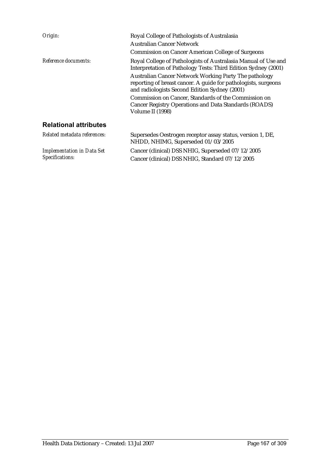| Origin:                      | Royal College of Pathologists of Australasia<br>Australian Cancer Network<br><b>Commission on Cancer American College of Surgeons</b>                                                                                                                                                                                                                                                                                                             |
|------------------------------|---------------------------------------------------------------------------------------------------------------------------------------------------------------------------------------------------------------------------------------------------------------------------------------------------------------------------------------------------------------------------------------------------------------------------------------------------|
| Reference documents:         | Royal College of Pathologists of Australasia Manual of Use and<br>Interpretation of Pathology Tests: Third Edition Sydney (2001)<br>Australian Cancer Network Working Party The pathology<br>reporting of breast cancer. A guide for pathologists, surgeons<br>and radiologists Second Edition Sydney (2001)<br>Commission on Cancer, Standards of the Commission on<br>Cancer Registry Operations and Data Standards (ROADS)<br>Volume II (1998) |
| <b>Relational attributes</b> |                                                                                                                                                                                                                                                                                                                                                                                                                                                   |
| Related metadata references: | Supersedes Oestrogen receptor assay status, version 1, DE,<br>NHDD, NHIMG, Superseded 01/03/2005                                                                                                                                                                                                                                                                                                                                                  |

Cancer (clinical) DSS NHIG, Superseded 07/12/2005 Cancer (clinical) DSS NHIG, Standard 07/12/2005

*Implementation in Data Set Specifications:*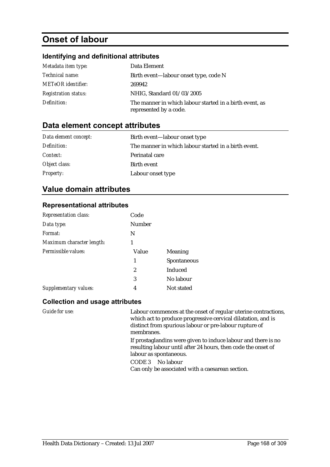# **Onset of labour**

### **Identifying and definitional attributes**

| Metadata item type:         | Data Element                                                                      |
|-----------------------------|-----------------------------------------------------------------------------------|
| <i>Technical name:</i>      | Birth event—labour onset type, code N                                             |
| <b>METeOR</b> identifier:   | 269942                                                                            |
| <b>Registration status:</b> | NHIG, Standard 01/03/2005                                                         |
| Definition:                 | The manner in which labour started in a birth event, as<br>represented by a code. |

### **Data element concept attributes**

| Data element concept: | Birth event—labour onset type                        |
|-----------------------|------------------------------------------------------|
| Definition:           | The manner in which labour started in a birth event. |
| Context:              | Perinatal care                                       |
| Object class:         | Birth event                                          |
| <b>Property:</b>      | Labour onset type                                    |

### **Value domain attributes**

#### **Representational attributes**

| <b>Representation class:</b> | Code   |                |
|------------------------------|--------|----------------|
| Data type:                   | Number |                |
| Format:                      | N      |                |
| Maximum character length:    |        |                |
| Permissible values:          | Value  | <b>Meaning</b> |
|                              | 1      | Spontaneous    |
|                              | 2      | Induced        |
|                              | 3      | No labour      |
| <b>Supplementary values:</b> | 4      | Not stated     |

#### **Collection and usage attributes**

*Guide for use:* Labour commences at the onset of regular uterine contractions, which act to produce progressive cervical dilatation, and is distinct from spurious labour or pre-labour rupture of membranes.

> If prostaglandins were given to induce labour and there is no resulting labour until after 24 hours, then code the onset of labour as spontaneous.

CODE 3 No labour

Can only be associated with a caesarean section.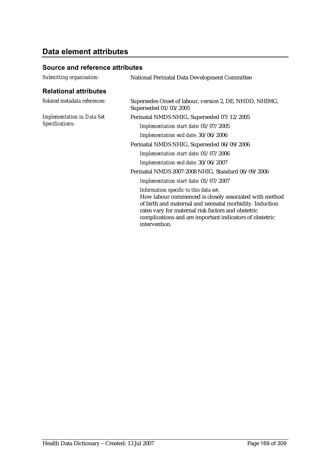# **Data element attributes**

### **Source and reference attributes**

| Submitting organisation:                             | National Perinatal Data Development Committee                                                                                                                                                                                                                                                 |
|------------------------------------------------------|-----------------------------------------------------------------------------------------------------------------------------------------------------------------------------------------------------------------------------------------------------------------------------------------------|
| <b>Relational attributes</b>                         |                                                                                                                                                                                                                                                                                               |
| Related metadata references:                         | Supersedes Onset of labour, version 2, DE, NHDD, NHIMG,<br>Superseded 01/03/2005                                                                                                                                                                                                              |
| <b>Implementation in Data Set</b><br>Specifications: | Perinatal NMDS NHIG, Superseded 07/12/2005                                                                                                                                                                                                                                                    |
|                                                      | Implementation start date: 01/07/2005                                                                                                                                                                                                                                                         |
|                                                      | Implementation end date: 30/06/2006                                                                                                                                                                                                                                                           |
|                                                      | Perinatal NMDS NHIG, Superseded 06/09/2006                                                                                                                                                                                                                                                    |
|                                                      | Implementation start date: 01/07/2006                                                                                                                                                                                                                                                         |
|                                                      | Implementation end date: 30/06/2007                                                                                                                                                                                                                                                           |
|                                                      | Perinatal NMDS 2007-2008 NHIG, Standard 06/09/2006                                                                                                                                                                                                                                            |
|                                                      | Implementation start date: 01/07/2007                                                                                                                                                                                                                                                         |
|                                                      | Information specific to this data set:<br>How labour commenced is closely associated with method<br>of birth and maternal and neonatal morbidity. Induction<br>rates vary for maternal risk factors and obstetric<br>complications and are important indicators of obstetric<br>intervention. |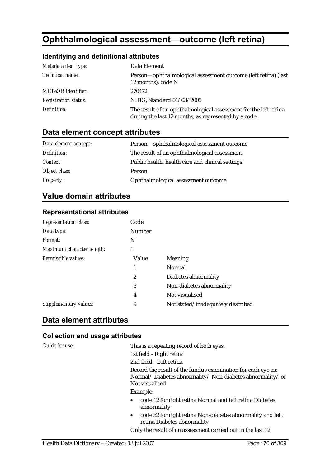# **Ophthalmological assessment—outcome (left retina)**

### **Identifying and definitional attributes**

| Metadata item type:         | Data Element                                                                                                             |
|-----------------------------|--------------------------------------------------------------------------------------------------------------------------|
| Technical name:             | Person—ophthalmological assessment outcome (left retina) (last<br>12 months), code N                                     |
| <b>METeOR</b> identifier:   | 270472                                                                                                                   |
| <b>Registration status:</b> | NHIG, Standard 01/03/2005                                                                                                |
| Definition:                 | The result of an ophthalmological assessment for the left retina<br>during the last 12 months, as represented by a code. |

### **Data element concept attributes**

| Data element concept: | Person—ophthalmological assessment outcome        |
|-----------------------|---------------------------------------------------|
| Definition:           | The result of an ophthalmological assessment.     |
| <i>Context:</i>       | Public health, health care and clinical settings. |
| Object class:         | Person                                            |
| <b>Property:</b>      | Ophthalmological assessment outcome               |

### **Value domain attributes**

#### **Representational attributes**

| <b>Representation class:</b> | Code          |                                   |
|------------------------------|---------------|-----------------------------------|
| Data type:                   | <b>Number</b> |                                   |
| Format:                      | N             |                                   |
| Maximum character length:    |               |                                   |
| Permissible values:          | Value         | Meaning                           |
|                              |               | Normal                            |
|                              | 2             | Diabetes abnormality              |
|                              | 3             | Non-diabetes abnormality          |
|                              | 4             | Not visualised                    |
| <b>Supplementary values:</b> | 9             | Not stated/inadequately described |
|                              |               |                                   |

### **Data element attributes**

| Guide for use: | This is a repeating record of both eyes.                                                                                                   |
|----------------|--------------------------------------------------------------------------------------------------------------------------------------------|
|                | 1st field - Right retina                                                                                                                   |
|                | 2nd field - Left retina                                                                                                                    |
|                | Record the result of the fundus examination for each eye as:<br>Normal/Diabetes abnormality/Non-diabetes abnormality/or<br>Not visualised. |
|                | Example:                                                                                                                                   |
|                | code 12 for right retina Normal and left retina Diabetes<br>$\bullet$<br>abnormality                                                       |
|                | code 32 for right retina Non-diabetes abnormality and left<br>$\bullet$<br>retina Diabetes abnormality                                     |
|                | Only the result of an assessment carried out in the last 12                                                                                |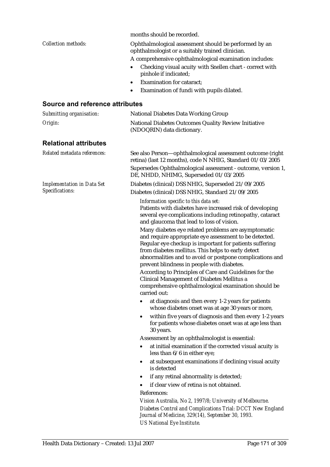|                                        | months should be recorded.                                                                                                                                                                                                                                                                                                               |  |  |
|----------------------------------------|------------------------------------------------------------------------------------------------------------------------------------------------------------------------------------------------------------------------------------------------------------------------------------------------------------------------------------------|--|--|
| <b>Collection methods:</b>             | Ophthalmological assessment should be performed by an<br>ophthalmologist or a suitably trained clinician.                                                                                                                                                                                                                                |  |  |
|                                        | A comprehensive ophthalmological examination includes:                                                                                                                                                                                                                                                                                   |  |  |
|                                        | Checking visual acuity with Snellen chart - correct with<br>pinhole if indicated;                                                                                                                                                                                                                                                        |  |  |
|                                        | <b>Examination for cataract;</b>                                                                                                                                                                                                                                                                                                         |  |  |
|                                        | Examination of fundi with pupils dilated.                                                                                                                                                                                                                                                                                                |  |  |
| <b>Source and reference attributes</b> |                                                                                                                                                                                                                                                                                                                                          |  |  |
| Submitting organisation:               | <b>National Diabetes Data Working Group</b>                                                                                                                                                                                                                                                                                              |  |  |
| Origin:                                | <b>National Diabetes Outcomes Quality Review Initiative</b><br>(NDOQRIN) data dictionary.                                                                                                                                                                                                                                                |  |  |
| <b>Relational attributes</b>           |                                                                                                                                                                                                                                                                                                                                          |  |  |
| Related metadata references:           | See also Person—ophthalmological assessment outcome (right<br>retina) (last 12 months), code N NHIG, Standard 01/03/2005                                                                                                                                                                                                                 |  |  |
|                                        | Supersedes Ophthalmological assessment - outcome, version 1,<br>DE, NHDD, NHIMG, Superseded 01/03/2005                                                                                                                                                                                                                                   |  |  |
| <b>Implementation in Data Set</b>      | Diabetes (clinical) DSS NHIG, Superseded 21/09/2005                                                                                                                                                                                                                                                                                      |  |  |
| Specifications:                        | Diabetes (clinical) DSS NHIG, Standard 21/09/2005                                                                                                                                                                                                                                                                                        |  |  |
|                                        | Information specific to this data set:<br>Patients with diabetes have increased risk of developing<br>several eye complications including retinopathy, cataract<br>and glaucoma that lead to loss of vision.                                                                                                                             |  |  |
|                                        | Many diabetes eye related problems are asymptomatic<br>and require appropriate eye assessment to be detected.<br>Regular eye checkup is important for patients suffering<br>from diabetes mellitus. This helps to early detect<br>abnormalities and to avoid or postpone complications and<br>prevent blindness in people with diabetes. |  |  |
|                                        | According to Principles of Care and Guidelines for the<br><b>Clinical Management of Diabetes Mellitus a</b><br>comprehensive ophthalmological examination should be<br>carried out:                                                                                                                                                      |  |  |
|                                        | at diagnosis and then every 1-2 years for patients<br>$\bullet$<br>whose diabetes onset was at age 30 years or more,                                                                                                                                                                                                                     |  |  |
|                                        | within five years of diagnosis and then every 1-2 years<br>٠<br>for patients whose diabetes onset was at age less than<br>30 years.                                                                                                                                                                                                      |  |  |
|                                        | Assessment by an ophthalmologist is essential:                                                                                                                                                                                                                                                                                           |  |  |
|                                        | at initial examination if the corrected visual acuity is<br>٠<br>less than $6/6$ in either eye;                                                                                                                                                                                                                                          |  |  |
|                                        | at subsequent examinations if declining visual acuity<br>٠<br>is detected                                                                                                                                                                                                                                                                |  |  |
|                                        | if any retinal abnormality is detected;<br>٠                                                                                                                                                                                                                                                                                             |  |  |
|                                        | if clear view of retina is not obtained.                                                                                                                                                                                                                                                                                                 |  |  |
|                                        | References:                                                                                                                                                                                                                                                                                                                              |  |  |
|                                        | Vision Australia, No 2, 1997/8; University of Melbourne.                                                                                                                                                                                                                                                                                 |  |  |
|                                        | Diabetes Control and Complications Trial: DCCT New England<br>Journal of Medicine, 329(14), September 30, 1993.<br><b>US National Eye Institute.</b>                                                                                                                                                                                     |  |  |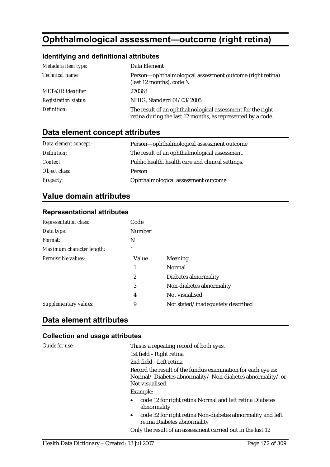# **Ophthalmological assessment—outcome (right retina)**

### **Identifying and definitional attributes**

| Metadata item type:         | Data Element                                                                                                              |
|-----------------------------|---------------------------------------------------------------------------------------------------------------------------|
| Technical name:             | Person—ophthalmological assessment outcome (right retina)<br>(last 12 months), code N                                     |
| <b>METeOR</b> identifier:   | 270363                                                                                                                    |
| <b>Registration status:</b> | NHIG, Standard 01/03/2005                                                                                                 |
| Definition:                 | The result of an ophthalmological assessment for the right<br>retina during the last 12 months, as represented by a code. |

# **Data element concept attributes**

| Data element concept: | Person—ophthalmological assessment outcome        |
|-----------------------|---------------------------------------------------|
| Definition:           | The result of an ophthalmological assessment.     |
| <i>Context:</i>       | Public health, health care and clinical settings. |
| Object class:         | Person                                            |
| <b>Property:</b>      | Ophthalmological assessment outcome               |

### **Value domain attributes**

#### **Representational attributes**

| <b>Representation class:</b> | Code          |                                   |
|------------------------------|---------------|-----------------------------------|
| Data type:                   | <b>Number</b> |                                   |
| Format:                      | N             |                                   |
| Maximum character length:    |               |                                   |
| Permissible values:          | Value         | Meaning                           |
|                              | 1             | Normal                            |
|                              | 2             | Diabetes abnormality              |
|                              | 3             | Non-diabetes abnormality          |
|                              | 4             | Not visualised                    |
| <b>Supplementary values:</b> | 9             | Not stated/inadequately described |
|                              |               |                                   |

### **Data element attributes**

| Guide for use: | This is a repeating record of both eyes.                                                                                                   |
|----------------|--------------------------------------------------------------------------------------------------------------------------------------------|
|                | 1st field - Right retina                                                                                                                   |
|                | 2nd field - Left retina                                                                                                                    |
|                | Record the result of the fundus examination for each eye as:<br>Normal/Diabetes abnormality/Non-diabetes abnormality/or<br>Not visualised. |
|                | Example:                                                                                                                                   |
|                | code 12 for right retina Normal and left retina Diabetes<br>$\bullet$<br>abnormality                                                       |
|                | code 32 for right retina Non-diabetes abnormality and left<br>$\bullet$<br>retina Diabetes abnormality                                     |
|                | Only the result of an assessment carried out in the last 12                                                                                |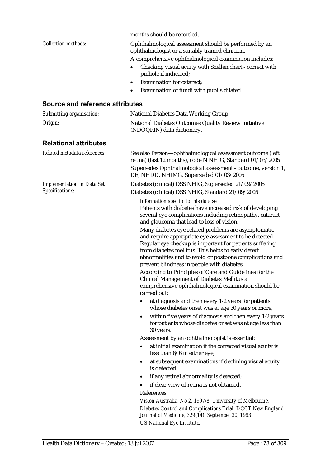|                                        | months should be recorded.                                                                                                                                                                                                                                                                                                               |  |  |
|----------------------------------------|------------------------------------------------------------------------------------------------------------------------------------------------------------------------------------------------------------------------------------------------------------------------------------------------------------------------------------------|--|--|
| <b>Collection methods:</b>             | Ophthalmological assessment should be performed by an<br>ophthalmologist or a suitably trained clinician.                                                                                                                                                                                                                                |  |  |
|                                        | A comprehensive ophthalmological examination includes:                                                                                                                                                                                                                                                                                   |  |  |
|                                        | Checking visual acuity with Snellen chart - correct with<br>pinhole if indicated;                                                                                                                                                                                                                                                        |  |  |
|                                        | <b>Examination for cataract;</b>                                                                                                                                                                                                                                                                                                         |  |  |
|                                        | Examination of fundi with pupils dilated.                                                                                                                                                                                                                                                                                                |  |  |
| <b>Source and reference attributes</b> |                                                                                                                                                                                                                                                                                                                                          |  |  |
| Submitting organisation:               | <b>National Diabetes Data Working Group</b>                                                                                                                                                                                                                                                                                              |  |  |
| Origin:                                | <b>National Diabetes Outcomes Quality Review Initiative</b><br>(NDOQRIN) data dictionary.                                                                                                                                                                                                                                                |  |  |
| <b>Relational attributes</b>           |                                                                                                                                                                                                                                                                                                                                          |  |  |
| Related metadata references:           | See also Person—ophthalmological assessment outcome (left<br>retina) (last 12 months), code N NHIG, Standard 01/03/2005                                                                                                                                                                                                                  |  |  |
|                                        | Supersedes Ophthalmological assessment - outcome, version 1,<br>DE, NHDD, NHIMG, Superseded 01/03/2005                                                                                                                                                                                                                                   |  |  |
| <b>Implementation in Data Set</b>      | Diabetes (clinical) DSS NHIG, Superseded 21/09/2005                                                                                                                                                                                                                                                                                      |  |  |
|                                        | Diabetes (clinical) DSS NHIG, Standard 21/09/2005                                                                                                                                                                                                                                                                                        |  |  |
|                                        | Patients with diabetes have increased risk of developing<br>several eye complications including retinopathy, cataract<br>and glaucoma that lead to loss of vision.                                                                                                                                                                       |  |  |
|                                        | Many diabetes eye related problems are asymptomatic<br>and require appropriate eye assessment to be detected.<br>Regular eye checkup is important for patients suffering<br>from diabetes mellitus. This helps to early detect<br>abnormalities and to avoid or postpone complications and<br>prevent blindness in people with diabetes. |  |  |
|                                        | According to Principles of Care and Guidelines for the<br><b>Clinical Management of Diabetes Mellitus a</b><br>comprehensive ophthalmological examination should be<br>carried out:                                                                                                                                                      |  |  |
|                                        | at diagnosis and then every 1-2 years for patients<br>$\bullet$<br>whose diabetes onset was at age 30 years or more,                                                                                                                                                                                                                     |  |  |
|                                        | within five years of diagnosis and then every 1-2 years<br>٠<br>for patients whose diabetes onset was at age less than<br>30 years.                                                                                                                                                                                                      |  |  |
|                                        | Assessment by an ophthalmologist is essential:                                                                                                                                                                                                                                                                                           |  |  |
|                                        | at initial examination if the corrected visual acuity is<br>٠<br>less than $6/6$ in either eye;                                                                                                                                                                                                                                          |  |  |
|                                        | at subsequent examinations if declining visual acuity<br>٠<br>is detected                                                                                                                                                                                                                                                                |  |  |
|                                        | if any retinal abnormality is detected;<br>٠                                                                                                                                                                                                                                                                                             |  |  |
|                                        | if clear view of retina is not obtained.                                                                                                                                                                                                                                                                                                 |  |  |
|                                        | References:                                                                                                                                                                                                                                                                                                                              |  |  |
|                                        |                                                                                                                                                                                                                                                                                                                                          |  |  |
|                                        | Journal of Medicine, 329(14), September 30, 1993.                                                                                                                                                                                                                                                                                        |  |  |
| Specifications:                        | Information specific to this data set:<br>Vision Australia, No 2, 1997/8; University of Melbourne.<br>Diabetes Control and Complications Trial: DCCT New England<br><b>US National Eye Institute.</b>                                                                                                                                    |  |  |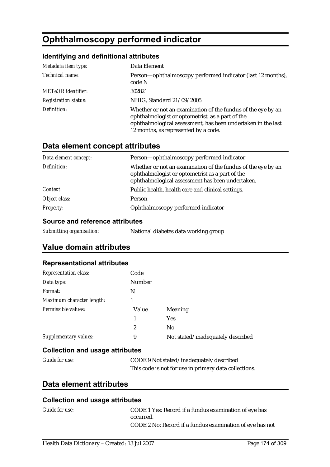# **Ophthalmoscopy performed indicator**

### **Identifying and definitional attributes**

| Metadata item type:         | Data Element                                                                                                                                                                                                             |
|-----------------------------|--------------------------------------------------------------------------------------------------------------------------------------------------------------------------------------------------------------------------|
| Technical name:             | Person—ophthalmoscopy performed indicator (last 12 months),<br>code N                                                                                                                                                    |
| <b>METeOR</b> identifier:   | 302821                                                                                                                                                                                                                   |
| <b>Registration status:</b> | NHIG, Standard 21/09/2005                                                                                                                                                                                                |
| Definition:                 | Whether or not an examination of the fundus of the eye by an<br>ophthalmologist or optometrist, as a part of the<br>ophthalmological assessment, has been undertaken in the last<br>12 months, as represented by a code. |

### **Data element concept attributes**

| Data element concept: | Person-ophthalmoscopy performed indicator                                                                                                                           |
|-----------------------|---------------------------------------------------------------------------------------------------------------------------------------------------------------------|
| Definition:           | Whether or not an examination of the fundus of the eye by an<br>ophthalmologist or optometrist as a part of the<br>ophthalmological assessment has been undertaken. |
| Context:              | Public health, health care and clinical settings.                                                                                                                   |
| Object class:         | Person                                                                                                                                                              |
| <b>Property:</b>      | Ophthalmoscopy performed indicator                                                                                                                                  |

#### **Source and reference attributes**

| Submitting organisation:<br>National diabetes data working group |
|------------------------------------------------------------------|
|------------------------------------------------------------------|

### **Value domain attributes**

#### **Representational attributes**

| <b>Representation class:</b> | Code          |                                   |
|------------------------------|---------------|-----------------------------------|
| Data type:                   | <b>Number</b> |                                   |
| Format:                      | N             |                                   |
| Maximum character length:    |               |                                   |
| Permissible values:          | Value         | Meaning                           |
|                              | 1             | Yes                               |
|                              | 2             | N <sub>0</sub>                    |
| Supplementary values:        | 9             | Not stated/inadequately described |

### **Collection and usage attributes**

| <b>Guide for use:</b> | CODE 9 Not stated/inadequately described              |
|-----------------------|-------------------------------------------------------|
|                       | This code is not for use in primary data collections. |

### **Data element attributes**

| Guide for use: | CODE 1 Yes: Record if a fundus examination of eye has    |
|----------------|----------------------------------------------------------|
|                | occurred.                                                |
|                | CODE 2 No: Record if a fundus examination of eye has not |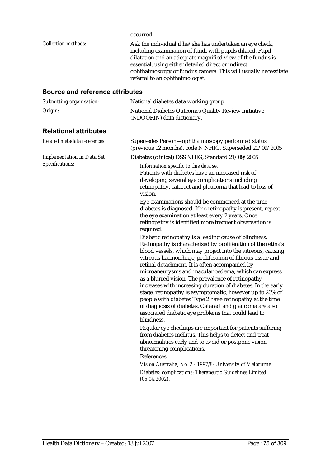occurred.

| <i>Collection methods:</i> | Ask the individual if he/she has undertaken an eye check,<br>including examination of fundi with pupils dilated. Pupil<br>dilatation and an adequate magnified view of the fundus is<br>essential, using either detailed direct or indirect<br>ophthalmoscopy or fundus camera. This will usually necessitate |
|----------------------------|---------------------------------------------------------------------------------------------------------------------------------------------------------------------------------------------------------------------------------------------------------------------------------------------------------------|
|                            | referral to an ophthalmologist.                                                                                                                                                                                                                                                                               |

### **Source and reference attributes**

| Submitting organisation: | National diabetes data working group                                               |
|--------------------------|------------------------------------------------------------------------------------|
| Origin:                  | National Diabetes Outcomes Quality Review Initiative<br>(NDOQRIN) data dictionary. |

### **Relational attributes**

| Related metadata references:      | Supersedes Person-ophthalmoscopy performed status<br>(previous 12 months), code N NHIG, Superseded 21/09/2005                                                                                                                                                                                                                                                                                                                                                                                                                                                                                                                                                                                                                               |
|-----------------------------------|---------------------------------------------------------------------------------------------------------------------------------------------------------------------------------------------------------------------------------------------------------------------------------------------------------------------------------------------------------------------------------------------------------------------------------------------------------------------------------------------------------------------------------------------------------------------------------------------------------------------------------------------------------------------------------------------------------------------------------------------|
| <b>Implementation in Data Set</b> | Diabetes (clinical) DSS NHIG, Standard 21/09/2005                                                                                                                                                                                                                                                                                                                                                                                                                                                                                                                                                                                                                                                                                           |
| Specifications:                   | Information specific to this data set:<br>Patients with diabetes have an increased risk of<br>developing several eye complications including<br>retinopathy, cataract and glaucoma that lead to loss of<br>vision.                                                                                                                                                                                                                                                                                                                                                                                                                                                                                                                          |
|                                   | Eye examinations should be commenced at the time<br>diabetes is diagnosed. If no retinopathy is present, repeat<br>the eye examination at least every 2 years. Once<br>retinopathy is identified more frequent observation is<br>required.                                                                                                                                                                                                                                                                                                                                                                                                                                                                                                  |
|                                   | Diabetic retinopathy is a leading cause of blindness.<br>Retinopathy is characterised by proliferation of the retina's<br>blood vessels, which may project into the vitreous, causing<br>vitreous haemorrhage, proliferation of fibrous tissue and<br>retinal detachment. It is often accompanied by<br>microaneurysms and macular oedema, which can express<br>as a blurred vision. The prevalence of retinopathy<br>increases with increasing duration of diabetes. In the early<br>stage, retinopathy is asymptomatic, however up to 20% of<br>people with diabetes Type 2 have retinopathy at the time<br>of diagnosis of diabetes. Cataract and glaucoma are also<br>associated diabetic eye problems that could lead to<br>blindness. |
|                                   | Regular eye checkups are important for patients suffering<br>from diabetes mellitus. This helps to detect and treat<br>abnormalities early and to avoid or postpone vision-<br>threatening complications.                                                                                                                                                                                                                                                                                                                                                                                                                                                                                                                                   |
|                                   | References:                                                                                                                                                                                                                                                                                                                                                                                                                                                                                                                                                                                                                                                                                                                                 |
|                                   | Vision Australia, No. 2 - 1997/8; University of Melbourne.                                                                                                                                                                                                                                                                                                                                                                                                                                                                                                                                                                                                                                                                                  |
|                                   | Diabetes: complications: Therapeutic Guidelines Limited<br>(05.04.2002).                                                                                                                                                                                                                                                                                                                                                                                                                                                                                                                                                                                                                                                                    |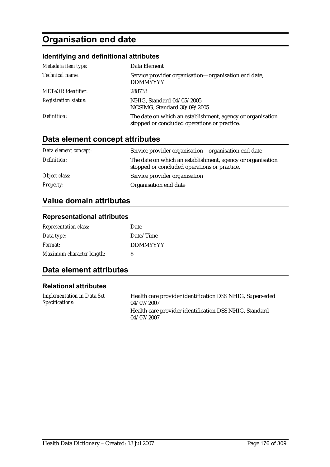# **Organisation end date**

### **Identifying and definitional attributes**

| Metadata item type:         | Data Element                                                                                               |
|-----------------------------|------------------------------------------------------------------------------------------------------------|
| Technical name:             | Service provider organisation—organisation end date,<br><b>DDMMYYYY</b>                                    |
| <b>METeOR</b> identifier:   | 288733                                                                                                     |
| <b>Registration status:</b> | NHIG, Standard 04/05/2005<br>NCSIMG, Standard 30/09/2005                                                   |
| Definition:                 | The date on which an establishment, agency or organisation<br>stopped or concluded operations or practice. |

### **Data element concept attributes**

| Data element concept: | Service provider organisation—organisation end date                                                        |
|-----------------------|------------------------------------------------------------------------------------------------------------|
| Definition:           | The date on which an establishment, agency or organisation<br>stopped or concluded operations or practice. |
| Object class:         | Service provider organisation                                                                              |
| <b>Property:</b>      | Organisation end date                                                                                      |

### **Value domain attributes**

### **Representational attributes**

| <b>Representation class:</b> | Date            |
|------------------------------|-----------------|
| Data type:                   | Date/Time       |
| Format:                      | <b>DDMMYYYY</b> |
| Maximum character length:    | 8               |

### **Data element attributes**

#### **Relational attributes**

| <b>Implementation in Data Set</b> | Health care provider identification DSS NHIG, Superseded |
|-----------------------------------|----------------------------------------------------------|
| Specifications:                   | 04/07/2007                                               |
|                                   | Health care provider identification DSS NHIG, Standard   |
|                                   | 04/07/2007                                               |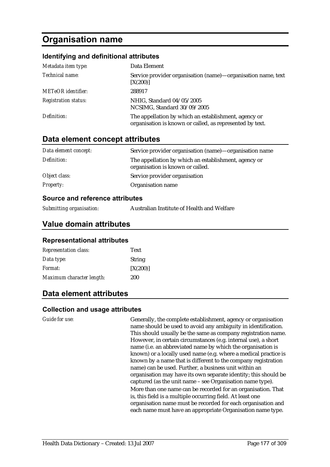# **Organisation name**

#### **Identifying and definitional attributes**

| Metadata item type:         | Data Element                                                                                                     |
|-----------------------------|------------------------------------------------------------------------------------------------------------------|
| Technical name:             | Service provider organisation (name)—organisation name, text<br>[X(200)]                                         |
| <b>METeOR</b> identifier:   | 288917                                                                                                           |
| <b>Registration status:</b> | NHIG, Standard 04/05/2005<br>NCSIMG, Standard 30/09/2005                                                         |
| Definition:                 | The appellation by which an establishment, agency or<br>organisation is known or called, as represented by text. |

### **Data element concept attributes**

| Data element concept: | Service provider organisation (name)-organisation name                                   |
|-----------------------|------------------------------------------------------------------------------------------|
| Definition:           | The appellation by which an establishment, agency or<br>organisation is known or called. |
| Object class:         | Service provider organisation                                                            |
| <i>Property:</i>      | Organisation name                                                                        |

#### **Source and reference attributes**

| Submitting organisation: | Australian Institute of Health and Welfare |
|--------------------------|--------------------------------------------|
|--------------------------|--------------------------------------------|

### **Value domain attributes**

#### **Representational attributes**

| <b>Representation class:</b> | <b>Text</b>   |
|------------------------------|---------------|
| Data type:                   | <b>String</b> |
| <i>Format:</i>               | [X(200)]      |
| Maximum character length:    | 200           |

### **Data element attributes**

#### **Collection and usage attributes**

*Guide for use:* Generally, the complete establishment, agency or organisation name should be used to avoid any ambiguity in identification. This should usually be the same as company registration name. However, in certain circumstances (e.g. internal use), a short name (i.e. an abbreviated name by which the organisation is known) or a locally used name (e.g. where a medical practice is known by a name that is different to the company registration name) can be used. Further, a business unit within an organisation may have its own separate identity; this should be captured (as the unit name – see Organisation name type). More than one name can be recorded for an organisation. That is, this field is a multiple occurring field. At least one organisation name must be recorded for each organisation and each name must have an appropriate Organisation name type.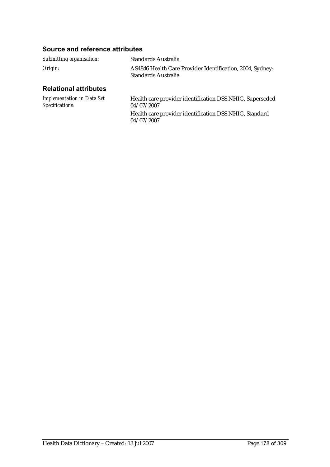#### **Source and reference attributes**

| Submitting organisation:     | Standards Australia                                                              |
|------------------------------|----------------------------------------------------------------------------------|
| Origin:                      | AS4846 Health Care Provider Identification, 2004, Sydney:<br>Standards Australia |
| <b>Relational attributes</b> |                                                                                  |

#### *Implementation in Data Set Specifications:* Health care provider identification DSS NHIG, Superseded 04/07/2007 Health care provider identification DSS NHIG, Standard 04/07/2007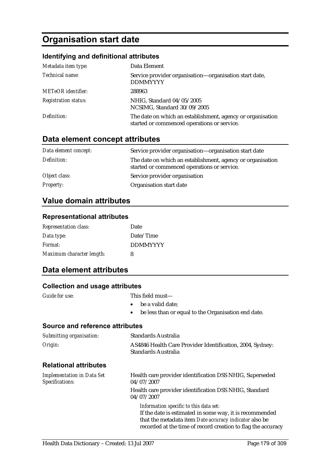# **Organisation start date**

### **Identifying and definitional attributes**

| Metadata item type:         | Data Element                                                                                              |
|-----------------------------|-----------------------------------------------------------------------------------------------------------|
| Technical name:             | Service provider organisation—organisation start date,<br><b>DDMMYYYY</b>                                 |
| <b>METeOR</b> identifier:   | 288963                                                                                                    |
| <b>Registration status:</b> | NHIG, Standard 04/05/2005<br>NCSIMG, Standard 30/09/2005                                                  |
| Definition:                 | The date on which an establishment, agency or organisation<br>started or commenced operations or service. |

### **Data element concept attributes**

| Data element concept: | Service provider organisation—organisation start date                                                     |
|-----------------------|-----------------------------------------------------------------------------------------------------------|
| Definition:           | The date on which an establishment, agency or organisation<br>started or commenced operations or service. |
| Object class:         | Service provider organisation                                                                             |
| <b>Property:</b>      | Organisation start date                                                                                   |

### **Value domain attributes**

#### **Representational attributes**

| <b>Representation class:</b> | Date            |
|------------------------------|-----------------|
| Data type:                   | Date/Time       |
| Format:                      | <b>DDMMYYYY</b> |
| Maximum character length:    | 8               |

### **Data element attributes**

| <b>Collection and usage attributes</b>               |                                                                                                                                                                                                                             |
|------------------------------------------------------|-----------------------------------------------------------------------------------------------------------------------------------------------------------------------------------------------------------------------------|
| <b>Guide for use:</b>                                | This field must-<br>be a valid date;<br>$\bullet$<br>be less than or equal to the Organisation end date.<br>$\bullet$                                                                                                       |
| Source and reference attributes                      |                                                                                                                                                                                                                             |
| Submitting organisation:                             | <b>Standards Australia</b>                                                                                                                                                                                                  |
| Origin:                                              | AS4846 Health Care Provider Identification, 2004, Sydney:<br>Standards Australia                                                                                                                                            |
| <b>Relational attributes</b>                         |                                                                                                                                                                                                                             |
| <b>Implementation in Data Set</b><br>Specifications: | Health care provider identification DSS NHIG, Superseded<br>04/07/2007                                                                                                                                                      |
|                                                      | Health care provider identification DSS NHIG, Standard<br>04/07/2007                                                                                                                                                        |
|                                                      | Information specific to this data set:<br>If the date is estimated in some way, it is recommended<br>that the metadata item Date accuracy indicator also be<br>recorded at the time of record creation to flag the accuracy |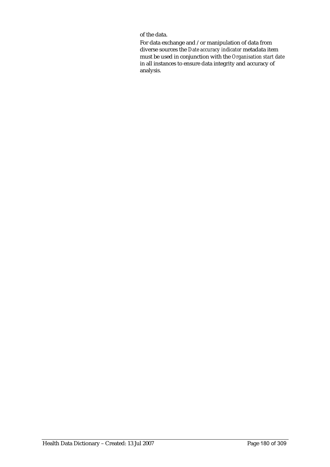of the data.

For data exchange and /or manipulation of data from diverse sources the *Date accuracy indicator* metadata item must be used in conjunction with the *Organisation start date* in all instances to ensure data integrity and accuracy of analysis.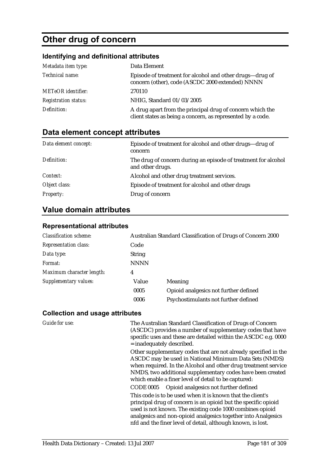# **Other drug of concern**

## **Identifying and definitional attributes**

| Metadata item type:         | Data Element                                                                                                             |
|-----------------------------|--------------------------------------------------------------------------------------------------------------------------|
| Technical name:             | Episode of treatment for alcohol and other drugs-drug of<br>concern (other), code (ASCDC 2000 extended) NNNN             |
| <b>METeOR</b> identifier:   | 270110                                                                                                                   |
| <b>Registration status:</b> | NHIG, Standard 01/03/2005                                                                                                |
| Definition:                 | A drug apart from the principal drug of concern which the<br>client states as being a concern, as represented by a code. |

## **Data element concept attributes**

| Data element concept: | Episode of treatment for alcohol and other drugs—drug of<br>concern                |
|-----------------------|------------------------------------------------------------------------------------|
| Definition:           | The drug of concern during an episode of treatment for alcohol<br>and other drugs. |
| Context:              | Alcohol and other drug treatment services.                                         |
| Object class:         | Episode of treatment for alcohol and other drugs                                   |
| <i>Property:</i>      | Drug of concern                                                                    |

## **Value domain attributes**

### **Representational attributes**

| <b>Classification scheme:</b> |               | Australian Standard Classification of Drugs of Concern 2000 |
|-------------------------------|---------------|-------------------------------------------------------------|
| <b>Representation class:</b>  | Code          |                                                             |
| Data type:                    | <b>String</b> |                                                             |
| Format:                       | <b>NNNN</b>   |                                                             |
| Maximum character length:     | 4             |                                                             |
| Supplementary values:         | Value         | Meaning                                                     |
|                               | 0005          | Opioid analgesics not further defined                       |
|                               | 0006          | Psychostimulants not further defined                        |

| Guide for use: | The Australian Standard Classification of Drugs of Concern<br>(ASCDC) provides a number of supplementary codes that have<br>specific uses and these are detailed within the ASCDC e.g. 0000<br>$=$ inadequately described.                                                                                                |
|----------------|---------------------------------------------------------------------------------------------------------------------------------------------------------------------------------------------------------------------------------------------------------------------------------------------------------------------------|
|                | Other supplementary codes that are not already specified in the<br>ASCDC may be used in National Minimum Data Sets (NMDS)<br>when required. In the Alcohol and other drug treatment service<br>NMDS, two additional supplementary codes have been created<br>which enable a finer level of detail to be captured:         |
|                | Opioid analgesics not further defined<br>CODE 0005                                                                                                                                                                                                                                                                        |
|                | This code is to be used when it is known that the client's<br>principal drug of concern is an opioid but the specific opioid<br>used is not known. The existing code 1000 combines opioid<br>analgesics and non-opioid analgesics together into Analgesics<br>nfd and the finer level of detail, although known, is lost. |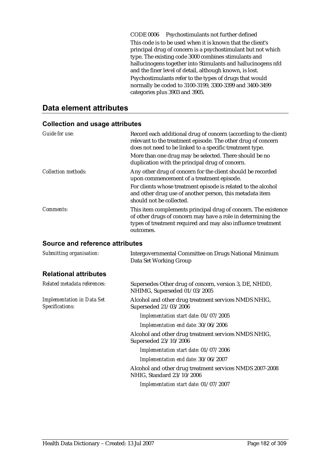CODE 0006 Psychostimulants not further defined

This code is to be used when it is known that the client's principal drug of concern is a psychostimulant but not which type. The existing code 3000 combines stimulants and hallucinogens together into Stimulants and hallucinogens nfd and the finer level of detail, although known, is lost. Psychostimulants refer to the types of drugs that would normally be coded to 3100-3199, 3300-3399 and 3400-3499 categories plus 3903 and 3905.

### **Data element attributes**

| Guide for use:             | Record each additional drug of concern (according to the client)<br>relevant to the treatment episode. The other drug of concern<br>does not need to be linked to a specific treatment type.<br>More than one drug may be selected. There should be no<br>duplication with the principal drug of concern. |
|----------------------------|-----------------------------------------------------------------------------------------------------------------------------------------------------------------------------------------------------------------------------------------------------------------------------------------------------------|
| <b>Collection methods:</b> | Any other drug of concern for the client should be recorded<br>upon commencement of a treatment episode.<br>For clients whose treatment episode is related to the alcohol<br>and other drug use of another person, this metadata item<br>should not be collected.                                         |
| Comments:                  | This item complements principal drug of concern. The existence<br>of other drugs of concern may have a role in determining the<br>types of treatment required and may also influence treatment<br>outcomes.                                                                                               |

#### **Collection and usage attributes**

#### **Source and reference attributes**

| Submitting organisation:                             | Intergovernmental Committee on Drugs National Minimum<br>Data Set Working Group        |
|------------------------------------------------------|----------------------------------------------------------------------------------------|
| <b>Relational attributes</b>                         |                                                                                        |
| Related metadata references:                         | Supersedes Other drug of concern, version 3, DE, NHDD,<br>NHIMG, Superseded 01/03/2005 |
| <b>Implementation in Data Set</b><br>Specifications: | Alcohol and other drug treatment services NMDS NHIG,<br>Superseded 21/03/2006          |
|                                                      | Implementation start date: 01/07/2005                                                  |
|                                                      | Implementation end date: 30/06/2006                                                    |
|                                                      | Alcohol and other drug treatment services NMDS NHIG,<br>Superseded 23/10/2006          |
|                                                      | Implementation start date: 01/07/2006                                                  |
|                                                      | Implementation end date: 30/06/2007                                                    |
|                                                      | Alcohol and other drug treatment services NMDS 2007-2008<br>NHIG, Standard 23/10/2006  |
|                                                      | Implementation start date: 01/07/2007                                                  |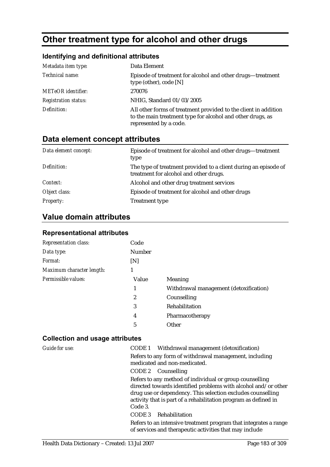# **Other treatment type for alcohol and other drugs**

## **Identifying and definitional attributes**

| Metadata item type:         | Data Element                                                                                                                                            |
|-----------------------------|---------------------------------------------------------------------------------------------------------------------------------------------------------|
| Technical name:             | Episode of treatment for alcohol and other drugs—treatment<br>type (other), code $[N]$                                                                  |
| <b>METeOR</b> identifier:   | 270076                                                                                                                                                  |
| <b>Registration status:</b> | NHIG, Standard 01/03/2005                                                                                                                               |
| Definition:                 | All other forms of treatment provided to the client in addition<br>to the main treatment type for alcohol and other drugs, as<br>represented by a code. |

## **Data element concept attributes**

| Data element concept: | Episode of treatment for alcohol and other drugs-treatment<br>type                                        |
|-----------------------|-----------------------------------------------------------------------------------------------------------|
| Definition:           | The type of treatment provided to a client during an episode of<br>treatment for alcohol and other drugs. |
| Context:              | Alcohol and other drug treatment services                                                                 |
| Object class:         | Episode of treatment for alcohol and other drugs                                                          |
| <b>Property:</b>      | <b>Treatment type</b>                                                                                     |

## **Value domain attributes**

#### **Representational attributes**

| <b>Representation class:</b> | Code   |                                        |
|------------------------------|--------|----------------------------------------|
| Data type:                   | Number |                                        |
| Format:                      | [N]    |                                        |
| Maximum character length:    |        |                                        |
| Permissible values:          | Value  | <b>Meaning</b>                         |
|                              | 1      | Withdrawal management (detoxification) |
|                              | 2      | Counselling                            |
|                              | 3      | Rehabilitation                         |
|                              | 4      | Pharmacotherapy                        |
|                              | 5      | Other                                  |

| Guide for use: | CODE 1 Withdrawal management (detoxification)                                                                                                                                                                                                                          |
|----------------|------------------------------------------------------------------------------------------------------------------------------------------------------------------------------------------------------------------------------------------------------------------------|
|                | Refers to any form of withdrawal management, including<br>medicated and non-medicated.                                                                                                                                                                                 |
|                | CODE 2 Counselling                                                                                                                                                                                                                                                     |
|                | Refers to any method of individual or group counselling<br>directed towards identified problems with alcohol and/or other<br>drug use or dependency. This selection excludes counselling<br>activity that is part of a rehabilitation program as defined in<br>Code 3. |
|                | Rehabilitation<br>CODE 3                                                                                                                                                                                                                                               |
|                | Refers to an intensive treatment program that integrates a range<br>of services and therapeutic activities that may include                                                                                                                                            |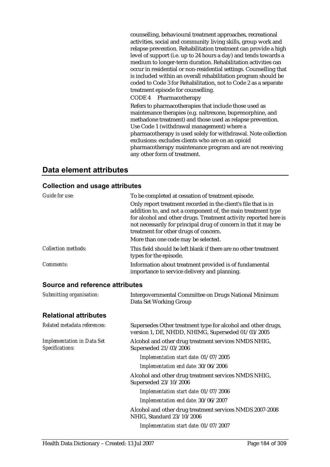counselling, behavioural treatment approaches, recreational activities, social and community living skills, group work and relapse prevention. Rehabilitation treatment can provide a high level of support (i.e. up to 24 hours a day) and tends towards a medium to longer-term duration. Rehabilitation activities can occur in residential or non-residential settings. Counselling that is included within an overall rehabilitation program should be coded to Code 3 for Rehabilitation, not to Code 2 as a separate treatment episode for counselling.

CODE 4 Pharmacotherapy

Refers to pharmacotherapies that include those used as maintenance therapies (e.g. naltrexone, buprenorphine, and methadone treatment) and those used as relapse prevention. Use Code 1 (withdrawal management) where a pharmacotherapy is used solely for withdrawal. Note collection exclusions: excludes clients who are on an opioid pharmacotherapy maintenance program and are not receiving any other form of treatment.

## **Data element attributes**

| Guide for use:                                       | To be completed at cessation of treatment episode.<br>Only report treatment recorded in the client's file that is in<br>addition to, and not a component of, the main treatment type<br>for alcohol and other drugs. Treatment activity reported here is<br>not necessarily for principal drug of concern in that it may be<br>treatment for other drugs of concern.<br>More than one code may be selected. |
|------------------------------------------------------|-------------------------------------------------------------------------------------------------------------------------------------------------------------------------------------------------------------------------------------------------------------------------------------------------------------------------------------------------------------------------------------------------------------|
| <b>Collection methods:</b>                           | This field should be left blank if there are no other treatment<br>types for the episode.                                                                                                                                                                                                                                                                                                                   |
| <b>Comments:</b>                                     | Information about treatment provided is of fundamental<br>importance to service delivery and planning.                                                                                                                                                                                                                                                                                                      |
| Source and reference attributes                      |                                                                                                                                                                                                                                                                                                                                                                                                             |
| Submitting organisation:                             | Intergovernmental Committee on Drugs National Minimum<br>Data Set Working Group                                                                                                                                                                                                                                                                                                                             |
| <b>Relational attributes</b>                         |                                                                                                                                                                                                                                                                                                                                                                                                             |
| Related metadata references:                         | Supersedes Other treatment type for alcohol and other drugs,<br>version 1, DE, NHDD, NHIMG, Superseded 01/03/2005                                                                                                                                                                                                                                                                                           |
| <b>Implementation in Data Set</b><br>Specifications: | Alcohol and other drug treatment services NMDS NHIG,<br>Superseded 21/03/2006                                                                                                                                                                                                                                                                                                                               |
|                                                      | Implementation start date: 01/07/2005                                                                                                                                                                                                                                                                                                                                                                       |
|                                                      | Implementation end date: 30/06/2006                                                                                                                                                                                                                                                                                                                                                                         |
|                                                      | Alcohol and other drug treatment services NMDS NHIG,<br>Superseded 23/10/2006                                                                                                                                                                                                                                                                                                                               |
|                                                      | Implementation start date: 01/07/2006                                                                                                                                                                                                                                                                                                                                                                       |
|                                                      | Implementation end date: 30/06/2007                                                                                                                                                                                                                                                                                                                                                                         |
|                                                      | Alcohol and other drug treatment services NMDS 2007-2008<br>NHIG, Standard 23/10/2006                                                                                                                                                                                                                                                                                                                       |
|                                                      | Implementation start date: 01/07/2007                                                                                                                                                                                                                                                                                                                                                                       |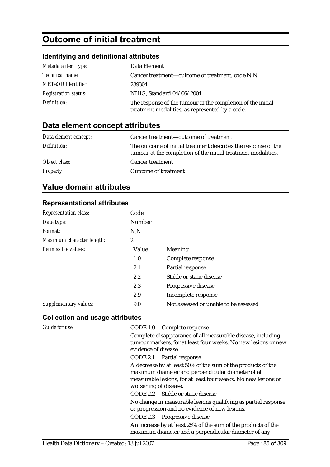# **Outcome of initial treatment**

## **Identifying and definitional attributes**

| Metadata item type:         | Data Element                                                                                                   |
|-----------------------------|----------------------------------------------------------------------------------------------------------------|
| Technical name:             | Cancer treatment—outcome of treatment, code N.N                                                                |
| <b>METeOR</b> identifier:   | 289304                                                                                                         |
| <b>Registration status:</b> | NHIG, Standard 04/06/2004                                                                                      |
| Definition:                 | The response of the tumour at the completion of the initial<br>treatment modalities, as represented by a code. |

## **Data element concept attributes**

| Data element concept: | Cancer treatment—outcome of treatment                                                                                           |
|-----------------------|---------------------------------------------------------------------------------------------------------------------------------|
| Definition:           | The outcome of initial treatment describes the response of the<br>tumour at the completion of the initial treatment modalities. |
| Object class:         | <b>Cancer treatment</b>                                                                                                         |
| <b>Property:</b>      | <b>Outcome of treatment</b>                                                                                                     |

## **Value domain attributes**

#### **Representational attributes**

| <b>Representation class:</b> | Code   |                                       |
|------------------------------|--------|---------------------------------------|
| Data type:                   | Number |                                       |
| Format:                      | N.N    |                                       |
| Maximum character length:    | 2      |                                       |
| Permissible values:          | Value  | Meaning                               |
|                              | 1.0    | Complete response                     |
|                              | 2.1    | Partial response                      |
|                              | 2.2    | Stable or static disease              |
|                              | 2.3    | Progressive disease                   |
|                              | 2.9    | Incomplete response                   |
| Supplementary values:        | 9.0    | Not assessed or unable to be assessed |

| <b>Guide for use:</b> | CODE 1.0 Complete response                                     |
|-----------------------|----------------------------------------------------------------|
|                       | Complete disappearance of all measurable disease, including    |
|                       | tumour markers, for at least four weeks. No new lesions or new |
|                       | evidence of disease.                                           |
|                       | CODE 2.1 Partial response                                      |
|                       | A decrease by at least 50% of the sum of the products of the   |
|                       | maximum diameter and perpendicular diameter of all             |
|                       | measurable lesions, for at least four weeks. No new lesions or |
|                       | worsening of disease.                                          |
|                       | CODE 2.2 Stable or static disease                              |
|                       | No change in measurable lesions qualifying as partial response |
|                       | or progression and no evidence of new lesions.                 |
|                       | CODE 2.3 Progressive disease                                   |
|                       | An increase by at least 25% of the sum of the products of the  |
|                       | maximum diameter and a perpendicular diameter of any           |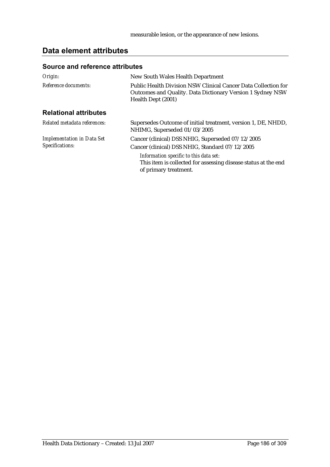## **Data element attributes**

#### **Source and reference attributes**

| Origin:                                              | New South Wales Health Department                                                                                                                  |
|------------------------------------------------------|----------------------------------------------------------------------------------------------------------------------------------------------------|
| Reference documents:                                 | Public Health Division NSW Clinical Cancer Data Collection for<br>Outcomes and Quality. Data Dictionary Version 1 Sydney NSW<br>Health Dept (2001) |
| <b>Relational attributes</b>                         |                                                                                                                                                    |
| Related metadata references:                         | Supersedes Outcome of initial treatment, version 1, DE, NHDD,<br>NHIMG, Superseded 01/03/2005                                                      |
| <b>Implementation in Data Set</b><br>Specifications: | Cancer (clinical) DSS NHIG, Superseded 07/12/2005<br>Cancer (clinical) DSS NHIG, Standard 07/12/2005                                               |
|                                                      | Information specific to this data set:<br>This item is collected for assessing disease status at the end<br>of primary treatment.                  |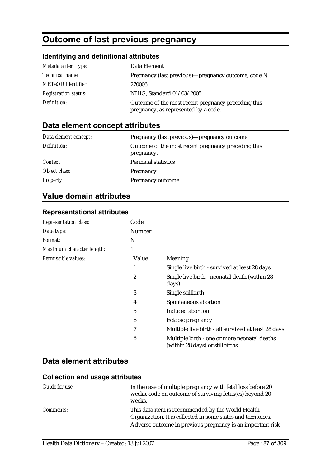# **Outcome of last previous pregnancy**

## **Identifying and definitional attributes**

| Metadata item type:         | Data Element                                                                                |
|-----------------------------|---------------------------------------------------------------------------------------------|
| <i>Technical name:</i>      | Pregnancy (last previous)—pregnancy outcome, code N                                         |
| <b>METeOR</b> identifier:   | 270006                                                                                      |
| <b>Registration status:</b> | NHIG, Standard 01/03/2005                                                                   |
| Definition:                 | Outcome of the most recent pregnancy preceding this<br>pregnancy, as represented by a code. |

## **Data element concept attributes**

| Data element concept: | Pregnancy (last previous)—pregnancy outcome                       |
|-----------------------|-------------------------------------------------------------------|
| Definition:           | Outcome of the most recent pregnancy preceding this<br>pregnancy. |
| Context:              | <b>Perinatal statistics</b>                                       |
| Object class:         | Pregnancy                                                         |
| <b>Property:</b>      | Pregnancy outcome                                                 |

## **Value domain attributes**

#### **Representational attributes**

| <b>Representation class:</b> | Code           |                                                                                 |
|------------------------------|----------------|---------------------------------------------------------------------------------|
| Data type:                   | Number         |                                                                                 |
| <i>Format:</i>               | N              |                                                                                 |
| Maximum character length:    | 1              |                                                                                 |
| Permissible values:          | Value          | <b>Meaning</b>                                                                  |
|                              | 1              | Single live birth - survived at least 28 days                                   |
|                              | 2              | Single live birth - neonatal death (within 28<br>days)                          |
|                              | 3              | Single stillbirth                                                               |
|                              | 4              | Spontaneous abortion                                                            |
|                              | $\overline{5}$ | Induced abortion                                                                |
|                              | 6              | Ectopic pregnancy                                                               |
|                              | 7              | Multiple live birth - all survived at least 28 days                             |
|                              | 8              | Multiple birth - one or more neonatal deaths<br>(within 28 days) or stillbirths |

## **Data element attributes**

| Guide for use:   | In the case of multiple pregnancy with fetal loss before 20<br>weeks, code on outcome of surviving fetus(es) beyond 20<br>weeks. |
|------------------|----------------------------------------------------------------------------------------------------------------------------------|
| <i>Comments:</i> | This data item is recommended by the World Health<br>Organization. It is collected in some states and territories.               |
|                  | Adverse outcome in previous pregnancy is an important risk                                                                       |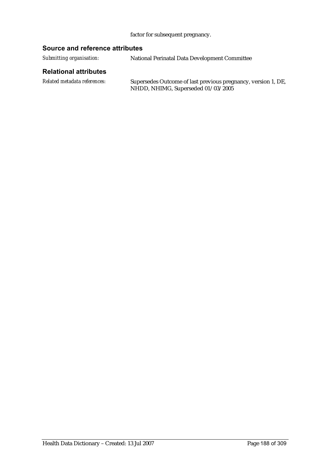#### factor for subsequent pregnancy.

#### **Source and reference attributes**

*Submitting organisation:* National Perinatal Data Development Committee

#### **Relational attributes**

*Related metadata references:* Supersedes Outcome of last previous pregnancy, version 1, DE, NHDD, NHIMG, Superseded 01/03/2005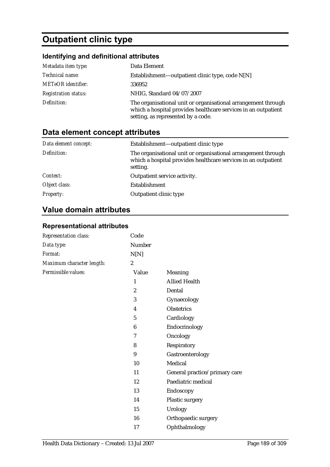# **Outpatient clinic type**

## **Identifying and definitional attributes**

| Metadata item type:         | Data Element                                                                                                                                                          |
|-----------------------------|-----------------------------------------------------------------------------------------------------------------------------------------------------------------------|
| Technical name:             | Establishment—outpatient clinic type, code N[N]                                                                                                                       |
| <b>METeOR</b> identifier:   | 336952                                                                                                                                                                |
| <b>Registration status:</b> | NHIG, Standard 04/07/2007                                                                                                                                             |
| Definition:                 | The organisational unit or organisational arrangement through<br>which a hospital provides healthcare services in an outpatient<br>setting, as represented by a code. |

## **Data element concept attributes**

| Data element concept: | Establishment—outpatient clinic type                                                                                                        |
|-----------------------|---------------------------------------------------------------------------------------------------------------------------------------------|
| Definition:           | The organisational unit or organisational arrangement through<br>which a hospital provides healthcare services in an outpatient<br>setting. |
| Context:              | Outpatient service activity.                                                                                                                |
| Object class:         | Establishment                                                                                                                               |
| <b>Property:</b>      | Outpatient clinic type                                                                                                                      |

## **Value domain attributes**

### **Representational attributes**

| Representation class:     | Code             |                               |
|---------------------------|------------------|-------------------------------|
| Data type:                | Number           |                               |
| Format:                   | N[N]             |                               |
| Maximum character length: | $\boldsymbol{2}$ |                               |
| Permissible values:       | Value            | Meaning                       |
|                           | $\mathbf{1}$     | <b>Allied Health</b>          |
|                           | $\boldsymbol{2}$ | Dental                        |
|                           | 3                | Gynaecology                   |
|                           | 4                | <b>Obstetrics</b>             |
|                           | $\sqrt{5}$       | Cardiology                    |
|                           | $\boldsymbol{6}$ | Endocrinology                 |
|                           | 7                | Oncology                      |
|                           | 8                | Respiratory                   |
|                           | 9                | Gastroenterology              |
|                           | 10               | Medical                       |
|                           | 11               | General practice/primary care |
|                           | 12               | Paediatric medical            |
|                           | 13               | Endoscopy                     |
|                           | 14               | Plastic surgery               |
|                           | 15               | Urology                       |
|                           | 16               | Orthopaedic surgery           |
|                           | 17               | Ophthalmology                 |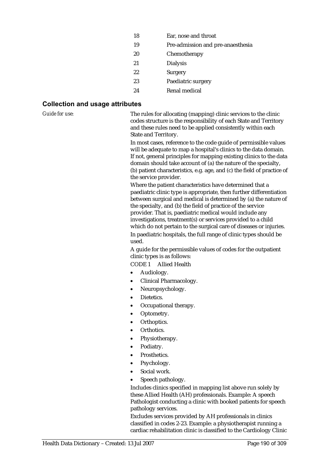| 18 | Ear, nose and throat              |
|----|-----------------------------------|
| 19 | Pre-admission and pre-anaesthesia |
| 20 | Chemotherapy                      |
| 21 | <b>Dialysis</b>                   |
| 22 | Surgery                           |
| 23 | Paediatric surgery                |
| 24 | Renal medical                     |

#### **Collection and usage attributes**

*Guide for use:* The rules for allocating (mapping) clinic services to the clinic codes structure is the responsibility of each State and Territory and these rules need to be applied consistently within each State and Territory.

> In most cases, reference to the code guide of permissible values will be adequate to map a hospital's clinics to the data domain. If not, general principles for mapping existing clinics to the data domain should take account of (a) the nature of the specialty, (b) patient characteristics, e.g. age, and (c) the field of practice of the service provider.

> Where the patient characteristics have determined that a paediatric clinic type is appropriate, then further differentiation between surgical and medical is determined by (a) the nature of the specialty, and (b) the field of practice of the service provider. That is, paediatric medical would include any investigations, treatment(s) or services provided to a child which do not pertain to the surgical care of diseases or injuries. In paediatric hospitals, the full range of clinic types should be used.

A guide for the permissible values of codes for the outpatient clinic types is as follows:

CODE 1 Allied Health

- Audiology.
- Clinical Pharmacology.
- Neuropsychology.
- Dietetics.
- Occupational therapy.
- Optometry.
- Orthoptics.
- Orthotics.
- Physiotherapy.
- Podiatry.
- Prosthetics.
- Psychology.
- Social work.
- Speech pathology.

Includes clinics specified in mapping list above run solely by these Allied Health (AH) professionals. Example: A speech Pathologist conducting a clinic with booked patients for speech pathology services.

Excludes services provided by AH professionals in clinics classified in codes 2-23. Example: a physiotherapist running a cardiac rehabilitation clinic is classified to the Cardiology Clinic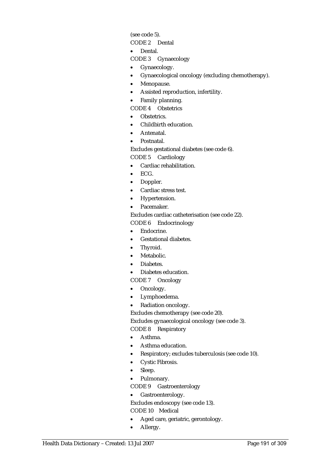(see code 5).

CODE 2 Dental

• Dental.

CODE 3 Gynaecology

- Gynaecology.
- Gynaecological oncology (excluding chemotherapy).
- Menopause.
- Assisted reproduction, infertility.
- Family planning.

CODE 4 Obstetrics

- Obstetrics.
- Childbirth education.
- Antenatal.
- Postnatal.

Excludes gestational diabetes (see code 6). CODE 5 Cardiology

- Cardiac rehabilitation.
- ECG.
- Doppler.
- Cardiac stress test.
- Hypertension.
- Pacemaker.

Excludes cardiac catheterisation (see code 22).

CODE 6 Endocrinology

- Endocrine.
- Gestational diabetes.
- Thyroid.
- Metabolic.
- Diabetes.
- Diabetes education.
- CODE 7 Oncology
- Oncology.
- Lymphoedema.
- Radiation oncology.

Excludes chemotherapy (see code 20).

Excludes gynaecological oncology (see code 3).

CODE 8 Respiratory

- Asthma.
- Asthma education.
- Respiratory; excludes tuberculosis (see code 10).
- Cystic Fibrosis.
- Sleep.
- Pulmonary.

CODE 9 Gastroenterology

• Gastroenterology.

Excludes endoscopy (see code 13).

CODE 10 Medical

- Aged care, geriatric, gerontology.
- Allergy.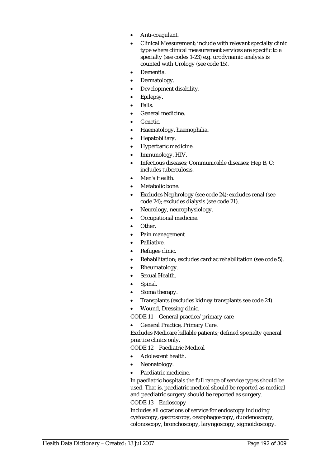- Anti-coagulant.
- Clinical Measurement; include with relevant specialty clinic type where clinical measurement services are specific to a specialty (see codes 1-23) e.g. urodynamic analysis is counted with Urology (see code 15).
- Dementia.
- Dermatology.
- Development disability.
- Epilepsy.
- Falls.
- General medicine.
- Genetic.
- Haematology, haemophilia.
- Hepatobiliary.
- Hyperbaric medicine.
- Immunology, HIV.
- Infectious diseases; Communicable diseases; Hep B, C; includes tuberculosis.
- Men's Health.
- Metabolic bone.
- Excludes Nephrology (see code 24); excludes renal (see code 24); excludes dialysis (see code 21).
- Neurology, neurophysiology.
- Occupational medicine.
- Other.
- Pain management
- Palliative.
- Refugee clinic.
- Rehabilitation; excludes cardiac rehabilitation (see code 5).
- Rheumatology.
- Sexual Health.
- Spinal.
- Stoma therapy.
- Transplants (excludes kidney transplants see code 24).
- Wound, Dressing clinic.

CODE 11 General practice/primary care

• General Practice, Primary Care.

Excludes Medicare billable patients; defined specialty general practice clinics only.

CODE 12 Paediatric Medical

- Adolescent health.
- Neonatology.
- Paediatric medicine.

In paediatric hospitals the full range of service types should be used. That is, paediatric medical should be reported as medical and paediatric surgery should be reported as surgery.

CODE 13 Endoscopy

Includes all occasions of service for endoscopy including cystoscopy, gastroscopy, oesophagoscopy, duodenoscopy, colonoscopy, bronchoscopy, laryngoscopy, sigmoidoscopy.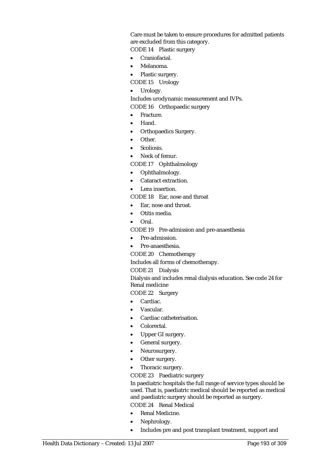Care must be taken to ensure procedures for admitted patients are excluded from this category.

CODE 14 Plastic surgery

- Craniofacial.
- Melanoma.
- Plastic surgery.

CODE 15 Urology

• Urology.

Includes urodynamic measurement and IVPs. CODE 16 Orthopaedic surgery

- Fracture.
- Hand.
- Orthopaedics Surgery.
- Other.
- Scoliosis.
- Neck of femur.
- CODE 17 Ophthalmology
- Ophthalmology.
- Cataract extraction.
- Lens insertion

CODE 18 Ear, nose and throat

- Ear, nose and throat.
- Otitis media.
- Oral.
- CODE 19 Pre-admission and pre-anaesthesia
- Pre-admission.
- Pre-anaesthesia.
- CODE 20 Chemotherapy

Includes all forms of chemotherapy.

#### CODE 21 Dialysis

Dialysis and includes renal dialysis education. See code 24 for Renal medicine

CODE 22 Surgery

- Cardiac.
- Vascular.
- Cardiac catheterisation.
- Colorectal.
- Upper GI surgery.
- General surgery.
- Neurosurgery.
- Other surgery.
- Thoracic surgery.

CODE 23 Paediatric surgery

In paediatric hospitals the full range of service types should be used. That is, paediatric medical should be reported as medical and paediatric surgery should be reported as surgery. CODE 24 Renal Medical

- Renal Medicine.
- Nephrology.
- Includes pre and post transplant treatment, support and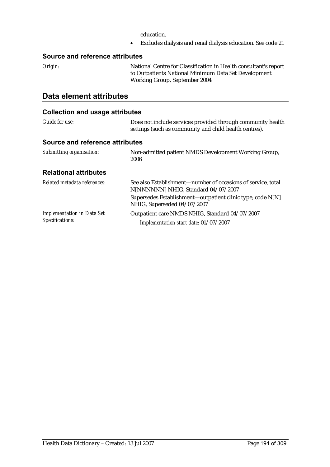education.

• Excludes dialysis and renal dialysis education. See code 21

#### **Source and reference attributes**

*Origin:* National Centre for Classification in Health consultant's report to Outpatients National Minimum Data Set Development Working Group, September 2004.

## **Data element attributes**

| Guide for use:                                       | Does not include services provided through community health<br>settings (such as community and child health centres). |
|------------------------------------------------------|-----------------------------------------------------------------------------------------------------------------------|
| Source and reference attributes                      |                                                                                                                       |
| Submitting organisation:                             | Non-admitted patient NMDS Development Working Group,<br>2006                                                          |
| <b>Relational attributes</b>                         |                                                                                                                       |
| Related metadata references:                         | See also Establishment—number of occasions of service, total<br>N[NNNNNN] NHIG, Standard 04/07/2007                   |
|                                                      | Supersedes Establishment—outpatient clinic type, code N[N]<br>NHIG, Superseded 04/07/2007                             |
| <b>Implementation in Data Set</b><br>Specifications: | Outpatient care NMDS NHIG, Standard 04/07/2007                                                                        |
|                                                      | Implementation start date: 01/07/2007                                                                                 |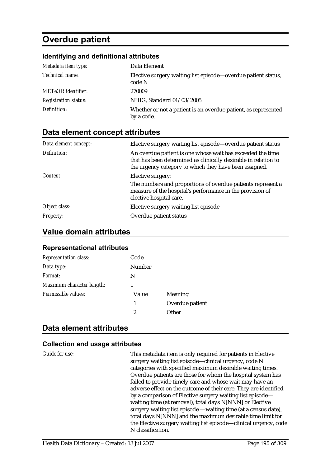# **Overdue patient**

#### **Identifying and definitional attributes**

| Metadata item type:         | Data Element                                                                 |
|-----------------------------|------------------------------------------------------------------------------|
| Technical name:             | Elective surgery waiting list episode-overdue patient status,<br>code N      |
| <b>METeOR</b> identifier:   | 270009                                                                       |
| <b>Registration status:</b> | NHIG, Standard 01/03/2005                                                    |
| Definition:                 | Whether or not a patient is an overdue patient, as represented<br>by a code. |

## **Data element concept attributes**

| Data element concept: | Elective surgery waiting list episode—overdue patient status                                                                                                                            |
|-----------------------|-----------------------------------------------------------------------------------------------------------------------------------------------------------------------------------------|
| Definition:           | An overdue patient is one whose wait has exceeded the time<br>that has been determined as clinically desirable in relation to<br>the urgency category to which they have been assigned. |
| Context:              | Elective surgery:                                                                                                                                                                       |
|                       | The numbers and proportions of overdue patients represent a<br>measure of the hospital's performance in the provision of<br>elective hospital care.                                     |
| Object class:         | Elective surgery waiting list episode                                                                                                                                                   |
| <b>Property:</b>      | Overdue patient status                                                                                                                                                                  |

## **Value domain attributes**

#### **Representational attributes**

| <b>Representation class:</b> | Code          |                 |
|------------------------------|---------------|-----------------|
| Data type:                   | <b>Number</b> |                 |
| Format:                      | N             |                 |
| Maximum character length:    | 1             |                 |
| Permissible values:          | Value         | Meaning         |
|                              | 1             | Overdue patient |
|                              | 2             | Other           |

## **Data element attributes**

#### **Collection and usage attributes**

*Guide for use:* This metadata item is only required for patients in Elective surgery waiting list episode—clinical urgency, code N categories with specified maximum desirable waiting times. Overdue patients are those for whom the hospital system has failed to provide timely care and whose wait may have an adverse effect on the outcome of their care. They are identified by a comparison of Elective surgery waiting list episode waiting time (at removal), total days N[NNN] or Elective surgery waiting list episode —waiting time (at a census date), total days N[NNN] and the maximum desirable time limit for the Elective surgery waiting list episode—clinical urgency, code N classification.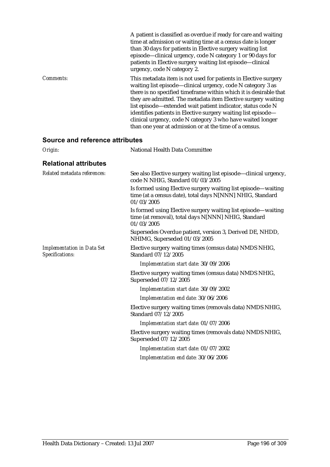|                  | A patient is classified as overdue if ready for care and waiting<br>time at admission or waiting time at a census date is longer<br>than 30 days for patients in Elective surgery waiting list<br>episode-clinical urgency, code N category 1 or 90 days for<br>patients in Elective surgery waiting list episode-clinical<br>urgency, code N category 2.                                                                                                                                                                    |
|------------------|------------------------------------------------------------------------------------------------------------------------------------------------------------------------------------------------------------------------------------------------------------------------------------------------------------------------------------------------------------------------------------------------------------------------------------------------------------------------------------------------------------------------------|
| <i>Comments:</i> | This metadata item is not used for patients in Elective surgery<br>waiting list episode—clinical urgency, code N category 3 as<br>there is no specified timeframe within which it is desirable that<br>they are admitted. The metadata item Elective surgery waiting<br>list episode—extended wait patient indicator, status code N<br>identifies patients in Elective surgery waiting list episode-<br>clinical urgency, code N category 3 who have waited longer<br>than one year at admission or at the time of a census. |

### **Source and reference attributes**

| <b>National Health Data Committee</b>                                                                                                    |
|------------------------------------------------------------------------------------------------------------------------------------------|
|                                                                                                                                          |
| See also Elective surgery waiting list episode—clinical urgency,<br>code N NHIG, Standard 01/03/2005                                     |
| Is formed using Elective surgery waiting list episode—waiting<br>time (at a census date), total days N[NNN] NHIG, Standard<br>01/03/2005 |
| Is formed using Elective surgery waiting list episode—waiting<br>time (at removal), total days N[NNN] NHIG, Standard<br>01/03/2005       |
| Supersedes Overdue patient, version 3, Derived DE, NHDD,<br>NHIMG, Superseded 01/03/2005                                                 |
| Elective surgery waiting times (census data) NMDS NHIG,<br>Standard 07/12/2005                                                           |
| Implementation start date: 30/09/2006                                                                                                    |
| Elective surgery waiting times (census data) NMDS NHIG,<br>Superseded 07/12/2005                                                         |
| Implementation start date: 30/09/2002                                                                                                    |
| Implementation end date: 30/06/2006                                                                                                      |
| Elective surgery waiting times (removals data) NMDS NHIG,<br>Standard 07/12/2005                                                         |
| Implementation start date: 01/07/2006                                                                                                    |
| Elective surgery waiting times (removals data) NMDS NHIG,<br>Superseded 07/12/2005                                                       |
| Implementation start date: 01/07/2002                                                                                                    |
| Implementation end date: 30/06/2006                                                                                                      |
|                                                                                                                                          |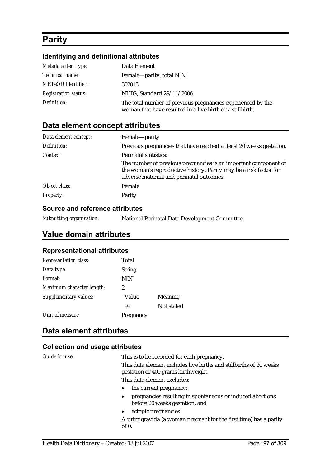# **Parity**

#### **Identifying and definitional attributes**

| Metadata item type:         | Data Element                                                                                                              |
|-----------------------------|---------------------------------------------------------------------------------------------------------------------------|
| <i>Technical name:</i>      | Female—parity, total $N[N]$                                                                                               |
| <b>METeOR</b> identifier:   | 302013                                                                                                                    |
| <b>Registration status:</b> | NHIG, Standard 29/11/2006                                                                                                 |
| Definition:                 | The total number of previous pregnancies experienced by the<br>woman that have resulted in a live birth or a still birth. |

## **Data element concept attributes**

| Data element concept: | Female-parity                                                                                                                                                                    |
|-----------------------|----------------------------------------------------------------------------------------------------------------------------------------------------------------------------------|
| Definition:           | Previous pregnancies that have reached at least 20 weeks gestation.                                                                                                              |
| Context:              | Perinatal statistics:                                                                                                                                                            |
|                       | The number of previous pregnancies is an important component of<br>the woman's reproductive history. Parity may be a risk factor for<br>adverse maternal and perinatal outcomes. |
| Object class:         | Female                                                                                                                                                                           |
| <b>Property:</b>      | Parity                                                                                                                                                                           |

#### **Source and reference attributes**

| Submitting organisation: | National Perinatal Data Development Committee |
|--------------------------|-----------------------------------------------|
|--------------------------|-----------------------------------------------|

## **Value domain attributes**

#### **Representational attributes**

| Representation class:     | Total         |            |
|---------------------------|---------------|------------|
| Data type:                | <b>String</b> |            |
| Format:                   | N[N]          |            |
| Maximum character length: | 2             |            |
| Supplementary values:     | Value         | Meaning    |
|                           | 99            | Not stated |
| Unit of measure:          | Pregnancy     |            |

## **Data element attributes**

#### **Collection and usage attributes**

*Guide for use:* This is to be recorded for each pregnancy. This data element includes live births and stillbirths of 20 weeks gestation or 400 grams birthweight. This data element excludes: • the current pregnancy; • pregnancies resulting in spontaneous or induced abortions before 20 weeks gestation; and

• ectopic pregnancies.

A primigravida (a woman pregnant for the first time) has a parity of 0.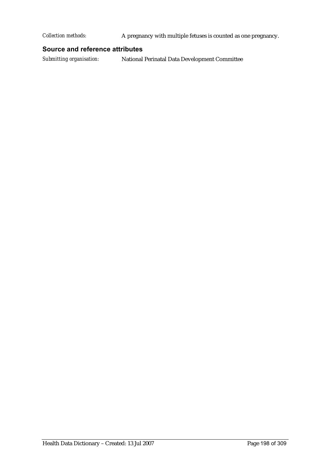*Collection methods:* A pregnancy with multiple fetuses is counted as one pregnancy.

#### **Source and reference attributes**

*Submitting organisation:* National Perinatal Data Development Committee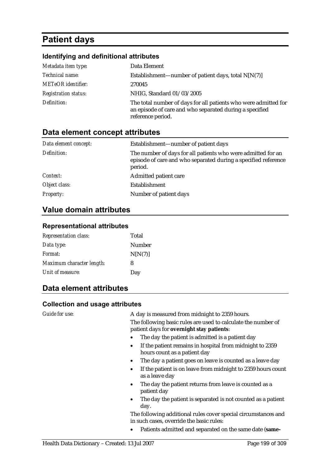# **Patient days**

#### **Identifying and definitional attributes**

| Metadata item type:         | Data Element                                                                                                                                    |
|-----------------------------|-------------------------------------------------------------------------------------------------------------------------------------------------|
| Technical name:             | Establishment—number of patient days, total $N[N(7)]$                                                                                           |
| <b>METeOR</b> identifier:   | 270045                                                                                                                                          |
| <b>Registration status:</b> | NHIG, Standard 01/03/2005                                                                                                                       |
| Definition:                 | The total number of days for all patients who were admitted for<br>an episode of care and who separated during a specified<br>reference period. |

## **Data element concept attributes**

| Data element concept: | Establishment-number of patient days                                                                                                      |
|-----------------------|-------------------------------------------------------------------------------------------------------------------------------------------|
| Definition:           | The number of days for all patients who were admitted for an<br>episode of care and who separated during a specified reference<br>period. |
| Context:              | Admitted patient care                                                                                                                     |
| Object class:         | Establishment                                                                                                                             |
| <b>Property:</b>      | Number of patient days                                                                                                                    |

## **Value domain attributes**

#### **Representational attributes**

| <b>Representation class:</b> | Total   |
|------------------------------|---------|
| Data type:                   | Number  |
| Format:                      | N[N(7)] |
| Maximum character length:    | 8       |
| Unit of measure:             | Day     |

## **Data element attributes**

#### **Collection and usage attributes**

*Guide for use:* A day is measured from midnight to 2359 hours. The following basic rules are used to calculate the number of patient days for **overnight stay patients**:

- The day the patient is admitted is a patient day
- If the patient remains in hospital from midnight to 2359 hours count as a patient day
- The day a patient goes on leave is counted as a leave day
- If the patient is on leave from midnight to 2359 hours count as a leave day
- The day the patient returns from leave is counted as a patient day
- The day the patient is separated is not counted as a patient day.

The following additional rules cover special circumstances and in such cases, override the basic rules:

• Patients admitted and separated on the same date (**same-**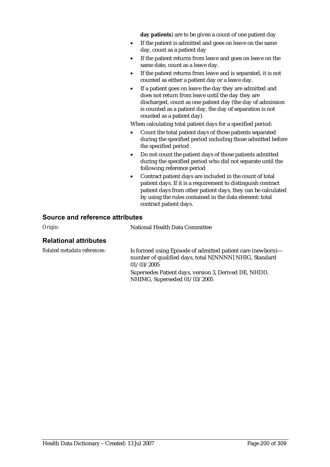**day patients**) are to be given a count of one patient day

- If the patient is admitted and goes on leave on the same day, count as a patient day
- If the patient returns from leave and goes on leave on the same date, count as a leave day.
- If the patient returns from leave and is separated, it is not counted as either a patient day or a leave day.
- If a patient goes on leave the day they are admitted and does not return from leave until the day they are discharged, count as one patient day (the day of admission is counted as a patient day, the day of separation is not counted as a patient day).

When calculating total patient days for a specified period:

- Count the total patient days of those patients separated during the specified period including those admitted before the specified period
- Do not count the patient days of those patients admitted during the specified period who did not separate until the following reference period
- Contract patient days are included in the count of total patient days. If it is a requirement to distinguish contract patient days from other patient days, they can be calculated by using the rules contained in the data element: total contract patient days.

#### **Source and reference attributes**

*Origin:* National Health Data Committee

#### **Relational attributes**

*Related metadata references:* Is formed using Episode of admitted patient care (newborn) number of qualified days, total N[NNNN] NHIG, Standard 01/03/2005

> Supersedes Patient days, version 3, Derived DE, NHDD, NHIMG, Superseded 01/03/2005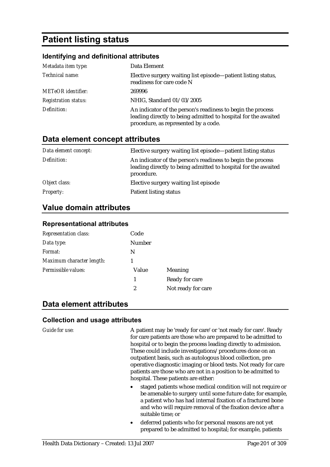# **Patient listing status**

#### **Identifying and definitional attributes**

| Metadata item type:         | Data Element                                                                                                                                                          |
|-----------------------------|-----------------------------------------------------------------------------------------------------------------------------------------------------------------------|
| Technical name:             | Elective surgery waiting list episode—patient listing status,<br>readiness for care code N                                                                            |
| <b>METeOR</b> identifier:   | 269996                                                                                                                                                                |
| <b>Registration status:</b> | NHIG, Standard 01/03/2005                                                                                                                                             |
| Definition:                 | An indicator of the person's readiness to begin the process<br>leading directly to being admitted to hospital for the awaited<br>procedure, as represented by a code. |

### **Data element concept attributes**

| Data element concept: | Elective surgery waiting list episode—patient listing status                                                                                |
|-----------------------|---------------------------------------------------------------------------------------------------------------------------------------------|
| Definition:           | An indicator of the person's readiness to begin the process<br>leading directly to being admitted to hospital for the awaited<br>procedure. |
| Object class:         | Elective surgery waiting list episode                                                                                                       |
| <i>Property:</i>      | <b>Patient listing status</b>                                                                                                               |

### **Value domain attributes**

#### **Representational attributes**

| <b>Representation class:</b> | Code          |                    |
|------------------------------|---------------|--------------------|
| Data type:                   | <b>Number</b> |                    |
| Format:                      | N             |                    |
| Maximum character length:    |               |                    |
| Permissible values:          | Value         | Meaning            |
|                              | 1             | Ready for care     |
|                              | 2             | Not ready for care |

### **Data element attributes**

#### **Collection and usage attributes**

*Guide for use:* A patient may be 'ready for care' or 'not ready for care'. Ready for care patients are those who are prepared to be admitted to hospital or to begin the process leading directly to admission. These could include investigations/procedures done on an outpatient basis, such as autologous blood collection, preoperative diagnostic imaging or blood tests. Not ready for care patients are those who are not in a position to be admitted to hospital. These patients are either:

- staged patients whose medical condition will not require or be amenable to surgery until some future date; for example, a patient who has had internal fixation of a fractured bone and who will require removal of the fixation device after a suitable time; or
- deferred patients who for personal reasons are not yet prepared to be admitted to hospital; for example, patients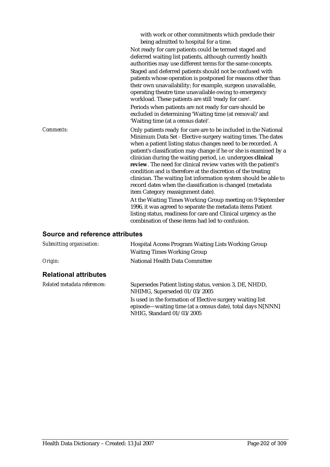|           | with work or other commitments which preclude their<br>being admitted to hospital for a time.<br>Not ready for care patients could be termed staged and<br>deferred waiting list patients, although currently health<br>authorities may use different terms for the same concepts.<br>Staged and deferred patients should not be confused with<br>patients whose operation is postponed for reasons other than<br>their own unavailability; for example, surgeon unavailable,<br>operating theatre time unavailable owing to emergency<br>workload. These patients are still 'ready for care'.<br>Periods when patients are not ready for care should be<br>excluded in determining 'Waiting time (at removal)' and<br>'Waiting time (at a census date)'.                                                                                                                                     |
|-----------|-----------------------------------------------------------------------------------------------------------------------------------------------------------------------------------------------------------------------------------------------------------------------------------------------------------------------------------------------------------------------------------------------------------------------------------------------------------------------------------------------------------------------------------------------------------------------------------------------------------------------------------------------------------------------------------------------------------------------------------------------------------------------------------------------------------------------------------------------------------------------------------------------|
| Comments: | Only patients ready for care are to be included in the National<br>Minimum Data Set - Elective surgery waiting times. The dates<br>when a patient listing status changes need to be recorded. A<br>patient's classification may change if he or she is examined by a<br>clinician during the waiting period, i.e. undergoes clinical<br>review. The need for clinical review varies with the patient's<br>condition and is therefore at the discretion of the treating<br>clinician. The waiting list information system should be able to<br>record dates when the classification is changed (metadata<br>item Category reassignment date).<br>At the Waiting Times Working Group meeting on 9 September<br>1996, it was agreed to separate the metadata items Patient<br>listing status, readiness for care and Clinical urgency as the<br>combination of these items had led to confusion. |

## **Source and reference attributes**

| <b>Hospital Access Program Waiting Lists Working Group</b><br><b>Waiting Times Working Group</b>                                                     |
|------------------------------------------------------------------------------------------------------------------------------------------------------|
| National Health Data Committee                                                                                                                       |
|                                                                                                                                                      |
| Supersedes Patient listing status, version 3, DE, NHDD,<br>NHIMG, Superseded 01/03/2005                                                              |
| Is used in the formation of Elective surgery waiting list<br>episode—waiting time (at a census date), total days N[NNN]<br>NHIG, Standard 01/03/2005 |
|                                                                                                                                                      |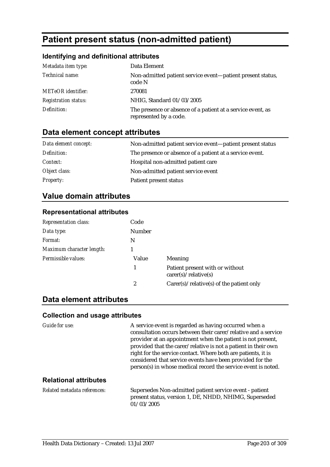# **Patient present status (non-admitted patient)**

#### **Identifying and definitional attributes**

| Metadata item type:         | Data Element                                                                          |
|-----------------------------|---------------------------------------------------------------------------------------|
| Technical name:             | Non-admitted patient service event—patient present status,<br>code N                  |
| <b>METeOR</b> identifier:   | 270081                                                                                |
| <b>Registration status:</b> | NHIG, Standard 01/03/2005                                                             |
| Definition:                 | The presence or absence of a patient at a service event, as<br>represented by a code. |

## **Data element concept attributes**

| Data element concept: | Non-admitted patient service event-patient present status |
|-----------------------|-----------------------------------------------------------|
| Definition:           | The presence or absence of a patient at a service event.  |
| <i>Context:</i>       | Hospital non-admitted patient care                        |
| Object class:         | Non-admitted patient service event                        |
| <b>Property:</b>      | Patient present status                                    |

## **Value domain attributes**

#### **Representational attributes**

| <b>Representation class:</b> | Code   |                                                        |
|------------------------------|--------|--------------------------------------------------------|
| Data type:                   | Number |                                                        |
| Format:                      | N      |                                                        |
| Maximum character length:    |        |                                                        |
| Permissible values:          | Value  | <b>Meaning</b>                                         |
|                              |        | Patient present with or without<br>care(s)/relative(s) |
|                              | 2      | $Carer(s) / relative(s)$ of the patient only           |

## **Data element attributes**

#### **Collection and usage attributes**

*Guide for use:* A service event is regarded as having occurred when a consultation occurs between their carer/relative and a service provider at an appointment when the patient is not present, provided that the carer/relative is not a patient in their own right for the service contact. Where both are patients, it is considered that service events have been provided for the person(s) in whose medical record the service event is noted.

#### **Relational attributes**

*Related metadata references:* Supersedes Non-admitted patient service event - patient present status, version 1, DE, NHDD, NHIMG, Superseded  $01/03/2005$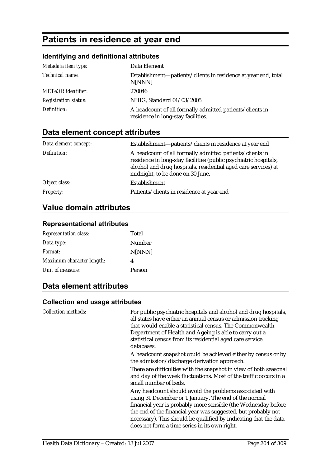# **Patients in residence at year end**

### **Identifying and definitional attributes**

| Metadata item type:         | Data Element                                                                                   |
|-----------------------------|------------------------------------------------------------------------------------------------|
| Technical name:             | Establishment—patients/clients in residence at year end, total<br>N[NNN]                       |
| <b>METeOR</b> identifier:   | 270046                                                                                         |
| <b>Registration status:</b> | NHIG, Standard 01/03/2005                                                                      |
| Definition:                 | A headcount of all formally admitted patients/clients in<br>residence in long-stay facilities. |

## **Data element concept attributes**

| Data element concept: | Establishment—patients/clients in residence at year end                                                                                                                                                                            |
|-----------------------|------------------------------------------------------------------------------------------------------------------------------------------------------------------------------------------------------------------------------------|
| Definition:           | A headcount of all formally admitted patients/clients in<br>residence in long-stay facilities (public psychiatric hospitals,<br>alcohol and drug hospitals, residential aged care services) at<br>midnight, to be done on 30 June. |
| Object class:         | Establishment                                                                                                                                                                                                                      |
| <b>Property:</b>      | Patients/clients in residence at year end                                                                                                                                                                                          |

## **Value domain attributes**

#### **Representational attributes**

| Total  |
|--------|
| Number |
| N[NNN] |
| 4      |
| Person |
|        |

## **Data element attributes**

| <b>Collection methods:</b> | For public psychiatric hospitals and alcohol and drug hospitals,<br>all states have either an annual census or admission tracking<br>that would enable a statistical census. The Commonwealth<br>Department of Health and Ageing is able to carry out a<br>statistical census from its residential aged care service<br>databases. |
|----------------------------|------------------------------------------------------------------------------------------------------------------------------------------------------------------------------------------------------------------------------------------------------------------------------------------------------------------------------------|
|                            | A headcount snapshot could be achieved either by census or by<br>the admission/discharge derivation approach.                                                                                                                                                                                                                      |
|                            | There are difficulties with the snapshot in view of both seasonal<br>and day of the week fluctuations. Most of the traffic occurs in a<br>small number of beds.                                                                                                                                                                    |
|                            | Any headcount should avoid the problems associated with<br>using 31 December or 1 January. The end of the normal<br>financial year is probably more sensible (the Wednesday before                                                                                                                                                 |
|                            | the end of the financial year was suggested, but probably not<br>necessary). This should be qualified by indicating that the data<br>does not form a time series in its own right.                                                                                                                                                 |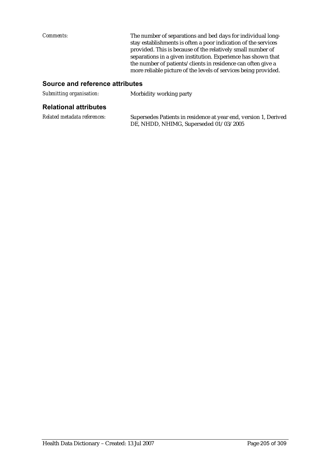*Comments:* The number of separations and bed days for individual longstay establishments is often a poor indication of the services provided. This is because of the relatively small number of separations in a given institution. Experience has shown that the number of patients/clients in residence can often give a more reliable picture of the levels of services being provided.

#### **Source and reference attributes**

| Submitting organisation: | Morbidity working party |  |  |
|--------------------------|-------------------------|--|--|
|                          |                         |  |  |

## **Relational attributes**

| Related metadata references: | Supersedes Patients in residence at year end, version 1, Derived |
|------------------------------|------------------------------------------------------------------|
|                              | DE, NHDD, NHIMG, Superseded 01/03/2005                           |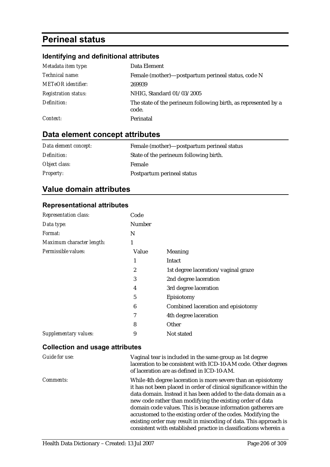# **Perineal status**

## **Identifying and definitional attributes**

| Metadata item type:         | Data Element                                                            |
|-----------------------------|-------------------------------------------------------------------------|
| Technical name:             | Female (mother)—postpartum perineal status, code N                      |
| <b>METeOR</b> identifier:   | 269939                                                                  |
| <b>Registration status:</b> | NHIG, Standard 01/03/2005                                               |
| Definition:                 | The state of the perineum following birth, as represented by a<br>code. |
| Context:                    | Perinatal                                                               |

## **Data element concept attributes**

| Data element concept: | Female (mother)—postpartum perineal status |
|-----------------------|--------------------------------------------|
| Definition:           | State of the perineum following birth.     |
| Object class:         | Female                                     |
| <b>Property:</b>      | Postpartum perineal status                 |

## **Value domain attributes**

#### **Representational attributes**

| <b>Representation class:</b> | Code   |                                     |
|------------------------------|--------|-------------------------------------|
| Data type:                   | Number |                                     |
| <i>Format:</i>               | N      |                                     |
| Maximum character length:    | 1      |                                     |
| Permissible values:          | Value  | Meaning                             |
|                              | 1      | Intact                              |
|                              | 2      | 1st degree laceration/vaginal graze |
|                              | 3      | 2nd degree laceration               |
|                              | 4      | 3rd degree laceration               |
|                              | 5      | Episiotomy                          |
|                              | 6      | Combined laceration and episiotomy  |
|                              | 7      | 4th degree laceration               |
|                              | 8      | Other                               |
| Supplementary values:        | 9      | Not stated                          |

| Guide for use: | Vaginal tear is included in the same group as 1st degree<br>laceration to be consistent with ICD-10-AM code. Other degrees<br>of laceration are as defined in ICD-10-AM.                                                                                                                                                                                                                                                                                                                                                                      |
|----------------|-----------------------------------------------------------------------------------------------------------------------------------------------------------------------------------------------------------------------------------------------------------------------------------------------------------------------------------------------------------------------------------------------------------------------------------------------------------------------------------------------------------------------------------------------|
| Comments:      | While 4th degree laceration is more severe than an episiotomy<br>it has not been placed in order of clinical significance within the<br>data domain. Instead it has been added to the data domain as a<br>new code rather than modifying the existing order of data<br>domain code values. This is because information gatherers are<br>accustomed to the existing order of the codes. Modifying the<br>existing order may result in miscoding of data. This approach is<br>consistent with established practice in classifications wherein a |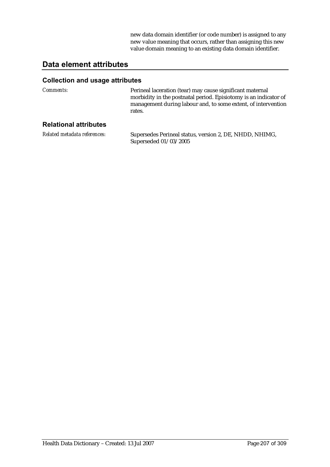new data domain identifier (or code number) is assigned to any new value meaning that occurs, rather than assigning this new value domain meaning to an existing data domain identifier.

## **Data element attributes**

| <i>Comments:</i>             | Perineal laceration (tear) may cause significant maternal<br>morbidity in the postnatal period. Episiotomy is an indicator of<br>management during labour and, to some extent, of intervention<br>rates. |
|------------------------------|----------------------------------------------------------------------------------------------------------------------------------------------------------------------------------------------------------|
| <b>Relational attributes</b> |                                                                                                                                                                                                          |
| Related metadata references: | Supersedes Perineal status, version 2, DE, NHDD, NHIMG,<br>Superseded 01/03/2005                                                                                                                         |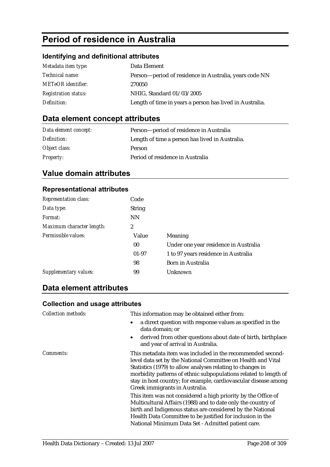# **Period of residence in Australia**

## **Identifying and definitional attributes**

| Metadata item type:         | Data Element                                             |
|-----------------------------|----------------------------------------------------------|
| <i>Technical name:</i>      | Person-period of residence in Australia, years code NN   |
| <b>METeOR</b> identifier:   | 270050                                                   |
| <b>Registration status:</b> | NHIG, Standard 01/03/2005                                |
| Definition:                 | Length of time in years a person has lived in Australia. |

## **Data element concept attributes**

| Data element concept: | Person-period of residence in Australia         |
|-----------------------|-------------------------------------------------|
| Definition:           | Length of time a person has lived in Australia. |
| Object class:         | <b>Person</b>                                   |
| <b>Property:</b>      | Period of residence in Australia                |

## **Value domain attributes**

### **Representational attributes**

| <b>Representation class:</b> | Code            |                                       |
|------------------------------|-----------------|---------------------------------------|
| Data type:                   | <b>String</b>   |                                       |
| Format:                      | <b>NN</b>       |                                       |
| Maximum character length:    | 2               |                                       |
| Permissible values:          | Value           | <b>Meaning</b>                        |
|                              | 00 <sup>°</sup> | Under one year residence in Australia |
|                              | $01 - 97$       | 1 to 97 years residence in Australia  |
|                              | 98              | Born in Australia                     |
| Supplementary values:        | 99              | Unknown                               |

## **Data element attributes**

| <b>Collection methods:</b> | This information may be obtained either from:<br>a direct question with response values as specified in the<br>data domain; or                                                                                                                                                                                                                                    |
|----------------------------|-------------------------------------------------------------------------------------------------------------------------------------------------------------------------------------------------------------------------------------------------------------------------------------------------------------------------------------------------------------------|
|                            | derived from other questions about date of birth, birthplace<br>$\bullet$<br>and year of arrival in Australia.                                                                                                                                                                                                                                                    |
| <i>Comments:</i>           | This metadata item was included in the recommended second-<br>level data set by the National Committee on Health and Vital<br>Statistics (1979) to allow analyses relating to changes in<br>morbidity patterns of ethnic subpopulations related to length of<br>stay in host country; for example, cardiovascular disease among<br>Greek immigrants in Australia. |
|                            | This item was not considered a high priority by the Office of<br>Multicultural Affairs (1988) and to date only the country of<br>birth and Indigenous status are considered by the National<br>Health Data Committee to be justified for inclusion in the<br>National Minimum Data Set - Admitted patient care.                                                   |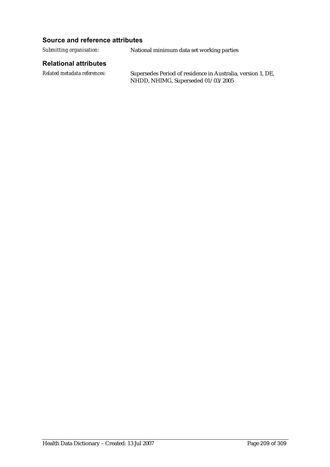#### **Source and reference attributes**

*Submitting organisation:* National minimum data set working parties

#### **Relational attributes**

*Related metadata references:* Supersedes Period of residence in Australia, version 1, DE, NHDD, NHIMG, Superseded 01/03/2005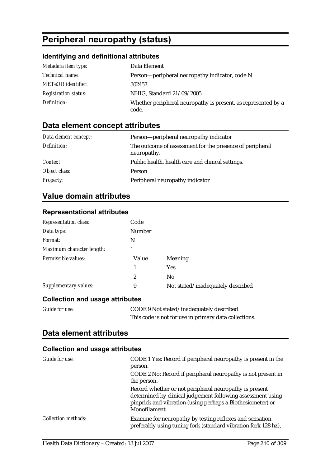# **Peripheral neuropathy (status)**

## **Identifying and definitional attributes**

| Metadata item type:         | Data Element                                                           |
|-----------------------------|------------------------------------------------------------------------|
| <i>Technical name:</i>      | Person—peripheral neuropathy indicator, code N                         |
| <b>METeOR</b> identifier:   | 302457                                                                 |
| <b>Registration status:</b> | NHIG, Standard 21/09/2005                                              |
| Definition:                 | Whether peripheral neuropathy is present, as represented by a<br>code. |

## **Data element concept attributes**

| Data element concept: | Person—peripheral neuropathy indicator                                  |
|-----------------------|-------------------------------------------------------------------------|
| Definition:           | The outcome of assessment for the presence of peripheral<br>neuropathy. |
| Context:              | Public health, health care and clinical settings.                       |
| Object class:         | <b>Person</b>                                                           |
| <b>Property:</b>      | Peripheral neuropathy indicator                                         |

## **Value domain attributes**

#### **Representational attributes**

| <b>Representation class:</b> | Code          |                                   |
|------------------------------|---------------|-----------------------------------|
| Data type:                   | <b>Number</b> |                                   |
| Format:                      | N             |                                   |
| Maximum character length:    |               |                                   |
| Permissible values:          | Value         | Meaning                           |
|                              | 1             | <b>Yes</b>                        |
|                              | 2             | N <sub>0</sub>                    |
| Supplementary values:        | 9             | Not stated/inadequately described |

### **Collection and usage attributes**

| <b>Guide for use:</b> | CODE 9 Not stated/inadequately described              |
|-----------------------|-------------------------------------------------------|
|                       | This code is not for use in primary data collections. |

## **Data element attributes**

| Guide for use:             | CODE 1 Yes: Record if peripheral neuropathy is present in the<br>person.<br>CODE 2 No: Record if peripheral neuropathy is not present in<br>the person.<br>Record whether or not peripheral neuropathy is present<br>determined by clinical judgement following assessment using<br>pinprick and vibration (using perhaps a Biothesiometer) or<br>Monofilament. |
|----------------------------|-----------------------------------------------------------------------------------------------------------------------------------------------------------------------------------------------------------------------------------------------------------------------------------------------------------------------------------------------------------------|
| <b>Collection methods:</b> | Examine for neuropathy by testing reflexes and sensation<br>preferably using tuning fork (standard vibration fork 128 hz),                                                                                                                                                                                                                                      |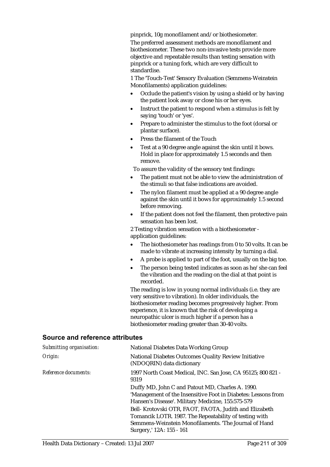pinprick, 10g monofilament and/or biothesiometer.

The preferred assessment methods are monofilament and biothesiometer. These two non-invasive tests provide more objective and repeatable results than testing sensation with pinprick or a tuning fork, which are very difficult to standardise.

1 The 'Touch-Test' Sensory Evaluation (Semmens-Weinstein Monofilaments) application guidelines:

- Occlude the patient's vision by using a shield or by having the patient look away or close his or her eyes.
- Instruct the patient to respond when a stimulus is felt by saying 'touch' or 'yes'.
- Prepare to administer the stimulus to the foot (dorsal or plantar surface).
- Press the filament of the Touch
- Test at a 90 degree angle against the skin until it bows. Hold in place for approximately 1.5 seconds and then remove.

To assure the validity of the sensory test findings:

- The patient must not be able to view the administration of the stimuli so that false indications are avoided.
- The nylon filament must be applied at a 90 degree angle against the skin until it bows for approximately 1.5 second before removing.
- If the patient does not feel the filament, then protective pain sensation has been lost.

2 Testing vibration sensation with a biothesiometer application guidelines:

- The biothesiometer has readings from 0 to 50 volts. It can be made to vibrate at increasing intensity by turning a dial.
- A probe is applied to part of the foot, usually on the big toe.
- The person being tested indicates as soon as he/she can feel the vibration and the reading on the dial at that point is recorded.

The reading is low in young normal individuals (i.e. they are very sensitive to vibration). In older individuals, the biothesiometer reading becomes progressively higher. From experience, it is known that the risk of developing a neuropathic ulcer is much higher if a person has a biothesiometer reading greater than 30-40 volts.

#### **Source and reference attributes**

| <b>National Diabetes Data Working Group</b>                                                                                                                                                          |
|------------------------------------------------------------------------------------------------------------------------------------------------------------------------------------------------------|
| National Diabetes Outcomes Quality Review Initiative<br>(NDOQRIN) data dictionary                                                                                                                    |
| 1997 North Coast Medical, INC. San Jose, CA 95125; 800 821 -<br>9319                                                                                                                                 |
| Duffy MD, John C and Patout MD, Charles A. 1990.                                                                                                                                                     |
| 'Management of the Insensitive Foot in Diabetes: Lessons from<br>Hansen's Disease'. Military Medicine, 155:575-579                                                                                   |
| Bell- Krotovski OTR, FAOT, FAOTA, Judith and Elizabeth<br>Tomancik LOTR. 1987. The Repeatability of testing with<br>Semmens-Weinstein Monofilaments. The Journal of Hand<br>Surgery,' 12A: 155 - 161 |
|                                                                                                                                                                                                      |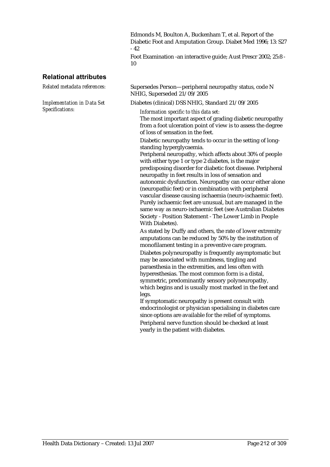Edmonds M, Boulton A, Buckenham T, et al. Report of the Diabetic Foot and Amputation Group. Diabet Med 1996; 13: S27 - 42

Foot Examination -an interactive guide; Aust Prescr 2002; 25:8 - 10

#### **Relational attributes**

*Implementation in Data Set Specifications:*

*Related metadata references:* Supersedes Person—peripheral neuropathy status, code N NHIG, Superseded 21/09/2005

Diabetes (clinical) DSS NHIG, Standard 21/09/2005

*Information specific to this data set:*

The most important aspect of grading diabetic neuropathy from a foot ulceration point of view is to assess the degree of loss of sensation in the feet.

Diabetic neuropathy tends to occur in the setting of longstanding hyperglycaemia.

Peripheral neuropathy, which affects about 30% of people with either type 1 or type 2 diabetes, is the major predisposing disorder for diabetic foot disease. Peripheral neuropathy in feet results in loss of sensation and autonomic dysfunction. Neuropathy can occur either alone (neuropathic feet) or in combination with peripheral vascular disease causing ischaemia (neuro-ischaemic feet). Purely ischaemic feet are unusual, but are managed in the same way as neuro-ischaemic feet (see Australian Diabetes Society - Position Statement - The Lower Limb in People With Diabetes).

As stated by Duffy and others, the rate of lower extremity amputations can be reduced by 50% by the institution of monofilament testing in a preventive care program. Diabetes polyneuropathy is frequently asymptomatic but may be associated with numbness, tingling and paraesthesia in the extremities, and less often with hyperesthesias. The most common form is a distal, symmetric, predominantly sensory polyneuropathy, which begins and is usually most marked in the feet and legs.

If symptomatic neuropathy is present consult with endocrinologist or physician specialising in diabetes care since options are available for the relief of symptoms. Peripheral nerve function should be checked at least yearly in the patient with diabetes.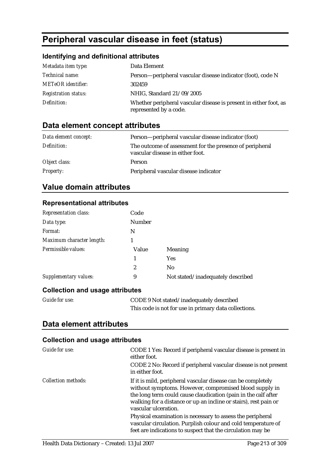# **Peripheral vascular disease in feet (status)**

### **Identifying and definitional attributes**

| Metadata item type:         | Data Element                                                                                |
|-----------------------------|---------------------------------------------------------------------------------------------|
| Technical name:             | Person-peripheral vascular disease indicator (foot), code N                                 |
| <b>METeOR</b> identifier:   | 302459                                                                                      |
| <b>Registration status:</b> | NHIG, Standard 21/09/2005                                                                   |
| Definition:                 | Whether peripheral vascular disease is present in either foot, as<br>represented by a code. |

## **Data element concept attributes**

| Data element concept: | Person—peripheral vascular disease indicator (foot)                                          |
|-----------------------|----------------------------------------------------------------------------------------------|
| Definition:           | The outcome of assessment for the presence of peripheral<br>vascular disease in either foot. |
| Object class:         | <b>Person</b>                                                                                |
| <b>Property:</b>      | Peripheral vascular disease indicator                                                        |

## **Value domain attributes**

**Representational attributes** 

| <b>Representation class:</b> | Code             |                                   |
|------------------------------|------------------|-----------------------------------|
| Data type:                   | <b>Number</b>    |                                   |
| Format:                      | N                |                                   |
| Maximum character length:    |                  |                                   |
| Permissible values:          | Value            | Meaning                           |
|                              | 1                | <b>Yes</b>                        |
|                              | $\boldsymbol{2}$ | N <sub>0</sub>                    |
| Supplementary values:        | 9                | Not stated/inadequately described |
|                              |                  |                                   |

### **Collection and usage attributes**

| <i>Guide for use:</i> | CODE 9 Not stated/inadequately described              |
|-----------------------|-------------------------------------------------------|
|                       | This code is not for use in primary data collections. |

## **Data element attributes**

| Guide for use:             | CODE 1 Yes: Record if peripheral vascular disease is present in<br>either foot.                                                                                                                                                                                                      |
|----------------------------|--------------------------------------------------------------------------------------------------------------------------------------------------------------------------------------------------------------------------------------------------------------------------------------|
|                            | CODE 2 No: Record if peripheral vascular disease is not present<br>in either foot.                                                                                                                                                                                                   |
| <b>Collection methods:</b> | If it is mild, peripheral vascular disease can be completely<br>without symptoms. However, compromised blood supply in<br>the long term could cause claudication (pain in the calf after<br>walking for a distance or up an incline or stairs), rest pain or<br>vascular ulceration. |
|                            | Physical examination is necessary to assess the peripheral<br>vascular circulation. Purplish colour and cold temperature of<br>feet are indications to suspect that the circulation may be                                                                                           |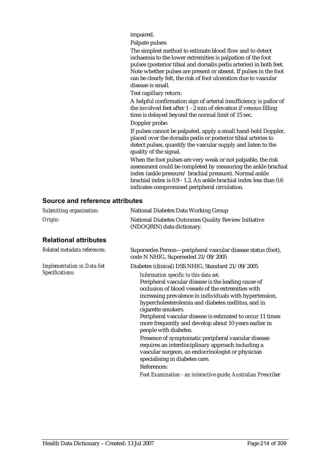impaired.

Palpate pulses:

The simplest method to estimate blood flow and to detect ischaemia to the lower extremities is palpation of the foot pulses (posterior tibial and dorsalis pedis arteries) in both feet. Note whether pulses are present or absent. If pulses in the foot can be clearly felt, the risk of foot ulceration due to vascular disease is small.

Test capillary return:

A helpful confirmation sign of arterial insufficiency is pallor of the involved feet after 1 - 2 min of elevation if venous filling time is delayed beyond the normal limit of 15 sec.

Doppler probe:

If pulses cannot be palpated, apply a small hand-held Doppler, placed over the dorsalis pedis or posterior tibial arteries to detect pulses, quantify the vascular supply and listen to the quality of the signal.

When the foot pulses are very weak or not palpable, the risk assessment could be completed by measuring the ankle brachial index (ankle pressure/ brachial pressure). Normal ankle brachial index is 0.9 - 1.2. An ankle brachial index less than 0.6 indicates compromised peripheral circulation.

#### **Source and reference attributes**

| Submitting organisation:                             | <b>National Diabetes Data Working Group</b>                                                                                                                                                                                                                                                                                                                                                                                                |
|------------------------------------------------------|--------------------------------------------------------------------------------------------------------------------------------------------------------------------------------------------------------------------------------------------------------------------------------------------------------------------------------------------------------------------------------------------------------------------------------------------|
| Origin:                                              | National Diabetes Outcomes Quality Review Initiative<br>(NDOQRIN) data dictionary.                                                                                                                                                                                                                                                                                                                                                         |
| <b>Relational attributes</b>                         |                                                                                                                                                                                                                                                                                                                                                                                                                                            |
| Related metadata references:                         | Supersedes Person—peripheral vascular disease status (foot),<br>code N NHIG, Superseded 21/09/2005                                                                                                                                                                                                                                                                                                                                         |
| <b>Implementation in Data Set</b><br>Specifications: | Diabetes (clinical) DSS NHIG, Standard 21/09/2005                                                                                                                                                                                                                                                                                                                                                                                          |
|                                                      | Information specific to this data set:<br>Peripheral vascular disease is the leading cause of<br>occlusion of blood vessels of the extremities with<br>increasing prevalence in individuals with hypertension,<br>hypercholesterolemia and diabetes mellitus, and in<br>cigarette smokers.<br>Peripheral vascular disease is estimated to occur 11 times<br>more frequently and develop about 10 years earlier in<br>people with diabetes. |
|                                                      | Presence of symptomatic peripheral vascular disease<br>requires an interdisciplinary approach including a<br>vascular surgeon, an endocrinologist or physician<br>specialising in diabetes care.                                                                                                                                                                                                                                           |
|                                                      | References:                                                                                                                                                                                                                                                                                                                                                                                                                                |
|                                                      | Foot Examination - an interactive guide; Australian Prescriber                                                                                                                                                                                                                                                                                                                                                                             |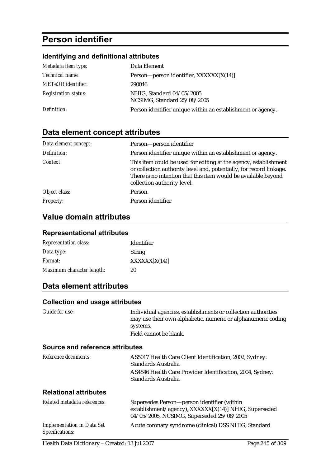# **Person identifier**

### **Identifying and definitional attributes**

| Metadata item type:         | Data Element                                                |
|-----------------------------|-------------------------------------------------------------|
| <i>Technical name:</i>      | Person—person identifier, XXXXXX[X(14)]                     |
| <b>METeOR</b> identifier:   | 290046                                                      |
| <b>Registration status:</b> | NHIG, Standard 04/05/2005<br>NCSIMG, Standard 25/08/2005    |
| Definition:                 | Person identifier unique within an establishment or agency. |

## **Data element concept attributes**

| Data element concept: | Person-person identifier                                                                                                                                                                                                                 |
|-----------------------|------------------------------------------------------------------------------------------------------------------------------------------------------------------------------------------------------------------------------------------|
| Definition:           | Person identifier unique within an establishment or agency.                                                                                                                                                                              |
| Context:              | This item could be used for editing at the agency, establishment<br>or collection authority level and, potentially, for record linkage.<br>There is no intention that this item would be available beyond<br>collection authority level. |
| Object class:         | Person                                                                                                                                                                                                                                   |
| <b>Property:</b>      | Person identifier                                                                                                                                                                                                                        |

## **Value domain attributes**

#### **Representational attributes**

| <b>Representation class:</b> | Identifier    |
|------------------------------|---------------|
| Data type:                   | <b>String</b> |
| Format:                      | XXXXX[X(14)]  |
| Maximum character length:    | 20            |

## **Data element attributes**

#### **Collection and usage attributes**

| Guide for use:                    | Individual agencies, establishments or collection authorities<br>may use their own alphabetic, numeric or alphanumeric coding<br>systems.         |
|-----------------------------------|---------------------------------------------------------------------------------------------------------------------------------------------------|
|                                   | Field cannot be blank.                                                                                                                            |
| Source and reference attributes   |                                                                                                                                                   |
| Reference documents:              | AS5017 Health Care Client Identification, 2002, Sydney:<br>Standards Australia                                                                    |
|                                   | AS4846 Health Care Provider Identification, 2004, Sydney:<br>Standards Australia                                                                  |
| <b>Relational attributes</b>      |                                                                                                                                                   |
| Related metadata references:      | Supersedes Person—person identifier (within<br>establishment/agency), XXXXXX[X(14)] NHIG, Superseded<br>04/05/2005, NCSIMG, Superseded 25/08/2005 |
| <b>Implementation in Data Set</b> | Acute coronary syndrome (clinical) DSS NHIG, Standard                                                                                             |

*Specifications:*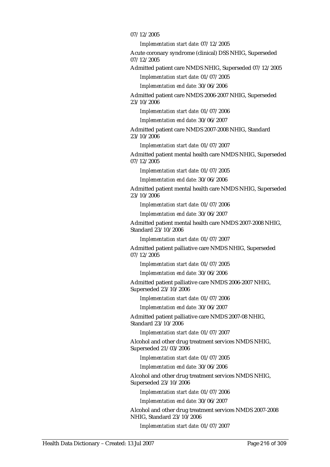#### 07/12/2005

*Implementation start date:* 07/12/2005

Acute coronary syndrome (clinical) DSS NHIG, Superseded 07/12/2005

Admitted patient care NMDS NHIG, Superseded 07/12/2005

*Implementation start date:* 01/07/2005

*Implementation end date:* 30/06/2006

Admitted patient care NMDS 2006-2007 NHIG, Superseded 23/10/2006

*Implementation start date:* 01/07/2006

*Implementation end date:* 30/06/2007

Admitted patient care NMDS 2007-2008 NHIG, Standard 23/10/2006

*Implementation start date:* 01/07/2007

Admitted patient mental health care NMDS NHIG, Superseded 07/12/2005

*Implementation start date:* 01/07/2005

*Implementation end date:* 30/06/2006

Admitted patient mental health care NMDS NHIG, Superseded 23/10/2006

*Implementation start date:* 01/07/2006

*Implementation end date:* 30/06/2007

Admitted patient mental health care NMDS 2007-2008 NHIG, Standard 23/10/2006

*Implementation start date:* 01/07/2007

Admitted patient palliative care NMDS NHIG, Superseded 07/12/2005

*Implementation start date:* 01/07/2005

*Implementation end date:* 30/06/2006

Admitted patient palliative care NMDS 2006-2007 NHIG, Superseded 23/10/2006

*Implementation start date:* 01/07/2006

*Implementation end date:* 30/06/2007

Admitted patient palliative care NMDS 2007-08 NHIG, Standard 23/10/2006

*Implementation start date:* 01/07/2007

Alcohol and other drug treatment services NMDS NHIG, Superseded 21/03/2006

*Implementation start date:* 01/07/2005

*Implementation end date:* 30/06/2006

Alcohol and other drug treatment services NMDS NHIG, Superseded 23/10/2006

*Implementation start date:* 01/07/2006

*Implementation end date:* 30/06/2007

Alcohol and other drug treatment services NMDS 2007-2008 NHIG, Standard 23/10/2006

*Implementation start date:* 01/07/2007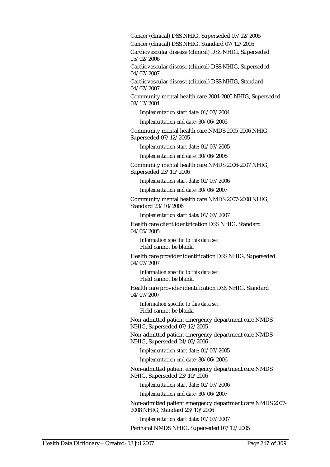Cancer (clinical) DSS NHIG, Superseded 07/12/2005

Cancer (clinical) DSS NHIG, Standard 07/12/2005

Cardiovascular disease (clinical) DSS NHIG, Superseded 15/02/2006

Cardiovascular disease (clinical) DSS NHIG, Superseded 04/07/2007

Cardiovascular disease (clinical) DSS NHIG, Standard 04/07/2007

Community mental health care 2004-2005 NHIG, Superseded 08/12/2004

*Implementation start date:* 01/07/2004

*Implementation end date:* 30/06/2005

Community mental health care NMDS 2005-2006 NHIG, Superseded 07/12/2005

*Implementation start date:* 01/07/2005

*Implementation end date:* 30/06/2006

Community mental health care NMDS 2006-2007 NHIG, Superseded 23/10/2006

*Implementation start date:* 01/07/2006

*Implementation end date:* 30/06/2007

Community mental health care NMDS 2007-2008 NHIG, Standard 23/10/2006

*Implementation start date:* 01/07/2007

Health care client identification DSS NHIG, Standard 04/05/2005

*Information specific to this data set:* Field cannot be blank.

Health care provider identification DSS NHIG, Superseded 04/07/2007

*Information specific to this data set:* Field cannot be blank.

Health care provider identification DSS NHIG, Standard 04/07/2007

*Information specific to this data set:* Field cannot be blank.

Non-admitted patient emergency department care NMDS NHIG, Superseded 07/12/2005

Non-admitted patient emergency department care NMDS NHIG, Superseded 24/03/2006

*Implementation start date:* 01/07/2005

*Implementation end date:* 30/06/2006

Non-admitted patient emergency department care NMDS NHIG, Superseded 23/10/2006

*Implementation start date:* 01/07/2006

*Implementation end date:* 30/06/2007

Non-admitted patient emergency department care NMDS 2007- 2008 NHIG, Standard 23/10/2006

*Implementation start date:* 01/07/2007

Perinatal NMDS NHIG, Superseded 07/12/2005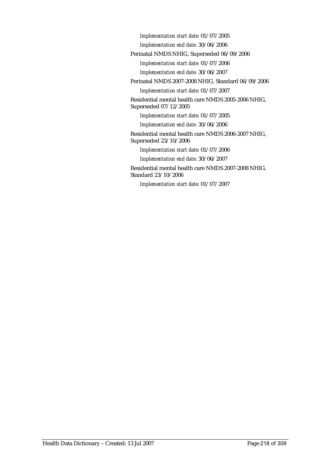*Implementation start date:* 01/07/2005

*Implementation end date:* 30/06/2006

Perinatal NMDS NHIG, Superseded 06/09/2006

*Implementation start date:* 01/07/2006

*Implementation end date:* 30/06/2007

Perinatal NMDS 2007-2008 NHIG, Standard 06/09/2006

*Implementation start date:* 01/07/2007

Residential mental health care NMDS 2005-2006 NHIG, Superseded 07/12/2005

*Implementation start date:* 01/07/2005

*Implementation end date:* 30/06/2006

Residential mental health care NMDS 2006-2007 NHIG, Superseded 23/10/2006

*Implementation start date:* 01/07/2006

*Implementation end date:* 30/06/2007

Residential mental health care NMDS 2007-2008 NHIG, Standard 23/10/2006

*Implementation start date:* 01/07/2007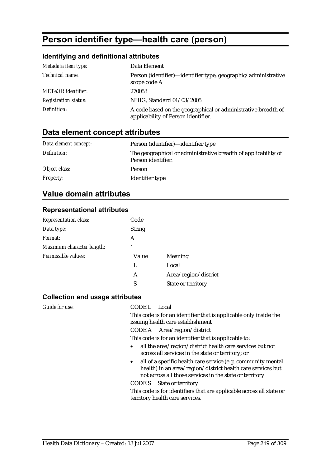# **Person identifier type—health care (person)**

### **Identifying and definitional attributes**

| Metadata item type:         | Data Element                                                                                         |
|-----------------------------|------------------------------------------------------------------------------------------------------|
| Technical name:             | Person (identifier)—identifier type, geographic/administrative<br>scope code A                       |
| <b>METeOR</b> identifier:   | 270053                                                                                               |
| <b>Registration status:</b> | NHIG, Standard 01/03/2005                                                                            |
| Definition:                 | A code based on the geographical or administrative breadth of<br>applicability of Person identifier. |

# **Data element concept attributes**

| Data element concept: | Person (identifier)—identifier type                                                  |
|-----------------------|--------------------------------------------------------------------------------------|
| Definition:           | The geographical or administrative breadth of applicability of<br>Person identifier. |
| Object class:         | Person                                                                               |
| <b>Property:</b>      | Identifier type                                                                      |

### **Value domain attributes**

#### **Representational attributes**

| Code          |                      |
|---------------|----------------------|
| <b>String</b> |                      |
| A             |                      |
| 1             |                      |
| Value         | Meaning              |
| L             | Local                |
| A             | Area/region/district |
| S             | State or territory   |
|               |                      |

#### **Collection and usage attributes**

*Guide for use:* CODE L Local

This code is for an identifier that is applicable only inside the issuing health care establishment

CODE A Area/region/district

This code is for an identifier that is applicable to:

- all the area/region/district health care services but not across all services in the state or territory; or
- all of a specific health care service (e.g. community mental health) in an area/region/district health care services but not across all those services in the state or territory

CODE S State or territory

This code is for identifiers that are applicable across all state or territory health care services.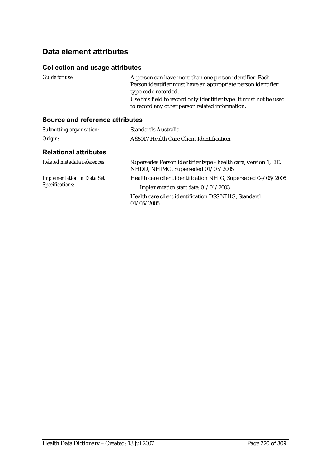# **Data element attributes**

#### **Collection and usage attributes**

| Guide for use:                         | A person can have more than one person identifier. Each<br>Person identifier must have an appropriate person identifier |
|----------------------------------------|-------------------------------------------------------------------------------------------------------------------------|
|                                        | type code recorded.                                                                                                     |
|                                        | Use this field to record only identifier type. It must not be used<br>to record any other person related information.   |
| <b>Source and reference attributes</b> |                                                                                                                         |

#### *Submitting organisation:* Standards Australia *Origin:* AS5017 Health Care Client Identification **Relational attributes**  *Related metadata references:* Supersedes Person identifier type - health care, version 1, DE, NHDD, NHIMG, Superseded 01/03/2005 *Implementation in Data Set Specifications:* Health care client identification NHIG, Superseded 04/05/2005 *Implementation start date:* 01/01/2003 Health care client identification DSS NHIG, Standard 04/05/2005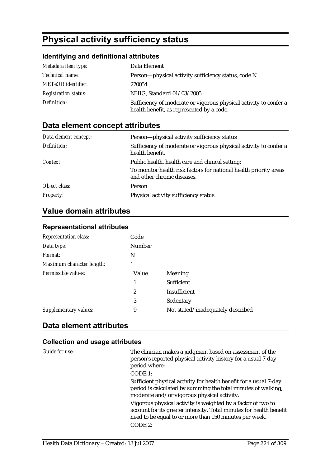# **Physical activity sufficiency status**

### **Identifying and definitional attributes**

| Metadata item type:         | Data Element                                                                                                   |
|-----------------------------|----------------------------------------------------------------------------------------------------------------|
| <i>Technical name:</i>      | Person—physical activity sufficiency status, code N                                                            |
| <b>METeOR</b> identifier:   | 270054                                                                                                         |
| <b>Registration status:</b> | NHIG, Standard 01/03/2005                                                                                      |
| Definition:                 | Sufficiency of moderate or vigorous physical activity to confer a<br>health benefit, as represented by a code. |

# **Data element concept attributes**

| Data element concept: | Person-physical activity sufficiency status                                                      |
|-----------------------|--------------------------------------------------------------------------------------------------|
| Definition:           | Sufficiency of moderate or vigorous physical activity to confer a<br>health benefit.             |
| Context:              | Public health, health care and clinical setting:                                                 |
|                       | To monitor health risk factors for national health priority areas<br>and other chronic diseases. |
| Object class:         | <b>Person</b>                                                                                    |
| <b>Property:</b>      | Physical activity sufficiency status                                                             |

# **Value domain attributes**

### **Representational attributes**

| Code   |                                   |
|--------|-----------------------------------|
| Number |                                   |
| N      |                                   |
| 1      |                                   |
| Value  | <b>Meaning</b>                    |
| 1      | <b>Sufficient</b>                 |
| 2      | Insufficient                      |
| 3      | Sedentary                         |
| 9      | Not stated/inadequately described |
|        |                                   |

## **Data element attributes**

| Guide for use: | The clinician makes a judgment based on assessment of the<br>person's reported physical activity history for a usual 7-day<br>period where:                                                   |
|----------------|-----------------------------------------------------------------------------------------------------------------------------------------------------------------------------------------------|
|                | CODE 1:                                                                                                                                                                                       |
|                | Sufficient physical activity for health benefit for a usual 7-day<br>period is calculated by summing the total minutes of walking,<br>moderate and/or vigorous physical activity.             |
|                | Vigorous physical activity is weighted by a factor of two to<br>account for its greater intensity. Total minutes for health benefit<br>need to be equal to or more than 150 minutes per week. |
|                | CODE 2:                                                                                                                                                                                       |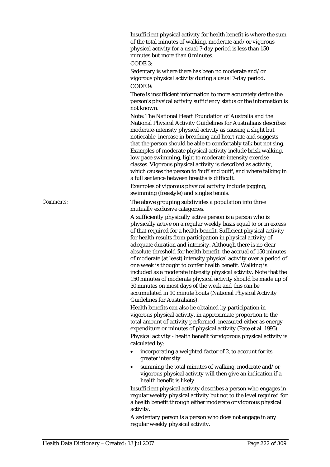Insufficient physical activity for health benefit is where the sum of the total minutes of walking, moderate and/or vigorous physical activity for a usual 7-day period is less than 150 minutes but more than 0 minutes. CODE 3:

Sedentary is where there has been no moderate and/or vigorous physical activity during a usual 7-day period. CODE 9:

There is insufficient information to more accurately define the person's physical activity sufficiency status or the information is not known.

Note: The National Heart Foundation of Australia and the National Physical Activity Guidelines for Australians describes moderate-intensity physical activity as causing a slight but noticeable, increase in breathing and heart rate and suggests that the person should be able to comfortably talk but not sing. Examples of moderate physical activity include brisk walking, low pace swimming, light to moderate intensity exercise classes. Vigorous physical activity is described as activity, which causes the person to 'huff and puff', and where talking in a full sentence between breaths is difficult.

Examples of vigorous physical activity include jogging, swimming (freestyle) and singles tennis.

*Comments:* The above grouping subdivides a population into three mutually exclusive categories.

> A sufficiently physically active person is a person who is physically active on a regular weekly basis equal to or in excess of that required for a health benefit. Sufficient physical activity for health results from participation in physical activity of adequate duration and intensity. Although there is no clear absolute threshold for health benefit, the accrual of 150 minutes of moderate (at least) intensity physical activity over a period of one week is thought to confer health benefit. Walking is included as a moderate intensity physical activity. Note that the 150 minutes of moderate physical activity should be made up of 30 minutes on most days of the week and this can be accumulated in 10 minute bouts (National Physical Activity Guidelines for Australians).

> Health benefits can also be obtained by participation in vigorous physical activity, in approximate proportion to the total amount of activity performed, measured either as energy expenditure or minutes of physical activity (Pate et al. 1995). Physical activity - health benefit for vigorous physical activity is calculated by:

- incorporating a weighted factor of 2, to account for its greater intensity
- summing the total minutes of walking, moderate and/or vigorous physical activity will then give an indication if a health benefit is likely.

Insufficient physical activity describes a person who engages in regular weekly physical activity but not to the level required for a health benefit through either moderate or vigorous physical activity.

A sedentary person is a person who does not engage in any regular weekly physical activity.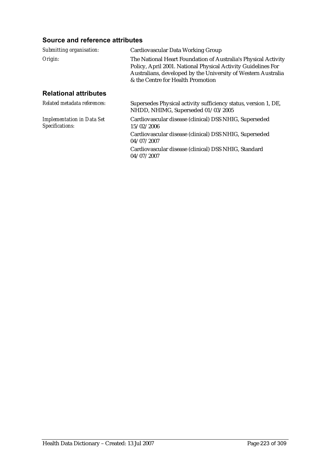### **Source and reference attributes**

| Submitting organisation:                             | Cardiovascular Data Working Group                                                                                                                                                                                                     |
|------------------------------------------------------|---------------------------------------------------------------------------------------------------------------------------------------------------------------------------------------------------------------------------------------|
| Origin:                                              | The National Heart Foundation of Australia's Physical Activity<br>Policy, April 2001. National Physical Activity Guidelines For<br>Australians, developed by the University of Western Australia<br>& the Centre for Health Promotion |
| <b>Relational attributes</b>                         |                                                                                                                                                                                                                                       |
| Related metadata references:                         | Supersedes Physical activity sufficiency status, version 1, DE,<br>NHDD, NHIMG, Superseded 01/03/2005                                                                                                                                 |
| <b>Implementation in Data Set</b><br>Specifications: | Cardiovascular disease (clinical) DSS NHIG, Superseded<br>15/02/2006                                                                                                                                                                  |
|                                                      | Cardiovascular disease (clinical) DSS NHIG, Superseded<br>04/07/2007                                                                                                                                                                  |
|                                                      | Cardiovascular disease (clinical) DSS NHIG, Standard<br>04/07/2007                                                                                                                                                                    |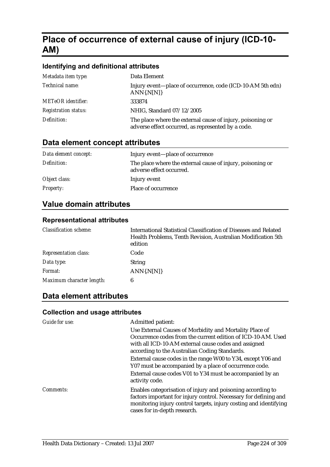# **Place of occurrence of external cause of injury (ICD-10- AM)**

### **Identifying and definitional attributes**

| Metadata item type:         | Data Element                                                                                                     |
|-----------------------------|------------------------------------------------------------------------------------------------------------------|
| Technical name:             | Injury event—place of occurrence, code (ICD-10-AM 5th edn)<br>$ANN\{N[N]\}$                                      |
| <b>METeOR</b> identifier:   | 333874                                                                                                           |
| <b>Registration status:</b> | NHIG, Standard 07/12/2005                                                                                        |
| Definition:                 | The place where the external cause of injury, poisoning or<br>adverse effect occurred, as represented by a code. |

## **Data element concept attributes**

| Data element concept: | Injury event—place of occurrence                                                       |
|-----------------------|----------------------------------------------------------------------------------------|
| Definition:           | The place where the external cause of injury, poisoning or<br>adverse effect occurred. |
| Object class:         | Injury event                                                                           |
| <b>Property:</b>      | Place of occurrence                                                                    |

# **Value domain attributes**

### **Representational attributes**

| <b>Classification scheme:</b> | International Statistical Classification of Diseases and Related<br>Health Problems, Tenth Revision, Australian Modification 5th<br>edition |
|-------------------------------|---------------------------------------------------------------------------------------------------------------------------------------------|
| <b>Representation class:</b>  | Code                                                                                                                                        |
| Data type:                    | <b>String</b>                                                                                                                               |
| Format:                       | ANN(N[N])                                                                                                                                   |
| Maximum character length:     | 6                                                                                                                                           |

# **Data element attributes**

| Guide for use: | Admitted patient:<br>Use External Causes of Morbidity and Mortality Place of<br>Occurrence codes from the current edition of ICD-10-AM. Used<br>with all ICD-10-AM external cause codes and assigned<br>according to the Australian Coding Standards. |
|----------------|-------------------------------------------------------------------------------------------------------------------------------------------------------------------------------------------------------------------------------------------------------|
|                | External cause codes in the range W00 to Y34, except Y06 and<br>Y07 must be accompanied by a place of occurrence code.                                                                                                                                |
|                | External cause codes V01 to Y34 must be accompanied by an<br>activity code.                                                                                                                                                                           |
| Comments:      | Enables categorisation of injury and poisoning according to<br>factors important for injury control. Necessary for defining and<br>monitoring injury control targets, injury costing and identifying<br>cases for in-depth research.                  |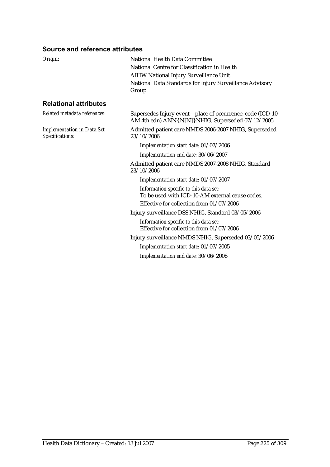### **Source and reference attributes**

| Origin:                                              | <b>National Health Data Committee</b><br>National Centre for Classification in Health<br>AIHW National Injury Surveillance Unit<br>National Data Standards for Injury Surveillance Advisory<br>Group |
|------------------------------------------------------|------------------------------------------------------------------------------------------------------------------------------------------------------------------------------------------------------|
| <b>Relational attributes</b>                         |                                                                                                                                                                                                      |
| Related metadata references:                         | Supersedes Injury event-place of occurrence, code (ICD-10-<br>AM 4th edn) ANN{.N[N]} NHIG, Superseded 07/12/2005                                                                                     |
| <b>Implementation in Data Set</b><br>Specifications: | Admitted patient care NMDS 2006-2007 NHIG, Superseded<br>23/10/2006                                                                                                                                  |
|                                                      | Implementation start date: 01/07/2006                                                                                                                                                                |
|                                                      | Implementation end date: 30/06/2007                                                                                                                                                                  |
|                                                      | Admitted patient care NMDS 2007-2008 NHIG, Standard<br>23/10/2006                                                                                                                                    |
|                                                      | Implementation start date: 01/07/2007                                                                                                                                                                |
|                                                      | Information specific to this data set:<br>To be used with ICD-10-AM external cause codes.<br>Effective for collection from 01/07/2006                                                                |
|                                                      | Injury surveillance DSS NHIG, Standard 03/05/2006                                                                                                                                                    |
|                                                      | Information specific to this data set:<br>Effective for collection from 01/07/2006                                                                                                                   |
|                                                      | Injury surveillance NMDS NHIG, Superseded 03/05/2006                                                                                                                                                 |
|                                                      | Implementation start date: 01/07/2005                                                                                                                                                                |
|                                                      | Implementation end date: 30/06/2006                                                                                                                                                                  |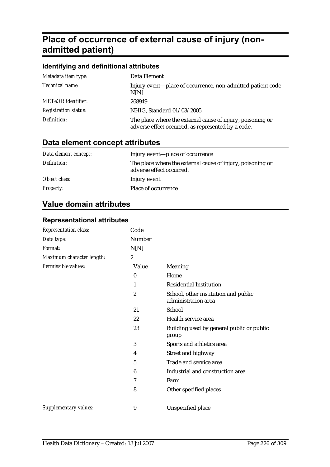# **Place of occurrence of external cause of injury (nonadmitted patient)**

| Identifying and definitional attributes |                                                                                                                  |  |
|-----------------------------------------|------------------------------------------------------------------------------------------------------------------|--|
| Metadata item type:                     | Data Element                                                                                                     |  |
| Technical name:                         | Injury event-place of occurrence, non-admitted patient code<br>N[N]                                              |  |
| <b>METeOR</b> identifier:               | 268949                                                                                                           |  |
| <b>Registration status:</b>             | NHIG, Standard 01/03/2005                                                                                        |  |
| Definition:                             | The place where the external cause of injury, poisoning or<br>adverse effect occurred, as represented by a code. |  |

# **Data element concept attributes**

| Data element concept: | Injury event-place of occurrence                                                       |
|-----------------------|----------------------------------------------------------------------------------------|
| Definition:           | The place where the external cause of injury, poisoning or<br>adverse effect occurred. |
| Object class:         | Injury event                                                                           |
| <b>Property:</b>      | Place of occurrence                                                                    |

# **Value domain attributes**

### **Representational attributes**

| Representation class:     | Code             |                                                             |
|---------------------------|------------------|-------------------------------------------------------------|
| Data type:                | Number           |                                                             |
| Format:                   | N[N]             |                                                             |
| Maximum character length: | $\boldsymbol{2}$ |                                                             |
| Permissible values:       | Value            | Meaning                                                     |
|                           | $\bf{0}$         | Home                                                        |
|                           | 1                | <b>Residential Institution</b>                              |
|                           | $\boldsymbol{2}$ | School, other institution and public<br>administration area |
|                           | 21               | School                                                      |
|                           | 22               | Health service area                                         |
|                           | 23               | Building used by general public or public<br>group          |
|                           | 3                | Sports and athletics area                                   |
|                           | 4                | Street and highway                                          |
|                           | 5                | Trade and service area                                      |
|                           | 6                | Industrial and construction area                            |
|                           | 7                | Farm                                                        |
|                           | 8                | Other specified places                                      |
| Supplementary values:     | 9                | Unspecified place                                           |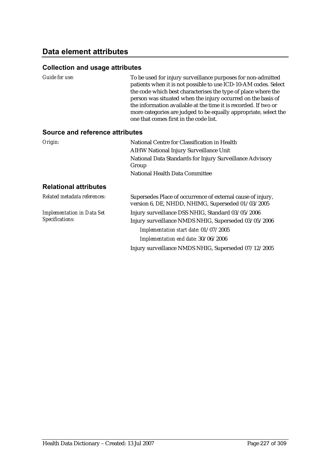# **Data element attributes**

| Guide for use:                         | To be used for injury surveillance purposes for non-admitted<br>patients when it is not possible to use ICD-10-AM codes. Select<br>the code which best characterises the type of place where the<br>person was situated when the injury occurred on the basis of<br>the information available at the time it is recorded. If two or<br>more categories are judged to be equally appropriate, select the<br>one that comes first in the code list. |
|----------------------------------------|---------------------------------------------------------------------------------------------------------------------------------------------------------------------------------------------------------------------------------------------------------------------------------------------------------------------------------------------------------------------------------------------------------------------------------------------------|
| <b>Source and reference attributes</b> |                                                                                                                                                                                                                                                                                                                                                                                                                                                   |
| Origin:                                | National Centre for Classification in Health                                                                                                                                                                                                                                                                                                                                                                                                      |
|                                        | <b>AIHW National Injury Surveillance Unit</b>                                                                                                                                                                                                                                                                                                                                                                                                     |
|                                        | National Data Standards for Injury Surveillance Advisory<br>Group                                                                                                                                                                                                                                                                                                                                                                                 |
|                                        | <b>National Health Data Committee</b>                                                                                                                                                                                                                                                                                                                                                                                                             |
| <b>Relational attributes</b>           |                                                                                                                                                                                                                                                                                                                                                                                                                                                   |
| Related metadata references:           | Supersedes Place of occurrence of external cause of injury,<br>version 6, DE, NHDD, NHIMG, Superseded 01/03/2005                                                                                                                                                                                                                                                                                                                                  |
| <b>Implementation in Data Set</b>      | Injury surveillance DSS NHIG, Standard 03/05/2006                                                                                                                                                                                                                                                                                                                                                                                                 |
| Specifications:                        | Injury surveillance NMDS NHIG, Superseded 03/05/2006                                                                                                                                                                                                                                                                                                                                                                                              |
|                                        | Implementation start date: 01/07/2005                                                                                                                                                                                                                                                                                                                                                                                                             |
|                                        | Implementation end date: 30/06/2006                                                                                                                                                                                                                                                                                                                                                                                                               |
|                                        | Injury surveillance NMDS NHIG, Superseded 07/12/2005                                                                                                                                                                                                                                                                                                                                                                                              |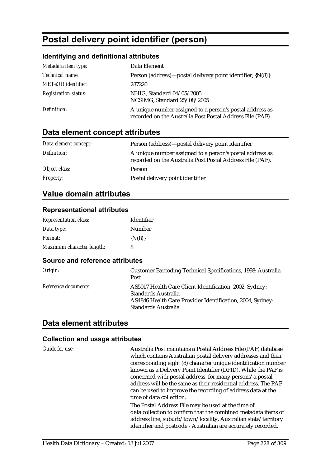# **Postal delivery point identifier (person)**

# **Identifying and definitional attributes**

| Metadata item type:         | Data Element                                                                                                          |
|-----------------------------|-----------------------------------------------------------------------------------------------------------------------|
| Technical name:             | Person (address)—postal delivery point identifier, {N(8)}                                                             |
| <b>METeOR</b> identifier:   | 287220                                                                                                                |
| <b>Registration status:</b> | NHIG, Standard 04/05/2005<br>NCSIMG, Standard 25/08/2005                                                              |
| Definition:                 | A unique number assigned to a person's postal address as<br>recorded on the Australia Post Postal Address File (PAF). |

# **Data element concept attributes**

| Data element concept: | Person (address)—postal delivery point identifier                                                                     |
|-----------------------|-----------------------------------------------------------------------------------------------------------------------|
| Definition:           | A unique number assigned to a person's postal address as<br>recorded on the Australia Post Postal Address File (PAF). |
| Object class:         | Person                                                                                                                |
| <b>Property:</b>      | Postal delivery point identifier                                                                                      |

# **Value domain attributes**

### **Representational attributes**

| <b>Representation class:</b> | Identifier  |
|------------------------------|-------------|
| Data type:                   | Number      |
| <i>Format:</i>               | $\{N(8)\}\$ |
| Maximum character length:    | 8           |

#### **Source and reference attributes**

| Origin:              | <b>Customer Barcoding Technical Specifications, 1998: Australia</b><br>Post                                                                                        |
|----------------------|--------------------------------------------------------------------------------------------------------------------------------------------------------------------|
| Reference documents: | AS5017 Health Care Client Identification, 2002, Sydney:<br>Standards Australia<br>AS4846 Health Care Provider Identification, 2004, Sydney:<br>Standards Australia |

## **Data element attributes**

| Guide for use: | Australia Post maintains a Postal Address File (PAF) database<br>which contains Australian postal delivery addresses and their<br>corresponding eight (8) character unique identification number<br>known as a Delivery Point Identifier (DPID). While the PAF is<br>concerned with postal address, for many persons' a postal<br>address will be the same as their residential address. The PAF<br>can be used to improve the recording of address data at the<br>time of data collection. |
|----------------|---------------------------------------------------------------------------------------------------------------------------------------------------------------------------------------------------------------------------------------------------------------------------------------------------------------------------------------------------------------------------------------------------------------------------------------------------------------------------------------------|
|                | The Postal Address File may be used at the time of<br>data collection to confirm that the combined metadata items of<br>address line, suburb/town/locality, Australian state/territory<br>identifier and postcode - Australian are accurately recorded.                                                                                                                                                                                                                                     |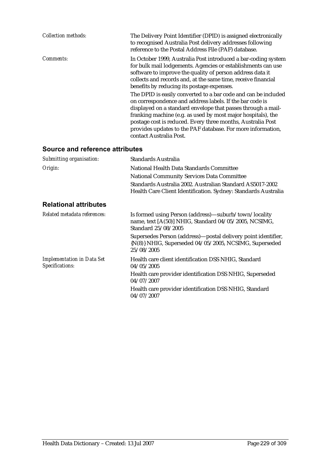| <b>Collection methods:</b>                           | The Delivery Point Identifier (DPID) is assigned electronically<br>to recognised Australia Post delivery addresses following<br>reference to the Postal Address File (PAF) database.                                                                                                                                                                                                                                                                                                                                                                                                                                                                                                                                              |
|------------------------------------------------------|-----------------------------------------------------------------------------------------------------------------------------------------------------------------------------------------------------------------------------------------------------------------------------------------------------------------------------------------------------------------------------------------------------------------------------------------------------------------------------------------------------------------------------------------------------------------------------------------------------------------------------------------------------------------------------------------------------------------------------------|
| <b>Comments:</b>                                     | In October 1999, Australia Post introduced a bar-coding system<br>for bulk mail lodgements. Agencies or establishments can use<br>software to improve the quality of person address data it<br>collects and records and, at the same time, receive financial<br>benefits by reducing its postage expenses.<br>The DPID is easily converted to a bar code and can be included<br>on correspondence and address labels. If the bar code is<br>displayed on a standard envelope that passes through a mail-<br>franking machine (e.g. as used by most major hospitals), the<br>postage cost is reduced. Every three months, Australia Post<br>provides updates to the PAF database. For more information,<br>contact Australia Post. |
| Source and reference attributes                      |                                                                                                                                                                                                                                                                                                                                                                                                                                                                                                                                                                                                                                                                                                                                   |
| Submitting organisation:                             | <b>Standards Australia</b>                                                                                                                                                                                                                                                                                                                                                                                                                                                                                                                                                                                                                                                                                                        |
| Origin:                                              | National Health Data Standards Committee                                                                                                                                                                                                                                                                                                                                                                                                                                                                                                                                                                                                                                                                                          |
|                                                      | <b>National Community Services Data Committee</b>                                                                                                                                                                                                                                                                                                                                                                                                                                                                                                                                                                                                                                                                                 |
|                                                      | Standards Australia 2002. Australian Standard AS5017-2002<br>Health Care Client Identification. Sydney: Standards Australia                                                                                                                                                                                                                                                                                                                                                                                                                                                                                                                                                                                                       |
| <b>Relational attributes</b>                         |                                                                                                                                                                                                                                                                                                                                                                                                                                                                                                                                                                                                                                                                                                                                   |
| Related metadata references:                         | Is formed using Person (address)—suburb/town/locality<br>name, text [A(50)] NHIG, Standard 04/05/2005, NCSIMG,<br>Standard 25/08/2005                                                                                                                                                                                                                                                                                                                                                                                                                                                                                                                                                                                             |
|                                                      | Supersedes Person (address)-postal delivery point identifier,<br>{N(8)} NHIG, Superseded 04/05/2005, NCSIMG, Superseded<br>25/08/2005                                                                                                                                                                                                                                                                                                                                                                                                                                                                                                                                                                                             |
| <b>Implementation in Data Set</b><br>Specifications: | Health care client identification DSS NHIG, Standard<br>04/05/2005                                                                                                                                                                                                                                                                                                                                                                                                                                                                                                                                                                                                                                                                |
|                                                      | Health care provider identification DSS NHIG, Superseded<br>04/07/2007                                                                                                                                                                                                                                                                                                                                                                                                                                                                                                                                                                                                                                                            |
|                                                      | Health care provider identification DSS NHIG, Standard                                                                                                                                                                                                                                                                                                                                                                                                                                                                                                                                                                                                                                                                            |

04/07/2007

Health Data Dictionary – Created: 13 Jul 2007 Page 229 of 309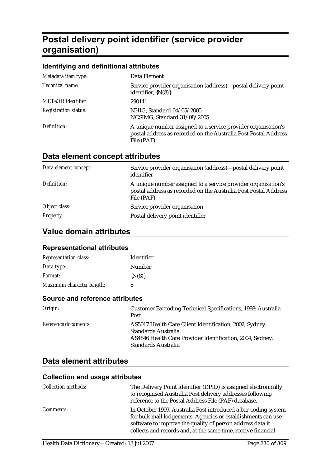# **Postal delivery point identifier (service provider organisation)**

### **Identifying and definitional attributes**

| Metadata item type:         | Data Element                                                                                                                                    |
|-----------------------------|-------------------------------------------------------------------------------------------------------------------------------------------------|
| Technical name:             | Service provider organisation (address)—postal delivery point<br>identifier, $\{N(8)\}\$                                                        |
| <b>METeOR</b> identifier:   | 290141                                                                                                                                          |
| <b>Registration status:</b> | NHIG, Standard 04/05/2005<br>NCSIMG, Standard 31/08/2005                                                                                        |
| Definition:                 | A unique number assigned to a service provider organisation's<br>postal address as recorded on the Australia Post Postal Address<br>File (PAF). |

# **Data element concept attributes**

| Data element concept: | Service provider organisation (address)—postal delivery point<br>identifier                                                                     |
|-----------------------|-------------------------------------------------------------------------------------------------------------------------------------------------|
| Definition:           | A unique number assigned to a service provider organisation's<br>postal address as recorded on the Australia Post Postal Address<br>File (PAF). |
| Object class:         | Service provider organisation                                                                                                                   |
| <b>Property:</b>      | Postal delivery point identifier                                                                                                                |

# **Value domain attributes**

### **Representational attributes**

| <b>Representation class:</b> | Identifier  |
|------------------------------|-------------|
| Data type:                   | Number      |
| <i>Format:</i>               | $\{N(8)\}\$ |
| Maximum character length:    | 8           |

#### **Source and reference attributes**

| Origin:                     | <b>Customer Barcoding Technical Specifications, 1998: Australia</b><br>Post                                                                                        |
|-----------------------------|--------------------------------------------------------------------------------------------------------------------------------------------------------------------|
| <i>Reference documents:</i> | AS5017 Health Care Client Identification, 2002, Sydney:<br>Standards Australia<br>AS4846 Health Care Provider Identification, 2004, Sydney:<br>Standards Australia |

## **Data element attributes**

| <b>Collection methods:</b> | The Delivery Point Identifier (DPID) is assigned electronically<br>to recognised Australia Post delivery addresses following<br>reference to the Postal Address File (PAF) database.                                                                         |
|----------------------------|--------------------------------------------------------------------------------------------------------------------------------------------------------------------------------------------------------------------------------------------------------------|
| <i>Comments:</i>           | In October 1999, Australia Post introduced a bar-coding system<br>for bulk mail lodgements. Agencies or establishments can use<br>software to improve the quality of person address data it<br>collects and records and, at the same time, receive financial |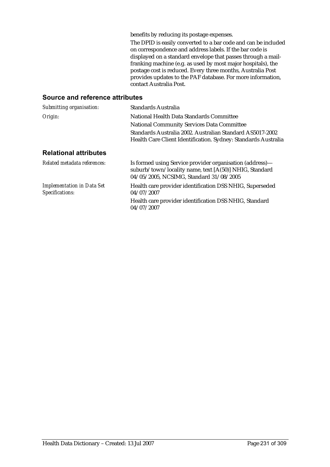benefits by reducing its postage expenses.

The DPID is easily converted to a bar code and can be included on correspondence and address labels. If the bar code is displayed on a standard envelope that passes through a mailfranking machine (e.g. as used by most major hospitals), the postage cost is reduced. Every three months, Australia Post provides updates to the PAF database. For more information, contact Australia Post.

#### **Source and reference attributes**

| Submitting organisation:                             | Standards Australia                                                                                                                                           |  |
|------------------------------------------------------|---------------------------------------------------------------------------------------------------------------------------------------------------------------|--|
| Origin:                                              | National Health Data Standards Committee                                                                                                                      |  |
|                                                      | <b>National Community Services Data Committee</b>                                                                                                             |  |
|                                                      | Standards Australia 2002. Australian Standard AS5017-2002                                                                                                     |  |
|                                                      | Health Care Client Identification. Sydney: Standards Australia                                                                                                |  |
| <b>Relational attributes</b>                         |                                                                                                                                                               |  |
| Related metadata references:                         | Is formed using Service provider organisation (address)-<br>suburb/town/locality name, text [A(50)] NHIG, Standard<br>04/05/2005, NCSIMG, Standard 31/08/2005 |  |
| <b>Implementation in Data Set</b><br>Specifications: | Health care provider identification DSS NHIG, Superseded<br>04/07/2007                                                                                        |  |
|                                                      | Health care provider identification DSS NHIG, Standard<br>04/07/2007                                                                                          |  |
|                                                      |                                                                                                                                                               |  |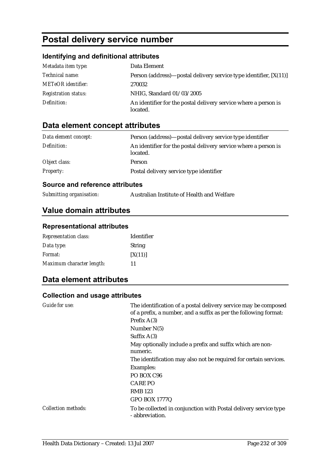# **Postal delivery service number**

### **Identifying and definitional attributes**

| Metadata item type:         | Data Element                                                                |
|-----------------------------|-----------------------------------------------------------------------------|
| Technical name:             | Person (address)—postal delivery service type identifier, $[X(11)]$         |
| <b>METeOR</b> identifier:   | 270032                                                                      |
| <b>Registration status:</b> | NHIG, Standard 01/03/2005                                                   |
| Definition:                 | An identifier for the postal delivery service where a person is<br>located. |

# **Data element concept attributes**

| Data element concept: | Person (address)—postal delivery service type identifier                    |
|-----------------------|-----------------------------------------------------------------------------|
| Definition:           | An identifier for the postal delivery service where a person is<br>located. |
| Object class:         | Person                                                                      |
| <b>Property:</b>      | Postal delivery service type identifier                                     |

### **Source and reference attributes**

*Submitting organisation:* Australian Institute of Health and Welfare

# **Value domain attributes**

#### **Representational attributes**

| <b>Representation class:</b> | <b>Identifier</b> |
|------------------------------|-------------------|
| Data type:                   | <b>String</b>     |
| <i>Format:</i>               | [X(11)]           |
| Maximum character length:    | 11                |

# **Data element attributes**

| Guide for use:      | The identification of a postal delivery service may be composed<br>of a prefix, a number, and a suffix as per the following format: |
|---------------------|-------------------------------------------------------------------------------------------------------------------------------------|
|                     | Prefix $A(3)$                                                                                                                       |
|                     | Number $N(5)$                                                                                                                       |
|                     | Suffix $A(3)$                                                                                                                       |
|                     | May optionally include a prefix and suffix which are non-<br>numeric.                                                               |
|                     | The identification may also not be required for certain services.                                                                   |
|                     | Examples:                                                                                                                           |
|                     | PO BOX C <sub>96</sub>                                                                                                              |
|                     | <b>CARE PO</b>                                                                                                                      |
|                     | <b>RMB</b> 123                                                                                                                      |
|                     | <b>GPO BOX 1777Q</b>                                                                                                                |
| Collection methods: | To be collected in conjunction with Postal delivery service type<br>- abbreviation.                                                 |
|                     |                                                                                                                                     |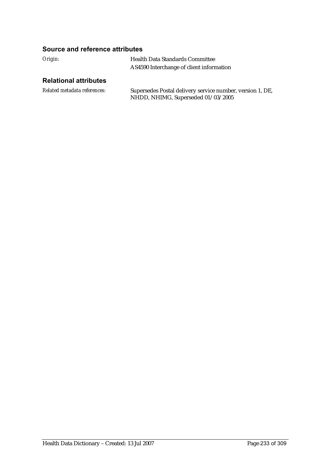### **Source and reference attributes**

| Origin: | <b>Health Data Standards Committee</b>   |
|---------|------------------------------------------|
|         | AS4590 Interchange of client information |

### **Relational attributes**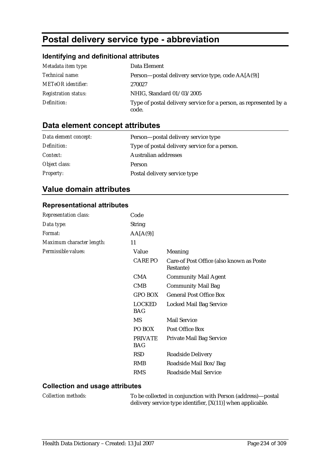# **Postal delivery service type - abbreviation**

### **Identifying and definitional attributes**

| Metadata item type:         | Data Element                                                               |
|-----------------------------|----------------------------------------------------------------------------|
| <i>Technical name:</i>      | Person—postal delivery service type, code AA[A(9)]                         |
| <b>METeOR</b> identifier:   | 270027                                                                     |
| <b>Registration status:</b> | NHIG, Standard 01/03/2005                                                  |
| Definition:                 | Type of postal delivery service for a person, as represented by a<br>code. |

## **Data element concept attributes**

| Data element concept: | Person—postal delivery service type           |
|-----------------------|-----------------------------------------------|
| Definition:           | Type of postal delivery service for a person. |
| <i>Context:</i>       | Australian addresses                          |
| Object class:         | <b>Person</b>                                 |
| <b>Property:</b>      | Postal delivery service type                  |

## **Value domain attributes**

#### **Representational attributes**

| <b>Representation class:</b> | Code                         |                                                       |
|------------------------------|------------------------------|-------------------------------------------------------|
| Data type:                   | <b>String</b>                |                                                       |
| Format:                      | AA[A(9)]                     |                                                       |
| Maximum character length:    | 11                           |                                                       |
| Permissible values:          | Value                        | Meaning                                               |
|                              | <b>CARE PO</b>               | Care-of Post Office (also known as Poste<br>Restante) |
|                              | <b>CMA</b>                   | <b>Community Mail Agent</b>                           |
|                              | CMB                          | <b>Community Mail Bag</b>                             |
|                              | <b>GPO BOX</b>               | <b>General Post Office Box</b>                        |
|                              | <b>LOCKED</b><br><b>BAG</b>  | Locked Mail Bag Service                               |
|                              | MS                           | <b>Mail Service</b>                                   |
|                              | PO BOX                       | Post Office Box                                       |
|                              | <b>PRIVATE</b><br><b>BAG</b> | <b>Private Mail Bag Service</b>                       |
|                              | <b>RSD</b>                   | Roadside Delivery                                     |
|                              | <b>RMB</b>                   | Roadside Mail Box/Bag                                 |
|                              | <b>RMS</b>                   | Roadside Mail Service                                 |
|                              |                              |                                                       |

### **Collection and usage attributes**

*Collection methods:* To be collected in conjunction with Person (address)—postal delivery service type identifier, [X(11)] when applicable.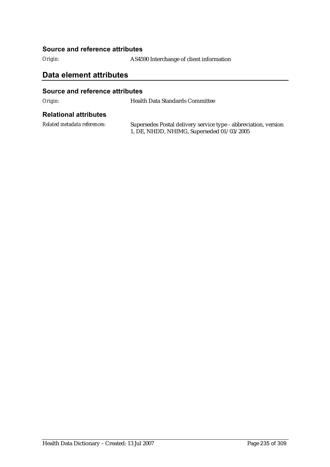#### **Source and reference attributes**

*Origin:* AS4590 Interchange of client information

## **Data element attributes**

#### **Source and reference attributes**

*Origin:* Health Data Standards Committee

#### **Relational attributes**

*Related metadata references:* Supersedes Postal delivery service type - abbreviation, version 1, DE, NHDD, NHIMG, Superseded 01/03/2005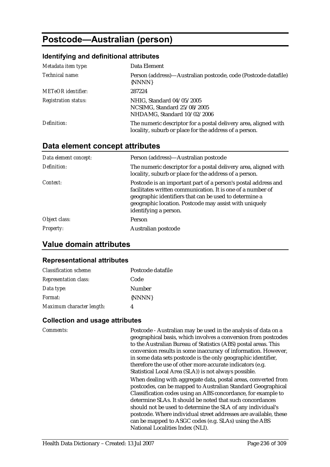# **Postcode—Australian (person)**

#### **Identifying and definitional attributes**

| Metadata item type:         | Data Element                                                                                                              |
|-----------------------------|---------------------------------------------------------------------------------------------------------------------------|
| Technical name:             | Person (address)—Australian postcode, code (Postcode datafile)<br>{NNNN}                                                  |
| <b>METeOR</b> identifier:   | 287224                                                                                                                    |
| <b>Registration status:</b> | NHIG, Standard 04/05/2005<br>NCSIMG, Standard 25/08/2005<br>NHDAMG, Standard 10/02/2006                                   |
| Definition:                 | The numeric descriptor for a postal delivery area, aligned with<br>locality, suburb or place for the address of a person. |

### **Data element concept attributes**

| Data element concept: | Person (address)—Australian postcode                                                                                                                                                                                                                                       |
|-----------------------|----------------------------------------------------------------------------------------------------------------------------------------------------------------------------------------------------------------------------------------------------------------------------|
| Definition:           | The numeric descriptor for a postal delivery area, aligned with<br>locality, suburb or place for the address of a person.                                                                                                                                                  |
| Context:              | Postcode is an important part of a person's postal address and<br>facilitates written communication. It is one of a number of<br>geographic identifiers that can be used to determine a<br>geographic location. Postcode may assist with uniquely<br>identifying a person. |
| Object class:         | <b>Person</b>                                                                                                                                                                                                                                                              |
| <b>Property:</b>      | Australian postcode                                                                                                                                                                                                                                                        |

## **Value domain attributes**

#### **Representational attributes**

| <b>Classification scheme:</b> | Postcode datafile |
|-------------------------------|-------------------|
| <b>Representation class:</b>  | Code              |
| Data type:                    | Number            |
| Format:                       | {NNNN}            |
| Maximum character length:     |                   |

#### **Collection and usage attributes**

*Comments:* Postcode - Australian may be used in the analysis of data on a geographical basis, which involves a conversion from postcodes to the Australian Bureau of Statistics (ABS) postal areas. This conversion results in some inaccuracy of information. However, in some data sets postcode is the only geographic identifier, therefore the use of other more accurate indicators (e.g. Statistical Local Area (SLA)) is not always possible. When dealing with aggregate data, postal areas, converted from

postcodes, can be mapped to Australian Standard Geographical Classification codes using an ABS concordance, for example to determine SLAs. It should be noted that such concordances should not be used to determine the SLA of any individual's postcode. Where individual street addresses are available, these can be mapped to ASGC codes (e.g. SLAs) using the ABS National Localities Index (NLI).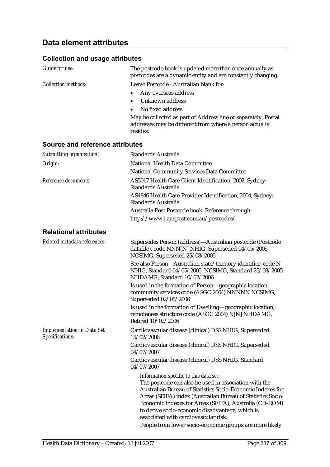| Guide for use:                  | The postcode book is updated more than once annually as<br>postcodes are a dynamic entity and are constantly changing.                |
|---------------------------------|---------------------------------------------------------------------------------------------------------------------------------------|
| Collection methods:             | Leave Postcode - Australian blank for:                                                                                                |
|                                 | Any overseas address                                                                                                                  |
|                                 | Unknown address                                                                                                                       |
|                                 | No fixed address.                                                                                                                     |
|                                 | May be collected as part of Address line or separately. Postal<br>addresses may be different from where a person actually<br>resides. |
| Source and reference attributes |                                                                                                                                       |
| Submitting organisation:        | Standards Australia                                                                                                                   |
| Origin:                         | National Health Data Committee                                                                                                        |
|                                 | National Community Services Data Committee                                                                                            |

|                                                      | <b>National Community Services Data Committee</b>                                                                                                                                                                                                                                                                                                                                                                                            |
|------------------------------------------------------|----------------------------------------------------------------------------------------------------------------------------------------------------------------------------------------------------------------------------------------------------------------------------------------------------------------------------------------------------------------------------------------------------------------------------------------------|
| Reference documents:                                 | AS5017 Health Care Client Identification, 2002, Sydney:<br><b>Standards Australia</b>                                                                                                                                                                                                                                                                                                                                                        |
|                                                      | AS4846 Health Care Provider Identification, 2004, Sydney:<br>Standards Australia                                                                                                                                                                                                                                                                                                                                                             |
|                                                      | Australia Post Postcode book. Reference through:                                                                                                                                                                                                                                                                                                                                                                                             |
|                                                      | http://www1.auspost.com.au/postcodes/                                                                                                                                                                                                                                                                                                                                                                                                        |
| <b>Relational attributes</b>                         |                                                                                                                                                                                                                                                                                                                                                                                                                                              |
| Related metadata references:                         | Supersedes Person (address)—Australian postcode (Postcode<br>datafile), code NNN[N] NHIG, Superseded 04/05/2005,<br>NCSIMG, Superseded 25/08/2005                                                                                                                                                                                                                                                                                            |
|                                                      | See also Person-Australian state/territory identifier, code N<br>NHIG, Standard 04/05/2005, NCSIMG, Standard 25/08/2005,<br>NHDAMG, Standard 10/02/2006                                                                                                                                                                                                                                                                                      |
|                                                      | Is used in the formation of Person-geographic location,<br>community services code (ASGC 2004) NNNNN NCSIMG,<br>Superseded 02/05/2006                                                                                                                                                                                                                                                                                                        |
|                                                      | Is used in the formation of Dwelling-geographic location,<br>remoteness structure code (ASGC 2004) N[N] NHDAMG,<br>Retired 10/02/2006                                                                                                                                                                                                                                                                                                        |
| <b>Implementation in Data Set</b><br>Specifications: | Cardiovascular disease (clinical) DSS NHIG, Superseded<br>15/02/2006                                                                                                                                                                                                                                                                                                                                                                         |
|                                                      | Cardiovascular disease (clinical) DSS NHIG, Superseded<br>04/07/2007                                                                                                                                                                                                                                                                                                                                                                         |
|                                                      | Cardiovascular disease (clinical) DSS NHIG, Standard<br>04/07/2007                                                                                                                                                                                                                                                                                                                                                                           |
|                                                      | Information specific to this data set:<br>The postcode can also be used in association with the<br>Australian Bureau of Statistics Socio-Economic Indexes for<br>Areas (SEIFA) index (Australian Bureau of Statistics Socio-<br>Economic Indexes for Areas (SEIFA), Australia (CD-ROM)<br>to derive socio-economic disadvantage, which is<br>associated with cardiovascular risk.<br>People from lower socio-economic groups are more likely |
|                                                      |                                                                                                                                                                                                                                                                                                                                                                                                                                              |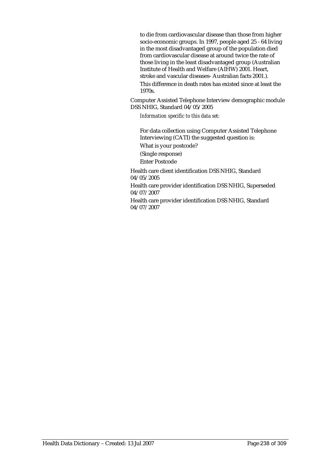to die from cardiovascular disease than those from higher socio-economic groups. In 1997, people aged 25 - 64 living in the most disadvantaged group of the population died from cardiovascular disease at around twice the rate of those living in the least disadvantaged group (Australian Institute of Health and Welfare (AIHW) 2001. Heart, stroke and vascular diseases- Australian facts 2001.). This difference in death rates has existed since at least the 1970s.

Computer Assisted Telephone Interview demographic module DSS NHIG, Standard 04/05/2005

*Information specific to this data set:*

For data collection using Computer Assisted Telephone Interviewing (CATI) the suggested question is: What is your postcode? (Single response) Enter Postcode

Health care client identification DSS NHIG, Standard 04/05/2005

Health care provider identification DSS NHIG, Superseded 04/07/2007

Health care provider identification DSS NHIG, Standard 04/07/2007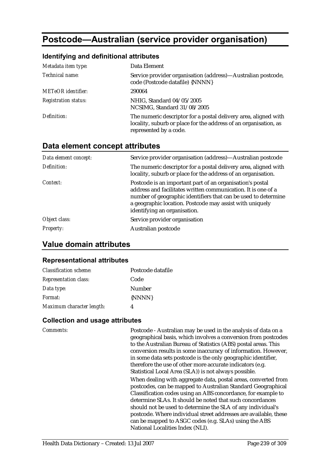# **Postcode—Australian (service provider organisation)**

#### **Identifying and definitional attributes**

| Metadata item type:         | Data Element                                                                                                                                                  |
|-----------------------------|---------------------------------------------------------------------------------------------------------------------------------------------------------------|
| Technical name:             | Service provider organisation (address)—Australian postcode,<br>code (Postcode datafile) {NNNN}                                                               |
| <b>METeOR</b> identifier:   | 290064                                                                                                                                                        |
| <b>Registration status:</b> | NHIG, Standard 04/05/2005<br>NCSIMG, Standard 31/08/2005                                                                                                      |
| Definition:                 | The numeric descriptor for a postal delivery area, aligned with<br>locality, suburb or place for the address of an organisation, as<br>represented by a code. |

### **Data element concept attributes**

| Data element concept: | Service provider organisation (address)—Australian postcode                                                                                                                                                                                                                              |
|-----------------------|------------------------------------------------------------------------------------------------------------------------------------------------------------------------------------------------------------------------------------------------------------------------------------------|
| Definition:           | The numeric descriptor for a postal delivery area, aligned with<br>locality, suburb or place for the address of an organisation.                                                                                                                                                         |
| Context:              | Postcode is an important part of an organisation's postal<br>address and facilitates written communication. It is one of a<br>number of geographic identifiers that can be used to determine<br>a geographic location. Postcode may assist with uniquely<br>identifying an organisation. |
| Object class:         | Service provider organisation                                                                                                                                                                                                                                                            |
| <b>Property:</b>      | Australian postcode                                                                                                                                                                                                                                                                      |

### **Value domain attributes**

#### **Representational attributes**

| <b>Classification scheme:</b> | Postcode datafile |
|-------------------------------|-------------------|
| <b>Representation class:</b>  | Code              |
| Data type:                    | <b>Number</b>     |
| <i>Format:</i>                | {NNNN}            |
| Maximum character length:     |                   |

#### **Collection and usage attributes**

*Comments:* Postcode - Australian may be used in the analysis of data on a geographical basis, which involves a conversion from postcodes to the Australian Bureau of Statistics (ABS) postal areas. This conversion results in some inaccuracy of information. However, in some data sets postcode is the only geographic identifier, therefore the use of other more accurate indicators (e.g. Statistical Local Area (SLA)) is not always possible. When dealing with aggregate data, postal areas, converted from

postcodes, can be mapped to Australian Standard Geographical Classification codes using an ABS concordance, for example to determine SLAs. It should be noted that such concordances should not be used to determine the SLA of any individual's postcode. Where individual street addresses are available, these can be mapped to ASGC codes (e.g. SLAs) using the ABS National Localities Index (NLI).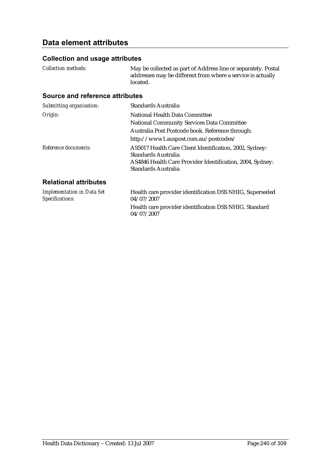# **Data element attributes**

### **Collection and usage attributes**

*Collection methods:* May be collected as part of Address line or separately. Postal addresses may be different from where a service is actually located.

### **Source and reference attributes**

| Submitting organisation:                                                  | <b>Standards Australia</b>                                                                                                                                                |
|---------------------------------------------------------------------------|---------------------------------------------------------------------------------------------------------------------------------------------------------------------------|
| Origin:                                                                   | National Health Data Committee                                                                                                                                            |
|                                                                           | <b>National Community Services Data Committee</b>                                                                                                                         |
|                                                                           | Australia Post Postcode book. Reference through:                                                                                                                          |
|                                                                           | http://www1.auspost.com.au/postcodes/                                                                                                                                     |
| Reference documents:                                                      | AS5017 Health Care Client Identification, 2002, Sydney:<br>Standards Australia<br>AS4846 Health Care Provider Identification, 2004, Sydney:<br><b>Standards Australia</b> |
| <b>Relational attributes</b>                                              |                                                                                                                                                                           |
| <b>Implementation in Data Set</b><br>$C_{\text{max}}: C_{\text{optimal}}$ | Health care provider identification DSS NHIG, Superseded<br>0.1/0.7/0.0.07                                                                                                |

| 04/07/2007                                                           |
|----------------------------------------------------------------------|
| Health care provider identification DSS NHIG, Standard<br>04/07/2007 |
|                                                                      |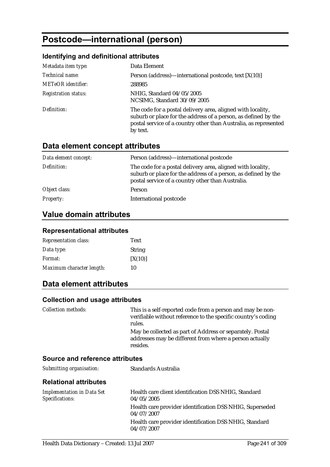# **Postcode—international (person)**

## **Identifying and definitional attributes**

| Metadata item type:         | Data Element                                                                                                                                                                                                  |
|-----------------------------|---------------------------------------------------------------------------------------------------------------------------------------------------------------------------------------------------------------|
| Technical name:             | Person (address)—international postcode, text [X(10)]                                                                                                                                                         |
| <b>METeOR</b> identifier:   | 288985                                                                                                                                                                                                        |
| <b>Registration status:</b> | NHIG, Standard 04/05/2005<br>NCSIMG, Standard 30/09/2005                                                                                                                                                      |
| Definition:                 | The code for a postal delivery area, aligned with locality,<br>suburb or place for the address of a person, as defined by the<br>postal service of a country other than Australia, as represented<br>by text. |

# **Data element concept attributes**

| Data element concept: | Person (address)—international postcode                                                                                                                                            |
|-----------------------|------------------------------------------------------------------------------------------------------------------------------------------------------------------------------------|
| Definition:           | The code for a postal delivery area, aligned with locality,<br>suburb or place for the address of a person, as defined by the<br>postal service of a country other than Australia. |
| Object class:         | Person                                                                                                                                                                             |
| <i>Property:</i>      | International postcode                                                                                                                                                             |

# **Value domain attributes**

### **Representational attributes**

| <b>Representation class:</b> | <b>Text</b>   |
|------------------------------|---------------|
| Data type:                   | <b>String</b> |
| <i>Format:</i>               | [X(10)]       |
| Maximum character length:    | 10            |

## **Data element attributes**

#### **Collection and usage attributes**

| <i>Collection methods:</i> | This is a self-reported code from a person and may be non-<br>verifiable without reference to the specific country's coding<br>rules. |
|----------------------------|---------------------------------------------------------------------------------------------------------------------------------------|
|                            | May be collected as part of Address or separately. Postal<br>addresses may be different from where a person actually<br>resides.      |

#### **Source and reference attributes**

| Submitting organisation: | Standards Australia |
|--------------------------|---------------------|
|                          |                     |

#### **Relational attributes**

| <b>Implementation in Data Set</b> | Health care client identification DSS NHIG, Standard                   |
|-----------------------------------|------------------------------------------------------------------------|
| Specifications:                   | 04/05/2005                                                             |
|                                   | Health care provider identification DSS NHIG, Superseded<br>04/07/2007 |
|                                   | Health care provider identification DSS NHIG, Standard<br>04/07/2007   |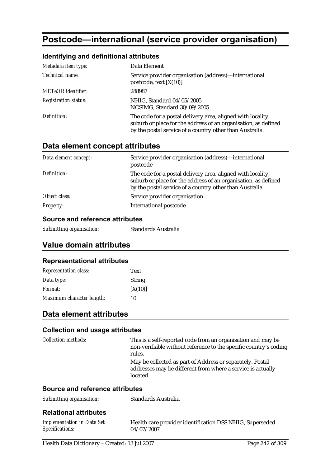# **Postcode—international (service provider organisation)**

### **Identifying and definitional attributes**

| Metadata item type:         | Data Element                                                                                                                                                                              |
|-----------------------------|-------------------------------------------------------------------------------------------------------------------------------------------------------------------------------------------|
| Technical name:             | Service provider organisation (address)-international<br>postcode, text $[X(10)]$                                                                                                         |
| <b>METeOR</b> identifier:   | 288987                                                                                                                                                                                    |
| <b>Registration status:</b> | NHIG, Standard 04/05/2005<br>NCSIMG, Standard 30/09/2005                                                                                                                                  |
| Definition:                 | The code for a postal delivery area, aligned with locality,<br>suburb or place for the address of an organisation, as defined<br>by the postal service of a country other than Australia. |

### **Data element concept attributes**

| Data element concept: | Service provider organisation (address)—international<br>postcode                                                                                                                         |
|-----------------------|-------------------------------------------------------------------------------------------------------------------------------------------------------------------------------------------|
| Definition:           | The code for a postal delivery area, aligned with locality,<br>suburb or place for the address of an organisation, as defined<br>by the postal service of a country other than Australia. |
| Object class:         | Service provider organisation                                                                                                                                                             |
| <b>Property:</b>      | International postcode                                                                                                                                                                    |

### **Source and reference attributes**

| Standards Australia |
|---------------------|
|                     |

# **Value domain attributes**

### **Representational attributes**

| <b>Representation class:</b> | <b>Text</b>   |
|------------------------------|---------------|
| Data type:                   | <b>String</b> |
| <i>Format:</i>               | [X(10)]       |
| Maximum character length:    | 10            |

## **Data element attributes**

#### **Collection and usage attributes**

| <b>Collection methods:</b>      | This is a self-reported code from an organisation and may be<br>non-verifiable without reference to the specific country's coding<br>rules. |
|---------------------------------|---------------------------------------------------------------------------------------------------------------------------------------------|
|                                 | May be collected as part of Address or separately. Postal<br>addresses may be different from where a service is actually<br>located.        |
| Source and reference attributes |                                                                                                                                             |
| Submitting organisation:        | <b>Standards Australia</b>                                                                                                                  |

#### **Relational attributes**

| <b>Implementation in Data Set</b> | Health care provider identification DSS NHIG, Superseded |
|-----------------------------------|----------------------------------------------------------|
| <b>Specifications:</b>            | 04/07/2007                                               |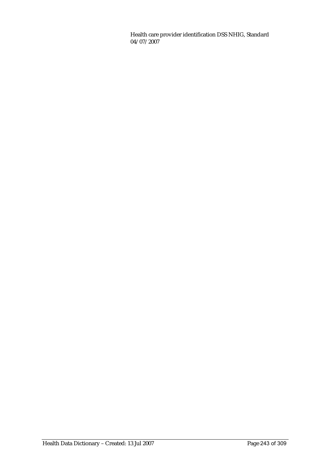Health care provider identification DSS NHIG, Standard 04/07/2007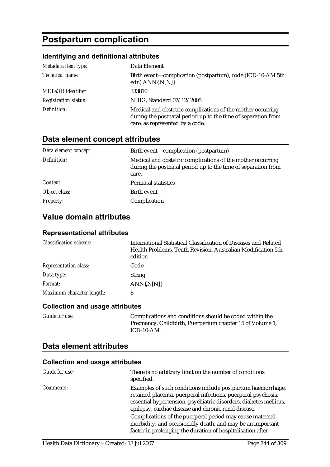# **Postpartum complication**

### **Identifying and definitional attributes**

| Metadata item type:         | Data Element                                                                                                                                                    |
|-----------------------------|-----------------------------------------------------------------------------------------------------------------------------------------------------------------|
| Technical name:             | Birth event—complication (postpartum), code (ICD-10-AM 5th<br>edn) ANN{.N[N]}                                                                                   |
| <b>METeOR</b> identifier:   | 333810                                                                                                                                                          |
| <b>Registration status:</b> | NHIG, Standard 07/12/2005                                                                                                                                       |
| Definition:                 | Medical and obstetric complications of the mother occurring<br>during the postnatal period up to the time of separation from<br>care, as represented by a code. |

# **Data element concept attributes**

| Data element concept: | Birth event—complication (postpartum)                                                                                                 |
|-----------------------|---------------------------------------------------------------------------------------------------------------------------------------|
| Definition:           | Medical and obstetric complications of the mother occurring<br>during the postnatal period up to the time of separation from<br>care. |
| Context:              | <b>Perinatal statistics</b>                                                                                                           |
| Object class:         | Birth event                                                                                                                           |
| <b>Property:</b>      | Complication                                                                                                                          |

# **Value domain attributes**

#### **Representational attributes**

| <b>Classification scheme:</b> | International Statistical Classification of Diseases and Related<br>Health Problems, Tenth Revision, Australian Modification 5th<br>edition |
|-------------------------------|---------------------------------------------------------------------------------------------------------------------------------------------|
| <b>Representation class:</b>  | Code                                                                                                                                        |
| Data type:                    | <b>String</b>                                                                                                                               |
| Format:                       | $ANN\{N[N]\}$                                                                                                                               |
| Maximum character length:     | 6                                                                                                                                           |

#### **Collection and usage attributes**

*Guide for use:* Complications and conditions should be coded within the Pregnancy, Childbirth, Puerperium chapter 15 of Volume 1, ICD-10-AM.

### **Data element attributes**

| Guide for use:   | There is no arbitrary limit on the number of conditions<br>specified.                                                                                                                                                                                     |
|------------------|-----------------------------------------------------------------------------------------------------------------------------------------------------------------------------------------------------------------------------------------------------------|
| <i>Comments:</i> | Examples of such conditions include postpartum haemorrhage,<br>retained placenta, puerperal infections, puerperal psychosis,<br>essential hypertension, psychiatric disorders, diabetes mellitus,<br>epilepsy, cardiac disease and chronic renal disease. |
|                  | Complications of the puerperal period may cause maternal<br>morbidity, and occasionally death, and may be an important<br>factor in prolonging the duration of hospitalisation after                                                                      |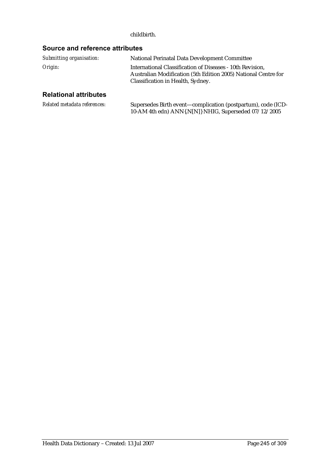#### childbirth.

# **Source and reference attributes**

| Submitting organisation: | National Perinatal Data Development Committee                                                                                                                    |
|--------------------------|------------------------------------------------------------------------------------------------------------------------------------------------------------------|
| Origin:                  | International Classification of Diseases - 10th Revision.<br>Australian Modification (5th Edition 2005) National Centre for<br>Classification in Health, Sydney. |

## **Relational attributes**

| Related metadata references: | Supersedes Birth event—complication (postpartum), code (ICD- |
|------------------------------|--------------------------------------------------------------|
|                              | 10-AM 4th edn) ANN{.N[N]} NHIG, Superseded 07/12/2005        |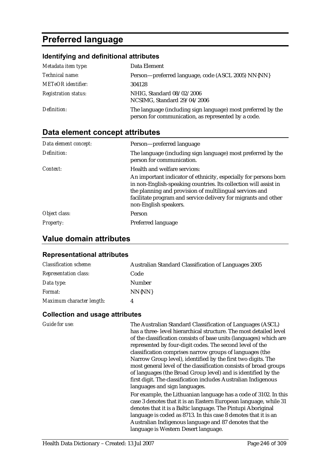# **Preferred language**

### **Identifying and definitional attributes**

| Metadata item type:         | Data Element                                                                                                        |
|-----------------------------|---------------------------------------------------------------------------------------------------------------------|
| Technical name:             | Person-preferred language, code (ASCL 2005) NN{NN}                                                                  |
| <b>METeOR</b> identifier:   | 304128                                                                                                              |
| <b>Registration status:</b> | NHIG, Standard 08/02/2006<br>NCSIMG, Standard 29/04/2006                                                            |
| Definition:                 | The language (including sign language) most preferred by the<br>person for communication, as represented by a code. |

# **Data element concept attributes**

| Data element concept: | Person-preferred language                                                                                                                                                                                                                                                                  |
|-----------------------|--------------------------------------------------------------------------------------------------------------------------------------------------------------------------------------------------------------------------------------------------------------------------------------------|
| Definition:           | The language (including sign language) most preferred by the<br>person for communication.                                                                                                                                                                                                  |
| Context:              | Health and welfare services:                                                                                                                                                                                                                                                               |
|                       | An important indicator of ethnicity, especially for persons born<br>in non-English-speaking countries. Its collection will assist in<br>the planning and provision of multilingual services and<br>facilitate program and service delivery for migrants and other<br>non-English speakers. |
| Object class:         | <b>Person</b>                                                                                                                                                                                                                                                                              |
| <b>Property:</b>      | Preferred language                                                                                                                                                                                                                                                                         |

## **Value domain attributes**

#### **Representational attributes**

| <b>Classification scheme:</b> | Australian Standard Classification of Languages 2005 |
|-------------------------------|------------------------------------------------------|
| <b>Representation class:</b>  | Code                                                 |
| Data type:                    | Number                                               |
| <i>Format:</i>                | NN{NN}                                               |
| Maximum character length:     | 4                                                    |

#### **Collection and usage attributes**

Health Data Dictionary – Created: 13 Jul 2007 Page 246 of 309 *Guide for use:* The Australian Standard Classification of Languages (ASCL) has a three- level hierarchical structure. The most detailed level of the classification consists of base units (languages) which are represented by four-digit codes. The second level of the classification comprises narrow groups of languages (the Narrow Group level), identified by the first two digits. The most general level of the classification consists of broad groups of languages (the Broad Group level) and is identified by the first digit. The classification includes Australian Indigenous languages and sign languages. For example, the Lithuanian language has a code of 3102. In this case 3 denotes that it is an Eastern European language, while 31 denotes that it is a Baltic language. The Pintupi Aboriginal language is coded as 8713. In this case 8 denotes that it is an Australian Indigenous language and 87 denotes that the language is Western Desert language.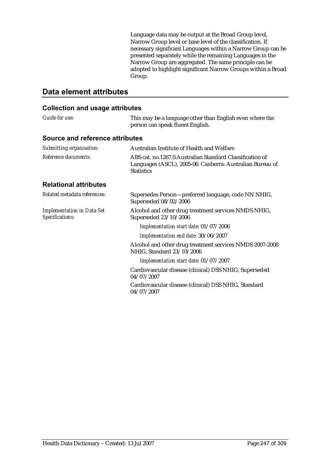Language data may be output at the Broad Group level, Narrow Group level or base level of the classification. If necessary significant Languages within a Narrow Group can be presented separately while the remaining Languages in the Narrow Group are aggregated. The same principle can be adopted to highlight significant Narrow Groups within a Broad Group.

# **Data element attributes**

| Guide for use:                                       | This may be a language other than English even where the<br>person can speak fluent English.                                                |
|------------------------------------------------------|---------------------------------------------------------------------------------------------------------------------------------------------|
| Source and reference attributes                      |                                                                                                                                             |
| Submitting organisation:                             | Australian Institute of Health and Welfare                                                                                                  |
| Reference documents:                                 | ABS cat. no.1267.0. Australian Standard Classification of<br>Languages (ASCL), 2005-06. Canberra: Australian Bureau of<br><b>Statistics</b> |
| <b>Relational attributes</b>                         |                                                                                                                                             |
| Related metadata references:                         | Supersedes Person-preferred language, code NN NHIG,<br>Superseded 08/02/2006                                                                |
| <b>Implementation in Data Set</b><br>Specifications: | Alcohol and other drug treatment services NMDS NHIG,<br>Superseded 23/10/2006                                                               |
|                                                      | Implementation start date: 01/07/2006                                                                                                       |
|                                                      | Implementation end date: 30/06/2007                                                                                                         |
|                                                      | Alcohol and other drug treatment services NMDS 2007-2008<br>NHIG, Standard 23/10/2006                                                       |
|                                                      | Implementation start date: 01/07/2007                                                                                                       |
|                                                      | Cardiovascular disease (clinical) DSS NHIG, Superseded<br>04/07/2007                                                                        |
|                                                      | Cardiovascular disease (clinical) DSS NHIG, Standard<br>04/07/2007                                                                          |
|                                                      |                                                                                                                                             |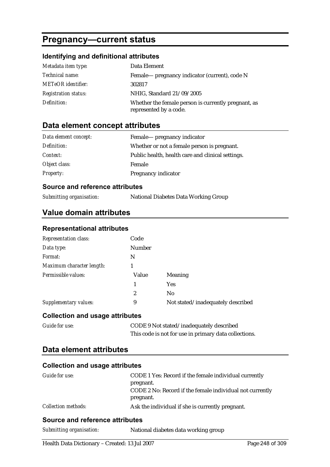# **Pregnancy—current status**

## **Identifying and definitional attributes**

| Metadata item type:         | Data Element                                                                  |
|-----------------------------|-------------------------------------------------------------------------------|
| <i>Technical name:</i>      | Female— pregnancy indicator (current), code N                                 |
| <b>METeOR</b> identifier:   | 302817                                                                        |
| <b>Registration status:</b> | NHIG, Standard 21/09/2005                                                     |
| Definition:                 | Whether the female person is currently pregnant, as<br>represented by a code. |

## **Data element concept attributes**

| Data element concept: | Female— pregnancy indicator                       |
|-----------------------|---------------------------------------------------|
| Definition:           | Whether or not a female person is pregnant.       |
| Context:              | Public health, health care and clinical settings. |
| Object class:         | Female                                            |
| <b>Property:</b>      | Pregnancy indicator                               |

### **Source and reference attributes**

| Submitting organisation: | National Diabetes Data Working Group |
|--------------------------|--------------------------------------|
|                          |                                      |

# **Value domain attributes**

#### **Representational attributes**

| <b>Representation class:</b>           | Code          |                                   |
|----------------------------------------|---------------|-----------------------------------|
| Data type:                             | <b>Number</b> |                                   |
| Format:                                | N             |                                   |
| Maximum character length:              |               |                                   |
| Permissible values:                    | Value         | <b>Meaning</b>                    |
|                                        | 1             | <b>Yes</b>                        |
|                                        | 2             | N <sub>0</sub>                    |
| Supplementary values:                  | 9             | Not stated/inadequately described |
| <b>Collection and usage attributes</b> |               |                                   |

| <b>Guide for use:</b> | CODE 9 Not stated/inadequately described              |
|-----------------------|-------------------------------------------------------|
|                       | This code is not for use in primary data collections. |

### **Data element attributes**

#### **Collection and usage attributes**

| Guide for use:             | CODE 1 Yes: Record if the female individual currently<br>pregnant.    |  |
|----------------------------|-----------------------------------------------------------------------|--|
|                            | CODE 2 No: Record if the female individual not currently<br>pregnant. |  |
| <i>Collection methods:</i> | Ask the individual if she is currently pregnant.                      |  |

### **Source and reference attributes**

| Submitting organisation: | National diabetes data working group |
|--------------------------|--------------------------------------|
|--------------------------|--------------------------------------|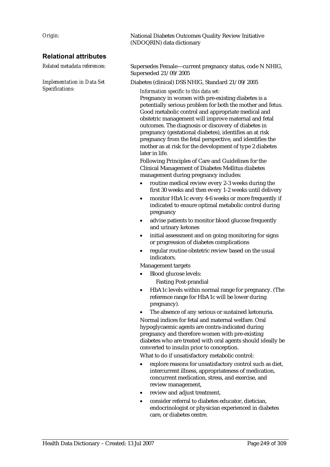### **Relational attributes**

*Implementation in Data Set Specifications:*

*Origin:* National Diabetes Outcomes Quality Review Initiative (NDOQRIN) data dictionary

*Related metadata references:* Supersedes Female—current pregnancy status, code N NHIG, Superseded 21/09/2005

Diabetes (clinical) DSS NHIG, Standard 21/09/2005

*Information specific to this data set:*

Pregnancy in women with pre-existing diabetes is a potentially serious problem for both the mother and fetus. Good metabolic control and appropriate medical and obstetric management will improve maternal and fetal outcomes. The diagnosis or discovery of diabetes in pregnancy (gestational diabetes), identifies an at risk pregnancy from the fetal perspective, and identifies the mother as at risk for the development of type 2 diabetes later in life.

Following Principles of Care and Guidelines for the Clinical Management of Diabetes Mellitus diabetes management during pregnancy includes:

- routine medical review every 2-3 weeks during the first 30 weeks and then every 1-2 weeks until delivery
- monitor HbA1c every 4-6 weeks or more frequently if indicated to ensure optimal metabolic control during pregnancy
- advise patients to monitor blood glucose frequently and urinary ketones
- initial assessment and on going monitoring for signs or progression of diabetes complications
- regular routine obstetric review based on the usual indicators.

Management targets

- Blood glucose levels: Fasting Post-prandial
- HbA1c levels within normal range for pregnancy. (The reference range for HbA1c will be lower during pregnancy).
- The absence of any serious or sustained ketonuria.

Normal indices for fetal and maternal welfare. Oral hypoglycaemic agents are contra-indicated during pregnancy and therefore women with pre-existing diabetes who are treated with oral agents should ideally be converted to insulin prior to conception.

What to do if unsatisfactory metabolic control:

- explore reasons for unsatisfactory control such as diet, intercurrent illness, appropriateness of medication, concurrent medication, stress, and exercise, and review management,
- review and adjust treatment,
- consider referral to diabetes educator, dietician, endocrinologist or physician experienced in diabetes care, or diabetes centre.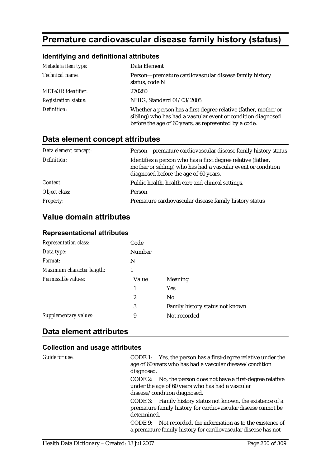# **Premature cardiovascular disease family history (status)**

### **Identifying and definitional attributes**

| Metadata item type:         | Data Element                                                                                                                                                                             |
|-----------------------------|------------------------------------------------------------------------------------------------------------------------------------------------------------------------------------------|
| Technical name:             | Person-premature cardiovascular disease family history<br>status, code N                                                                                                                 |
| <b>METeOR</b> identifier:   | 270280                                                                                                                                                                                   |
| <b>Registration status:</b> | NHIG, Standard 01/03/2005                                                                                                                                                                |
| Definition:                 | Whether a person has a first degree relative (father, mother or<br>sibling) who has had a vascular event or condition diagnosed<br>before the age of 60 years, as represented by a code. |

# **Data element concept attributes**

| Data element concept: | Person-premature cardiovascular disease family history status                                                                                                         |
|-----------------------|-----------------------------------------------------------------------------------------------------------------------------------------------------------------------|
| Definition:           | Identifies a person who has a first degree relative (father,<br>mother or sibling) who has had a vascular event or condition<br>diagnosed before the age of 60 years. |
| Context:              | Public health, health care and clinical settings.                                                                                                                     |
| Object class:         | Person                                                                                                                                                                |
| <b>Property:</b>      | Premature cardiovascular disease family history status                                                                                                                |

# **Value domain attributes**

| <b>Representation class:</b> | Code          |                                 |
|------------------------------|---------------|---------------------------------|
| Data type:                   | <b>Number</b> |                                 |
| Format:                      | N             |                                 |
| Maximum character length:    |               |                                 |
| Permissible values:          | Value         | <b>Meaning</b>                  |
|                              | 1             | <b>Yes</b>                      |
|                              | 2             | No                              |
|                              | 3             | Family history status not known |
| Supplementary values:        | 9             | Not recorded                    |

## **Representational attributes**

# **Data element attributes**

| Guide for use: | CODE 1: Yes, the person has a first-degree relative under the<br>age of 60 years who has had a vascular disease/condition<br>diagnosed.<br>CODE 2: No, the person does not have a first-degree relative<br>under the age of 60 years who has had a vascular<br>disease/condition diagnosed. |
|----------------|---------------------------------------------------------------------------------------------------------------------------------------------------------------------------------------------------------------------------------------------------------------------------------------------|
|                | CODE 3: Family history status not known, the existence of a<br>premature family history for cardiovascular disease cannot be<br>determined.<br>Not recorded, the information as to the existence of<br>CODE 9:<br>a premature family history for cardiovascular disease has not             |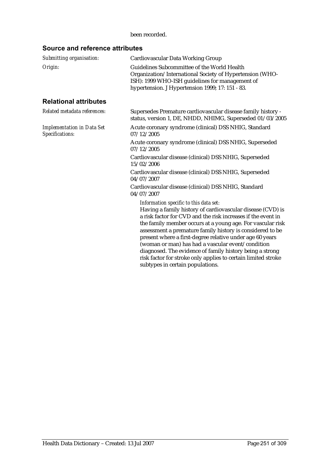#### been recorded.

### **Source and reference attributes**

| Submitting organisation:                             | Cardiovascular Data Working Group                                                                                                                                                                                                                                                                                                                                                                                                                                            |
|------------------------------------------------------|------------------------------------------------------------------------------------------------------------------------------------------------------------------------------------------------------------------------------------------------------------------------------------------------------------------------------------------------------------------------------------------------------------------------------------------------------------------------------|
| Origin:                                              | Guidelines Subcommittee of the World Health<br>Organization/International Society of Hypertension (WHO-<br>ISH): 1999 WHO-ISH guidelines for management of<br>hypertension. J Hypertension 1999; 17: 151 - 83.                                                                                                                                                                                                                                                               |
| <b>Relational attributes</b>                         |                                                                                                                                                                                                                                                                                                                                                                                                                                                                              |
| Related metadata references:                         | Supersedes Premature cardiovascular disease family history -<br>status, version 1, DE, NHDD, NHIMG, Superseded 01/03/2005                                                                                                                                                                                                                                                                                                                                                    |
| <b>Implementation in Data Set</b><br>Specifications: | Acute coronary syndrome (clinical) DSS NHIG, Standard<br>07/12/2005                                                                                                                                                                                                                                                                                                                                                                                                          |
|                                                      | Acute coronary syndrome (clinical) DSS NHIG, Superseded<br>07/12/2005                                                                                                                                                                                                                                                                                                                                                                                                        |
|                                                      | Cardiovascular disease (clinical) DSS NHIG, Superseded<br>15/02/2006                                                                                                                                                                                                                                                                                                                                                                                                         |
|                                                      | Cardiovascular disease (clinical) DSS NHIG, Superseded<br>04/07/2007                                                                                                                                                                                                                                                                                                                                                                                                         |
|                                                      | Cardiovascular disease (clinical) DSS NHIG, Standard<br>04/07/2007                                                                                                                                                                                                                                                                                                                                                                                                           |
|                                                      | Information specific to this data set:<br>Having a family history of cardiovascular disease (CVD) is<br>a risk factor for CVD and the risk increases if the event in<br>the family member occurs at a young age. For vascular risk<br>assessment a premature family history is considered to be<br>present where a first-degree relative under age 60 years<br>(woman or man) has had a vascular event/condition<br>diagnosed. The evidence of family history being a strong |

risk factor for stroke only applies to certain limited stroke

subtypes in certain populations.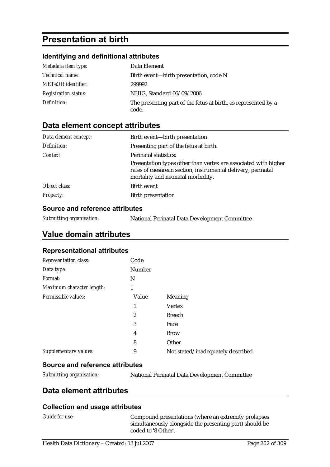# **Presentation at birth**

#### **Identifying and definitional attributes**

| Metadata item type:         | Data Element                                                            |
|-----------------------------|-------------------------------------------------------------------------|
| <i>Technical name:</i>      | Birth event—birth presentation, code N                                  |
| <b>METeOR</b> identifier:   | 299992                                                                  |
| <b>Registration status:</b> | NHIG, Standard 06/09/2006                                               |
| Definition:                 | The presenting part of the fetus at birth, as represented by a<br>code. |

# **Data element concept attributes**

| Data element concept: | Birth event—birth presentation                                                                                                                                       |  |
|-----------------------|----------------------------------------------------------------------------------------------------------------------------------------------------------------------|--|
| Definition:           | Presenting part of the fetus at birth.                                                                                                                               |  |
| Context:              | <b>Perinatal statistics:</b>                                                                                                                                         |  |
|                       | Presentation types other than vertex are associated with higher<br>rates of caesarean section, instrumental delivery, perinatal<br>mortality and neonatal morbidity. |  |
| Object class:         | Birth event                                                                                                                                                          |  |
| <b>Property:</b>      | <b>Birth presentation</b>                                                                                                                                            |  |

### **Source and reference attributes**

| Submitting organisation: | National Perinatal Data Development Committee |  |
|--------------------------|-----------------------------------------------|--|
|                          |                                               |  |

## **Value domain attributes**

#### **Representational attributes**

| <b>Representation class:</b> | Code             |                                   |
|------------------------------|------------------|-----------------------------------|
| Data type:                   | <b>Number</b>    |                                   |
| Format:                      | N                |                                   |
| Maximum character length:    | 1                |                                   |
| Permissible values:          | Value            | Meaning                           |
|                              | 1                | <b>Vertex</b>                     |
|                              | $\boldsymbol{2}$ | <b>Breech</b>                     |
|                              | 3                | Face                              |
|                              | 4                | <b>Brow</b>                       |
|                              | 8                | Other                             |
| Supplementary values:        | 9                | Not stated/inadequately described |

#### **Source and reference attributes**

*Submitting organisation:* National Perinatal Data Development Committee

## **Data element attributes**

#### **Collection and usage attributes**

*Guide for use:* Compound presentations (where an extremity prolapses simultaneously alongside the presenting part) should be coded to '8 Other'.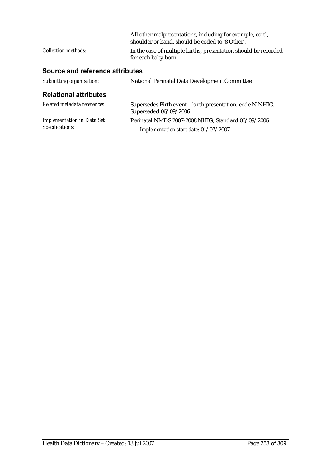|                            | All other malpresentations, including for example, cord,<br>shoulder or hand, should be coded to '8 Other'. |
|----------------------------|-------------------------------------------------------------------------------------------------------------|
| <i>Collection methods:</i> | In the case of multiple births, presentation should be recorded<br>for each baby born.                      |

# **Source and reference attributes**

| Submitting organisation:                             | <b>National Perinatal Data Development Committee</b>                                        |
|------------------------------------------------------|---------------------------------------------------------------------------------------------|
| <b>Relational attributes</b>                         |                                                                                             |
| Related metadata references:                         | Supersedes Birth event—birth presentation, code N NHIG,<br>Superseded 06/09/2006            |
| <b>Implementation in Data Set</b><br>Specifications: | Perinatal NMDS 2007-2008 NHIG, Standard 06/09/2006<br>Implementation start date: 01/07/2007 |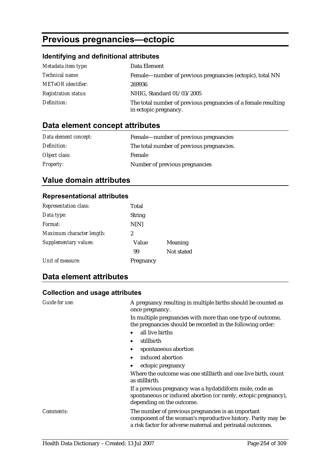# **Previous pregnancies—ectopic**

# **Identifying and definitional attributes**

| Metadata item type:         | Data Element                                                                            |
|-----------------------------|-----------------------------------------------------------------------------------------|
| <i>Technical name:</i>      | Female—number of previous pregnancies (ectopic), total NN                               |
| <b>METeOR</b> identifier:   | 269936                                                                                  |
| <b>Registration status:</b> | NHIG, Standard 01/03/2005                                                               |
| Definition:                 | The total number of previous pregnancies of a female resulting<br>in ectopic pregnancy. |

# **Data element concept attributes**

| Data element concept: | Female—number of previous pregnancies     |
|-----------------------|-------------------------------------------|
| Definition:           | The total number of previous pregnancies. |
| Object class:         | Female                                    |
| <b>Property:</b>      | Number of previous pregnancies            |

# **Value domain attributes**

#### **Representational attributes**

| <b>Representation class:</b> | Total         |            |
|------------------------------|---------------|------------|
| Data type:                   | <b>String</b> |            |
| Format:                      | N[N]          |            |
| Maximum character length:    | 2             |            |
| Supplementary values:        | Value         | Meaning    |
|                              | 99            | Not stated |
| Unit of measure:             | Pregnancy     |            |

## **Data element attributes**

| Guide for use:   | A pregnancy resulting in multiple births should be counted as<br>once pregnancy.                                                                                                 |
|------------------|----------------------------------------------------------------------------------------------------------------------------------------------------------------------------------|
|                  | In multiple pregnancies with more than one type of outcome,<br>the pregnancies should be recorded in the following order:                                                        |
|                  | all live births                                                                                                                                                                  |
|                  | stillbirth                                                                                                                                                                       |
|                  | spontaneous abortion                                                                                                                                                             |
|                  | induced abortion<br>$\bullet$                                                                                                                                                    |
|                  | ectopic pregnancy                                                                                                                                                                |
|                  | Where the outcome was one stillbirth and one live birth, count<br>as stillbirth.                                                                                                 |
|                  | If a previous pregnancy was a hydatidiform mole, code as<br>spontaneous or induced abortion (or rarely, ectopic pregnancy),<br>depending on the outcome.                         |
| <i>Comments:</i> | The number of previous pregnancies is an important<br>component of the woman's reproductive history. Parity may be<br>a risk factor for adverse maternal and perinatal outcomes. |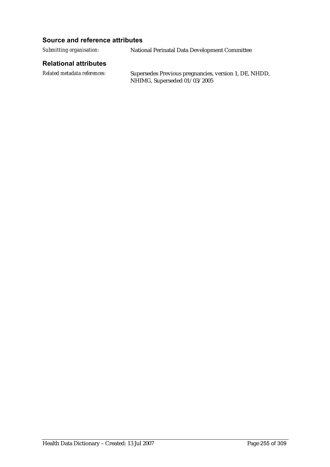#### **Source and reference attributes**

*Submitting organisation:* National Perinatal Data Development Committee

#### **Relational attributes**

*Related metadata references:* Supersedes Previous pregnancies, version 1, DE, NHDD, NHIMG, Superseded 01/03/2005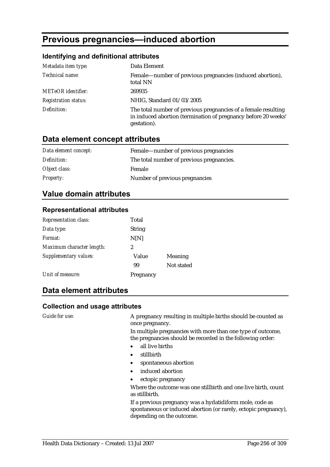# **Previous pregnancies—induced abortion**

#### **Identifying and definitional attributes**

| Metadata item type:         | Data Element                                                                                                                                    |
|-----------------------------|-------------------------------------------------------------------------------------------------------------------------------------------------|
| Technical name:             | Female—number of previous pregnancies (induced abortion),<br>total NN                                                                           |
| <b>METeOR</b> identifier:   | 269935                                                                                                                                          |
| <b>Registration status:</b> | NHIG, Standard 01/03/2005                                                                                                                       |
| Definition:                 | The total number of previous pregnancies of a female resulting<br>in induced abortion (termination of pregnancy before 20 weeks'<br>gestation). |

## **Data element concept attributes**

| Data element concept: | Female—number of previous pregnancies     |
|-----------------------|-------------------------------------------|
| Definition:           | The total number of previous pregnancies. |
| Object class:         | Female                                    |
| <b>Property:</b>      | Number of previous pregnancies            |

### **Value domain attributes**

#### **Representational attributes**

| <b>Representation class:</b> | Total         |            |
|------------------------------|---------------|------------|
| Data type:                   | <b>String</b> |            |
| Format:                      | N[N]          |            |
| Maximum character length:    | 2             |            |
| Supplementary values:        | Value         | Meaning    |
|                              | 99            | Not stated |
| Unit of measure:             | Pregnancy     |            |

#### **Data element attributes**

#### **Collection and usage attributes**

*Guide for use:* A pregnancy resulting in multiple births should be counted as once pregnancy.

In multiple pregnancies with more than one type of outcome, the pregnancies should be recorded in the following order:

- all live births
- stillbirth
- spontaneous abortion
- induced abortion
- ectopic pregnancy

Where the outcome was one stillbirth and one live birth, count as stillbirth.

If a previous pregnancy was a hydatidiform mole, code as spontaneous or induced abortion (or rarely, ectopic pregnancy), depending on the outcome.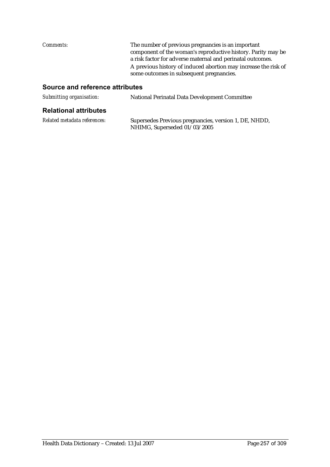*Comments:* The number of previous pregnancies is an important component of the woman's reproductive history. Parity may be a risk factor for adverse maternal and perinatal outcomes. A previous history of induced abortion may increase the risk of some outcomes in subsequent pregnancies.

#### **Source and reference attributes**

| National Perinatal Data Development Committee |
|-----------------------------------------------|
|                                               |

#### **Relational attributes**

| Related metadata references: | Supersedes Previous pregnancies, version 1, DE, NHDD, |
|------------------------------|-------------------------------------------------------|
|                              | NHIMG, Superseded 01/03/2005                          |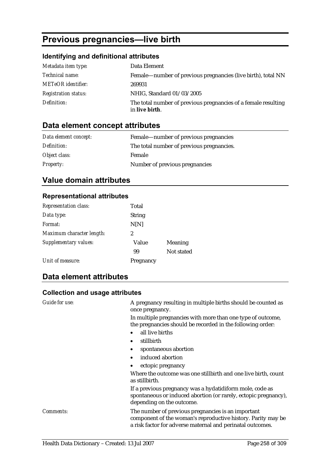# **Previous pregnancies—live birth**

## **Identifying and definitional attributes**

| Metadata item type:         | Data Element                                                                     |
|-----------------------------|----------------------------------------------------------------------------------|
| Technical name:             | Female—number of previous pregnancies (live birth), total NN                     |
| <b>METeOR</b> identifier:   | 269931                                                                           |
| <b>Registration status:</b> | NHIG, Standard 01/03/2005                                                        |
| Definition:                 | The total number of previous pregnancies of a female resulting<br>in live birth. |

# **Data element concept attributes**

| Data element concept: | Female—number of previous pregnancies     |
|-----------------------|-------------------------------------------|
| Definition:           | The total number of previous pregnancies. |
| Object class:         | Female                                    |
| <b>Property:</b>      | Number of previous pregnancies            |

# **Value domain attributes**

#### **Representational attributes**

| <b>Representation class:</b> | Total         |                |
|------------------------------|---------------|----------------|
| Data type:                   | <b>String</b> |                |
| Format:                      | N[N]          |                |
| Maximum character length:    | 2             |                |
| Supplementary values:        | Value         | <b>Meaning</b> |
|                              | 99            | Not stated     |
| Unit of measure:             | Pregnancy     |                |

## **Data element attributes**

| Guide for use:   | A pregnancy resulting in multiple births should be counted as<br>once pregnancy.                                                                                                 |
|------------------|----------------------------------------------------------------------------------------------------------------------------------------------------------------------------------|
|                  | In multiple pregnancies with more than one type of outcome,<br>the pregnancies should be recorded in the following order:                                                        |
|                  | all live births                                                                                                                                                                  |
|                  | stillbirth<br>$\bullet$                                                                                                                                                          |
|                  | spontaneous abortion                                                                                                                                                             |
|                  | induced abortion<br>$\bullet$                                                                                                                                                    |
|                  | ectopic pregnancy                                                                                                                                                                |
|                  | Where the outcome was one stillbirth and one live birth, count<br>as stillbirth.                                                                                                 |
|                  | If a previous pregnancy was a hydatidiform mole, code as<br>spontaneous or induced abortion (or rarely, ectopic pregnancy),<br>depending on the outcome.                         |
| <i>Comments:</i> | The number of previous pregnancies is an important<br>component of the woman's reproductive history. Parity may be<br>a risk factor for adverse maternal and perinatal outcomes. |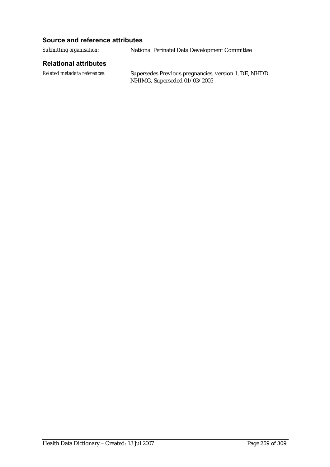#### **Source and reference attributes**

*Submitting organisation:* National Perinatal Data Development Committee

#### **Relational attributes**

*Related metadata references:* Supersedes Previous pregnancies, version 1, DE, NHDD, NHIMG, Superseded 01/03/2005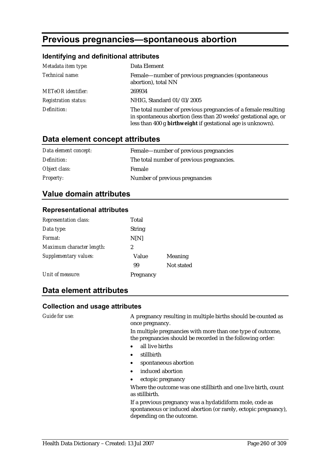# **Previous pregnancies—spontaneous abortion**

#### **Identifying and definitional attributes**

| Metadata item type:         | Data Element                                                                                                                                                                                      |
|-----------------------------|---------------------------------------------------------------------------------------------------------------------------------------------------------------------------------------------------|
| Technical name:             | Female—number of previous pregnancies (spontaneous<br>abortion), total NN                                                                                                                         |
| <b>METeOR</b> identifier:   | 269934                                                                                                                                                                                            |
| <b>Registration status:</b> | NHIG, Standard 01/03/2005                                                                                                                                                                         |
| Definition:                 | The total number of previous pregnancies of a female resulting<br>in spontaneous abortion (less than 20 weeks' gestational age, or<br>less than 400 g birthweight if gestational age is unknown). |

## **Data element concept attributes**

| Data element concept: | Female—number of previous pregnancies     |
|-----------------------|-------------------------------------------|
| Definition:           | The total number of previous pregnancies. |
| Object class:         | Female                                    |
| <b>Property:</b>      | Number of previous pregnancies            |

### **Value domain attributes**

#### **Representational attributes**

| <b>Representation class:</b> | Total         |            |
|------------------------------|---------------|------------|
| Data type:                   | <b>String</b> |            |
| Format:                      | N[N]          |            |
| Maximum character length:    | 2             |            |
| Supplementary values:        | Value         | Meaning    |
|                              | 99            | Not stated |
| Unit of measure:             | Pregnancy     |            |

#### **Data element attributes**

#### **Collection and usage attributes**

*Guide for use:* A pregnancy resulting in multiple births should be counted as once pregnancy.

In multiple pregnancies with more than one type of outcome, the pregnancies should be recorded in the following order:

- all live births
- stillbirth
- spontaneous abortion
- induced abortion
- ectopic pregnancy

Where the outcome was one stillbirth and one live birth, count as stillbirth.

If a previous pregnancy was a hydatidiform mole, code as spontaneous or induced abortion (or rarely, ectopic pregnancy), depending on the outcome.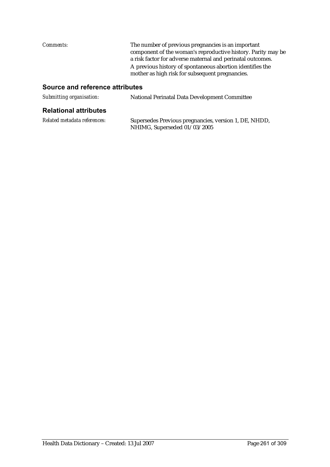*Comments:* The number of previous pregnancies is an important component of the woman's reproductive history. Parity may be a risk factor for adverse maternal and perinatal outcomes. A previous history of spontaneous abortion identifies the mother as high risk for subsequent pregnancies.

#### **Source and reference attributes**

| Submitting organisation: | National Perinatal Data Development Committee |
|--------------------------|-----------------------------------------------|
|                          |                                               |

#### **Relational attributes**

| Related metadata references: | Supersedes Previous pregnancies, version 1, DE, NHDD, |
|------------------------------|-------------------------------------------------------|
|                              | NHIMG, Superseded 01/03/2005                          |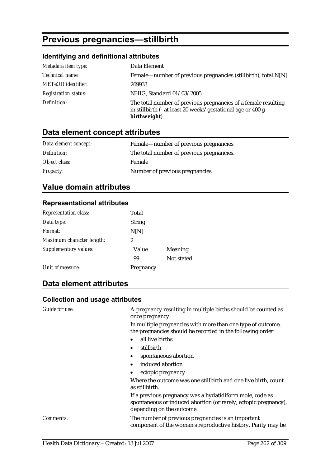# **Previous pregnancies—stillbirth**

#### **Identifying and definitional attributes**

| Metadata item type:         | Data Element                                                                                                                                    |
|-----------------------------|-------------------------------------------------------------------------------------------------------------------------------------------------|
| Technical name:             | Female—number of previous pregnancies (stillbirth), total N[N]                                                                                  |
| <b>METeOR</b> identifier:   | 269933                                                                                                                                          |
| <b>Registration status:</b> | NHIG, Standard 01/03/2005                                                                                                                       |
| Definition:                 | The total number of previous pregnancies of a female resulting<br>in stillbirth (- at least 20 weeks' gestational age or 400 g<br>birthweight). |

# **Data element concept attributes**

| Data element concept: | Female—number of previous pregnancies     |
|-----------------------|-------------------------------------------|
| Definition:           | The total number of previous pregnancies. |
| Object class:         | <b>Female</b>                             |
| <b>Property:</b>      | Number of previous pregnancies            |

# **Value domain attributes**

#### **Representational attributes**

| <b>Representation class:</b> | Total         |            |
|------------------------------|---------------|------------|
| Data type:                   | <b>String</b> |            |
| Format:                      | N[N]          |            |
| Maximum character length:    | 2             |            |
| Supplementary values:        | Value         | Meaning    |
|                              | 99            | Not stated |
| Unit of measure:             | Pregnancy     |            |

# **Data element attributes**

#### **Collection and usage attributes**

*Guide for use:* A pregnancy resulting in multiple births should be counted as once pregnancy.

> In multiple pregnancies with more than one type of outcome, the pregnancies should be recorded in the following order:

- all live births
- stillbirth
- spontaneous abortion
- induced abortion
- ectopic pregnancy

Where the outcome was one stillbirth and one live birth, count as stillbirth.

If a previous pregnancy was a hydatidiform mole, code as spontaneous or induced abortion (or rarely, ectopic pregnancy), depending on the outcome.

*Comments:* The number of previous pregnancies is an important component of the woman's reproductive history. Parity may be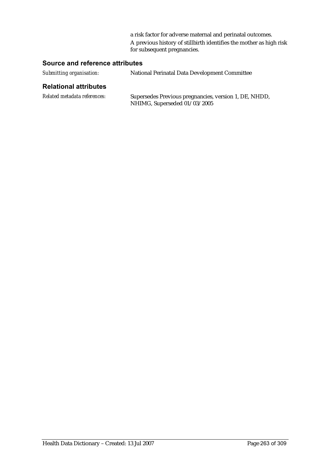a risk factor for adverse maternal and perinatal outcomes. A previous history of stillbirth identifies the mother as high risk for subsequent pregnancies.

#### **Source and reference attributes**

| Submitting organisation: | National Perinatal Data Development Committee |
|--------------------------|-----------------------------------------------|
|                          |                                               |

#### **Relational attributes**

*Related metadata references:* Supersedes Previous pregnancies, version 1, DE, NHDD, NHIMG, Superseded 01/03/2005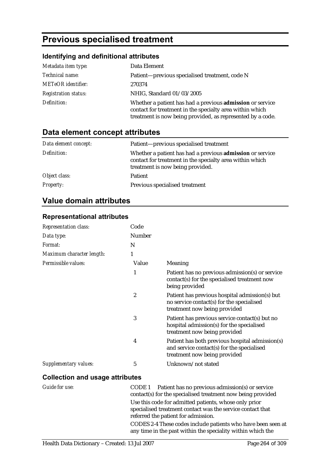# **Previous specialised treatment**

## **Identifying and definitional attributes**

| Metadata item type:         | Data Element                                                                                                                                                                        |
|-----------------------------|-------------------------------------------------------------------------------------------------------------------------------------------------------------------------------------|
| Technical name:             | Patient-previous specialised treatment, code N                                                                                                                                      |
| <b>METeOR</b> identifier:   | 270374                                                                                                                                                                              |
| <b>Registration status:</b> | NHIG, Standard 01/03/2005                                                                                                                                                           |
| Definition:                 | Whether a patient has had a previous admission or service<br>contact for treatment in the specialty area within which<br>treatment is now being provided, as represented by a code. |

# **Data element concept attributes**

| Data element concept: | Patient-previous specialised treatment                                                                                                                    |
|-----------------------|-----------------------------------------------------------------------------------------------------------------------------------------------------------|
| Definition:           | Whether a patient has had a previous admission or service<br>contact for treatment in the specialty area within which<br>treatment is now being provided. |
| Object class:         | Patient                                                                                                                                                   |
| <b>Property:</b>      | Previous specialised treatment                                                                                                                            |

# **Value domain attributes**

#### **Representational attributes**

| Code           |                                                                                                                               |
|----------------|-------------------------------------------------------------------------------------------------------------------------------|
| Number         |                                                                                                                               |
| N              |                                                                                                                               |
| 1              |                                                                                                                               |
| Value          | <b>Meaning</b>                                                                                                                |
| 1              | Patient has no previous admission(s) or service<br>contact(s) for the specialised treatment now<br>being provided             |
| 2              | Patient has previous hospital admission(s) but<br>no service contact(s) for the specialised<br>treatment now being provided   |
| 3              | Patient has previous service contact(s) but no<br>hospital admission(s) for the specialised<br>treatment now being provided   |
| $\overline{4}$ | Patient has both previous hospital admission(s)<br>and service contact(s) for the specialised<br>treatment now being provided |
| 5              | Unknown/not stated                                                                                                            |
|                |                                                                                                                               |

| Guide for use: | CODE 1 Patient has no previous admission(s) or service<br>contact(s) for the specialised treatment now being provided       |
|----------------|-----------------------------------------------------------------------------------------------------------------------------|
|                | Use this code for admitted patients, whose only prior                                                                       |
|                | specialised treatment contact was the service contact that                                                                  |
|                | referred the patient for admission.                                                                                         |
|                | CODES 2-4 These codes include patients who have been seen at<br>any time in the past within the speciality within which the |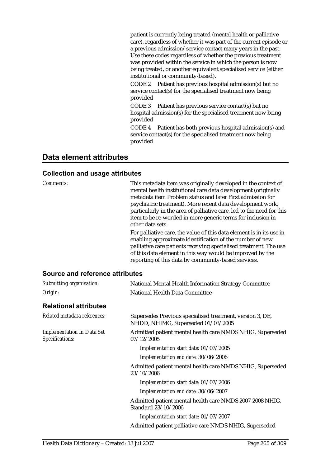patient is currently being treated (mental health or palliative care), regardless of whether it was part of the current episode or a previous admission/service contact many years in the past. Use these codes regardless of whether the previous treatment was provided within the service in which the person is now being treated, or another equivalent specialised service (either institutional or community-based).

CODE 2 Patient has previous hospital admission(s) but no service contact(s) for the specialised treatment now being provided

CODE 3 Patient has previous service contact(s) but no hospital admission(s) for the specialised treatment now being provided

CODE 4 Patient has both previous hospital admission(s) and service contact(s) for the specialised treatment now being provided

### **Data element attributes**

| Comments:                                            | This metadata item was originally developed in the context of<br>mental health institutional care data development (originally<br>metadata item Problem status and later First admission for<br>psychiatric treatment). More recent data development work,<br>particularly in the area of palliative care, led to the need for this<br>item to be re-worded in more generic terms for inclusion in<br>other data sets.<br>For palliative care, the value of this data element is in its use in<br>enabling approximate identification of the number of new<br>palliative care patients receiving specialised treatment. The use<br>of this data element in this way would be improved by the<br>reporting of this data by community-based services. |
|------------------------------------------------------|-----------------------------------------------------------------------------------------------------------------------------------------------------------------------------------------------------------------------------------------------------------------------------------------------------------------------------------------------------------------------------------------------------------------------------------------------------------------------------------------------------------------------------------------------------------------------------------------------------------------------------------------------------------------------------------------------------------------------------------------------------|
| <b>Source and reference attributes</b>               |                                                                                                                                                                                                                                                                                                                                                                                                                                                                                                                                                                                                                                                                                                                                                     |
| Submitting organisation:                             | National Mental Health Information Strategy Committee                                                                                                                                                                                                                                                                                                                                                                                                                                                                                                                                                                                                                                                                                               |
| Origin:                                              | National Health Data Committee                                                                                                                                                                                                                                                                                                                                                                                                                                                                                                                                                                                                                                                                                                                      |
| <b>Relational attributes</b>                         |                                                                                                                                                                                                                                                                                                                                                                                                                                                                                                                                                                                                                                                                                                                                                     |
| Related metadata references:                         | Supersedes Previous specialised treatment, version 3, DE,<br>NHDD, NHIMG, Superseded 01/03/2005                                                                                                                                                                                                                                                                                                                                                                                                                                                                                                                                                                                                                                                     |
| <b>Implementation in Data Set</b><br>Specifications: | Admitted patient mental health care NMDS NHIG, Superseded<br>07/12/2005                                                                                                                                                                                                                                                                                                                                                                                                                                                                                                                                                                                                                                                                             |
|                                                      | Implementation start date: 01/07/2005                                                                                                                                                                                                                                                                                                                                                                                                                                                                                                                                                                                                                                                                                                               |
|                                                      | Implementation end date: 30/06/2006                                                                                                                                                                                                                                                                                                                                                                                                                                                                                                                                                                                                                                                                                                                 |
|                                                      | Admitted patient mental health care NMDS NHIG, Superseded<br>23/10/2006                                                                                                                                                                                                                                                                                                                                                                                                                                                                                                                                                                                                                                                                             |
|                                                      | Implementation start date: 01/07/2006                                                                                                                                                                                                                                                                                                                                                                                                                                                                                                                                                                                                                                                                                                               |
|                                                      | Implementation end date: 30/06/2007                                                                                                                                                                                                                                                                                                                                                                                                                                                                                                                                                                                                                                                                                                                 |
|                                                      | Admitted patient mental health care NMDS 2007-2008 NHIG,<br>Standard 23/10/2006                                                                                                                                                                                                                                                                                                                                                                                                                                                                                                                                                                                                                                                                     |
|                                                      | Implementation start date: 01/07/2007                                                                                                                                                                                                                                                                                                                                                                                                                                                                                                                                                                                                                                                                                                               |
|                                                      | Admitted patient palliative care NMDS NHIG, Superseded                                                                                                                                                                                                                                                                                                                                                                                                                                                                                                                                                                                                                                                                                              |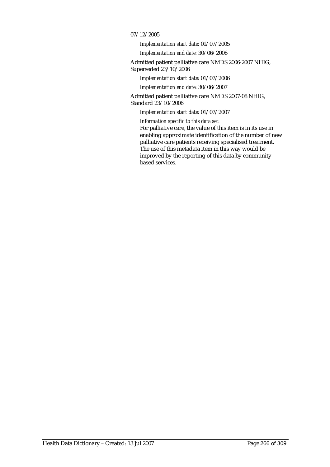#### 07/12/2005

*Implementation start date:* 01/07/2005

*Implementation end date:* 30/06/2006

Admitted patient palliative care NMDS 2006-2007 NHIG, Superseded 23/10/2006

*Implementation start date:* 01/07/2006

*Implementation end date:* 30/06/2007

Admitted patient palliative care NMDS 2007-08 NHIG, Standard 23/10/2006

*Implementation start date:* 01/07/2007

*Information specific to this data set:*

For palliative care, the value of this item is in its use in enabling approximate identification of the number of new palliative care patients receiving specialised treatment. The use of this metadata item in this way would be improved by the reporting of this data by communitybased services.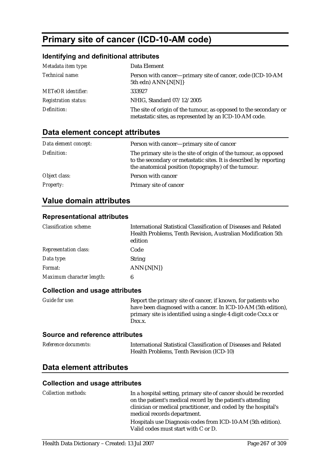# **Primary site of cancer (ICD-10-AM code)**

#### **Identifying and definitional attributes**

| Metadata item type:         | Data Element                                                                                                               |
|-----------------------------|----------------------------------------------------------------------------------------------------------------------------|
| Technical name:             | Person with cancer---primary site of cancer, code (ICD-10-AM<br>5th edn) ANN{.N[N]}                                        |
| <b>METeOR</b> identifier:   | 333927                                                                                                                     |
| <b>Registration status:</b> | NHIG, Standard 07/12/2005                                                                                                  |
| Definition:                 | The site of origin of the tumour, as opposed to the secondary or<br>metastatic sites, as represented by an ICD-10-AM code. |

# **Data element concept attributes**

| Data element concept: | Person with cancer---primary site of cancer                                                                                                                                                   |
|-----------------------|-----------------------------------------------------------------------------------------------------------------------------------------------------------------------------------------------|
| Definition:           | The primary site is the site of origin of the tumour, as opposed<br>to the secondary or metastatic sites. It is described by reporting<br>the anatomical position (topography) of the tumour. |
| Object class:         | Person with cancer                                                                                                                                                                            |
| <b>Property:</b>      | Primary site of cancer                                                                                                                                                                        |

# **Value domain attributes**

# **Representational attributes**

| <b>Classification scheme:</b> | International Statistical Classification of Diseases and Related<br>Health Problems, Tenth Revision, Australian Modification 5th<br>edition |
|-------------------------------|---------------------------------------------------------------------------------------------------------------------------------------------|
| <b>Representation class:</b>  | Code                                                                                                                                        |
| Data type:                    | <b>String</b>                                                                                                                               |
| Format:                       | ANN(N[N])                                                                                                                                   |
| Maximum character length:     | 6                                                                                                                                           |

#### **Collection and usage attributes**

| <i>Guide for use:</i> | Report the primary site of cancer, if known, for patients who                                                                               |
|-----------------------|---------------------------------------------------------------------------------------------------------------------------------------------|
|                       | have been diagnosed with a cancer. In ICD-10-AM (5th edition),<br>primary site is identified using a single 4 digit code Cxx.x or<br>Dxx.x. |
|                       |                                                                                                                                             |

#### **Source and reference attributes**

| Reference documents: | International Statistical Classification of Diseases and Related |
|----------------------|------------------------------------------------------------------|
|                      | Health Problems, Tenth Revision (ICD-10)                         |

## **Data element attributes**

| <b>Collection methods:</b> | In a hospital setting, primary site of cancer should be recorded |
|----------------------------|------------------------------------------------------------------|
|                            | on the patient's medical record by the patient's attending       |
|                            | clinician or medical practitioner, and coded by the hospital's   |
|                            | medical records department.                                      |
|                            | Hospitals use Diagnosis codes from ICD-10-AM (5th edition).      |
|                            | Valid codes must start with C or D.                              |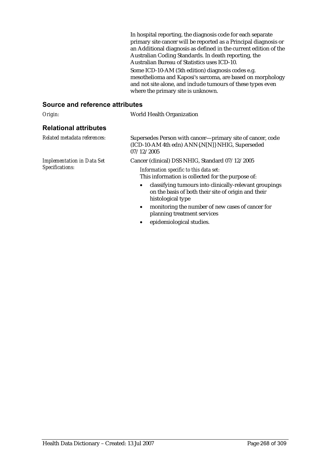In hospital reporting, the diagnosis code for each separate primary site cancer will be reported as a Principal diagnosis or an Additional diagnosis as defined in the current edition of the Australian Coding Standards. In death reporting, the Australian Bureau of Statistics uses ICD-10. Some ICD-10-AM (5th edition) diagnosis codes e.g. mesothelioma and Kaposi's sarcoma, are based on morphology and not site alone, and include tumours of these types even where the primary site is unknown.

#### **Source and reference attributes**

| Origin:                                              | <b>World Health Organization</b>                                                                                                               |  |
|------------------------------------------------------|------------------------------------------------------------------------------------------------------------------------------------------------|--|
| <b>Relational attributes</b>                         |                                                                                                                                                |  |
| Related metadata references:                         | Supersedes Person with cancer—primary site of cancer, code<br>(ICD-10-AM 4th edn) ANN{.N[N]} NHIG, Superseded<br>07/12/2005                    |  |
| <b>Implementation in Data Set</b><br>Specifications: | Cancer (clinical) DSS NHIG, Standard 07/12/2005<br>Information specific to this data set:<br>This information is collected for the purpose of: |  |
|                                                      | classifying tumours into clinically-relevant groupings<br>on the basis of both their site of origin and their<br>histological type             |  |
|                                                      | monitoring the number of new cases of cancer for<br>$\bullet$<br>planning treatment services                                                   |  |

• epidemiological studies.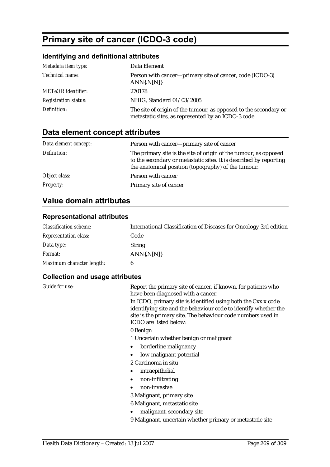# **Primary site of cancer (ICDO-3 code)**

## **Identifying and definitional attributes**

| Metadata item type:         | Data Element                                                                                                            |
|-----------------------------|-------------------------------------------------------------------------------------------------------------------------|
| Technical name:             | Person with cancer—primary site of cancer, code (ICDO-3)<br>$ANN\{N[N]\}$                                               |
| <b>METeOR</b> identifier:   | 270178                                                                                                                  |
| <b>Registration status:</b> | NHIG, Standard 01/03/2005                                                                                               |
| Definition:                 | The site of origin of the tumour, as opposed to the secondary or<br>metastatic sites, as represented by an ICDO-3 code. |

# **Data element concept attributes**

| Data element concept: | Person with cancer-primary site of cancer                                                                                                                                                     |
|-----------------------|-----------------------------------------------------------------------------------------------------------------------------------------------------------------------------------------------|
| Definition:           | The primary site is the site of origin of the tumour, as opposed<br>to the secondary or metastatic sites. It is described by reporting<br>the anatomical position (topography) of the tumour. |
| Object class:         | Person with cancer                                                                                                                                                                            |
| <b>Property:</b>      | Primary site of cancer                                                                                                                                                                        |

# **Value domain attributes**

#### **Representational attributes**

| <b>Classification scheme:</b> | International Classification of Diseases for Oncology 3rd edition |
|-------------------------------|-------------------------------------------------------------------|
| <b>Representation class:</b>  | Code                                                              |
| Data type:                    | <b>String</b>                                                     |
| <i>Format:</i>                | $ANN\{N[N]\}$                                                     |
| Maximum character length:     |                                                                   |

| Guide for use: | Report the primary site of cancer, if known, for patients who<br>have been diagnosed with a cancer.                                                                                                                        |
|----------------|----------------------------------------------------------------------------------------------------------------------------------------------------------------------------------------------------------------------------|
|                | In ICDO, primary site is identified using both the Cxx.x code<br>identifying site and the behaviour code to identify whether the<br>site is the primary site. The behaviour code numbers used in<br>ICDO are listed below: |
|                | 0 Benign                                                                                                                                                                                                                   |
|                | 1 Uncertain whether benign or malignant                                                                                                                                                                                    |
|                | borderline malignancy                                                                                                                                                                                                      |
|                | low malignant potential                                                                                                                                                                                                    |
|                | 2 Carcinoma in situ                                                                                                                                                                                                        |
|                | intraepithelial<br>$\bullet$                                                                                                                                                                                               |
|                | non-infiltrating<br>$\bullet$                                                                                                                                                                                              |
|                | non-invasive                                                                                                                                                                                                               |
|                | 3 Malignant, primary site                                                                                                                                                                                                  |
|                | 6 Malignant, metastatic site                                                                                                                                                                                               |
|                | malignant, secondary site                                                                                                                                                                                                  |
|                | 9 Malignant, uncertain whether primary or metastatic site                                                                                                                                                                  |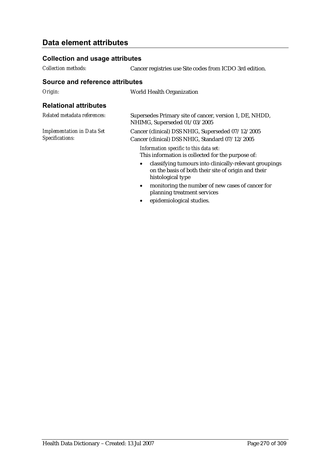# **Data element attributes**

#### **Collection and usage attributes**

*Collection methods:* Cancer registries use Site codes from ICDO 3rd edition.

#### **Source and reference attributes**

*Origin:* World Health Organization

#### **Relational attributes**

| Related metadata references:                         | Supersedes Primary site of cancer, version 1, DE, NHDD,<br>NHIMG, Superseded 01/03/2005                                    |
|------------------------------------------------------|----------------------------------------------------------------------------------------------------------------------------|
| <b>Implementation in Data Set</b><br>Specifications: | Cancer (clinical) DSS NHIG, Superseded 07/12/2005<br>Cancer (clinical) DSS NHIG, Standard 07/12/2005                       |
|                                                      | Information specific to this data set:<br>This information is collected for the purpose of:                                |
|                                                      | classifying tumours into clinically-relevant groupings<br>$\bullet$<br>on the basis of both their site of origin and their |

- monitoring the number of new cases of cancer for planning treatment services
- epidemiological studies.

histological type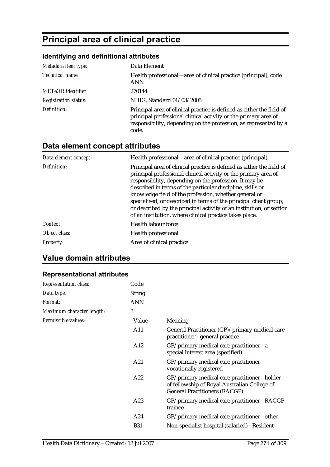# **Principal area of clinical practice**

# **Identifying and definitional attributes**

| Metadata item type:         | Data Element                                                                                                                                                                                                          |
|-----------------------------|-----------------------------------------------------------------------------------------------------------------------------------------------------------------------------------------------------------------------|
| Technical name:             | Health professional—area of clinical practice (principal), code<br><b>ANN</b>                                                                                                                                         |
| <b>METeOR</b> identifier:   | 270144                                                                                                                                                                                                                |
| <b>Registration status:</b> | NHIG, Standard 01/03/2005                                                                                                                                                                                             |
| Definition:                 | Principal area of clinical practice is defined as either the field of<br>principal professional clinical activity or the primary area of<br>responsibility, depending on the profession, as represented by a<br>code. |

# **Data element concept attributes**

| Data element concept: | Health professional—area of clinical practice (principal)                                                                                                                                                                                                                                                                                                                                                                                                                                                                         |
|-----------------------|-----------------------------------------------------------------------------------------------------------------------------------------------------------------------------------------------------------------------------------------------------------------------------------------------------------------------------------------------------------------------------------------------------------------------------------------------------------------------------------------------------------------------------------|
| Definition:           | Principal area of clinical practice is defined as either the field of<br>principal professional clinical activity or the primary area of<br>responsibility, depending on the profession. It may be<br>described in terms of the particular discipline, skills or<br>knowledge field of the profession, whether general or<br>specialised; or described in terms of the principal client group;<br>or described by the principal activity of an institution, or section<br>of an institution, where clinical practice takes place. |
| Context:              | <b>Health labour force</b>                                                                                                                                                                                                                                                                                                                                                                                                                                                                                                        |
| Object class:         | Health professional                                                                                                                                                                                                                                                                                                                                                                                                                                                                                                               |
| <b>Property:</b>      | Area of clinical practice                                                                                                                                                                                                                                                                                                                                                                                                                                                                                                         |

# **Value domain attributes**

# **Representational attributes**

| Code          |                                                                                                                                       |
|---------------|---------------------------------------------------------------------------------------------------------------------------------------|
| <b>String</b> |                                                                                                                                       |
| ANN           |                                                                                                                                       |
| 3             |                                                                                                                                       |
| Value         | Meaning                                                                                                                               |
| A11           | General Practitioner (GP)/primary medical care<br>practitioner - general practice                                                     |
| A12           | GP/primary medical care practitioner - a<br>special interest area (specified)                                                         |
| A21           | GP/primary medical care practitioner -<br>vocationally registered                                                                     |
| A22           | GP/primary medical care practitioner - holder<br>of fellowship of Royal Australian College of<br><b>General Practitioners (RACGP)</b> |
| A23           | GP/primary medical care practitioner - RACGP<br>trainee                                                                               |
| A24           | $GP/$ primary medical care practitioner - other                                                                                       |
| <b>B31</b>    | Non-specialist hospital (salaried) - Resident                                                                                         |
|               |                                                                                                                                       |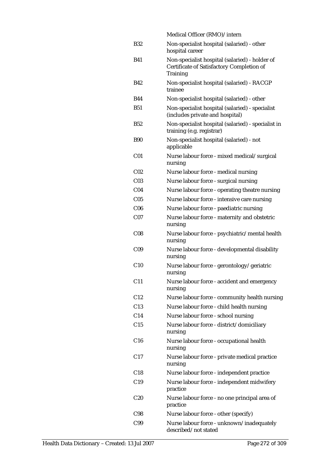|                 | Medical Officer (RMO)/intern                                                                            |
|-----------------|---------------------------------------------------------------------------------------------------------|
| <b>B32</b>      | Non-specialist hospital (salaried) - other<br>hospital career                                           |
| <b>B41</b>      | Non-specialist hospital (salaried) - holder of<br>Certificate of Satisfactory Completion of<br>Training |
| B42             | Non-specialist hospital (salaried) - RACGP<br>trainee                                                   |
| <b>B44</b>      | Non-specialist hospital (salaried) - other                                                              |
| <b>B51</b>      | Non-specialist hospital (salaried) - specialist<br>(includes private and hospital)                      |
| B52             | Non-specialist hospital (salaried) - specialist in<br>training (e.g. registrar)                         |
| <b>B90</b>      | Non-specialist hospital (salaried) - not<br>applicable                                                  |
| C <sub>01</sub> | Nurse labour force - mixed medical/surgical<br>nursing                                                  |
| C <sub>02</sub> | Nurse labour force - medical nursing                                                                    |
| C <sub>03</sub> | Nurse labour force - surgical nursing                                                                   |
| C <sub>04</sub> | Nurse labour force - operating theatre nursing                                                          |
| C <sub>05</sub> | Nurse labour force - intensive care nursing                                                             |
| C <sub>06</sub> | Nurse labour force - paediatric nursing                                                                 |
| C <sub>07</sub> | Nurse labour force - maternity and obstetric<br>nursing                                                 |
| C <sub>08</sub> | Nurse labour force - psychiatric/mental health<br>nursing                                               |
| C <sub>09</sub> | Nurse labour force - developmental disability<br>nursing                                                |
| C10             | Nurse labour force - gerontology/geriatric<br>nursing                                                   |
| C <sub>11</sub> | Nurse labour force - accident and emergency<br>nursing                                                  |
| C12             | Nurse labour force - community health nursing                                                           |
| C13             | Nurse labour force - child health nursing                                                               |
| C14             | Nurse labour force - school nursing                                                                     |
| C15             | Nurse labour force - district/domiciliary<br>nursing                                                    |
| C16             | Nurse labour force - occupational health<br>nursing                                                     |
| C <sub>17</sub> | Nurse labour force - private medical practice<br>nursing                                                |
| C18             | Nurse labour force - independent practice                                                               |
| C19             | Nurse labour force - independent midwifery<br>practice                                                  |
| C <sub>20</sub> | Nurse labour force - no one principal area of<br>practice                                               |
| C98             | Nurse labour force - other (specify)                                                                    |
| C99             | Nurse labour force - unknown/inadequately<br>described/not stated                                       |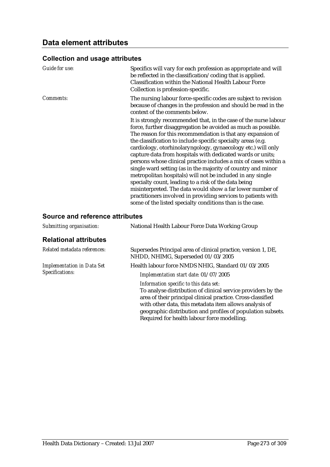#### **Collection and usage attributes**

| <b>Guide for use:</b> | Specifics will vary for each profession as appropriate and will<br>be reflected in the classification/coding that is applied.<br>Classification within the National Health Labour Force<br>Collection is profession-specific.                                                                                                                                                                                                                                                                                                                                                                                                                                                                                                                                                                                                                       |
|-----------------------|-----------------------------------------------------------------------------------------------------------------------------------------------------------------------------------------------------------------------------------------------------------------------------------------------------------------------------------------------------------------------------------------------------------------------------------------------------------------------------------------------------------------------------------------------------------------------------------------------------------------------------------------------------------------------------------------------------------------------------------------------------------------------------------------------------------------------------------------------------|
| Comments:             | The nursing labour force-specific codes are subject to revision<br>because of changes in the profession and should be read in the<br>context of the comments below.                                                                                                                                                                                                                                                                                                                                                                                                                                                                                                                                                                                                                                                                                 |
|                       | It is strongly recommended that, in the case of the nurse labour<br>force, further disaggregation be avoided as much as possible.<br>The reason for this recommendation is that any expansion of<br>the classification to include specific specialty areas (e.g.<br>cardiology, otorhinolaryngology, gynaecology etc.) will only<br>capture data from hospitals with dedicated wards or units;<br>persons whose clinical practice includes a mix of cases within a<br>single ward setting (as in the majority of country and minor<br>metropolitan hospitals) will not be included in any single<br>specialty count, leading to a risk of the data being<br>misinterpreted. The data would show a far lower number of<br>practitioners involved in providing services to patients with<br>some of the listed specialty conditions than is the case. |

### **Source and reference attributes**

| Submitting organisation:                             | National Health Labour Force Data Working Group                                                                                                                                                                                                                                                                                               |  |
|------------------------------------------------------|-----------------------------------------------------------------------------------------------------------------------------------------------------------------------------------------------------------------------------------------------------------------------------------------------------------------------------------------------|--|
| <b>Relational attributes</b>                         |                                                                                                                                                                                                                                                                                                                                               |  |
| Related metadata references:                         | Supersedes Principal area of clinical practice, version 1, DE,<br>NHDD, NHIMG, Superseded 01/03/2005                                                                                                                                                                                                                                          |  |
| <b>Implementation in Data Set</b><br>Specifications: | Health labour force NMDS NHIG, Standard 01/03/2005                                                                                                                                                                                                                                                                                            |  |
|                                                      | Implementation start date: 01/07/2005                                                                                                                                                                                                                                                                                                         |  |
|                                                      | Information specific to this data set:<br>To analyse distribution of clinical service providers by the<br>area of their principal clinical practice. Cross-classified<br>with other data, this metadata item allows analysis of<br>geographic distribution and profiles of population subsets.<br>Required for health labour force modelling. |  |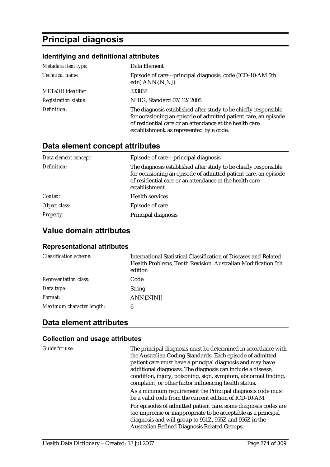# **Principal diagnosis**

#### **Identifying and definitional attributes**

| Metadata item type:         | Data Element                                                                                                                                                                                                                              |
|-----------------------------|-------------------------------------------------------------------------------------------------------------------------------------------------------------------------------------------------------------------------------------------|
| Technical name:             | Episode of care—principal diagnosis, code (ICD-10-AM 5th<br>edn) $ANN{N[N]}$                                                                                                                                                              |
| <b>METeOR</b> identifier:   | 333838                                                                                                                                                                                                                                    |
| <b>Registration status:</b> | NHIG, Standard 07/12/2005                                                                                                                                                                                                                 |
| Definition:                 | The diagnosis established after study to be chiefly responsible<br>for occasioning an episode of admitted patient care, an episode<br>of residential care or an attendance at the health care<br>establishment, as represented by a code. |

### **Data element concept attributes**

| Data element concept: | Episode of care—principal diagnosis                                                                                                                                                                             |
|-----------------------|-----------------------------------------------------------------------------------------------------------------------------------------------------------------------------------------------------------------|
| Definition:           | The diagnosis established after study to be chiefly responsible<br>for occasioning an episode of admitted patient care, an episode<br>of residential care or an attendance at the health care<br>establishment. |
| Context:              | <b>Health services</b>                                                                                                                                                                                          |
| Object class:         | Episode of care                                                                                                                                                                                                 |
| <b>Property:</b>      | Principal diagnosis                                                                                                                                                                                             |

#### **Value domain attributes**

#### **Representational attributes**

| <b>Classification scheme:</b> | International Statistical Classification of Diseases and Related<br>Health Problems, Tenth Revision, Australian Modification 5th<br>edition |
|-------------------------------|---------------------------------------------------------------------------------------------------------------------------------------------|
| <b>Representation class:</b>  | Code                                                                                                                                        |
| Data type:                    | <b>String</b>                                                                                                                               |
| Format:                       | $ANN\{N[N]\}$                                                                                                                               |
| Maximum character length:     | 6                                                                                                                                           |

## **Data element attributes**

#### **Collection and usage attributes**

*Guide for use:* The principal diagnosis must be determined in accordance with the Australian Coding Standards. Each episode of admitted patient care must have a principal diagnosis and may have additional diagnoses. The diagnosis can include a disease, condition, injury, poisoning, sign, symptom, abnormal finding, complaint, or other factor influencing health status. As a minimum requirement the Principal diagnosis code must be a valid code from the current edition of ICD-10-AM. For episodes of admitted patient care, some diagnosis codes are too imprecise or inappropriate to be acceptable as a principal diagnosis and will group to 951Z, 955Z and 956Z in the Australian Refined Diagnosis Related Groups.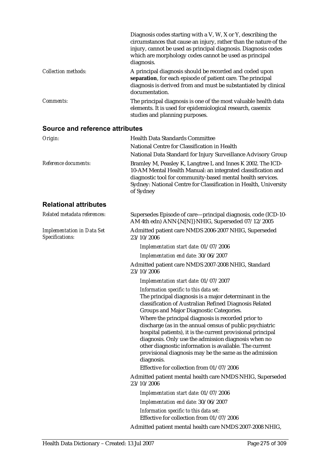|                            | Diagnosis codes starting with a V, W, X or Y, describing the<br>circumstances that cause an injury, rather than the nature of the<br>injury, cannot be used as principal diagnosis. Diagnosis codes<br>which are morphology codes cannot be used as principal<br>diagnosis. |
|----------------------------|-----------------------------------------------------------------------------------------------------------------------------------------------------------------------------------------------------------------------------------------------------------------------------|
| <b>Collection methods:</b> | A principal diagnosis should be recorded and coded upon<br>separation, for each episode of patient care. The principal<br>diagnosis is derived from and must be substantiated by clinical<br>documentation.                                                                 |
| Comments:                  | The principal diagnosis is one of the most valuable health data<br>elements. It is used for epidemiological research, casemix<br>studies and planning purposes.                                                                                                             |

#### **Source and reference attributes**

| Origin:                                              | <b>Health Data Standards Committee</b>                                                                                                                                                                                                                                                                                                                                                                             |
|------------------------------------------------------|--------------------------------------------------------------------------------------------------------------------------------------------------------------------------------------------------------------------------------------------------------------------------------------------------------------------------------------------------------------------------------------------------------------------|
|                                                      | National Centre for Classification in Health                                                                                                                                                                                                                                                                                                                                                                       |
|                                                      | National Data Standard for Injury Surveillance Advisory Group                                                                                                                                                                                                                                                                                                                                                      |
| Reference documents:                                 | Bramley M, Peasley K, Langtree L and Innes K 2002. The ICD-<br>10-AM Mental Health Manual: an integrated classification and<br>diagnostic tool for community-based mental health services.<br>Sydney: National Centre for Classification in Health, University<br>of Sydney                                                                                                                                        |
| <b>Relational attributes</b>                         |                                                                                                                                                                                                                                                                                                                                                                                                                    |
| Related metadata references:                         | Supersedes Episode of care—principal diagnosis, code (ICD-10-<br>AM 4th edn) ANN{.N[N]} NHIG, Superseded 07/12/2005                                                                                                                                                                                                                                                                                                |
| <b>Implementation in Data Set</b><br>Specifications: | Admitted patient care NMDS 2006-2007 NHIG, Superseded<br>23/10/2006                                                                                                                                                                                                                                                                                                                                                |
|                                                      | Implementation start date: 01/07/2006                                                                                                                                                                                                                                                                                                                                                                              |
|                                                      | Implementation end date: 30/06/2007                                                                                                                                                                                                                                                                                                                                                                                |
|                                                      | Admitted patient care NMDS 2007-2008 NHIG, Standard<br>23/10/2006                                                                                                                                                                                                                                                                                                                                                  |
|                                                      | Implementation start date: 01/07/2007                                                                                                                                                                                                                                                                                                                                                                              |
|                                                      | Information specific to this data set:<br>The principal diagnosis is a major determinant in the<br>classification of Australian Refined Diagnosis Related<br>Groups and Major Diagnostic Categories.                                                                                                                                                                                                               |
|                                                      | Where the principal diagnosis is recorded prior to<br>discharge (as in the annual census of public psychiatric<br>hospital patients), it is the current provisional principal<br>diagnosis. Only use the admission diagnosis when no<br>other diagnostic information is available. The current<br>provisional diagnosis may be the same as the admission<br>diagnosis.<br>Effective for collection from 01/07/2006 |

Admitted patient mental health care NMDS NHIG, Superseded 23/10/2006

*Implementation start date:* 01/07/2006

*Implementation end date:* 30/06/2007

*Information specific to this data set:* Effective for collection from 01/07/2006

Admitted patient mental health care NMDS 2007-2008 NHIG,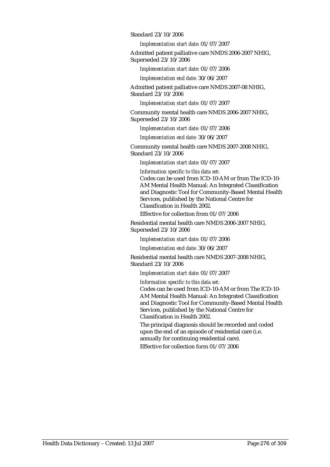Standard 23/10/2006

*Implementation start date:* 01/07/2007

Admitted patient palliative care NMDS 2006-2007 NHIG, Superseded 23/10/2006

*Implementation start date:* 01/07/2006

*Implementation end date:* 30/06/2007

Admitted patient palliative care NMDS 2007-08 NHIG, Standard 23/10/2006

*Implementation start date:* 01/07/2007

Community mental health care NMDS 2006-2007 NHIG, Superseded 23/10/2006

*Implementation start date:* 01/07/2006

*Implementation end date:* 30/06/2007

Community mental health care NMDS 2007-2008 NHIG, Standard 23/10/2006

*Implementation start date:* 01/07/2007

*Information specific to this data set:*

Codes can be used from ICD-10-AM or from The ICD-10- AM Mental Health Manual: An Integrated Classification and Diagnostic Tool for Community-Based Mental Health Services, published by the National Centre for Classification in Health 2002.

Effective for collection from 01/07/2006

Residential mental health care NMDS 2006-2007 NHIG, Superseded 23/10/2006

*Implementation start date:* 01/07/2006

*Implementation end date:* 30/06/2007

Residential mental health care NMDS 2007-2008 NHIG, Standard 23/10/2006

*Implementation start date:* 01/07/2007

*Information specific to this data set:*

Codes can be used from ICD-10-AM or from The ICD-10- AM Mental Health Manual: An Integrated Classification and Diagnostic Tool for Community-Based Mental Health Services, published by the National Centre for Classification in Health 2002.

The principal diagnosis should be recorded and coded upon the end of an episode of residential care (i.e. annually for continuing residential care).

Effective for collection form 01/07/2006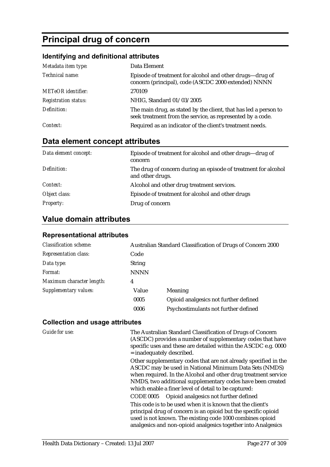# **Principal drug of concern**

## **Identifying and definitional attributes**

| Metadata item type:         | Data Element                                                                                                                   |
|-----------------------------|--------------------------------------------------------------------------------------------------------------------------------|
| Technical name:             | Episode of treatment for alcohol and other drugs-drug of<br>concern (principal), code (ASCDC 2000 extended) NNNN               |
| <b>METeOR</b> identifier:   | 270109                                                                                                                         |
| <b>Registration status:</b> | NHIG, Standard 01/03/2005                                                                                                      |
| Definition:                 | The main drug, as stated by the client, that has led a person to<br>seek treatment from the service, as represented by a code. |
| Context:                    | Required as an indicator of the client's treatment needs.                                                                      |

# **Data element concept attributes**

| Data element concept: | Episode of treatment for alcohol and other drugs—drug of<br>concern                |
|-----------------------|------------------------------------------------------------------------------------|
| Definition:           | The drug of concern during an episode of treatment for alcohol<br>and other drugs. |
| Context:              | Alcohol and other drug treatment services.                                         |
| Object class:         | Episode of treatment for alcohol and other drugs                                   |
| <b>Property:</b>      | Drug of concern                                                                    |

# **Value domain attributes**

## **Representational attributes**

| <b>Classification scheme:</b> | Australian Standard Classification of Drugs of Concern 2000 |                                       |
|-------------------------------|-------------------------------------------------------------|---------------------------------------|
| <b>Representation class:</b>  | Code                                                        |                                       |
| Data type:                    | <b>String</b>                                               |                                       |
| Format:                       | <b>NNNN</b>                                                 |                                       |
| Maximum character length:     | 4                                                           |                                       |
| Supplementary values:         | Value                                                       | Meaning                               |
|                               | 0005                                                        | Opioid analgesics not further defined |
|                               | 0006                                                        | Psychostimulants not further defined  |

| Guide for use: | The Australian Standard Classification of Drugs of Concern<br>(ASCDC) provides a number of supplementary codes that have<br>specific uses and these are detailed within the ASCDC e.g. 0000<br>$=$ inadequately described.                                                                                        |
|----------------|-------------------------------------------------------------------------------------------------------------------------------------------------------------------------------------------------------------------------------------------------------------------------------------------------------------------|
|                | Other supplementary codes that are not already specified in the<br>ASCDC may be used in National Minimum Data Sets (NMDS)<br>when required. In the Alcohol and other drug treatment service<br>NMDS, two additional supplementary codes have been created<br>which enable a finer level of detail to be captured: |
|                | CODE 0005 Opioid analgesics not further defined                                                                                                                                                                                                                                                                   |
|                | This code is to be used when it is known that the client's<br>principal drug of concern is an opioid but the specific opioid<br>used is not known. The existing code 1000 combines opioid<br>analgesics and non-opioid analgesics together into Analgesics                                                        |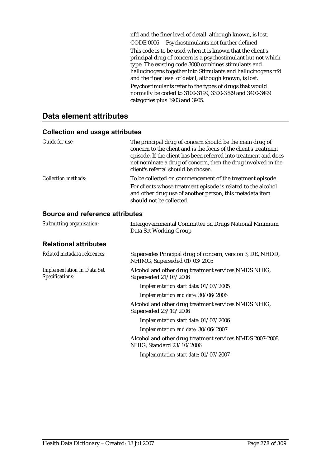nfd and the finer level of detail, although known, is lost. CODE 0006 Psychostimulants not further defined This code is to be used when it is known that the client's principal drug of concern is a psychostimulant but not which type. The existing code 3000 combines stimulants and hallucinogens together into Stimulants and hallucinogens nfd and the finer level of detail, although known, is lost. Psychostimulants refer to the types of drugs that would normally be coded to 3100-3199, 3300-3399 and 3400-3499 categories plus 3903 and 3905.

# **Data element attributes**

| <b>Collection and usage attributes</b> |  |  |
|----------------------------------------|--|--|
|----------------------------------------|--|--|

| Guide for use:             | The principal drug of concern should be the main drug of<br>concern to the client and is the focus of the client's treatment<br>episode. If the client has been referred into treatment and does<br>not nominate a drug of concern, then the drug involved in the<br>client's referral should be chosen. |
|----------------------------|----------------------------------------------------------------------------------------------------------------------------------------------------------------------------------------------------------------------------------------------------------------------------------------------------------|
| <b>Collection methods:</b> | To be collected on commencement of the treatment episode.<br>For clients whose treatment episode is related to the alcohol<br>and other drug use of another person, this metadata item<br>should not be collected.                                                                                       |

#### **Source and reference attributes**

| Submitting organisation:                             | Intergovernmental Committee on Drugs National Minimum<br>Data Set Working Group            |
|------------------------------------------------------|--------------------------------------------------------------------------------------------|
| <b>Relational attributes</b>                         |                                                                                            |
| Related metadata references:                         | Supersedes Principal drug of concern, version 3, DE, NHDD,<br>NHIMG, Superseded 01/03/2005 |
| <b>Implementation in Data Set</b><br>Specifications: | Alcohol and other drug treatment services NMDS NHIG,<br>Superseded 21/03/2006              |
|                                                      | Implementation start date: 01/07/2005                                                      |
|                                                      | Implementation end date: 30/06/2006                                                        |
|                                                      | Alcohol and other drug treatment services NMDS NHIG,<br>Superseded 23/10/2006              |
|                                                      | Implementation start date: 01/07/2006                                                      |
|                                                      | Implementation end date: 30/06/2007                                                        |
|                                                      | Alcohol and other drug treatment services NMDS 2007-2008<br>NHIG, Standard 23/10/2006      |
|                                                      | Implementation start date: 01/07/2007                                                      |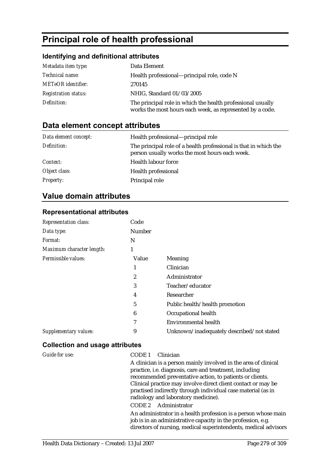# **Principal role of health professional**

## **Identifying and definitional attributes**

| Metadata item type:         | Data Element                                                                                                             |
|-----------------------------|--------------------------------------------------------------------------------------------------------------------------|
| <i>Technical name:</i>      | Health professional—principal role, code N                                                                               |
| <b>METeOR</b> identifier:   | 270145                                                                                                                   |
| <b>Registration status:</b> | NHIG, Standard 01/03/2005                                                                                                |
| Definition:                 | The principal role in which the health professional usually<br>works the most hours each week, as represented by a code. |

# **Data element concept attributes**

| Data element concept: | Health professional—principal role                                                                                 |
|-----------------------|--------------------------------------------------------------------------------------------------------------------|
| Definition:           | The principal role of a health professional is that in which the<br>person usually works the most hours each week. |
| Context:              | Health labour force                                                                                                |
| Object class:         | <b>Health professional</b>                                                                                         |
| <b>Property:</b>      | Principal role                                                                                                     |

# **Value domain attributes**

#### **Representational attributes**

| Representation class:     | Code   |                                           |
|---------------------------|--------|-------------------------------------------|
| Data type:                | Number |                                           |
| <i>Format:</i>            | N      |                                           |
| Maximum character length: | 1      |                                           |
| Permissible values:       | Value  | Meaning                                   |
|                           | 1      | Clinician                                 |
|                           | 2      | Administrator                             |
|                           | 3      | Teacher/educator                          |
|                           | 4      | Researcher                                |
|                           | 5      | Public health/health promotion            |
|                           | 6      | Occupational health                       |
|                           | 7      | <b>Environmental health</b>               |
| Supplementary values:     | 9      | Unknown/inadequately described/not stated |

| <b>Guide for use:</b> | Clinician<br>CODE 1                                             |
|-----------------------|-----------------------------------------------------------------|
|                       | A clinician is a person mainly involved in the area of clinical |
|                       | practice, i.e. diagnosis, care and treatment, including         |
|                       | recommended preventative action, to patients or clients.        |
|                       | Clinical practice may involve direct client contact or may be   |
|                       | practised indirectly through individual case material (as in    |
|                       | radiology and laboratory medicine).                             |
|                       | CODE 2 Administrator                                            |
|                       | An administrator in a health profession is a person whose main  |
|                       | job is in an administrative capacity in the profession, e.g.    |
|                       | directors of nursing, medical superintendents, medical advisors |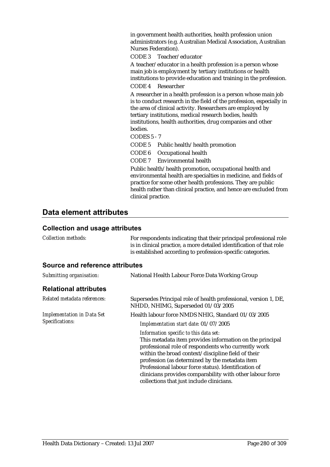in government health authorities, health profession union administrators (e.g. Australian Medical Association, Australian Nurses Federation).

CODE 3 Teacher/educator

A teacher/educator in a health profession is a person whose main job is employment by tertiary institutions or health institutions to provide education and training in the profession. CODE 4 Researcher

A researcher in a health profession is a person whose main job is to conduct research in the field of the profession, especially in the area of clinical activity. Researchers are employed by tertiary institutions, medical research bodies, health institutions, health authorities, drug companies and other bodies.

CODES 5 - 7

CODE 5 Public health/health promotion

CODE 6 Occupational health

CODE 7 Environmental health

Public health/health promotion, occupational health and environmental health are specialties in medicine, and fields of practice for some other health professions. They are public health rather than clinical practice, and hence are excluded from clinical practice.

### **Data element attributes**

| <b>Collection methods:</b>                           | For respondents indicating that their principal professional role<br>is in clinical practice, a more detailed identification of that role<br>is established according to profession-specific categories.                                                                                                                                                                                                                            |
|------------------------------------------------------|-------------------------------------------------------------------------------------------------------------------------------------------------------------------------------------------------------------------------------------------------------------------------------------------------------------------------------------------------------------------------------------------------------------------------------------|
| Source and reference attributes                      |                                                                                                                                                                                                                                                                                                                                                                                                                                     |
| Submitting organisation:                             | National Health Labour Force Data Working Group                                                                                                                                                                                                                                                                                                                                                                                     |
| <b>Relational attributes</b>                         |                                                                                                                                                                                                                                                                                                                                                                                                                                     |
| Related metadata references:                         | Supersedes Principal role of health professional, version 1, DE,<br>NHDD, NHIMG, Superseded 01/03/2005                                                                                                                                                                                                                                                                                                                              |
| <b>Implementation in Data Set</b><br>Specifications: | Health labour force NMDS NHIG, Standard 01/03/2005                                                                                                                                                                                                                                                                                                                                                                                  |
|                                                      | Implementation start date: 01/07/2005                                                                                                                                                                                                                                                                                                                                                                                               |
|                                                      | Information specific to this data set:<br>This metadata item provides information on the principal<br>professional role of respondents who currently work<br>within the broad context/discipline field of their<br>profession (as determined by the metadata item<br>Professional labour force status). Identification of<br>clinicians provides comparability with other labour force<br>collections that just include clinicians. |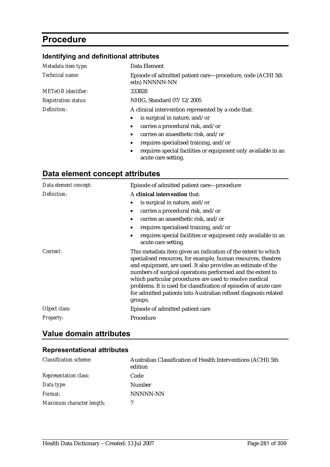# **Procedure**

# **Identifying and definitional attributes**

| Metadata item type:         | Data Element                                                                |
|-----------------------------|-----------------------------------------------------------------------------|
| Technical name:             | Episode of admitted patient care—procedure, code (ACHI 5th<br>edn) NNNNN-NN |
| <b>METeOR</b> identifier:   | 333828                                                                      |
| <b>Registration status:</b> | NHIG, Standard 07/12/2005                                                   |
| Definition:                 | A clinical intervention represented by a code that:                         |
|                             | is surgical in nature, and/or<br>$\bullet$                                  |
|                             | carries a procedural risk, and/or<br>$\bullet$                              |
|                             | carries an anaesthetic risk, and/or<br>$\bullet$                            |
|                             | requires specialised training, and/or<br>$\bullet$                          |

• requires special facilities or equipment only available in an acute care setting.

# **Data element concept attributes**

| Data element concept: | Episode of admitted patient care-procedure                                                                                                                                                                                                                                                                                                                                                                                                                                 |  |  |
|-----------------------|----------------------------------------------------------------------------------------------------------------------------------------------------------------------------------------------------------------------------------------------------------------------------------------------------------------------------------------------------------------------------------------------------------------------------------------------------------------------------|--|--|
| Definition:           | A clinical intervention that:                                                                                                                                                                                                                                                                                                                                                                                                                                              |  |  |
|                       | is surgical in nature, and/or                                                                                                                                                                                                                                                                                                                                                                                                                                              |  |  |
|                       | carries a procedural risk, and/or<br>$\bullet$                                                                                                                                                                                                                                                                                                                                                                                                                             |  |  |
|                       | carries an anaesthetic risk, and/or<br>$\bullet$                                                                                                                                                                                                                                                                                                                                                                                                                           |  |  |
|                       | requires specialised training, and/or                                                                                                                                                                                                                                                                                                                                                                                                                                      |  |  |
|                       | requires special facilities or equipment only available in an<br>$\bullet$<br>acute care setting.                                                                                                                                                                                                                                                                                                                                                                          |  |  |
| Context:              | This metadata item gives an indication of the extent to which<br>specialised resources, for example, human resources, theatres<br>and equipment, are used. It also provides an estimate of the<br>numbers of surgical operations performed and the extent to<br>which particular procedures are used to resolve medical<br>problems. It is used for classification of episodes of acute care<br>for admitted patients into Australian refined diagnosis related<br>groups. |  |  |
| Object class:         | Episode of admitted patient care                                                                                                                                                                                                                                                                                                                                                                                                                                           |  |  |
| <b>Property:</b>      | Procedure                                                                                                                                                                                                                                                                                                                                                                                                                                                                  |  |  |

## **Value domain attributes**

#### **Representational attributes**

| <b>Classification scheme:</b> | Australian Classification of Health Interventions (ACHI) 5th<br>edition |
|-------------------------------|-------------------------------------------------------------------------|
| <b>Representation class:</b>  | Code                                                                    |
| Data type:                    | <b>Number</b>                                                           |
| Format:                       | NNNNN-NN                                                                |
| Maximum character length:     |                                                                         |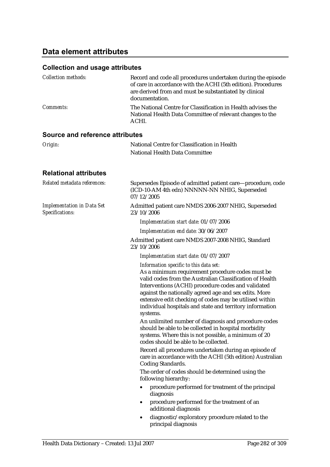# **Data element attributes**

# **Collection and usage attributes**

| <i>Collection methods:</i> | Record and code all procedures undertaken during the episode<br>of care in accordance with the ACHI (5th edition). Procedures<br>are derived from and must be substantiated by clinical<br>documentation. |
|----------------------------|-----------------------------------------------------------------------------------------------------------------------------------------------------------------------------------------------------------|
| <i>Comments:</i>           | The National Centre for Classification in Health advises the<br>National Health Data Committee of relevant changes to the<br>ACHI.                                                                        |

## **Source and reference attributes**

| National Centre for Classification in Health                                                                                                                                                                                                                                                                                                                                                                                                                                                                                                                                                                              |  |  |
|---------------------------------------------------------------------------------------------------------------------------------------------------------------------------------------------------------------------------------------------------------------------------------------------------------------------------------------------------------------------------------------------------------------------------------------------------------------------------------------------------------------------------------------------------------------------------------------------------------------------------|--|--|
| National Health Data Committee                                                                                                                                                                                                                                                                                                                                                                                                                                                                                                                                                                                            |  |  |
|                                                                                                                                                                                                                                                                                                                                                                                                                                                                                                                                                                                                                           |  |  |
| Supersedes Episode of admitted patient care—procedure, code<br>(ICD-10-AM 4th edn) NNNNN-NN NHIG, Superseded<br>07/12/2005                                                                                                                                                                                                                                                                                                                                                                                                                                                                                                |  |  |
| Admitted patient care NMDS 2006-2007 NHIG, Superseded<br>23/10/2006                                                                                                                                                                                                                                                                                                                                                                                                                                                                                                                                                       |  |  |
| Implementation start date: 01/07/2006                                                                                                                                                                                                                                                                                                                                                                                                                                                                                                                                                                                     |  |  |
| Implementation end date: 30/06/2007                                                                                                                                                                                                                                                                                                                                                                                                                                                                                                                                                                                       |  |  |
| Admitted patient care NMDS 2007-2008 NHIG, Standard<br>23/10/2006                                                                                                                                                                                                                                                                                                                                                                                                                                                                                                                                                         |  |  |
| Implementation start date: 01/07/2007                                                                                                                                                                                                                                                                                                                                                                                                                                                                                                                                                                                     |  |  |
| Information specific to this data set:<br>As a minimum requirement procedure codes must be<br>valid codes from the Australian Classification of Health<br>Interventions (ACHI) procedure codes and validated<br>against the nationally agreed age and sex edits. More<br>extensive edit checking of codes may be utilised within<br>individual hospitals and state and territory information<br>systems.<br>An unlimited number of diagnosis and procedure codes<br>should be able to be collected in hospital morbidity<br>systems. Where this is not possible, a minimum of 20<br>codes should be able to be collected. |  |  |
| Record all procedures undertaken during an episode of<br>care in accordance with the ACHI (5th edition) Australian<br>Coding Standards.<br>The order of codes should be determined using the<br>following hierarchy:                                                                                                                                                                                                                                                                                                                                                                                                      |  |  |
| procedure performed for treatment of the principal<br>٠<br>diagnosis                                                                                                                                                                                                                                                                                                                                                                                                                                                                                                                                                      |  |  |
| procedure performed for the treatment of an<br>additional diagnosis                                                                                                                                                                                                                                                                                                                                                                                                                                                                                                                                                       |  |  |
| diagnostic/exploratory procedure related to the<br>principal diagnosis                                                                                                                                                                                                                                                                                                                                                                                                                                                                                                                                                    |  |  |
|                                                                                                                                                                                                                                                                                                                                                                                                                                                                                                                                                                                                                           |  |  |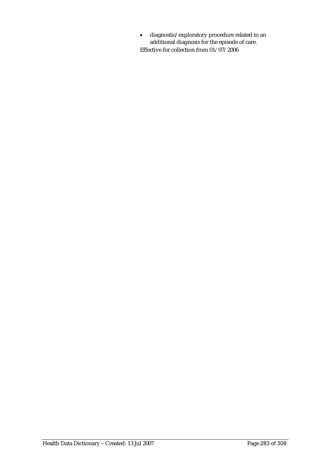• diagnostic/exploratory procedure related to an additional diagnosis for the episode of care. Effective for collection from  $01/07/2006$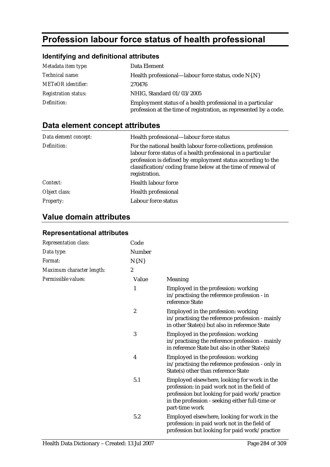# **Profession labour force status of health professional**

# **Identifying and definitional attributes**

| Metadata item type:         | Data Element                                                                                                                    |
|-----------------------------|---------------------------------------------------------------------------------------------------------------------------------|
| <i>Technical name:</i>      | Health professional—labour force status, code N{.N}                                                                             |
| <b>METeOR</b> identifier:   | 270476                                                                                                                          |
| <b>Registration status:</b> | NHIG, Standard 01/03/2005                                                                                                       |
| Definition:                 | Employment status of a health professional in a particular<br>profession at the time of registration, as represented by a code. |

# **Data element concept attributes**

| Data element concept: | Health professional—labour force status                                                                                                                                                                                                                                     |
|-----------------------|-----------------------------------------------------------------------------------------------------------------------------------------------------------------------------------------------------------------------------------------------------------------------------|
| Definition:           | For the national health labour force collections, profession<br>labour force status of a health professional in a particular<br>profession is defined by employment status according to the<br>classification/coding frame below at the time of renewal of<br>registration. |
| Context:              | Health labour force                                                                                                                                                                                                                                                         |
| Object class:         | <b>Health professional</b>                                                                                                                                                                                                                                                  |
| <i>Property:</i>      | Labour force status                                                                                                                                                                                                                                                         |

# **Value domain attributes**

| Representation class:     | Code             |                                                                                                                                                                                                                   |
|---------------------------|------------------|-------------------------------------------------------------------------------------------------------------------------------------------------------------------------------------------------------------------|
| Data type:                | Number           |                                                                                                                                                                                                                   |
| Format:                   | $N\{N\}$         |                                                                                                                                                                                                                   |
| Maximum character length: | $\boldsymbol{2}$ |                                                                                                                                                                                                                   |
| Permissible values:       | Value            | Meaning                                                                                                                                                                                                           |
|                           | 1                | Employed in the profession: working<br>in/practising the reference profession - in<br>reference State                                                                                                             |
|                           | $\boldsymbol{2}$ | Employed in the profession: working<br>in/practising the reference profession - mainly<br>in other State(s) but also in reference State                                                                           |
|                           | 3                | Employed in the profession: working<br>in/practising the reference profession - mainly<br>in reference State but also in other State(s)                                                                           |
|                           | 4                | Employed in the profession: working<br>in/practising the reference profession - only in<br>State(s) other than reference State                                                                                    |
|                           | 5.1              | Employed elsewhere, looking for work in the<br>profession: in paid work not in the field of<br>profession but looking for paid work/practice<br>in the profession - seeking either full-time or<br>part-time work |
|                           | 5.2              | Employed elsewhere, looking for work in the<br>profession: in paid work not in the field of<br>profession but looking for paid work/practice                                                                      |

### **Representational attributes**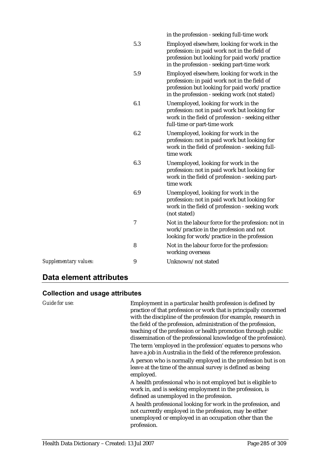|                       |                  | in the profession - seeking full-time work                                                                                                                                                    |
|-----------------------|------------------|-----------------------------------------------------------------------------------------------------------------------------------------------------------------------------------------------|
|                       | 5.3              | Employed elsewhere, looking for work in the<br>profession: in paid work not in the field of<br>profession but looking for paid work/practice<br>in the profession - seeking part-time work    |
|                       | 5.9              | Employed elsewhere, looking for work in the<br>profession: in paid work not in the field of<br>profession but looking for paid work/practice<br>in the profession - seeking work (not stated) |
|                       | 6.1              | Unemployed, looking for work in the<br>profession: not in paid work but looking for<br>work in the field of profession - seeking either<br>full-time or part-time work                        |
|                       | 6.2              | Unemployed, looking for work in the<br>profession: not in paid work but looking for<br>work in the field of profession - seeking full-<br>time work                                           |
|                       | 6.3              | Unemployed, looking for work in the<br>profession: not in paid work but looking for<br>work in the field of profession - seeking part-<br>time work                                           |
|                       | 6.9              | Unemployed, looking for work in the<br>profession: not in paid work but looking for<br>work in the field of profession - seeking work<br>(not stated)                                         |
|                       | $\boldsymbol{7}$ | Not in the labour force for the profession: not in<br>work/practice in the profession and not<br>looking for work/practice in the profession                                                  |
|                       | 8                | Not in the labour force for the profession:<br>working overseas                                                                                                                               |
| Supplementary values: | 9                | Unknown/not stated                                                                                                                                                                            |
|                       |                  |                                                                                                                                                                                               |

# **Data element attributes**

| Guide for use: | Employment in a particular health profession is defined by<br>practice of that profession or work that is principally concerned<br>with the discipline of the profession (for example, research in<br>the field of the profession, administration of the profession,<br>teaching of the profession or health promotion through public<br>dissemination of the professional knowledge of the profession). |
|----------------|----------------------------------------------------------------------------------------------------------------------------------------------------------------------------------------------------------------------------------------------------------------------------------------------------------------------------------------------------------------------------------------------------------|
|                | The term 'employed in the profession' equates to persons who<br>have a job in Australia in the field of the reference profession.                                                                                                                                                                                                                                                                        |
|                | A person who is normally employed in the profession but is on<br>leave at the time of the annual survey is defined as being<br>employed.                                                                                                                                                                                                                                                                 |
|                | A health professional who is not employed but is eligible to<br>work in, and is seeking employment in the profession, is<br>defined as unemployed in the profession.                                                                                                                                                                                                                                     |
|                | A health professional looking for work in the profession, and<br>not currently employed in the profession, may be either<br>unemployed or employed in an occupation other than the<br>profession.                                                                                                                                                                                                        |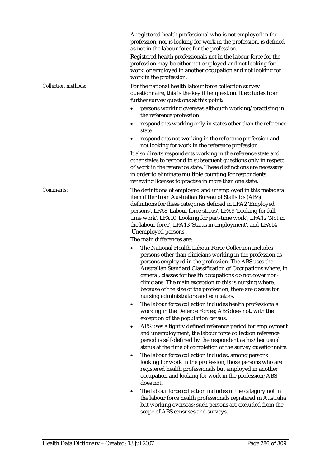A registered health professional who is not employed in the profession, nor is looking for work in the profession, is defined as not in the labour force for the profession.

Registered health professionals not in the labour force for the profession may be either not employed and not looking for work, or employed in another occupation and not looking for work in the profession.

*Collection methods:* For the national health labour force collection survey questionnaire, this is the key filter question. It excludes from further survey questions at this point:

- persons working overseas although working/practising in the reference profession
- respondents working only in states other than the reference state
- respondents not working in the reference profession and not looking for work in the reference profession.

It also directs respondents working in the reference state and other states to respond to subsequent questions only in respect of work in the reference state. These distinctions are necessary in order to eliminate multiple counting for respondents renewing licenses to practise in more than one state.

*Comments:* The definitions of employed and unemployed in this metadata item differ from Australian Bureau of Statistics (ABS) definitions for these categories defined in LFA2 'Employed persons', LFA8 'Labour force status', LFA9 'Looking for fulltime work', LFA10 'Looking for part-time work', LFA12 'Not in the labour force', LFA13 'Status in employment', and LFA14 'Unemployed persons'.

The main differences are:

- The National Health Labour Force Collection includes persons other than clinicians working in the profession as persons employed in the profession. The ABS uses the Australian Standard Classification of Occupations where, in general, classes for health occupations do not cover nonclinicians. The main exception to this is nursing where, because of the size of the profession, there are classes for nursing administrators and educators.
- The labour force collection includes health professionals working in the Defence Forces; ABS does not, with the exception of the population census.
- ABS uses a tightly defined reference period for employment and unemployment; the labour force collection reference period is self-defined by the respondent as his/her usual status at the time of completion of the survey questionnaire.
- The labour force collection includes, among persons looking for work in the profession, those persons who are registered health professionals but employed in another occupation and looking for work in the profession; ABS does not.
- The labour force collection includes in the category not in the labour force health professionals registered in Australia but working overseas; such persons are excluded from the scope of ABS censuses and surveys.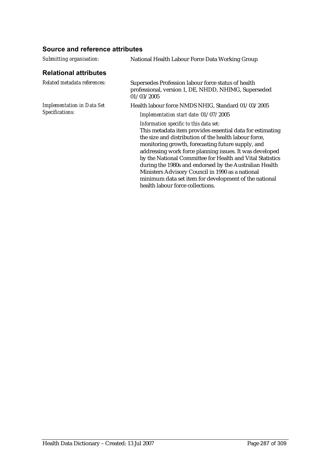### **Source and reference attributes**

| Submitting organisation:                             | National Health Labour Force Data Working Group                                                                                                                                                                                                                                                                                                                                                                                                                                                                                                      |  |
|------------------------------------------------------|------------------------------------------------------------------------------------------------------------------------------------------------------------------------------------------------------------------------------------------------------------------------------------------------------------------------------------------------------------------------------------------------------------------------------------------------------------------------------------------------------------------------------------------------------|--|
| <b>Relational attributes</b>                         |                                                                                                                                                                                                                                                                                                                                                                                                                                                                                                                                                      |  |
| Related metadata references:                         | Supersedes Profession labour force status of health<br>professional, version 1, DE, NHDD, NHIMG, Superseded<br>01/03/2005                                                                                                                                                                                                                                                                                                                                                                                                                            |  |
| <b>Implementation in Data Set</b><br>Specifications: | Health labour force NMDS NHIG, Standard 01/03/2005                                                                                                                                                                                                                                                                                                                                                                                                                                                                                                   |  |
|                                                      | Implementation start date: 01/07/2005                                                                                                                                                                                                                                                                                                                                                                                                                                                                                                                |  |
|                                                      | Information specific to this data set:<br>This metadata item provides essential data for estimating<br>the size and distribution of the health labour force.<br>monitoring growth, forecasting future supply, and<br>addressing work force planning issues. It was developed<br>by the National Committee for Health and Vital Statistics<br>during the 1980s and endorsed by the Australian Health<br>Ministers Advisory Council in 1990 as a national<br>minimum data set item for development of the national<br>health labour force collections. |  |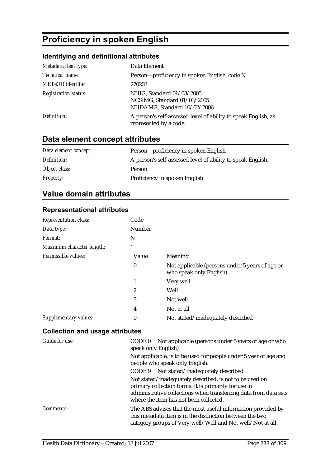# **Proficiency in spoken English**

# **Identifying and definitional attributes**

| Metadata item type:         | Data Element                                                                             |
|-----------------------------|------------------------------------------------------------------------------------------|
| Technical name:             | Person-proficiency in spoken English, code N                                             |
| <b>METeOR</b> identifier:   | 270203                                                                                   |
| <b>Registration status:</b> | NHIG, Standard 01/03/2005<br>NCSIMG, Standard 01/03/2005<br>NHDAMG, Standard 10/02/2006  |
| Definition:                 | A person's self-assessed level of ability to speak English, as<br>represented by a code. |

# **Data element concept attributes**

| Data element concept: | Person-proficiency in spoken English                        |
|-----------------------|-------------------------------------------------------------|
| Definition:           | A person's self-assessed level of ability to speak English. |
| Object class:         | Person                                                      |
| <b>Property:</b>      | Proficiency in spoken English                               |

# **Value domain attributes**

#### **Representational attributes**

| <b>Representation class:</b> | Code   |                                                                            |
|------------------------------|--------|----------------------------------------------------------------------------|
| Data type:                   | Number |                                                                            |
| Format:                      | N      |                                                                            |
| Maximum character length:    | 1      |                                                                            |
| Permissible values:          | Value  | Meaning                                                                    |
|                              | 0      | Not applicable (persons under 5 years of age or<br>who speak only English) |
|                              | 1      | Very well                                                                  |
|                              | 2      | Well                                                                       |
|                              | 3      | Not well                                                                   |
|                              | 4      | Not at all                                                                 |
| Supplementary values:        | 9      | Not stated/inadequately described                                          |

| Guide for use:   | Not applicable (persons under 5 years of age or who<br>CODE 0<br>speak only English)                                                                                                                                          |
|------------------|-------------------------------------------------------------------------------------------------------------------------------------------------------------------------------------------------------------------------------|
|                  | Not applicable, is to be used for people under 5 year of age and<br>people who speak only English.                                                                                                                            |
|                  | CODE 9 Not stated/inadequately described                                                                                                                                                                                      |
|                  | Not stated/inadequately described, is not to be used on<br>primary collection forms. It is primarily for use in<br>administrative collections when transferring data from data sets<br>where the item has not been collected. |
| <i>Comments:</i> | The ABS advises that the most useful information provided by<br>this metadata item is in the distinction between the two<br>category groups of Very well/Well and Not well/Not at all.                                        |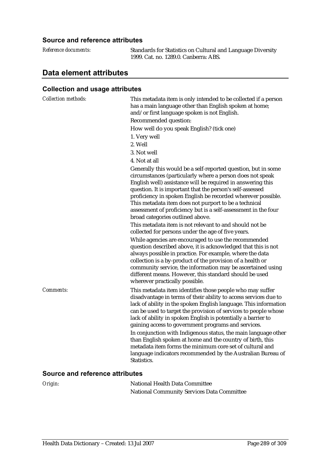| Reference documents: | Standards for Statistics on Cul |
|----------------------|---------------------------------|
|                      | 1999. Cat. no. 1289.0. Canberra |

*Reference documents:* Standards for Statistics on Cultural and Language Diversity  $a: ABS.$ 

# **Data element attributes**

| <b>Collection methods:</b>             | This metadata item is only intended to be collected if a person<br>has a main language other than English spoken at home;<br>and/or first language spoken is not English.                                                                                                                                                                                                                                                                                                             |
|----------------------------------------|---------------------------------------------------------------------------------------------------------------------------------------------------------------------------------------------------------------------------------------------------------------------------------------------------------------------------------------------------------------------------------------------------------------------------------------------------------------------------------------|
|                                        | Recommended question:                                                                                                                                                                                                                                                                                                                                                                                                                                                                 |
|                                        | How well do you speak English? (tick one)                                                                                                                                                                                                                                                                                                                                                                                                                                             |
|                                        | 1. Very well                                                                                                                                                                                                                                                                                                                                                                                                                                                                          |
|                                        | 2. Well                                                                                                                                                                                                                                                                                                                                                                                                                                                                               |
|                                        | 3. Not well                                                                                                                                                                                                                                                                                                                                                                                                                                                                           |
|                                        | 4. Not at all                                                                                                                                                                                                                                                                                                                                                                                                                                                                         |
|                                        | Generally this would be a self-reported question, but in some<br>circumstances (particularly where a person does not speak<br>English well) assistance will be required in answering this<br>question. It is important that the person's self-assessed<br>proficiency in spoken English be recorded wherever possible.<br>This metadata item does not purport to be a technical<br>assessment of proficiency but is a self-assessment in the four<br>broad categories outlined above. |
|                                        | This metadata item is not relevant to and should not be<br>collected for persons under the age of five years.                                                                                                                                                                                                                                                                                                                                                                         |
|                                        | While agencies are encouraged to use the recommended<br>question described above, it is acknowledged that this is not<br>always possible in practice. For example, where the data<br>collection is a by-product of the provision of a health or<br>community service, the information may be ascertained using<br>different means. However, this standard should be used<br>wherever practically possible.                                                                            |
| Comments:                              | This metadata item identifies those people who may suffer<br>disadvantage in terms of their ability to access services due to<br>lack of ability in the spoken English language. This information<br>can be used to target the provision of services to people whose<br>lack of ability in spoken English is potentially a barrier to<br>gaining access to government programs and services.                                                                                          |
|                                        | In conjunction with Indigenous status, the main language other<br>than English spoken at home and the country of birth, this<br>metadata item forms the minimum core set of cultural and<br>language indicators recommended by the Australian Bureau of<br>Statistics.                                                                                                                                                                                                                |
| <b>Source and reference attributes</b> |                                                                                                                                                                                                                                                                                                                                                                                                                                                                                       |

| Origin: | National Health Data Committee                    |
|---------|---------------------------------------------------|
|         | <b>National Community Services Data Committee</b> |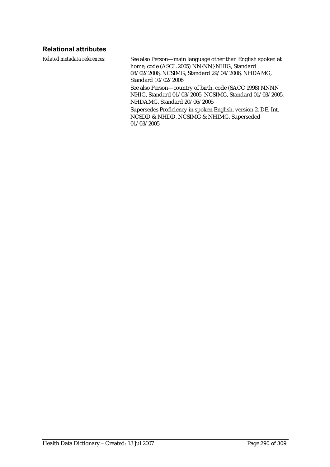### **Relational attributes**

*Related metadata references:* See also Person—main language other than English spoken at home, code (ASCL 2005) NN{NN} NHIG, Standard 08/02/2006, NCSIMG, Standard 29/04/2006, NHDAMG, Standard 10/02/2006

> See also Person—country of birth, code (SACC 1998) NNNN NHIG, Standard 01/03/2005, NCSIMG, Standard 01/03/2005, NHDAMG, Standard 20/06/2005

Supersedes Proficiency in spoken English, version 2, DE, Int. NCSDD & NHDD, NCSIMG & NHIMG, Superseded 01/03/2005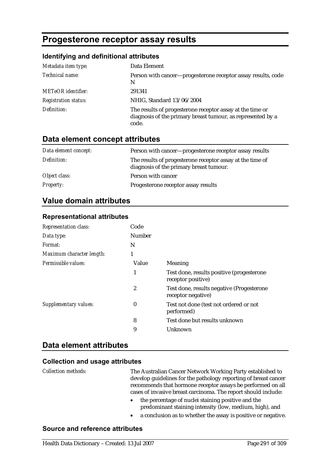# **Progesterone receptor assay results**

#### **Identifying and definitional attributes**

| Metadata item type:         | Data Element                                                                                                                      |
|-----------------------------|-----------------------------------------------------------------------------------------------------------------------------------|
| Technical name:             | Person with cancer—progesterone receptor assay results, code<br>N                                                                 |
| <b>METeOR</b> identifier:   | 291341                                                                                                                            |
| <b>Registration status:</b> | NHIG, Standard 13/06/2004                                                                                                         |
| Definition:                 | The results of progesterone receptor assay at the time or<br>diagnosis of the primary breast tumour, as represented by a<br>code. |

### **Data element concept attributes**

| Data element concept: | Person with cancer-progesterone receptor assay results                                               |
|-----------------------|------------------------------------------------------------------------------------------------------|
| Definition:           | The results of progesterone receptor assay at the time of<br>diagnosis of the primary breast tumour. |
| Object class:         | Person with cancer                                                                                   |
| <i>Property:</i>      | Progesterone receptor assay results                                                                  |

## **Value domain attributes**

#### **Representational attributes**

| <b>Representation class:</b> | Code          |                                                                 |
|------------------------------|---------------|-----------------------------------------------------------------|
| Data type:                   | <b>Number</b> |                                                                 |
| <i>Format:</i>               | N             |                                                                 |
| Maximum character length:    | 1             |                                                                 |
| Permissible values:          | Value         | Meaning                                                         |
|                              | 1             | Test done, results positive (progesterone<br>receptor positive) |
|                              | 2             | Test done, results negative (Progesterone<br>receptor negative) |
| Supplementary values:        | 0             | Test not done (test not ordered or not<br>performed)            |
|                              | 8             | Test done but results unknown                                   |
|                              | 9             | Unknown                                                         |

#### **Data element attributes**

#### **Collection and usage attributes**

*Collection methods:* The Australian Cancer Network Working Party established to develop guidelines for the pathology reporting of breast cancer recommends that hormone receptor assays be performed on all cases of invasive breast carcinoma. The report should include:

- the percentage of nuclei staining positive and the predominant staining intensity (low, medium, high), and
- a conclusion as to whether the assay is positive or negative.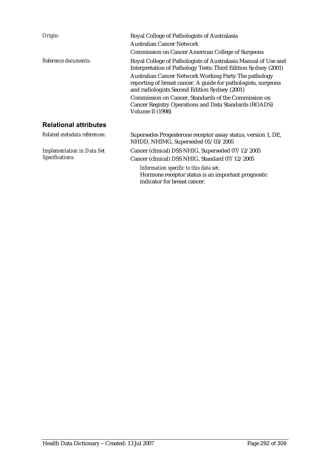| Origin:                           | Royal College of Pathologists of Australasia                                                                                                                                                                                                                                                                                                                                                                                                      |
|-----------------------------------|---------------------------------------------------------------------------------------------------------------------------------------------------------------------------------------------------------------------------------------------------------------------------------------------------------------------------------------------------------------------------------------------------------------------------------------------------|
|                                   | Australian Cancer Network                                                                                                                                                                                                                                                                                                                                                                                                                         |
|                                   | <b>Commission on Cancer American College of Surgeons</b>                                                                                                                                                                                                                                                                                                                                                                                          |
| Reference documents:              | Royal College of Pathologists of Australasia Manual of Use and<br>Interpretation of Pathology Tests: Third Edition Sydney (2001)<br>Australian Cancer Network Working Party The pathology<br>reporting of breast cancer. A guide for pathologists, surgeons<br>and radiologists Second Edition Sydney (2001)<br>Commission on Cancer, Standards of the Commission on<br>Cancer Registry Operations and Data Standards (ROADS)<br>Volume II (1998) |
| <b>Relational attributes</b>      |                                                                                                                                                                                                                                                                                                                                                                                                                                                   |
|                                   |                                                                                                                                                                                                                                                                                                                                                                                                                                                   |
| Related metadata references:      | Supersedes Progesterone receptor assay status, version 1, DE,<br>NHDD, NHIMG, Superseded 01/03/2005                                                                                                                                                                                                                                                                                                                                               |
| <b>Implementation in Data Set</b> | Cancer (clinical) DSS NHIG, Superseded 07/12/2005                                                                                                                                                                                                                                                                                                                                                                                                 |
| Specifications:                   | Cancer (clinical) DSS NHIG, Standard 07/12/2005                                                                                                                                                                                                                                                                                                                                                                                                   |

*Information specific to this data set:* Hormone receptor status is an important prognostic indicator for breast cancer.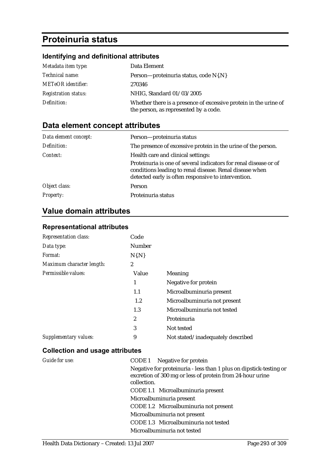# **Proteinuria status**

# **Identifying and definitional attributes**

| Metadata item type:         | Data Element                                                                                              |
|-----------------------------|-----------------------------------------------------------------------------------------------------------|
| Technical name:             | Person—proteinuria status, code N{.N}                                                                     |
| <b>METeOR</b> identifier:   | 270346                                                                                                    |
| <b>Registration status:</b> | NHIG, Standard 01/03/2005                                                                                 |
| Definition:                 | Whether there is a presence of excessive protein in the urine of<br>the person, as represented by a code. |

# **Data element concept attributes**

| Data element concept: | Person-proteinuria status                                                                                                                                                          |
|-----------------------|------------------------------------------------------------------------------------------------------------------------------------------------------------------------------------|
| Definition:           | The presence of excessive protein in the urine of the person.                                                                                                                      |
| Context:              | Health care and clinical settings:                                                                                                                                                 |
|                       | Proteinuria is one of several indicators for renal disease or of<br>conditions leading to renal disease. Renal disease when<br>detected early is often responsive to intervention. |
| Object class:         | Person                                                                                                                                                                             |
| <b>Property:</b>      | Proteinuria status                                                                                                                                                                 |

# **Value domain attributes**

#### **Representational attributes**

| <b>Representation class:</b> | Code          |                                   |
|------------------------------|---------------|-----------------------------------|
| Data type:                   | <b>Number</b> |                                   |
| Format:                      | $N\{N\}$      |                                   |
| Maximum character length:    | 2             |                                   |
| Permissible values:          | Value         | Meaning                           |
|                              | 1             | Negative for protein              |
|                              | 1.1           | Microalbuminuria present          |
|                              | $1.2\,$       | Microalbuminuria not present      |
|                              | 1.3           | Microalbuminuria not tested       |
|                              | 2             | Proteinuria                       |
|                              | 3             | Not tested                        |
| Supplementary values:        | 9             | Not stated/inadequately described |

| Guide for use: | CODE 1 Negative for protein                                                                                                                    |
|----------------|------------------------------------------------------------------------------------------------------------------------------------------------|
|                | Negative for proteinuria - less than 1 plus on dipstick-testing or<br>excretion of 300 mg or less of protein from 24-hour urine<br>collection. |
|                | CODE 1.1 Microalbuminuria present                                                                                                              |
|                | Microalbuminuria present                                                                                                                       |
|                | CODE 1.2 Microalbuminuria not present                                                                                                          |
|                | Microalbuminuria not present                                                                                                                   |
|                | CODE 1.3 Microalbuminuria not tested                                                                                                           |
|                | Microalbuminuria not tested                                                                                                                    |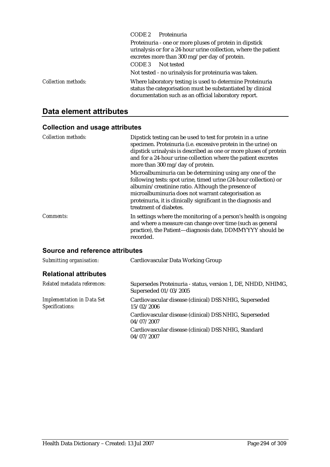|                            | CODE 2<br>Proteinuria                                                                                                                                                            |
|----------------------------|----------------------------------------------------------------------------------------------------------------------------------------------------------------------------------|
|                            | Proteinuria - one or more pluses of protein in dipstick<br>urinalysis or for a 24-hour urine collection, where the patient<br>excretes more than 300 mg/per day of protein.      |
|                            | Not tested<br>CODE 3                                                                                                                                                             |
|                            | Not tested - no urinalysis for proteinuria was taken.                                                                                                                            |
| <b>Collection methods:</b> | Where laboratory testing is used to determine Proteinuria<br>status the categorisation must be substantiated by clinical<br>documentation such as an official laboratory report. |

# **Data element attributes**

# **Collection and usage attributes**

| <b>Collection methods:</b> | Dipstick testing can be used to test for protein in a urine<br>specimen. Proteinuria (i.e. excessive protein in the urine) on<br>dipstick urinalysis is described as one or more pluses of protein<br>and for a 24-hour urine collection where the patient excretes<br>more than 300 mg/day of protein.                               |
|----------------------------|---------------------------------------------------------------------------------------------------------------------------------------------------------------------------------------------------------------------------------------------------------------------------------------------------------------------------------------|
|                            | Microalbuminuria can be determining using any one of the<br>following tests: spot urine, timed urine (24-hour collection) or<br>albumin/creatinine ratio. Although the presence of<br>microalbuminuria does not warrant categorisation as<br>proteinuria, it is clinically significant in the diagnosis and<br>treatment of diabetes. |
| Comments:                  | In settings where the monitoring of a person's health is ongoing<br>and where a measure can change over time (such as general<br>practice), the Patient-diagnosis date, DDMMYYYY should be<br>recorded.                                                                                                                               |

| Cardiovascular Data Working Group                                                     |
|---------------------------------------------------------------------------------------|
|                                                                                       |
| Supersedes Proteinuria - status, version 1, DE, NHDD, NHIMG,<br>Superseded 01/03/2005 |
| Cardiovascular disease (clinical) DSS NHIG, Superseded<br>15/02/2006                  |
| Cardiovascular disease (clinical) DSS NHIG, Superseded<br>04/07/2007                  |
| Cardiovascular disease (clinical) DSS NHIG, Standard<br>04/07/2007                    |
|                                                                                       |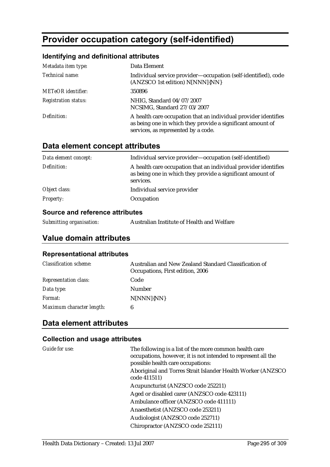# **Provider occupation category (self-identified)**

### **Identifying and definitional attributes**

| Metadata item type:         | Data Element                                                                                                                                                         |
|-----------------------------|----------------------------------------------------------------------------------------------------------------------------------------------------------------------|
| Technical name:             | Individual service provider-occupation (self-identified), code<br>(ANZSCO 1st edition) N[NNN]{NN}                                                                    |
| <b>METeOR</b> identifier:   | 350896                                                                                                                                                               |
| <b>Registration status:</b> | NHIG, Standard 04/07/2007<br>NCSIMG, Standard 27/03/2007                                                                                                             |
| Definition:                 | A health care occupation that an individual provider identifies<br>as being one in which they provide a significant amount of<br>services, as represented by a code. |

# **Data element concept attributes**

| Data element concept: | Individual service provider—occupation (self-identified)                                                                                   |
|-----------------------|--------------------------------------------------------------------------------------------------------------------------------------------|
| Definition:           | A health care occupation that an individual provider identifies<br>as being one in which they provide a significant amount of<br>services. |
| Object class:         | Individual service provider                                                                                                                |
| <i>Property:</i>      | Occupation                                                                                                                                 |
|                       |                                                                                                                                            |

#### **Source and reference attributes**

*Submitting organisation:* Australian Institute of Health and Welfare

### **Value domain attributes**

#### **Representational attributes**

| <b>Classification scheme:</b> | Australian and New Zealand Standard Classification of<br>Occupations, First edition, 2006 |
|-------------------------------|-------------------------------------------------------------------------------------------|
| <b>Representation class:</b>  | Code                                                                                      |
| Data type:                    | Number                                                                                    |
| <i>Format:</i>                | N[NNN]{NN}                                                                                |
| Maximum character length:     | 6                                                                                         |

### **Data element attributes**

| Guide for use: | The following is a list of the more common health care<br>occupations, however, it is not intended to represent all the<br>possible health care occupations: |
|----------------|--------------------------------------------------------------------------------------------------------------------------------------------------------------|
|                | Aboriginal and Torres Strait Islander Health Worker (ANZSCO)<br>code 411511)                                                                                 |
|                | Acupuncturist (ANZSCO code 252211)                                                                                                                           |
|                | Aged or disabled carer (ANZSCO code 423111)                                                                                                                  |
|                | Ambulance officer (ANZSCO code 411111)                                                                                                                       |
|                | Anaesthetist (ANZSCO code 253211)                                                                                                                            |
|                | Audiologist (ANZSCO code 252711)                                                                                                                             |
|                | Chiropractor (ANZSCO code 252111)                                                                                                                            |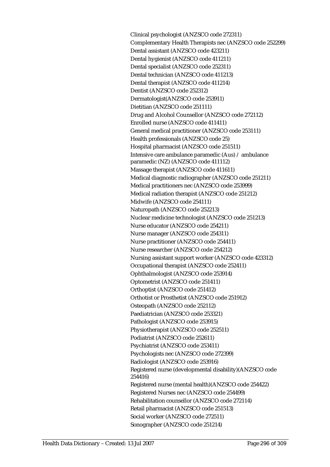Clinical psychologist (ANZSCO code 272311) Complementary Health Therapists nec (ANZSCO code 252299) Dental assistant (ANZSCO code 423211) Dental hygienist (ANZSCO code 411211) Dental specialist (ANZSCO code 252311) Dental technician (ANZSCO code 411213) Dental therapist (ANZSCO code 411214) Dentist (ANZSCO code 252312) Dermatologist(ANZSCO code 253911) Dietitian (ANZSCO code 251111) Drug and Alcohol Counsellor (ANZSCO code 272112) Enrolled nurse (ANZSCO code 411411) General medical practitioner (ANZSCO code 253111) Health professionals (ANZSCO code 25) Hospital pharmacist (ANZSCO code 251511) Intensive care ambulance paramedic (Aus) / ambulance paramedic (NZ) (ANZSCO code 411112) Massage therapist (ANZSCO code 411611) Medical diagnostic radiographer (ANZSCO code 251211) Medical practitioners nec (ANZSCO code 253999) Medical radiation therapist (ANZSCO code 251212) Midwife (ANZSCO code 254111) Naturopath (ANZSCO code 252213) Nuclear medicine technologist (ANZSCO code 251213) Nurse educator (ANZSCO code 254211) Nurse manager (ANZSCO code 254311) Nurse practitioner (ANZSCO code 254411) Nurse researcher (ANZSCO code 254212) Nursing assistant support worker (ANZSCO code 423312) Occupational therapist (ANZSCO code 252411) Ophthalmologist (ANZSCO code 253914) Optometrist (ANZSCO code 251411) Orthoptist (ANZSCO code 251412) Orthotist or Prosthetist (ANZSCO code 251912) Osteopath (ANZSCO code 252112) Paediatrician (ANZSCO code 253321) Pathologist (ANZSCO code 253915) Physiotherapist (ANZSCO code 252511) Podiatrist (ANZSCO code 252611) Psychiatrist (ANZSCO code 253411) Psychologists nec (ANZSCO code 272399) Radiologist (ANZSCO code 253916) Registered nurse (developmental disability)(ANZSCO code 254416) Registered nurse (mental health)(ANZSCO code 254422) Registered Nurses nec (ANZSCO code 254499) Rehabilitation counsellor (ANZSCO code 272114) Retail pharmacist (ANZSCO code 251513) Social worker (ANZSCO code 272511) Sonographer (ANZSCO code 251214)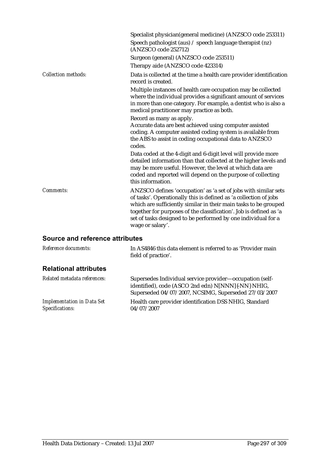|                            | Specialist physician(general medicine) (ANZSCO code 253311)<br>Speech pathologist (aus) / speech language therapist (nz)<br>(ANZSCO code 252712)                                                                                                                                                                                                                    |
|----------------------------|---------------------------------------------------------------------------------------------------------------------------------------------------------------------------------------------------------------------------------------------------------------------------------------------------------------------------------------------------------------------|
|                            | Surgeon (general) (ANZSCO code 253511)<br>Therapy aide (ANZSCO code 423314)                                                                                                                                                                                                                                                                                         |
| <b>Collection methods:</b> | Data is collected at the time a health care provider identification<br>record is created.                                                                                                                                                                                                                                                                           |
|                            | Multiple instances of health care occupation may be collected<br>where the individual provides a significant amount of services<br>in more than one category. For example, a dentist who is also a<br>medical practitioner may practice as both.                                                                                                                    |
|                            | Record as many as apply.<br>Accurate data are best achieved using computer assisted<br>coding. A computer assisted coding system is available from<br>the ABS to assist in coding occupational data to ANZSCO<br>codes.                                                                                                                                             |
|                            | Data coded at the 4-digit and 6-digit level will provide more<br>detailed information than that collected at the higher levels and<br>may be more useful. However, the level at which data are<br>coded and reported will depend on the purpose of collecting<br>this information.                                                                                  |
| Comments:                  | ANZSCO defines 'occupation' as 'a set of jobs with similar sets<br>of tasks'. Operationally this is defined as 'a collection of jobs<br>which are sufficiently similar in their main tasks to be grouped<br>together for purposes of the classification'. Job is defined as 'a<br>set of tasks designed to be performed by one individual for a<br>wage or salary'. |
|                            |                                                                                                                                                                                                                                                                                                                                                                     |

| Reference documents:                                 | In AS4846 this data element is referred to as 'Provider main<br>field of practice'.                                                                                    |
|------------------------------------------------------|------------------------------------------------------------------------------------------------------------------------------------------------------------------------|
| <b>Relational attributes</b>                         |                                                                                                                                                                        |
| Related metadata references:                         | Supersedes Individual service provider-occupation (self-<br>identified), code (ASCO 2nd edn) N[NNN]{-NN} NHIG,<br>Superseded 04/07/2007, NCSIMG, Superseded 27/03/2007 |
| <b>Implementation in Data Set</b><br>Specifications: | Health care provider identification DSS NHIG, Standard<br>04/07/2007                                                                                                   |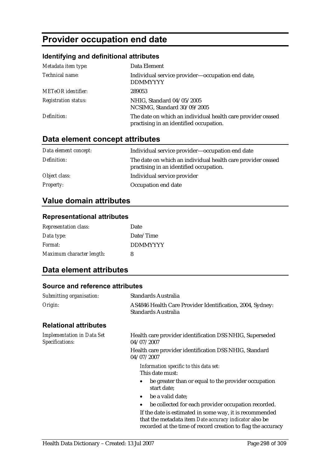# **Provider occupation end date**

### **Identifying and definitional attributes**

| Metadata item type:         | Data Element                                                                                           |
|-----------------------------|--------------------------------------------------------------------------------------------------------|
| Technical name:             | Individual service provider-occupation end date,<br><b>DDMMYYYY</b>                                    |
| <b>METeOR</b> identifier:   | 289053                                                                                                 |
| <b>Registration status:</b> | NHIG, Standard 04/05/2005<br>NCSIMG, Standard 30/09/2005                                               |
| Definition:                 | The date on which an individual health care provider ceased<br>practising in an identified occupation. |

# **Data element concept attributes**

| Data element concept: | Individual service provider-occupation end date                                                        |
|-----------------------|--------------------------------------------------------------------------------------------------------|
| Definition:           | The date on which an individual health care provider ceased<br>practising in an identified occupation. |
| Object class:         | Individual service provider                                                                            |
| <b>Property:</b>      | Occupation end date                                                                                    |

# **Value domain attributes**

#### **Representational attributes**

| <b>Representation class:</b> | Date            |
|------------------------------|-----------------|
| Data type:                   | Date/Time       |
| Format:                      | <b>DDMMYYYY</b> |
| Maximum character length:    | 8               |

### **Data element attributes**

| Submitting organisation:                             | <b>Standards Australia</b>                                                                                                                                                        |  |
|------------------------------------------------------|-----------------------------------------------------------------------------------------------------------------------------------------------------------------------------------|--|
| Origin:                                              | AS4846 Health Care Provider Identification, 2004, Sydney:<br>Standards Australia                                                                                                  |  |
| <b>Relational attributes</b>                         |                                                                                                                                                                                   |  |
| <b>Implementation in Data Set</b><br>Specifications: | Health care provider identification DSS NHIG, Superseded<br>04/07/2007                                                                                                            |  |
|                                                      | Health care provider identification DSS NHIG, Standard<br>04/07/2007                                                                                                              |  |
|                                                      | Information specific to this data set:<br>This date must:                                                                                                                         |  |
|                                                      | be greater than or equal to the provider occupation<br>٠<br>start date;                                                                                                           |  |
|                                                      | be a valid date;<br>$\bullet$                                                                                                                                                     |  |
|                                                      | be collected for each provider occupation recorded.                                                                                                                               |  |
|                                                      | If the date is estimated in some way, it is recommended<br>that the metadata item Date accuracy indicator also be<br>recorded at the time of record creation to flag the accuracy |  |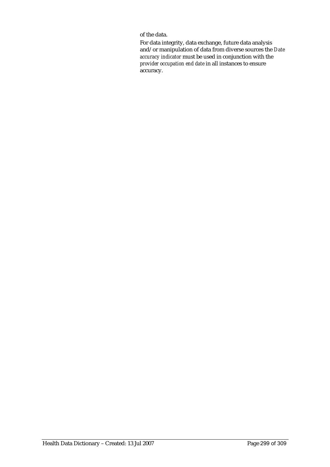of the data.

For data integrity, data exchange, future data analysis and/or manipulation of data from diverse sources the *Date accuracy indicator* must be used in conjunction with the *provider occupation end date* in all instances to ensure accuracy.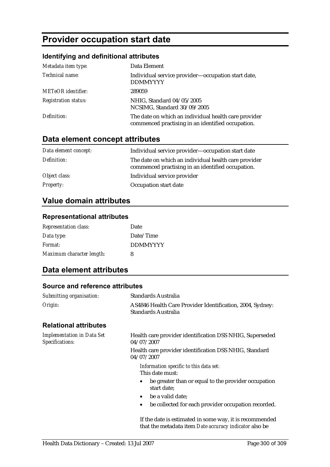# **Provider occupation start date**

### **Identifying and definitional attributes**

| Metadata item type:         | Data Element                                                                                              |
|-----------------------------|-----------------------------------------------------------------------------------------------------------|
| Technical name:             | Individual service provider—occupation start date,<br><b>DDMMYYYY</b>                                     |
| <b>METeOR</b> identifier:   | 289059                                                                                                    |
| <b>Registration status:</b> | NHIG, Standard 04/05/2005<br>NCSIMG, Standard 30/09/2005                                                  |
| Definition:                 | The date on which an individual health care provider<br>commenced practising in an identified occupation. |

# **Data element concept attributes**

| Data element concept: | Individual service provider-occupation start date                                                         |
|-----------------------|-----------------------------------------------------------------------------------------------------------|
| Definition:           | The date on which an individual health care provider<br>commenced practising in an identified occupation. |
| Object class:         | Individual service provider                                                                               |
| <b>Property:</b>      | Occupation start date                                                                                     |

# **Value domain attributes**

#### **Representational attributes**

| <b>Representation class:</b> | Date            |
|------------------------------|-----------------|
| Data type:                   | Date/Time       |
| Format:                      | <b>DDMMYYYY</b> |
| Maximum character length:    | 8               |

### **Data element attributes**

#### **Source and reference attributes**

| Submitting organisation:                             | Standards Australia                                                              |
|------------------------------------------------------|----------------------------------------------------------------------------------|
| Origin:                                              | AS4846 Health Care Provider Identification, 2004, Sydney:<br>Standards Australia |
| <b>Relational attributes</b>                         |                                                                                  |
| <b>Implementation in Data Set</b><br>Specifications: | Health care provider identification DSS NHIG, Superseded<br>04/07/2007           |
|                                                      | Health care provider identification DSS NHIG, Standard<br>04/07/2007             |
|                                                      | Information specific to this data set:<br>This date must:                        |
|                                                      | be greater than or equal to the provider occupation<br>start date;               |
|                                                      | be a valid date;<br>$\bullet$                                                    |
|                                                      | be collected for each provider occupation recorded.<br>$\bullet$                 |
|                                                      | If the date is estimated in some way, it is recommended                          |

that the metadata item *Date accuracy indicator* also be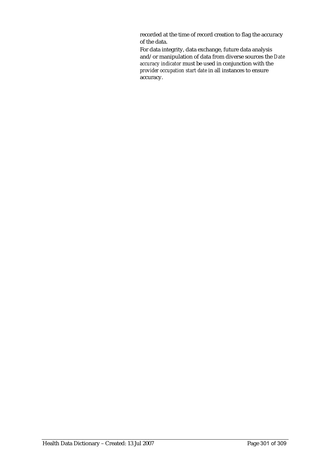recorded at the time of record creation to flag the accuracy of the data.

For data integrity, data exchange, future data analysis and/or manipulation of data from diverse sources the *Date accuracy indicator* must be used in conjunction with the *provider occupation start date* in all instances to ensure accuracy.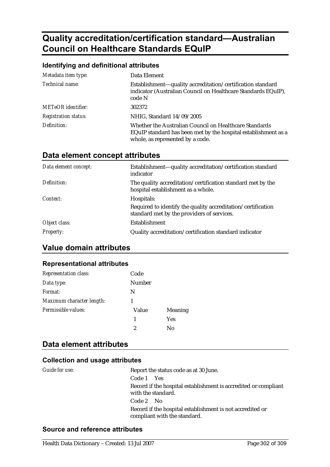# **Quality accreditation/certification standard—Australian Council on Healthcare Standards EQuIP**

### **Identifying and definitional attributes**

| Metadata item type:         | Data Element                                                                                                                                                 |
|-----------------------------|--------------------------------------------------------------------------------------------------------------------------------------------------------------|
| Technical name:             | Establishment—quality accreditation/certification standard<br>indicator (Australian Council on Healthcare Standards EQuIP),<br>code N                        |
| <b>METeOR</b> identifier:   | 302372                                                                                                                                                       |
| <b>Registration status:</b> | NHIG, Standard 14/09/2005                                                                                                                                    |
| Definition:                 | Whether the Australian Council on Healthcare Standards<br>EQuIP standard has been met by the hospital establishment as a<br>whole, as represented by a code. |

## **Data element concept attributes**

| Data element concept: | Establishment-quality accreditation/certification standard<br>indicator                                                  |
|-----------------------|--------------------------------------------------------------------------------------------------------------------------|
| Definition:           | The quality accreditation/certification standard met by the<br>hospital establishment as a whole.                        |
| Context:              | Hospitals:<br>Required to identify the quality accreditation/certification<br>standard met by the providers of services. |
| Object class:         | Establishment                                                                                                            |
| <b>Property:</b>      | Quality accreditation/certification standard indicator                                                                   |

## **Value domain attributes**

#### **Representational attributes**

| <b>Representation class:</b> | Code   |                |
|------------------------------|--------|----------------|
| Data type:                   | Number |                |
| Format:                      | N      |                |
| Maximum character length:    |        |                |
| Permissible values:          | Value  | <b>Meaning</b> |
|                              | 1      | <b>Yes</b>     |
|                              | 2      | No             |

# **Data element attributes**

#### **Collection and usage attributes**

| Guide for use: | Report the status code as at 30 June.                                                     |
|----------------|-------------------------------------------------------------------------------------------|
|                | Code 1 Yes                                                                                |
|                | Record if the hospital establishment is accredited or compliant<br>with the standard.     |
|                | Code 2 No                                                                                 |
|                | Record if the hospital establishment is not accredited or<br>compliant with the standard. |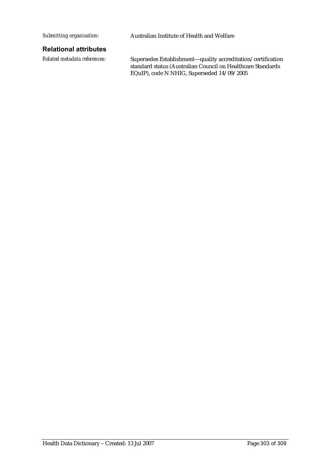*Submitting organisation:* Australian Institute of Health and Welfare

#### **Relational attributes**

*Related metadata references:* Supersedes Establishment—quality accreditation/certification standard status (Australian Council on Healthcare Standards EQuIP), code N NHIG, Superseded 14/09/2005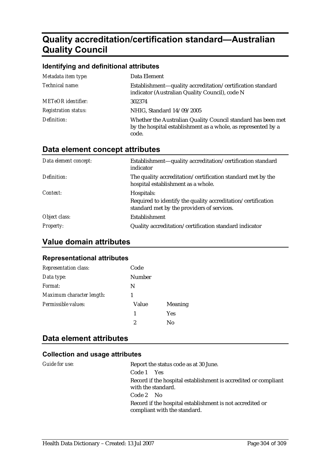# **Quality accreditation/certification standard—Australian Quality Council**

| Identifying and definitional attributes |                                                                                                                                        |  |
|-----------------------------------------|----------------------------------------------------------------------------------------------------------------------------------------|--|
| Metadata item type:                     | Data Element                                                                                                                           |  |
| Technical name:                         | Establishment-quality accreditation/certification standard<br>indicator (Australian Quality Council), code N                           |  |
| METeOR identifier:                      | 302374                                                                                                                                 |  |
| <b>Registration status:</b>             | NHIG, Standard 14/09/2005                                                                                                              |  |
| Definition:                             | Whether the Australian Quality Council standard has been met<br>by the hospital establishment as a whole, as represented by a<br>code. |  |

# **Data element concept attributes**

| Data element concept: | Establishment—quality accreditation/certification standard<br>indicator                                    |
|-----------------------|------------------------------------------------------------------------------------------------------------|
| Definition:           | The quality accreditation/certification standard met by the<br>hospital establishment as a whole.          |
| Context:              | Hospitals:                                                                                                 |
|                       | Required to identify the quality accreditation/certification<br>standard met by the providers of services. |
| Object class:         | Establishment                                                                                              |
| <b>Property:</b>      | Quality accreditation/certification standard indicator                                                     |

# **Value domain attributes**

#### **Representational attributes**

| <b>Representation class:</b> | Code   |         |
|------------------------------|--------|---------|
| Data type:                   | Number |         |
| Format:                      | N      |         |
| Maximum character length:    |        |         |
| Permissible values:          | Value  | Meaning |
|                              | 1      | Yes     |
|                              | 2      | Nο      |

# **Data element attributes**

| Guide for use: | Report the status code as at 30 June.                                                     |
|----------------|-------------------------------------------------------------------------------------------|
|                | Code 1 Yes                                                                                |
|                | Record if the hospital establishment is accredited or compliant<br>with the standard.     |
|                | $Code 2$ No                                                                               |
|                | Record if the hospital establishment is not accredited or<br>compliant with the standard. |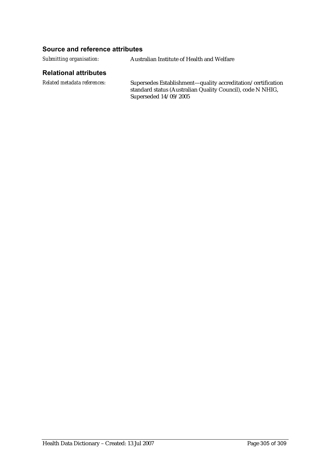*Submitting organisation:* Australian Institute of Health and Welfare

#### **Relational attributes**

*Related metadata references:* Supersedes Establishment—quality accreditation/certification standard status (Australian Quality Council), code N NHIG, Superseded 14/09/2005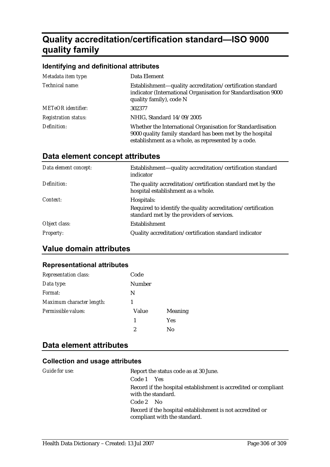# **Quality accreditation/certification standard—ISO 9000 quality family**

#### **Identifying and definitional attributes**

| Metadata item type:         | Data Element                                                                                                                                                                   |
|-----------------------------|--------------------------------------------------------------------------------------------------------------------------------------------------------------------------------|
| Technical name:             | Establishment-quality accreditation/certification standard<br>indicator (International Organisation for Standardisation 9000<br>quality family), code N                        |
| <b>METeOR</b> identifier:   | 302377                                                                                                                                                                         |
| <b>Registration status:</b> | NHIG, Standard 14/09/2005                                                                                                                                                      |
| Definition:                 | Whether the International Organisation for Standardisation<br>9000 quality family standard has been met by the hospital<br>establishment as a whole, as represented by a code. |

### **Data element concept attributes**

| Data element concept: | Establishment—quality accreditation/certification standard<br>indicator                                                  |
|-----------------------|--------------------------------------------------------------------------------------------------------------------------|
| Definition:           | The quality accreditation/certification standard met by the<br>hospital establishment as a whole.                        |
| Context:              | Hospitals:<br>Required to identify the quality accreditation/certification<br>standard met by the providers of services. |
| Object class:         | <b>Establishment</b>                                                                                                     |
| <i>Property:</i>      | Quality accreditation/certification standard indicator                                                                   |

# **Value domain attributes**

#### **Representational attributes**

| Representation class:     | Code   |                |
|---------------------------|--------|----------------|
| Data type:                | Number |                |
| Format:                   | N      |                |
| Maximum character length: |        |                |
| Permissible values:       | Value  | <b>Meaning</b> |
|                           | 1      | <b>Yes</b>     |
|                           | 2      | No             |

# **Data element attributes**

| Guide for use: | Report the status code as at 30 June.                                                     |
|----------------|-------------------------------------------------------------------------------------------|
|                | Code 1 Yes                                                                                |
|                | Record if the hospital establishment is accredited or compliant<br>with the standard.     |
|                | $Code 2$ No                                                                               |
|                | Record if the hospital establishment is not accredited or<br>compliant with the standard. |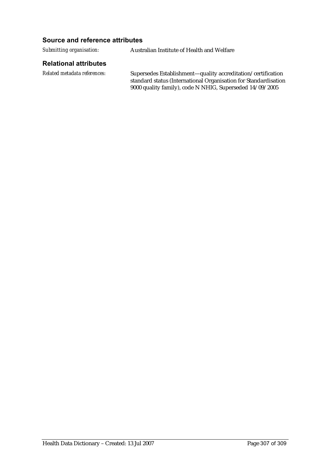*Submitting organisation:* Australian Institute of Health and Welfare

#### **Relational attributes**

*Related metadata references:* Supersedes Establishment—quality accreditation/certification standard status (International Organisation for Standardisation 9000 quality family), code N NHIG, Superseded 14/09/2005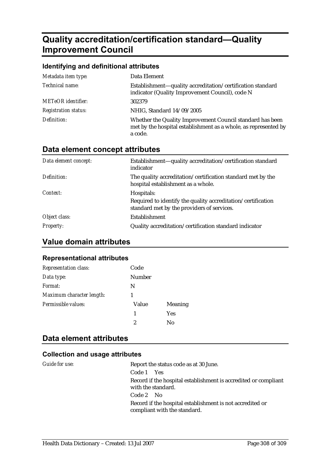# **Quality accreditation/certification standard—Quality Improvement Council**

#### **Identifying and definitional attributes**  *Metadata item type:* Data Element *Technical name:* Establishment—quality accreditation/certification standard indicator (Quality Improvement Council), code N *METeOR identifier:* 302379 *Registration status:* NHIG, Standard 14/09/2005 *Definition:* Whether the Quality Improvement Council standard has been met by the hospital establishment as a whole, as represented by a code.

# **Data element concept attributes**

| Data element concept: | Establishment—quality accreditation/certification standard<br>indicator                                    |
|-----------------------|------------------------------------------------------------------------------------------------------------|
| Definition:           | The quality accreditation/certification standard met by the<br>hospital establishment as a whole.          |
| Context:              | Hospitals:                                                                                                 |
|                       | Required to identify the quality accreditation/certification<br>standard met by the providers of services. |
| Object class:         | <b>Establishment</b>                                                                                       |
| <b>Property:</b>      | Quality accreditation/certification standard indicator                                                     |

# **Value domain attributes**

#### **Representational attributes**

| <b>Representation class:</b> | Code   |         |
|------------------------------|--------|---------|
| Data type:                   | Number |         |
| Format:                      | N      |         |
| Maximum character length:    |        |         |
| Permissible values:          | Value  | Meaning |
|                              | 1      | Yes     |
|                              | 2      | Nο      |

# **Data element attributes**

| Guide for use: | Report the status code as at 30 June.                                                     |
|----------------|-------------------------------------------------------------------------------------------|
|                | Code 1 Yes                                                                                |
|                | Record if the hospital establishment is accredited or compliant<br>with the standard.     |
|                | Code 2 No                                                                                 |
|                | Record if the hospital establishment is not accredited or<br>compliant with the standard. |